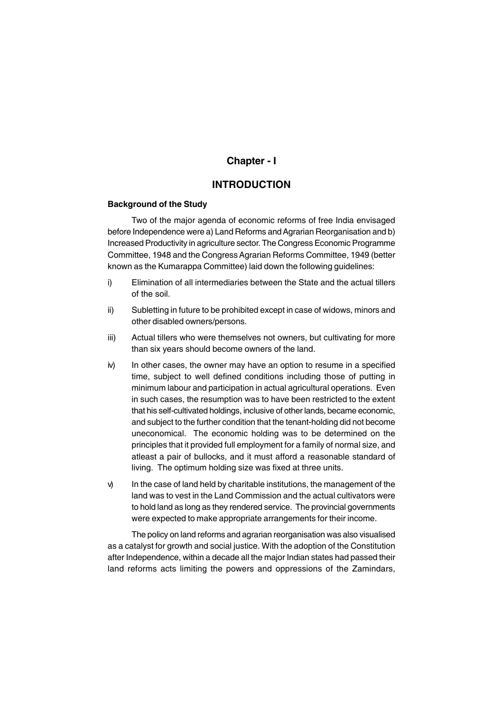# **Chapter - I**

# **INTRODUCTION**

## **Background of the Study**

Two of the major agenda of economic reforms of free India envisaged before Independence were a) Land Reforms and Agrarian Reorganisation and b) Increased Productivity in agriculture sector. The Congress Economic Programme Committee, 1948 and the Congress Agrarian Reforms Committee, 1949 (better known as the Kumarappa Committee) laid down the following guidelines:

- i) Elimination of all intermediaries between the State and the actual tillers of the soil.
- ii) Subletting in future to be prohibited except in case of widows, minors and other disabled owners/persons.
- iii) Actual tillers who were themselves not owners, but cultivating for more than six years should become owners of the land.
- iv) In other cases, the owner may have an option to resume in a specified time, subject to well defined conditions including those of putting in minimum labour and participation in actual agricultural operations. Even in such cases, the resumption was to have been restricted to the extent that his self-cultivated holdings, inclusive of other lands, became economic, and subject to the further condition that the tenant-holding did not become uneconomical. The economic holding was to be determined on the principles that it provided full employment for a family of normal size, and atleast a pair of bullocks, and it must afford a reasonable standard of living. The optimum holding size was fixed at three units.
- $\mathcal{V}$  In the case of land held by charitable institutions, the management of the land was to vest in the Land Commission and the actual cultivators were to hold land as long as they rendered service. The provincial governments were expected to make appropriate arrangements for their income.

The policy on land reforms and agrarian reorganisation was also visualised as a catalyst for growth and social justice. With the adoption of the Constitution after Independence, within a decade all the major Indian states had passed their land reforms acts limiting the powers and oppressions of the Zamindars,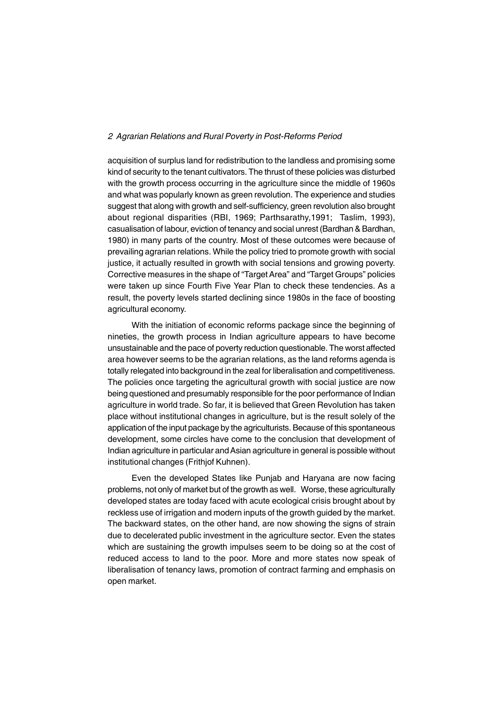acquisition of surplus land for redistribution to the landless and promising some kind of security to the tenant cultivators. The thrust of these policies was disturbed with the growth process occurring in the agriculture since the middle of 1960s and what was popularly known as green revolution. The experience and studies suggest that along with growth and self-sufficiency, green revolution also brought about regional disparities (RBI, 1969; Parthsarathy,1991; Taslim, 1993), casualisation of labour, eviction of tenancy and social unrest (Bardhan & Bardhan, 1980) in many parts of the country. Most of these outcomes were because of prevailing agrarian relations. While the policy tried to promote growth with social justice, it actually resulted in growth with social tensions and growing poverty. Corrective measures in the shape of "Target Area" and "Target Groups" policies were taken up since Fourth Five Year Plan to check these tendencies. As a result, the poverty levels started declining since 1980s in the face of boosting agricultural economy.

With the initiation of economic reforms package since the beginning of nineties, the growth process in Indian agriculture appears to have become unsustainable and the pace of poverty reduction questionable. The worst affected area however seems to be the agrarian relations, as the land reforms agenda is totally relegated into background in the zeal for liberalisation and competitiveness. The policies once targeting the agricultural growth with social justice are now being questioned and presumably responsible for the poor performance of Indian agriculture in world trade. So far, it is believed that Green Revolution has taken place without institutional changes in agriculture, but is the result solely of the application of the input package by the agriculturists. Because of this spontaneous development, some circles have come to the conclusion that development of Indian agriculture in particular and Asian agriculture in general is possible without institutional changes (Frithjof Kuhnen).

Even the developed States like Punjab and Haryana are now facing problems, not only of market but of the growth as well. Worse, these agriculturally developed states are today faced with acute ecological crisis brought about by reckless use of irrigation and modern inputs of the growth guided by the market. The backward states, on the other hand, are now showing the signs of strain due to decelerated public investment in the agriculture sector. Even the states which are sustaining the growth impulses seem to be doing so at the cost of reduced access to land to the poor. More and more states now speak of liberalisation of tenancy laws, promotion of contract farming and emphasis on open market.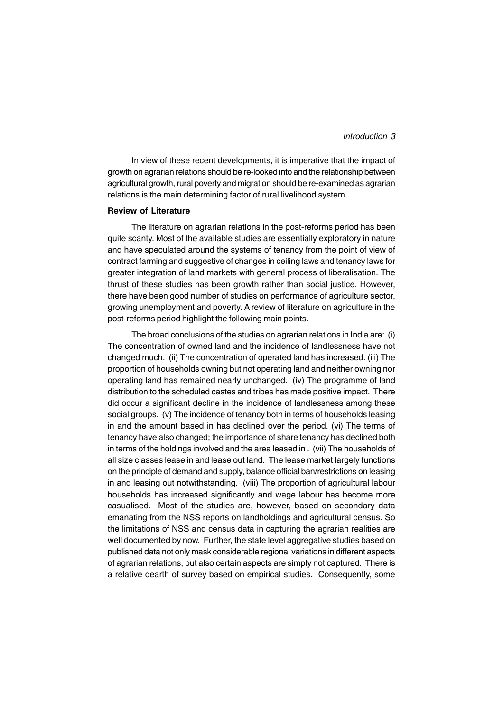In view of these recent developments, it is imperative that the impact of growth on agrarian relations should be re-looked into and the relationship between agricultural growth, rural poverty and migration should be re-examined as agrarian relations is the main determining factor of rural livelihood system.

#### **Review of Literature**

The literature on agrarian relations in the post-reforms period has been quite scanty. Most of the available studies are essentially exploratory in nature and have speculated around the systems of tenancy from the point of view of contract farming and suggestive of changes in ceiling laws and tenancy laws for greater integration of land markets with general process of liberalisation. The thrust of these studies has been growth rather than social justice. However, there have been good number of studies on performance of agriculture sector, growing unemployment and poverty. A review of literature on agriculture in the post-reforms period highlight the following main points.

The broad conclusions of the studies on agrarian relations in India are: (i) The concentration of owned land and the incidence of landlessness have not changed much. (ii) The concentration of operated land has increased. (iii) The proportion of households owning but not operating land and neither owning nor operating land has remained nearly unchanged. (iv) The programme of land distribution to the scheduled castes and tribes has made positive impact. There did occur a significant decline in the incidence of landlessness among these social groups. (v) The incidence of tenancy both in terms of households leasing in and the amount based in has declined over the period. (vi) The terms of tenancy have also changed; the importance of share tenancy has declined both in terms of the holdings involved and the area leased in . (vii) The households of all size classes lease in and lease out land. The lease market largely functions on the principle of demand and supply, balance official ban/restrictions on leasing in and leasing out notwithstanding. (viii) The proportion of agricultural labour households has increased significantly and wage labour has become more casualised. Most of the studies are, however, based on secondary data emanating from the NSS reports on landholdings and agricultural census. So the limitations of NSS and census data in capturing the agrarian realities are well documented by now. Further, the state level aggregative studies based on published data not only mask considerable regional variations in different aspects of agrarian relations, but also certain aspects are simply not captured. There is a relative dearth of survey based on empirical studies. Consequently, some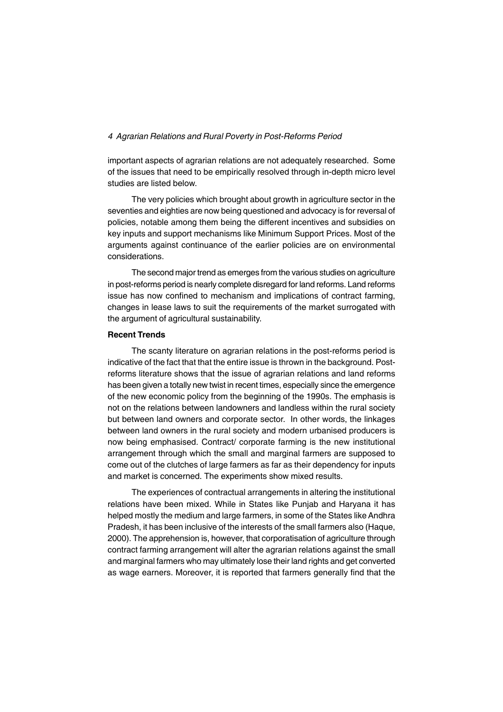important aspects of agrarian relations are not adequately researched. Some of the issues that need to be empirically resolved through in-depth micro level studies are listed below.

The very policies which brought about growth in agriculture sector in the seventies and eighties are now being questioned and advocacy is for reversal of policies, notable among them being the different incentives and subsidies on key inputs and support mechanisms like Minimum Support Prices. Most of the arguments against continuance of the earlier policies are on environmental considerations.

The second major trend as emerges from the various studies on agriculture in post-reforms period is nearly complete disregard for land reforms. Land reforms issue has now confined to mechanism and implications of contract farming, changes in lease laws to suit the requirements of the market surrogated with the argument of agricultural sustainability.

#### **Recent Trends**

The scanty literature on agrarian relations in the post-reforms period is indicative of the fact that that the entire issue is thrown in the background. Postreforms literature shows that the issue of agrarian relations and land reforms has been given a totally new twist in recent times, especially since the emergence of the new economic policy from the beginning of the 1990s. The emphasis is not on the relations between landowners and landless within the rural society but between land owners and corporate sector. In other words, the linkages between land owners in the rural society and modern urbanised producers is now being emphasised. Contract/ corporate farming is the new institutional arrangement through which the small and marginal farmers are supposed to come out of the clutches of large farmers as far as their dependency for inputs and market is concerned. The experiments show mixed results.

The experiences of contractual arrangements in altering the institutional relations have been mixed. While in States like Punjab and Haryana it has helped mostly the medium and large farmers, in some of the States like Andhra Pradesh, it has been inclusive of the interests of the small farmers also (Haque, 2000). The apprehension is, however, that corporatisation of agriculture through contract farming arrangement will alter the agrarian relations against the small and marginal farmers who may ultimately lose their land rights and get converted as wage earners. Moreover, it is reported that farmers generally find that the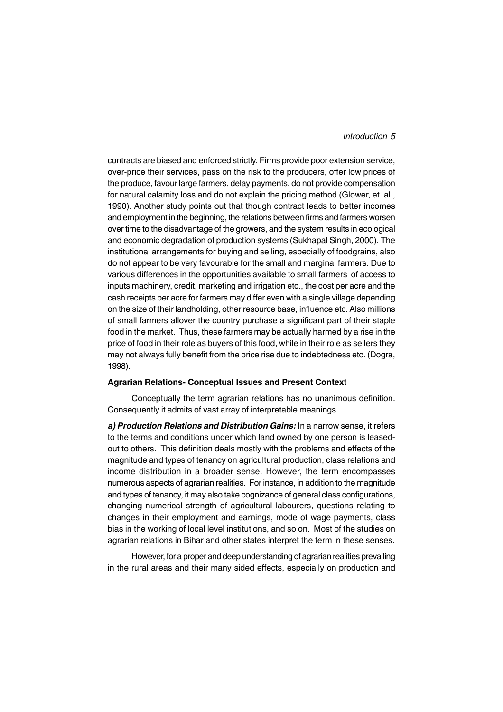## *Introduction 5*

contracts are biased and enforced strictly. Firms provide poor extension service, over-price their services, pass on the risk to the producers, offer low prices of the produce, favour large farmers, delay payments, do not provide compensation for natural calamity loss and do not explain the pricing method (Glower, et. al., 1990). Another study points out that though contract leads to better incomes and employment in the beginning, the relations between firms and farmers worsen over time to the disadvantage of the growers, and the system results in ecological and economic degradation of production systems (Sukhapal Singh, 2000). The institutional arrangements for buying and selling, especially of foodgrains, also do not appear to be very favourable for the small and marginal farmers. Due to various differences in the opportunities available to small farmers of access to inputs machinery, credit, marketing and irrigation etc., the cost per acre and the cash receipts per acre for farmers may differ even with a single village depending on the size of their landholding, other resource base, influence etc. Also millions of small farmers allover the country purchase a significant part of their staple food in the market. Thus, these farmers may be actually harmed by a rise in the price of food in their role as buyers of this food, while in their role as sellers they may not always fully benefit from the price rise due to indebtedness etc. (Dogra, 1998).

#### **Agrarian Relations- Conceptual Issues and Present Context**

Conceptually the term agrarian relations has no unanimous definition. Consequently it admits of vast array of interpretable meanings.

*a) Production Relations and Distribution Gains:* In a narrow sense, it refers to the terms and conditions under which land owned by one person is leasedout to others. This definition deals mostly with the problems and effects of the magnitude and types of tenancy on agricultural production, class relations and income distribution in a broader sense. However, the term encompasses numerous aspects of agrarian realities. For instance, in addition to the magnitude and types of tenancy, it may also take cognizance of general class configurations, changing numerical strength of agricultural labourers, questions relating to changes in their employment and earnings, mode of wage payments, class bias in the working of local level institutions, and so on. Most of the studies on agrarian relations in Bihar and other states interpret the term in these senses.

However, for a proper and deep understanding of agrarian realities prevailing in the rural areas and their many sided effects, especially on production and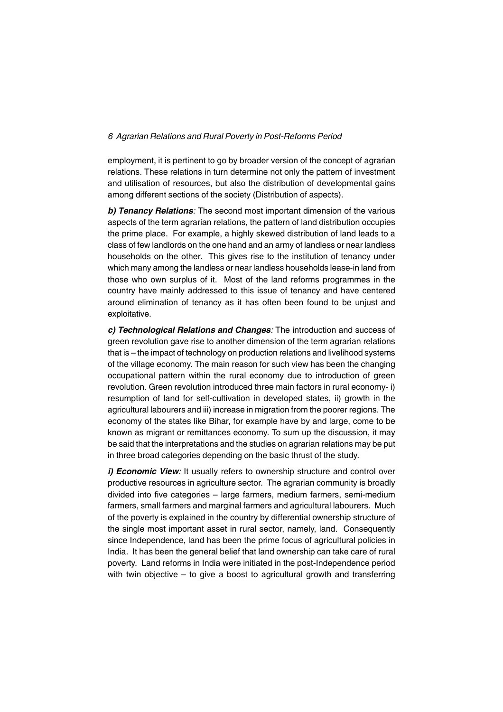employment, it is pertinent to go by broader version of the concept of agrarian relations. These relations in turn determine not only the pattern of investment and utilisation of resources, but also the distribution of developmental gains among different sections of the society (Distribution of aspects).

*b) Tenancy Relations:* The second most important dimension of the various aspects of the term agrarian relations, the pattern of land distribution occupies the prime place. For example, a highly skewed distribution of land leads to a class of few landlords on the one hand and an army of landless or near landless households on the other. This gives rise to the institution of tenancy under which many among the landless or near landless households lease-in land from those who own surplus of it. Most of the land reforms programmes in the country have mainly addressed to this issue of tenancy and have centered around elimination of tenancy as it has often been found to be unjust and exploitative.

*c) Technological Relations and Changes:* The introduction and success of green revolution gave rise to another dimension of the term agrarian relations that is – the impact of technology on production relations and livelihood systems of the village economy. The main reason for such view has been the changing occupational pattern within the rural economy due to introduction of green revolution. Green revolution introduced three main factors in rural economy- i) resumption of land for self-cultivation in developed states, ii) growth in the agricultural labourers and iii) increase in migration from the poorer regions. The economy of the states like Bihar, for example have by and large, come to be known as migrant or remittances economy. To sum up the discussion, it may be said that the interpretations and the studies on agrarian relations may be put in three broad categories depending on the basic thrust of the study.

*i) Economic View:* It usually refers to ownership structure and control over productive resources in agriculture sector. The agrarian community is broadly divided into five categories – large farmers, medium farmers, semi-medium farmers, small farmers and marginal farmers and agricultural labourers. Much of the poverty is explained in the country by differential ownership structure of the single most important asset in rural sector, namely, land. Consequently since Independence, land has been the prime focus of agricultural policies in India. It has been the general belief that land ownership can take care of rural poverty. Land reforms in India were initiated in the post-Independence period with twin objective – to give a boost to agricultural growth and transferring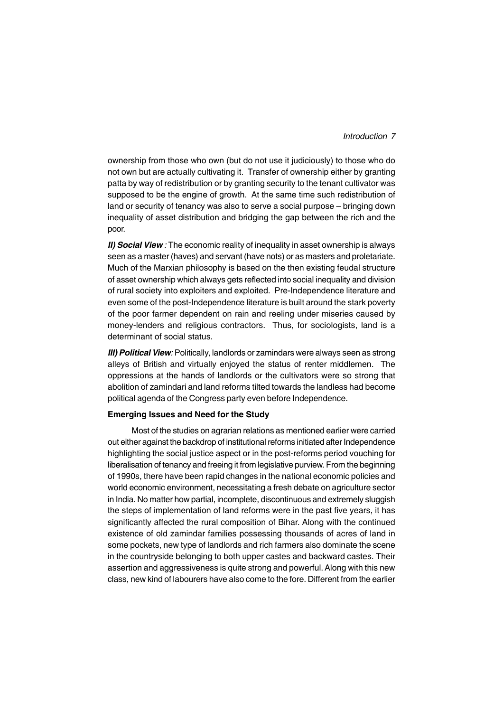## *Introduction 7*

ownership from those who own (but do not use it judiciously) to those who do not own but are actually cultivating it. Transfer of ownership either by granting patta by way of redistribution or by granting security to the tenant cultivator was supposed to be the engine of growth. At the same time such redistribution of land or security of tenancy was also to serve a social purpose – bringing down inequality of asset distribution and bridging the gap between the rich and the poor.

*II) Social View :* The economic reality of inequality in asset ownership is always seen as a master (haves) and servant (have nots) or as masters and proletariate. Much of the Marxian philosophy is based on the then existing feudal structure of asset ownership which always gets reflected into social inequality and division of rural society into exploiters and exploited. Pre-Independence literature and even some of the post-Independence literature is built around the stark poverty of the poor farmer dependent on rain and reeling under miseries caused by money-lenders and religious contractors. Thus, for sociologists, land is a determinant of social status.

*III) Political View:* Politically, landlords or zamindars were always seen as strong alleys of British and virtually enjoyed the status of renter middlemen. The oppressions at the hands of landlords or the cultivators were so strong that abolition of zamindari and land reforms tilted towards the landless had become political agenda of the Congress party even before Independence.

#### **Emerging Issues and Need for the Study**

Most of the studies on agrarian relations as mentioned earlier were carried out either against the backdrop of institutional reforms initiated after Independence highlighting the social justice aspect or in the post-reforms period vouching for liberalisation of tenancy and freeing it from legislative purview. From the beginning of 1990s, there have been rapid changes in the national economic policies and world economic environment, necessitating a fresh debate on agriculture sector in India. No matter how partial, incomplete, discontinuous and extremely sluggish the steps of implementation of land reforms were in the past five years, it has significantly affected the rural composition of Bihar. Along with the continued existence of old zamindar families possessing thousands of acres of land in some pockets, new type of landlords and rich farmers also dominate the scene in the countryside belonging to both upper castes and backward castes. Their assertion and aggressiveness is quite strong and powerful. Along with this new class, new kind of labourers have also come to the fore. Different from the earlier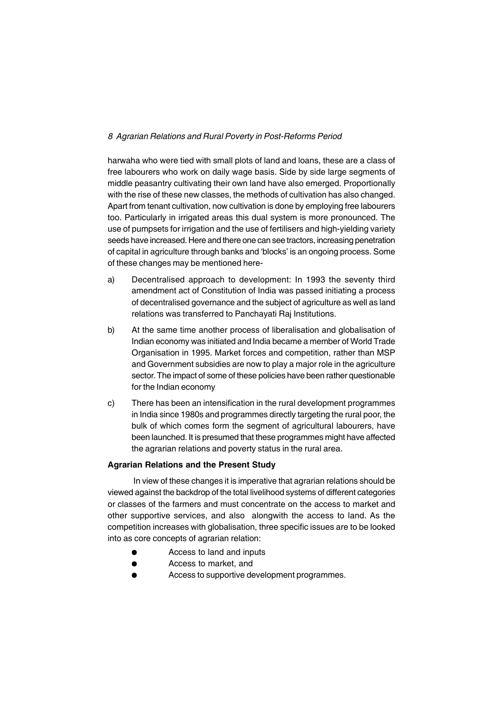harwaha who were tied with small plots of land and loans, these are a class of free labourers who work on daily wage basis. Side by side large segments of middle peasantry cultivating their own land have also emerged. Proportionally with the rise of these new classes, the methods of cultivation has also changed. Apart from tenant cultivation, now cultivation is done by employing free labourers too. Particularly in irrigated areas this dual system is more pronounced. The use of pumpsets for irrigation and the use of fertilisers and high-yielding variety seeds have increased. Here and there one can see tractors, increasing penetration of capital in agriculture through banks and 'blocks' is an ongoing process. Some of these changes may be mentioned here-

- a) Decentralised approach to development: In 1993 the seventy third amendment act of Constitution of India was passed initiating a process of decentralised governance and the subject of agriculture as well as land relations was transferred to Panchayati Raj Institutions.
- b) At the same time another process of liberalisation and globalisation of Indian economy was initiated and India became a member of World Trade Organisation in 1995. Market forces and competition, rather than MSP and Government subsidies are now to play a major role in the agriculture sector. The impact of some of these policies have been rather questionable for the Indian economy
- c) There has been an intensification in the rural development programmes in India since 1980s and programmes directly targeting the rural poor, the bulk of which comes form the segment of agricultural labourers, have been launched. It is presumed that these programmes might have affected the agrarian relations and poverty status in the rural area.

# **Agrarian Relations and the Present Study**

In view of these changes it is imperative that agrarian relations should be viewed against the backdrop of the total livelihood systems of different categories or classes of the farmers and must concentrate on the access to market and other supportive services, and also alongwith the access to land. As the competition increases with globalisation, three specific issues are to be looked into as core concepts of agrarian relation:

- Access to land and inputs
- Access to market, and
- Access to supportive development programmes.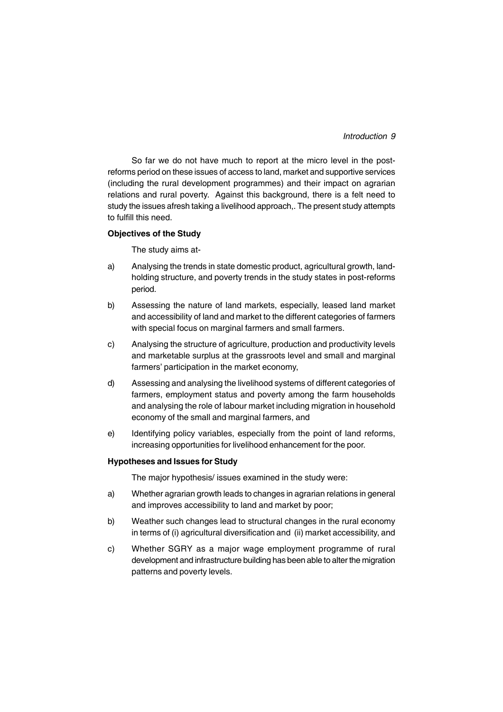# *Introduction 9*

So far we do not have much to report at the micro level in the postreforms period on these issues of access to land, market and supportive services (including the rural development programmes) and their impact on agrarian relations and rural poverty. Against this background, there is a felt need to study the issues afresh taking a livelihood approach,. The present study attempts to fulfill this need.

#### **Objectives of the Study**

The study aims at-

- a) Analysing the trends in state domestic product, agricultural growth, landholding structure, and poverty trends in the study states in post-reforms period.
- b) Assessing the nature of land markets, especially, leased land market and accessibility of land and market to the different categories of farmers with special focus on marginal farmers and small farmers.
- c) Analysing the structure of agriculture, production and productivity levels and marketable surplus at the grassroots level and small and marginal farmers' participation in the market economy,
- d) Assessing and analysing the livelihood systems of different categories of farmers, employment status and poverty among the farm households and analysing the role of labour market including migration in household economy of the small and marginal farmers, and
- e) Identifying policy variables, especially from the point of land reforms, increasing opportunities for livelihood enhancement for the poor.

## **Hypotheses and Issues for Study**

The major hypothesis/ issues examined in the study were:

- a) Whether agrarian growth leads to changes in agrarian relations in general and improves accessibility to land and market by poor;
- b) Weather such changes lead to structural changes in the rural economy in terms of (i) agricultural diversification and (ii) market accessibility, and
- c) Whether SGRY as a major wage employment programme of rural development and infrastructure building has been able to alter the migration patterns and poverty levels.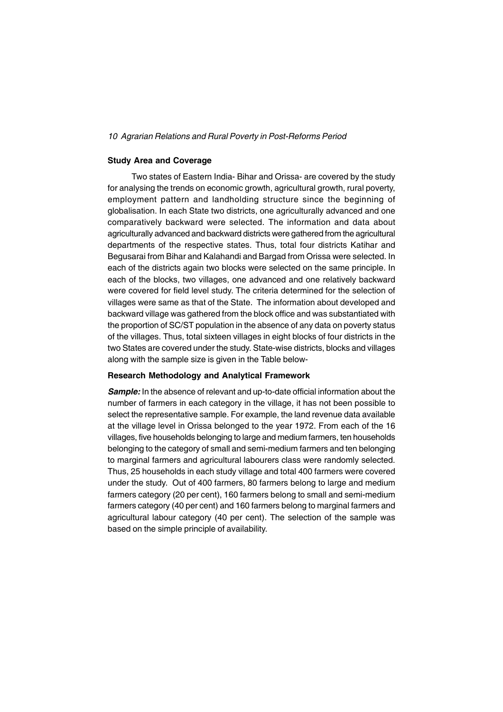#### **Study Area and Coverage**

Two states of Eastern India- Bihar and Orissa- are covered by the study for analysing the trends on economic growth, agricultural growth, rural poverty, employment pattern and landholding structure since the beginning of globalisation. In each State two districts, one agriculturally advanced and one comparatively backward were selected. The information and data about agriculturally advanced and backward districts were gathered from the agricultural departments of the respective states. Thus, total four districts Katihar and Begusarai from Bihar and Kalahandi and Bargad from Orissa were selected. In each of the districts again two blocks were selected on the same principle. In each of the blocks, two villages, one advanced and one relatively backward were covered for field level study. The criteria determined for the selection of villages were same as that of the State. The information about developed and backward village was gathered from the block office and was substantiated with the proportion of SC/ST population in the absence of any data on poverty status of the villages. Thus, total sixteen villages in eight blocks of four districts in the two States are covered under the study. State-wise districts, blocks and villages along with the sample size is given in the Table below-

#### **Research Methodology and Analytical Framework**

*Sample:* In the absence of relevant and up-to-date official information about the number of farmers in each category in the village, it has not been possible to select the representative sample. For example, the land revenue data available at the village level in Orissa belonged to the year 1972. From each of the 16 villages, five households belonging to large and medium farmers, ten households belonging to the category of small and semi-medium farmers and ten belonging to marginal farmers and agricultural labourers class were randomly selected. Thus, 25 households in each study village and total 400 farmers were covered under the study. Out of 400 farmers, 80 farmers belong to large and medium farmers category (20 per cent), 160 farmers belong to small and semi-medium farmers category (40 per cent) and 160 farmers belong to marginal farmers and agricultural labour category (40 per cent). The selection of the sample was based on the simple principle of availability.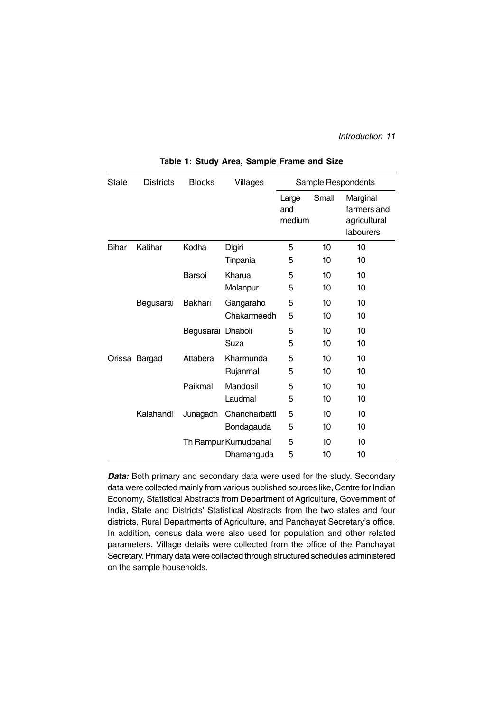*Introduction 11*

| <b>State</b> | <b>Districts</b> | <b>Blocks</b>     | Villages             | Sample Respondents     |       |                                                      |  |
|--------------|------------------|-------------------|----------------------|------------------------|-------|------------------------------------------------------|--|
|              |                  |                   |                      | Large<br>and<br>medium | Small | Marginal<br>farmers and<br>agricultural<br>labourers |  |
| <b>Bihar</b> | Katihar          | Kodha             | Digiri               | 5                      | 10    | 10                                                   |  |
|              |                  |                   | Tinpania             | 5                      | 10    | 10                                                   |  |
|              |                  | Barsoi            | Kharua               | 5                      | 10    | 10                                                   |  |
|              |                  |                   | Molanpur             | 5                      | 10    | 10                                                   |  |
|              | Begusarai        | <b>Bakhari</b>    | Gangaraho            | 5                      | 10    | 10                                                   |  |
|              |                  |                   | Chakarmeedh          | 5                      | 10    | 10                                                   |  |
|              |                  | Begusarai Dhaboli |                      | 5                      | 10    | 10                                                   |  |
|              |                  |                   | Suza                 | 5                      | 10    | 10                                                   |  |
|              | Orissa Bargad    | Attabera          | Kharmunda            | 5                      | 10    | 10                                                   |  |
|              |                  |                   | Rujanmal             | 5                      | 10    | 10                                                   |  |
|              |                  | Paikmal           | Mandosil             | 5                      | 10    | 10                                                   |  |
|              |                  |                   | Laudmal              | 5                      | 10    | 10                                                   |  |
|              | Kalahandi        | Junagadh          | Chancharbatti        | 5                      | 10    | 10                                                   |  |
|              |                  |                   | Bondagauda           | 5                      | 10    | 10                                                   |  |
|              |                  |                   | Th Rampur Kumudbahal | 5                      | 10    | 10                                                   |  |
|              |                  |                   | Dhamanguda           | 5                      | 10    | 10                                                   |  |

**Table 1: Study Area, Sample Frame and Size**

**Data:** Both primary and secondary data were used for the study. Secondary data were collected mainly from various published sources like, Centre for Indian Economy, Statistical Abstracts from Department of Agriculture, Government of India, State and Districts' Statistical Abstracts from the two states and four districts, Rural Departments of Agriculture, and Panchayat Secretary's office. In addition, census data were also used for population and other related parameters. Village details were collected from the office of the Panchayat Secretary. Primary data were collected through structured schedules administered on the sample households.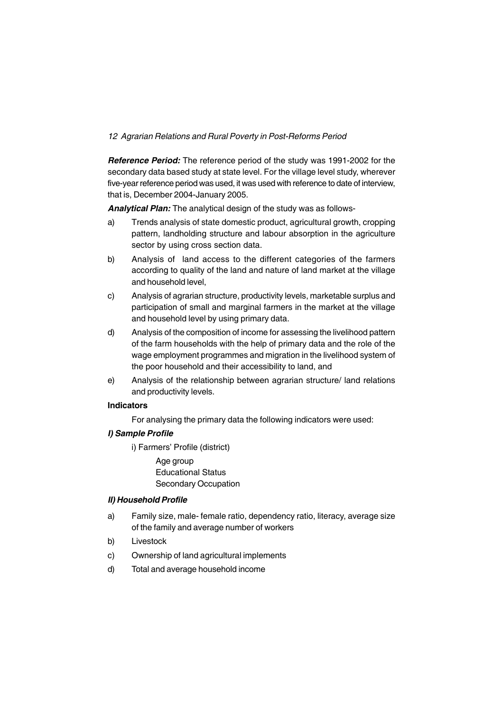*Reference Period:* The reference period of the study was 1991-2002 for the secondary data based study at state level. For the village level study, wherever five-year reference period was used, it was used with reference to date of interview, that is, December 2004-January 2005.

*Analytical Plan:* The analytical design of the study was as follows-

- a) Trends analysis of state domestic product, agricultural growth, cropping pattern, landholding structure and labour absorption in the agriculture sector by using cross section data.
- b) Analysis of land access to the different categories of the farmers according to quality of the land and nature of land market at the village and household level,
- c) Analysis of agrarian structure, productivity levels, marketable surplus and participation of small and marginal farmers in the market at the village and household level by using primary data.
- d) Analysis of the composition of income for assessing the livelihood pattern of the farm households with the help of primary data and the role of the wage employment programmes and migration in the livelihood system of the poor household and their accessibility to land, and
- e) Analysis of the relationship between agrarian structure/ land relations and productivity levels.

## **Indicators**

For analysing the primary data the following indicators were used:

# *I) Sample Profile*

i) Farmers' Profile (district)

Age group Educational Status Secondary Occupation

## *II) Household Profile*

- a) Family size, male- female ratio, dependency ratio, literacy, average size of the family and average number of workers
- b) Livestock
- c) Ownership of land agricultural implements
- d) Total and average household income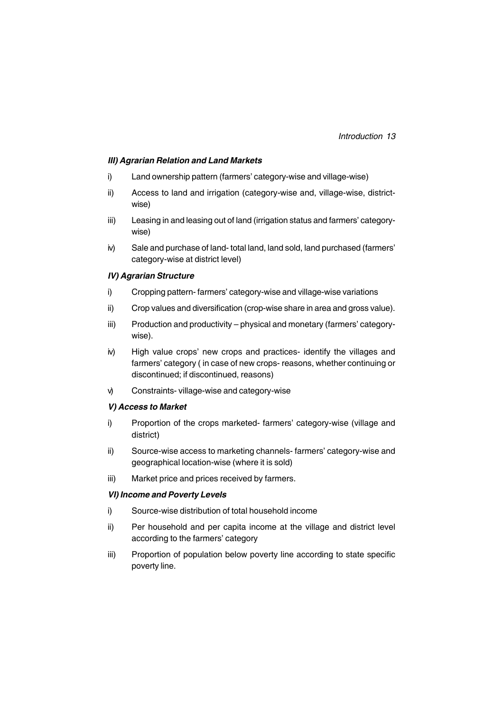## *III) Agrarian Relation and Land Markets*

- i) Land ownership pattern (farmers' category-wise and village-wise)
- ii) Access to land and irrigation (category-wise and, village-wise, districtwise)
- iii) Leasing in and leasing out of land (irrigation status and farmers' categorywise)
- iv) Sale and purchase of land- total land, land sold, land purchased (farmers' category-wise at district level)

## *IV) Agrarian Structure*

- i) Cropping pattern- farmers' category-wise and village-wise variations
- ii) Crop values and diversification (crop-wise share in area and gross value).
- iii) Production and productivity physical and monetary (farmers' categorywise).
- iv) High value crops' new crops and practices- identify the villages and farmers' category ( in case of new crops- reasons, whether continuing or discontinued; if discontinued, reasons)
- v) Constraints- village-wise and category-wise

## *V) Access to Market*

- i) Proportion of the crops marketed- farmers' category-wise (village and district)
- ii) Source-wise access to marketing channels- farmers' category-wise and geographical location-wise (where it is sold)
- iii) Market price and prices received by farmers.

## *VI) Income and Poverty Levels*

- i) Source-wise distribution of total household income
- ii) Per household and per capita income at the village and district level according to the farmers' category
- iii) Proportion of population below poverty line according to state specific poverty line.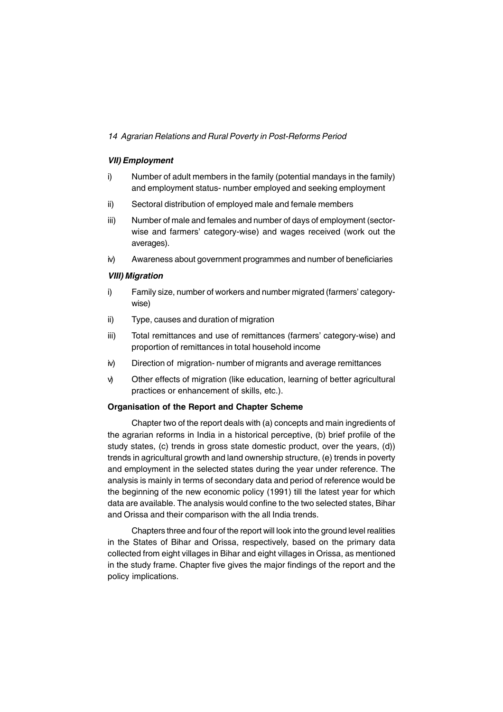## *VII) Employment*

- i) Number of adult members in the family (potential mandays in the family) and employment status- number employed and seeking employment
- ii) Sectoral distribution of employed male and female members
- iii) Number of male and females and number of days of employment (sectorwise and farmers' category-wise) and wages received (work out the averages).
- iv) Awareness about government programmes and number of beneficiaries

## *VIII) Migration*

- i) Family size, number of workers and number migrated (farmers' categorywise)
- ii) Type, causes and duration of migration
- iii) Total remittances and use of remittances (farmers' category-wise) and proportion of remittances in total household income
- iv) Direction of migration- number of migrants and average remittances
- v) Other effects of migration (like education, learning of better agricultural practices or enhancement of skills, etc.).

## **Organisation of the Report and Chapter Scheme**

Chapter two of the report deals with (a) concepts and main ingredients of the agrarian reforms in India in a historical perceptive, (b) brief profile of the study states, (c) trends in gross state domestic product, over the years, (d)) trends in agricultural growth and land ownership structure, (e) trends in poverty and employment in the selected states during the year under reference. The analysis is mainly in terms of secondary data and period of reference would be the beginning of the new economic policy (1991) till the latest year for which data are available. The analysis would confine to the two selected states, Bihar and Orissa and their comparison with the all India trends.

Chapters three and four of the report will look into the ground level realities in the States of Bihar and Orissa, respectively, based on the primary data collected from eight villages in Bihar and eight villages in Orissa, as mentioned in the study frame. Chapter five gives the major findings of the report and the policy implications.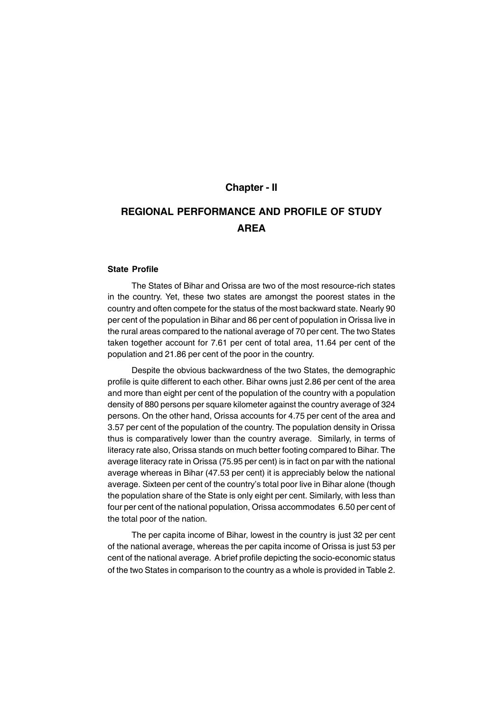# **Chapter - II**

# **REGIONAL PERFORMANCE AND PROFILE OF STUDY AREA**

# **State Profile**

The States of Bihar and Orissa are two of the most resource-rich states in the country. Yet, these two states are amongst the poorest states in the country and often compete for the status of the most backward state. Nearly 90 per cent of the population in Bihar and 86 per cent of population in Orissa live in the rural areas compared to the national average of 70 per cent. The two States taken together account for 7.61 per cent of total area, 11.64 per cent of the population and 21.86 per cent of the poor in the country.

Despite the obvious backwardness of the two States, the demographic profile is quite different to each other. Bihar owns just 2.86 per cent of the area and more than eight per cent of the population of the country with a population density of 880 persons per square kilometer against the country average of 324 persons. On the other hand, Orissa accounts for 4.75 per cent of the area and 3.57 per cent of the population of the country. The population density in Orissa thus is comparatively lower than the country average. Similarly, in terms of literacy rate also, Orissa stands on much better footing compared to Bihar. The average literacy rate in Orissa (75.95 per cent) is in fact on par with the national average whereas in Bihar (47.53 per cent) it is appreciably below the national average. Sixteen per cent of the country's total poor live in Bihar alone (though the population share of the State is only eight per cent. Similarly, with less than four per cent of the national population, Orissa accommodates 6.50 per cent of the total poor of the nation.

The per capita income of Bihar, lowest in the country is just 32 per cent of the national average, whereas the per capita income of Orissa is just 53 per cent of the national average. A brief profile depicting the socio-economic status of the two States in comparison to the country as a whole is provided in Table 2.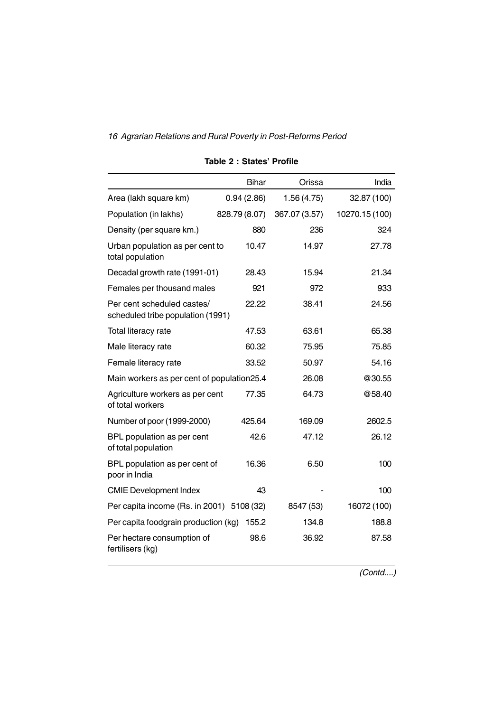|                                                                 | <b>Bihar</b>  | Orissa        | India          |
|-----------------------------------------------------------------|---------------|---------------|----------------|
| Area (lakh square km)                                           | 0.94(2.86)    | 1.56(4.75)    | 32.87 (100)    |
| Population (in lakhs)                                           | 828.79 (8.07) | 367.07 (3.57) | 10270.15 (100) |
| Density (per square km.)                                        | 880           | 236           | 324            |
| Urban population as per cent to<br>total population             | 10.47         | 14.97         | 27.78          |
| Decadal growth rate (1991-01)                                   | 28.43         | 15.94         | 21.34          |
| Females per thousand males                                      | 921           | 972           | 933            |
| Per cent scheduled castes/<br>scheduled tribe population (1991) | 22.22         | 38.41         | 24.56          |
| Total literacy rate                                             | 47.53         | 63.61         | 65.38          |
| Male literacy rate                                              | 60.32         | 75.95         | 75.85          |
| Female literacy rate                                            | 33.52         | 50.97         | 54.16          |
| Main workers as per cent of population 25.4                     |               | 26.08         | @30.55         |
| Agriculture workers as per cent<br>of total workers             | 77.35         | 64.73         | @58.40         |
| Number of poor (1999-2000)                                      | 425.64        | 169.09        | 2602.5         |
| BPL population as per cent<br>of total population               | 42.6          | 47.12         | 26.12          |
| BPL population as per cent of<br>poor in India                  | 16.36         | 6.50          | 100            |
| <b>CMIE Development Index</b>                                   | 43            |               | 100            |
| Per capita income (Rs. in 2001) 5108 (32)                       |               | 8547 (53)     | 16072 (100)    |
| Per capita foodgrain production (kg)                            | 155.2         | 134.8         | 188.8          |
| Per hectare consumption of<br>fertilisers (kg)                  | 98.6          | 36.92         | 87.58          |

# **Table 2 : States' Profile**

*(Contd....)*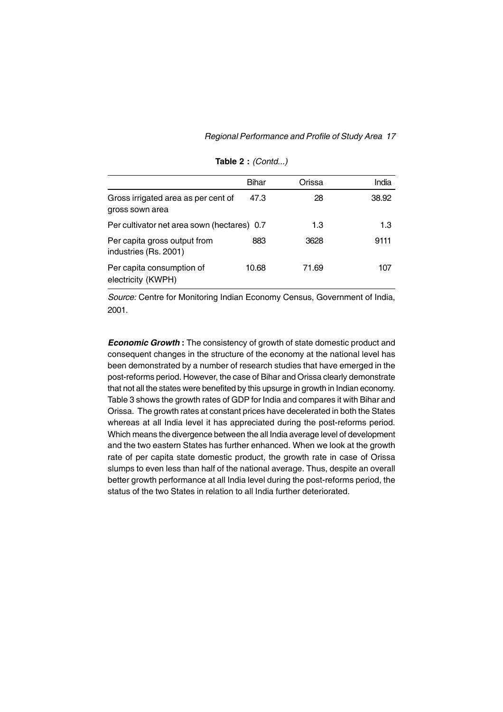|                                                        | Bihar | Orissa | India |
|--------------------------------------------------------|-------|--------|-------|
| Gross irrigated area as per cent of<br>gross sown area | 47.3  | 28     | 38.92 |
| Per cultivator net area sown (hectares) 0.7            |       | 1.3    | 1.3   |
| Per capita gross output from<br>industries (Rs. 2001)  | 883   | 3628   | 9111  |
| Per capita consumption of<br>electricity (KWPH)        | 10.68 | 71.69  | 107   |

**Table 2 :** *(Contd...)*

*Source:* Centre for Monitoring Indian Economy Census, Government of India, 2001.

*Economic Growth* **:** The consistency of growth of state domestic product and consequent changes in the structure of the economy at the national level has been demonstrated by a number of research studies that have emerged in the post-reforms period. However, the case of Bihar and Orissa clearly demonstrate that not all the states were benefited by this upsurge in growth in Indian economy. Table 3 shows the growth rates of GDP for India and compares it with Bihar and Orissa. The growth rates at constant prices have decelerated in both the States whereas at all India level it has appreciated during the post-reforms period. Which means the divergence between the all India average level of development and the two eastern States has further enhanced. When we look at the growth rate of per capita state domestic product, the growth rate in case of Orissa slumps to even less than half of the national average. Thus, despite an overall better growth performance at all India level during the post-reforms period, the status of the two States in relation to all India further deteriorated.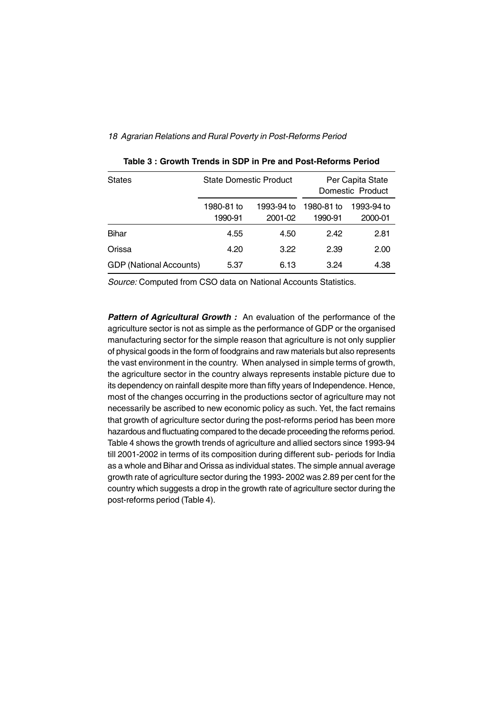| <b>States</b>                  | <b>State Domestic Product</b> |                       | Per Capita State<br>Domestic Product |                       |  |
|--------------------------------|-------------------------------|-----------------------|--------------------------------------|-----------------------|--|
|                                | 1980-81 to<br>1990-91         | 1993-94 to<br>2001-02 | 1980-81 to<br>1990-91                | 1993-94 to<br>2000-01 |  |
| Bihar                          | 4.55                          | 4.50                  | 2.42                                 | 2.81                  |  |
| Orissa                         | 4.20                          | 3.22                  | 2.39                                 | 2.00                  |  |
| <b>GDP</b> (National Accounts) | 5.37                          | 6.13                  | 3.24                                 | 4.38                  |  |

*Source:* Computed from CSO data on National Accounts Statistics.

**Pattern of Agricultural Growth :** An evaluation of the performance of the agriculture sector is not as simple as the performance of GDP or the organised manufacturing sector for the simple reason that agriculture is not only supplier of physical goods in the form of foodgrains and raw materials but also represents the vast environment in the country. When analysed in simple terms of growth, the agriculture sector in the country always represents instable picture due to its dependency on rainfall despite more than fifty years of Independence. Hence, most of the changes occurring in the productions sector of agriculture may not necessarily be ascribed to new economic policy as such. Yet, the fact remains that growth of agriculture sector during the post-reforms period has been more hazardous and fluctuating compared to the decade proceeding the reforms period. Table 4 shows the growth trends of agriculture and allied sectors since 1993-94 till 2001-2002 in terms of its composition during different sub- periods for India as a whole and Bihar and Orissa as individual states. The simple annual average growth rate of agriculture sector during the 1993- 2002 was 2.89 per cent for the country which suggests a drop in the growth rate of agriculture sector during the post-reforms period (Table 4).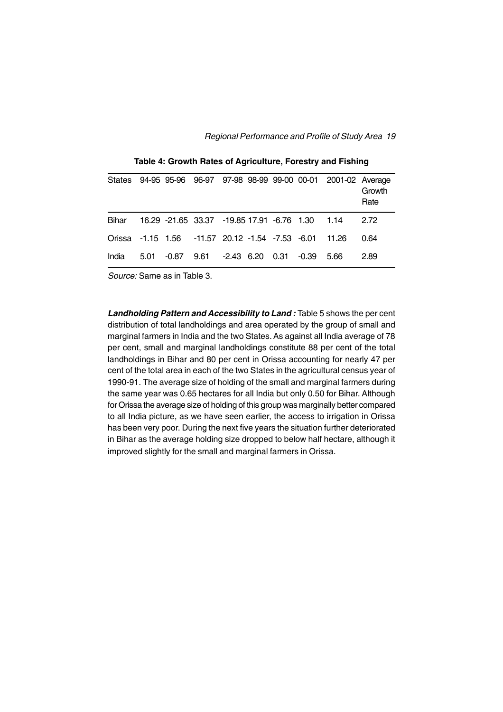|                                                        |  |                                                 |  |  | States 94-95 95-96 96-97 97-98 98-99 99-00 00-01 2001-02 Average | Growth<br>Rate |
|--------------------------------------------------------|--|-------------------------------------------------|--|--|------------------------------------------------------------------|----------------|
| Bihar                                                  |  | 16.29 -21.65 33.37 -19.85 17.91 -6.76 1.30 1.14 |  |  |                                                                  | 2.72           |
| Orissa -1.15 1.56 -11.57 20.12 -1.54 -7.53 -6.01 11.26 |  |                                                 |  |  |                                                                  | 0.64           |
| India                                                  |  | 5.01 -0.87 9.61 -2.43 6.20 0.31 -0.39 5.66      |  |  |                                                                  | 2.89           |

**Table 4: Growth Rates of Agriculture, Forestry and Fishing**

*Source:* Same as in Table 3.

*Landholding Pattern and Accessibility to Land :* Table 5 shows the per cent distribution of total landholdings and area operated by the group of small and marginal farmers in India and the two States. As against all India average of 78 per cent, small and marginal landholdings constitute 88 per cent of the total landholdings in Bihar and 80 per cent in Orissa accounting for nearly 47 per cent of the total area in each of the two States in the agricultural census year of 1990-91. The average size of holding of the small and marginal farmers during the same year was 0.65 hectares for all India but only 0.50 for Bihar. Although for Orissa the average size of holding of this group was marginally better compared to all India picture, as we have seen earlier, the access to irrigation in Orissa has been very poor. During the next five years the situation further deteriorated in Bihar as the average holding size dropped to below half hectare, although it improved slightly for the small and marginal farmers in Orissa.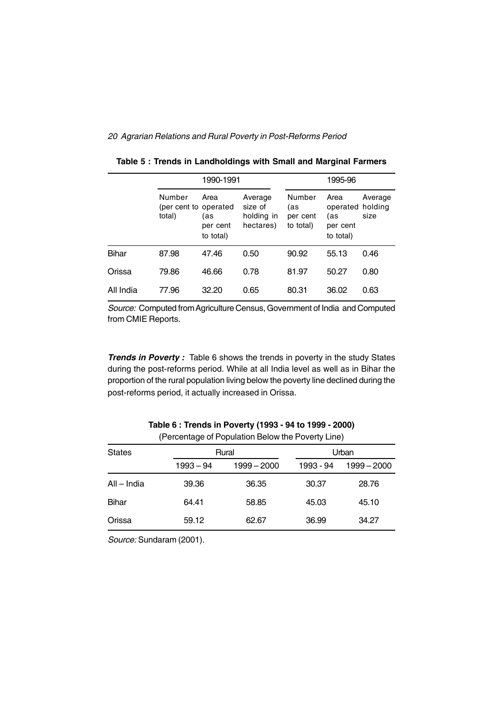|              |                                           | 1990-1991                            |                                               | 1995-96                                |                                                          |                 |  |
|--------------|-------------------------------------------|--------------------------------------|-----------------------------------------------|----------------------------------------|----------------------------------------------------------|-----------------|--|
|              | Number<br>(per cent to operated<br>total) | Area<br>(as<br>per cent<br>to total) | Average<br>size of<br>holding in<br>hectares) | Number<br>(as<br>per cent<br>to total) | Area<br>operated holding<br>(as<br>per cent<br>to total) | Average<br>size |  |
| <b>Bihar</b> | 87.98                                     | 47.46                                | 0.50                                          | 90.92                                  | 55.13                                                    | 0.46            |  |
| Orissa       | 79.86                                     | 46.66                                | 0.78                                          | 81.97                                  | 50.27                                                    | 0.80            |  |
| All India    | 77.96                                     | 32.20                                | 0.65                                          | 80.31                                  | 36.02                                                    | 0.63            |  |

**Table 5 : Trends in Landholdings with Small and Marginal Farmers**

*Source:* Computed from Agriculture Census, Government of India and Computed from CMIE Reports.

**Trends in Poverty**: Table 6 shows the trends in poverty in the study States during the post-reforms period. While at all India level as well as in Bihar the proportion of the rural population living below the poverty line declined during the post-reforms period, it actually increased in Orissa.

|               | $\frac{1}{2}$ . Or obtained by the special condition of the state $\frac{1}{2}$ |               |           |               |  |  |  |  |  |
|---------------|---------------------------------------------------------------------------------|---------------|-----------|---------------|--|--|--|--|--|
| <b>States</b> |                                                                                 | Rural         | Urban     |               |  |  |  |  |  |
|               | $1993 - 94$                                                                     | $1999 - 2000$ | 1993 - 94 | $1999 - 2000$ |  |  |  |  |  |
| All – India   | 39.36                                                                           | 36.35         | 30.37     | 28.76         |  |  |  |  |  |
| <b>Bihar</b>  | 64.41                                                                           | 58.85         | 45.03     | 45.10         |  |  |  |  |  |
| Orissa        | 59.12                                                                           | 62.67         | 36.99     | 34.27         |  |  |  |  |  |

**Table 6 : Trends in Poverty (1993 - 94 to 1999 - 2000)** (Percentage of Population Below the Poverty Line)

*Source:* Sundaram (2001).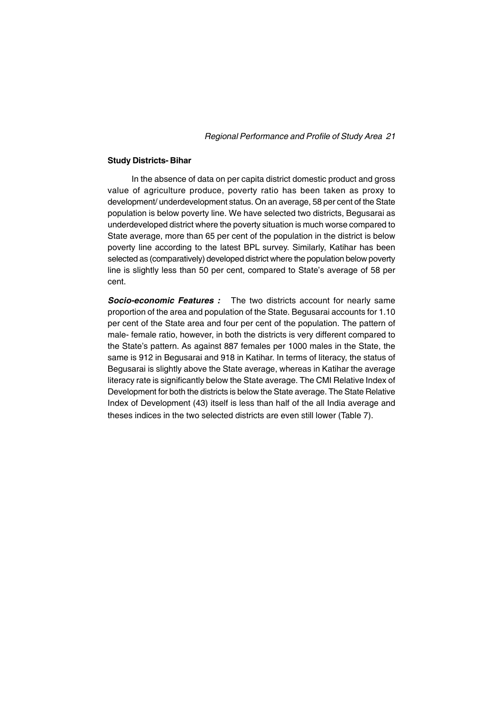#### **Study Districts- Bihar**

In the absence of data on per capita district domestic product and gross value of agriculture produce, poverty ratio has been taken as proxy to development/ underdevelopment status. On an average, 58 per cent of the State population is below poverty line. We have selected two districts, Begusarai as underdeveloped district where the poverty situation is much worse compared to State average, more than 65 per cent of the population in the district is below poverty line according to the latest BPL survey. Similarly, Katihar has been selected as (comparatively) developed district where the population below poverty line is slightly less than 50 per cent, compared to State's average of 58 per cent.

**Socio-economic Features :** The two districts account for nearly same proportion of the area and population of the State. Begusarai accounts for 1.10 per cent of the State area and four per cent of the population. The pattern of male- female ratio, however, in both the districts is very different compared to the State's pattern. As against 887 females per 1000 males in the State, the same is 912 in Begusarai and 918 in Katihar. In terms of literacy, the status of Begusarai is slightly above the State average, whereas in Katihar the average literacy rate is significantly below the State average. The CMI Relative Index of Development for both the districts is below the State average. The State Relative Index of Development (43) itself is less than half of the all India average and theses indices in the two selected districts are even still lower (Table 7).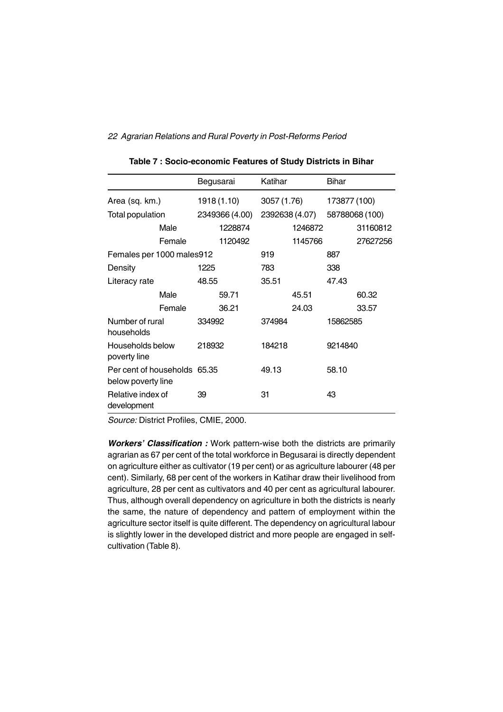|                                                    |        | Begusarai |                | Katihar        |         | Bihar        |                |
|----------------------------------------------------|--------|-----------|----------------|----------------|---------|--------------|----------------|
| Area (sq. km.)                                     |        |           | 1918 (1.10)    | 3057 (1.76)    |         | 173877 (100) |                |
| Total population                                   |        |           | 2349366 (4.00) | 2392638 (4.07) |         |              | 58788068 (100) |
|                                                    | Male   |           | 1228874        |                | 1246872 |              | 31160812       |
|                                                    | Female |           | 1120492        |                | 1145766 |              | 27627256       |
| Females per 1000 males912                          |        |           |                | 919            |         | 887          |                |
| Density                                            |        | 1225      |                | 783            |         | 338          |                |
| Literacy rate                                      |        | 48.55     |                | 35.51          |         | 47.43        |                |
|                                                    | Male   |           | 59.71          |                | 45.51   |              | 60.32          |
|                                                    | Female |           | 36.21          |                | 24.03   |              | 33.57          |
| Number of rural<br>households                      |        | 334992    |                | 374984         |         | 15862585     |                |
| Households below<br>poverty line                   |        | 218932    |                | 184218         |         | 9214840      |                |
| Per cent of households 65.35<br>below poverty line |        |           |                | 49.13          |         | 58.10        |                |
| Relative index of<br>development                   |        | 39        |                | 31             |         | 43           |                |

**Table 7 : Socio-economic Features of Study Districts in Bihar**

*Source:* District Profiles, CMIE, 2000.

*Workers' Classification :* Work pattern-wise both the districts are primarily agrarian as 67 per cent of the total workforce in Begusarai is directly dependent on agriculture either as cultivator (19 per cent) or as agriculture labourer (48 per cent). Similarly, 68 per cent of the workers in Katihar draw their livelihood from agriculture, 28 per cent as cultivators and 40 per cent as agricultural labourer. Thus, although overall dependency on agriculture in both the districts is nearly the same, the nature of dependency and pattern of employment within the agriculture sector itself is quite different. The dependency on agricultural labour is slightly lower in the developed district and more people are engaged in selfcultivation (Table 8).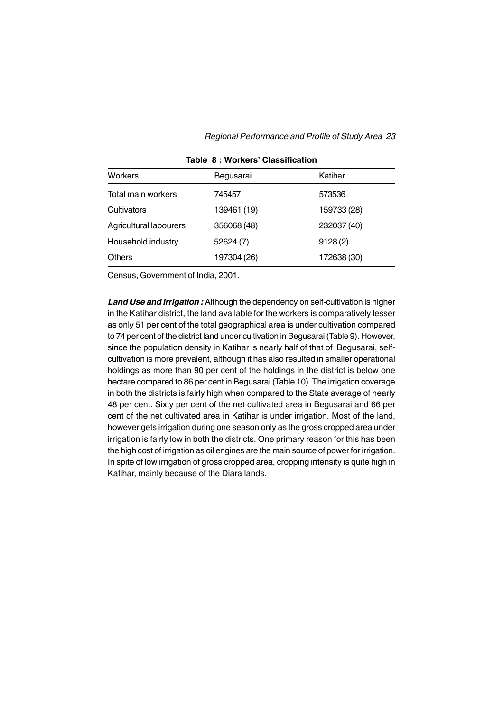| <b>Workers</b>         | Begusarai   | Katihar     |
|------------------------|-------------|-------------|
| Total main workers     | 745457      | 573536      |
| Cultivators            | 139461 (19) | 159733 (28) |
| Agricultural labourers | 356068 (48) | 232037 (40) |
| Household industry     | 52624 (7)   | 9128(2)     |
| <b>Others</b>          | 197304 (26) | 172638 (30) |
|                        |             |             |

**Table 8 : Workers' Classification**

Census, Government of India, 2001.

*Land Use and Irrigation :* Although the dependency on self-cultivation is higher in the Katihar district, the land available for the workers is comparatively lesser as only 51 per cent of the total geographical area is under cultivation compared to 74 per cent of the district land under cultivation in Begusarai (Table 9). However, since the population density in Katihar is nearly half of that of Begusarai, selfcultivation is more prevalent, although it has also resulted in smaller operational holdings as more than 90 per cent of the holdings in the district is below one hectare compared to 86 per cent in Begusarai (Table 10). The irrigation coverage in both the districts is fairly high when compared to the State average of nearly 48 per cent. Sixty per cent of the net cultivated area in Begusarai and 66 per cent of the net cultivated area in Katihar is under irrigation. Most of the land, however gets irrigation during one season only as the gross cropped area under irrigation is fairly low in both the districts. One primary reason for this has been the high cost of irrigation as oil engines are the main source of power for irrigation. In spite of low irrigation of gross cropped area, cropping intensity is quite high in Katihar, mainly because of the Diara lands.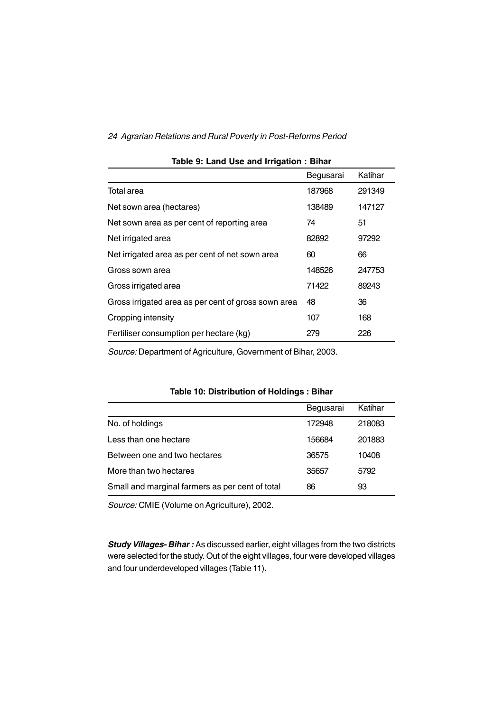|                                                     | Begusarai | Katihar |
|-----------------------------------------------------|-----------|---------|
| Total area                                          | 187968    | 291349  |
| Net sown area (hectares)                            | 138489    | 147127  |
| Net sown area as per cent of reporting area         | 74        | 51      |
| Net irrigated area                                  | 82892     | 97292   |
| Net irrigated area as per cent of net sown area     | 60        | 66      |
| Gross sown area                                     | 148526    | 247753  |
| Gross irrigated area                                | 71422     | 89243   |
| Gross irrigated area as per cent of gross sown area | 48        | 36      |
| Cropping intensity                                  | 107       | 168     |
| Fertiliser consumption per hectare (kg)             | 279       | 226     |

#### **Table 9: Land Use and Irrigation : Bihar**

*Source:* Department of Agriculture, Government of Bihar, 2003.

## **Table 10: Distribution of Holdings : Bihar**

|                                                 | Begusarai | Katihar |
|-------------------------------------------------|-----------|---------|
| No. of holdings                                 | 172948    | 218083  |
| Less than one hectare                           | 156684    | 201883  |
| Between one and two hectares                    | 36575     | 10408   |
| More than two hectares                          | 35657     | 5792    |
| Small and marginal farmers as per cent of total | 86        | 93      |

*Source:* CMIE (Volume on Agriculture), 2002.

*Study Villages- Bihar :* As discussed earlier, eight villages from the two districts were selected for the study. Out of the eight villages, four were developed villages and four underdeveloped villages (Table 11)**.**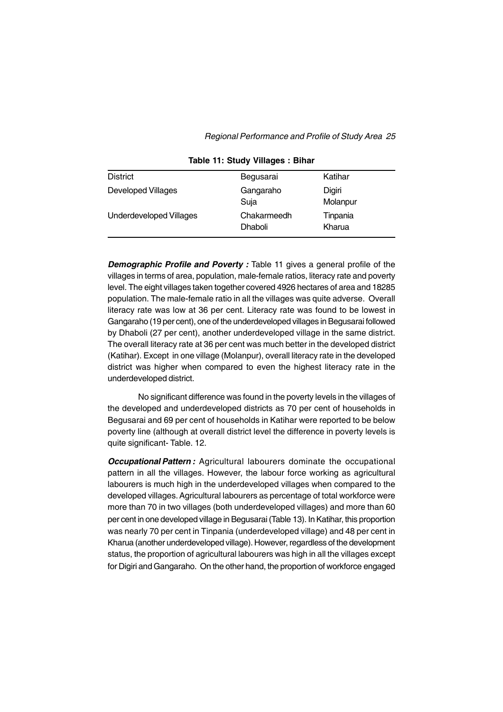| <b>District</b>                | Begusarai                     | Katihar            |
|--------------------------------|-------------------------------|--------------------|
| <b>Developed Villages</b>      | Gangaraho<br>Suja             | Digiri<br>Molanpur |
| <b>Underdeveloped Villages</b> | Chakarmeedh<br><b>Dhaboli</b> | Tinpania<br>Kharua |

**Table 11: Study Villages : Bihar**

*Demographic Profile and Poverty : Table 11 gives a general profile of the* villages in terms of area, population, male-female ratios, literacy rate and poverty level. The eight villages taken together covered 4926 hectares of area and 18285 population. The male-female ratio in all the villages was quite adverse. Overall literacy rate was low at 36 per cent. Literacy rate was found to be lowest in Gangaraho (19 per cent), one of the underdeveloped villages in Begusarai followed by Dhaboli (27 per cent), another underdeveloped village in the same district. The overall literacy rate at 36 per cent was much better in the developed district (Katihar). Except in one village (Molanpur), overall literacy rate in the developed district was higher when compared to even the highest literacy rate in the underdeveloped district.

No significant difference was found in the poverty levels in the villages of the developed and underdeveloped districts as 70 per cent of households in Begusarai and 69 per cent of households in Katihar were reported to be below poverty line (although at overall district level the difference in poverty levels is quite significant- Table. 12.

*Occupational Pattern :* Agricultural labourers dominate the occupational pattern in all the villages. However, the labour force working as agricultural labourers is much high in the underdeveloped villages when compared to the developed villages. Agricultural labourers as percentage of total workforce were more than 70 in two villages (both underdeveloped villages) and more than 60 per cent in one developed village in Begusarai (Table 13). In Katihar, this proportion was nearly 70 per cent in Tinpania (underdeveloped village) and 48 per cent in Kharua (another underdeveloped village). However, regardless of the development status, the proportion of agricultural labourers was high in all the villages except for Digiri and Gangaraho. On the other hand, the proportion of workforce engaged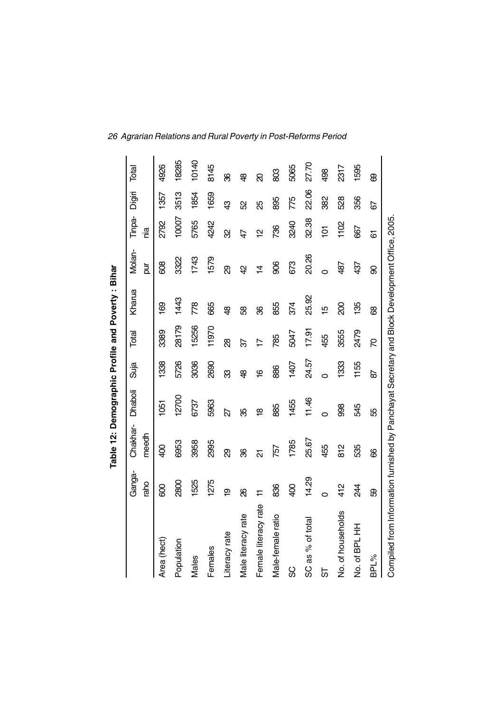|                                                                                               |              | Table 12: Demographic Profile and Poverty: Bihar |                         |                      |       |                |           |                |        |       |
|-----------------------------------------------------------------------------------------------|--------------|--------------------------------------------------|-------------------------|----------------------|-------|----------------|-----------|----------------|--------|-------|
|                                                                                               | Ganga-       | Chakhar-                                         | Dhaboli                 | Suja                 | Total | Kharua         | Molan-    | Tinpa-         | Digiri | Total |
|                                                                                               | raho         | meedh                                            |                         |                      |       |                | ND<br>D   | nia            |        |       |
| Area (hect)                                                                                   | 800          | 400                                              | 1051                    | <b>1338</b>          | 3389  | 169            | 809       | 2792           | 1357   | 4926  |
| Population                                                                                    | 2800         | 6953                                             | 12700                   | 5726                 | 28179 | 1443           | 3322      | 10007          | 3513   | 18285 |
| Males                                                                                         | 1525         | 3958                                             | 6737                    | 3036                 | 15256 | $\frac{8}{2}$  | 1743      | 5765           | 1854   | 10140 |
| Females                                                                                       | 1275         | 2995                                             | 5963                    | 2690                 | 11970 | 665            | 1579      | 4242           | 1659   | 8145  |
| Literacy rate                                                                                 | <u>စု</u>    | <u>ஜ</u>                                         | 27                      | ౘ                    | 88    | \$             | හි        | 8              | ු<br>අ | မ္က   |
| Male literacy rate                                                                            | 8            | 8                                                | ఘ్ర                     | கி                   | 57    | 8              | 4         | $\overline{4}$ | S)     | சி    |
| Female literacy rate                                                                          | $\pm$        | ត                                                | $\frac{\infty}{\infty}$ | $\tilde{\mathbf{6}}$ | L     | 8              | $\dot{z}$ | $\overline{a}$ | සි     | ର     |
| Male-female ratio                                                                             | 836          | 757                                              | 885                     | 886                  | 785   | 855            | 806       | 736            | 895    | 803   |
| ပ္တ                                                                                           | $rac{40}{5}$ | 1785                                             | 1455                    | 1407                 | 5047  | 374            | 673       | 3240           | 775    | 5065  |
| SC as % of total                                                                              | 14.29        | 25.67                                            | 11.46                   | 24.57                | 17.91 | 25.92          | 20.26     | 32.38          | 22.06  | 27.70 |
| ಠ                                                                                             | O            | 455                                              | 0                       | Ó                    | 455   | $\frac{10}{2}$ | Ó         | ģ              | 382    | 498   |
| No. of households                                                                             | 412          | $\frac{2}{8}$                                    | 998                     | 1333                 | 3555  | 8              | 487       | 1102           | 528    | 2317  |
| No. of BPL HH                                                                                 | 24           | 535                                              | 545                     | 1155                 | 2479  | 135            | 437       | 667            | 356    | 1595  |
| BPL%                                                                                          | 89           | 8                                                | 55                      | 59                   | R     | 8              | 8         | 6              | 67     | ෂි    |
| Compiled from Information furnished by Panchayat Secretary and Block Development Office, 2005 |              |                                                  |                         |                      |       |                |           |                |        |       |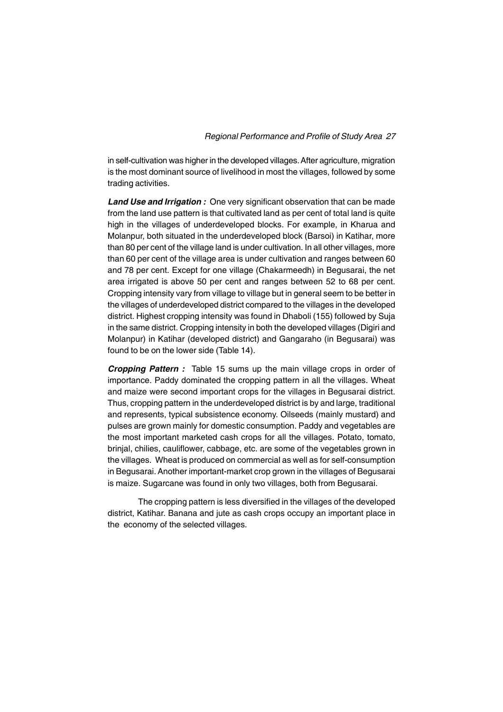in self-cultivation was higher in the developed villages. After agriculture, migration is the most dominant source of livelihood in most the villages, followed by some trading activities.

*Land Use and Irrigation :* One very significant observation that can be made from the land use pattern is that cultivated land as per cent of total land is quite high in the villages of underdeveloped blocks. For example, in Kharua and Molanpur, both situated in the underdeveloped block (Barsoi) in Katihar, more than 80 per cent of the village land is under cultivation. In all other villages, more than 60 per cent of the village area is under cultivation and ranges between 60 and 78 per cent. Except for one village (Chakarmeedh) in Begusarai, the net area irrigated is above 50 per cent and ranges between 52 to 68 per cent. Cropping intensity vary from village to village but in general seem to be better in the villages of underdeveloped district compared to the villages in the developed district. Highest cropping intensity was found in Dhaboli (155) followed by Suja in the same district. Cropping intensity in both the developed villages (Digiri and Molanpur) in Katihar (developed district) and Gangaraho (in Begusarai) was found to be on the lower side (Table 14).

**Cropping Pattern :** Table 15 sums up the main village crops in order of importance. Paddy dominated the cropping pattern in all the villages. Wheat and maize were second important crops for the villages in Begusarai district. Thus, cropping pattern in the underdeveloped district is by and large, traditional and represents, typical subsistence economy. Oilseeds (mainly mustard) and pulses are grown mainly for domestic consumption. Paddy and vegetables are the most important marketed cash crops for all the villages. Potato, tomato, brinjal, chilies, cauliflower, cabbage, etc. are some of the vegetables grown in the villages. Wheat is produced on commercial as well as for self-consumption in Begusarai. Another important-market crop grown in the villages of Begusarai is maize. Sugarcane was found in only two villages, both from Begusarai.

The cropping pattern is less diversified in the villages of the developed district, Katihar. Banana and jute as cash crops occupy an important place in the economy of the selected villages.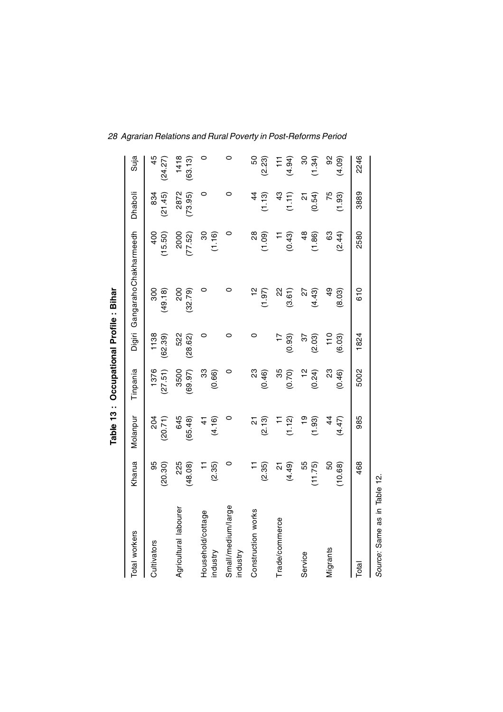|                                |                                    |                         | Table 13: Occupational Profile: Bihar |                          |                          |                          |                                    |                           |
|--------------------------------|------------------------------------|-------------------------|---------------------------------------|--------------------------|--------------------------|--------------------------|------------------------------------|---------------------------|
| Total workers                  | Kharua                             | Molanpur                | Tinpania                              | Digiri                   | Gangaraho Chakharmeedh   |                          | Dhaboli                            | Suja                      |
| Cultivators                    | 95<br>(20.30)                      | 204<br>(20.71)          | 1376<br>(27.51)                       | 1138<br>(62.39)          | 300<br>(49.18)           | 400<br>(15.50)           | (21.45)<br>834                     | 45<br>(24.27)             |
| Agricultural labourer          | 225<br>(48.08)                     | 645<br>(65.48)          | 3500<br>(69.97)                       | 522<br>(28.62)           | 200<br>(32.79)           | 2000<br>(77.52)          | 2872<br>(73.95)                    | 1418<br>(63.13)           |
| Household/cottage<br>industry  | (2.35)                             | (4.16)<br>$\frac{4}{5}$ | 33<br>(0.66)                          | 0                        | 0                        | 30<br>(1.16)             | 0                                  | $\circ$                   |
| Small/medium/large<br>industry | 0                                  | 0                       | 0                                     | 0                        | 0                        | 0                        | 0                                  | $\circ$                   |
| Construction works             | (2.35)                             | <u>ក</u><br>(2.13)      | 23<br>(0.46)                          | $\circ$                  | $\frac{2}{1}$<br>(1.97)  | $\frac{8}{2}$<br>(1.09)  | $\frac{4}{4}$<br>(1.13)            | 50<br>(2.23)              |
| Trade/commerce                 | (4.49)<br>$\overline{\mathcal{S}}$ | (1.12)                  | 35<br>(0.70)                          | (0.93)                   | 22<br>(3.61)             | (0.43)<br>$\overline{a}$ | 43<br>(1.11)                       | (4.94)<br>$\overline{11}$ |
| Service                        | 55<br>(11.75)                      | $\frac{6}{1}$<br>(1.93) | $\frac{1}{2}$<br>(0.24)               | $\overline{3}$<br>(2.03) | $\overline{2}$<br>(4.43) | $\frac{8}{4}$<br>(1.86)  | (0.54)<br>$\overline{\mathcal{S}}$ | $\frac{8}{3}$<br>(1.34)   |
| Migrants                       | 50<br>(10.68)                      | $\frac{4}{4}$<br>(4.47) | 23<br>(0.46)                          | 110<br>(6.03)            | $\frac{6}{4}$<br>(8.03)  | 63<br>(2.44)             | 75<br>(1.93)                       | 92<br>(4.09)              |
| Total                          | 468                                | 985                     | 5002                                  | 1824                     | 610                      | 2580                     | 3889                               | 2246                      |

*Source:* Same as in Table 12.

Source: Same as in Table 12.

*28 Agrarian Relations and Rural Poverty in Post-Reforms Period*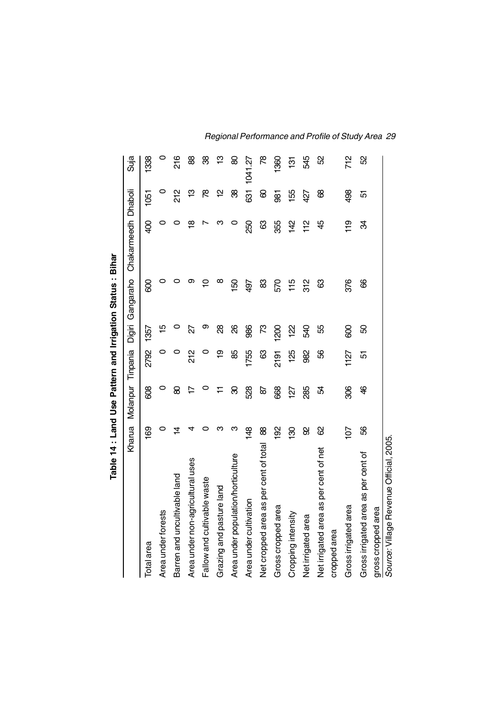|                                         |                 |                      |      |               | Table 14 : Land Use Pattern and Irrigation Status : Bihar |                     |      |                |
|-----------------------------------------|-----------------|----------------------|------|---------------|-----------------------------------------------------------|---------------------|------|----------------|
|                                         | Kharua          | Molanpur<br>Tinpania |      | Digiri        | Gangaraho                                                 | Chakarmeedh Dhaboli |      | Suja           |
| Total area                              | <b>991</b>      | 808                  | 2792 | 1357          | 80                                                        | $\frac{1}{2}$       | 1051 | 1338           |
| Area under forests                      | 0               | 0                    | 0    | 10            | 0                                                         | 0                   | 0    | 0              |
| Barren and uncultivable land            | $\overline{4}$  | 8                    | 0    |               |                                                           |                     | 212  | 216            |
| Area under non-agricultural uses        |                 | ヒ                    | 212  | 22            | თ                                                         | $\frac{\infty}{2}$  | ဗ္   | 88             |
| Fallow and cultivable waste             |                 |                      | 0    | ග             | ₽                                                         |                     | œ    | 88             |
| Grazing and pasture land                | ო               |                      | စ္   | 8             | ∞                                                         | ო                   | 얻    | ဇ္             |
| Area under population/horticulture      | ო               | ଌ                    | 89   | 8             | 150                                                       | $\circ$             | 88   | 8              |
| Area under cultivation                  | 148             | 528                  | 1755 | 986           | 497                                                       | 250                 | 631  | 1041.27        |
| Net cropped area as per cent of total   | 88              | 9                    | යි   | SZ.           | 83                                                        | යි                  | 8    | œ              |
| Gross cropped area                      | $\frac{8}{2}$   | 668                  | 2191 | 1200          | 570                                                       | 355                 | 85   | <b>SSO</b>     |
| Cropping intensity                      | <b>SO</b>       | 127                  | 125  | $\frac{2}{3}$ | 115                                                       | $\frac{42}{5}$      | 155  | 131            |
| Net irrigated area                      | 8               | 285                  | 982  | 540           | $\frac{2}{312}$                                           | 112                 | 427  | 545            |
| Net irrigated area as per cent of net   | 8               | R                    | 85   | 55            | යි                                                        | 49                  | 8    | S <sub>2</sub> |
| cropped area                            |                 |                      |      |               |                                                           |                     |      |                |
| Gross irrigated area                    | $\overline{10}$ | 306                  | 1127 | 80            | 376                                                       | $\frac{9}{1}$       | 498  | 712            |
| Gross irrigated area as per cent of     | 56              | क्ष                  | 5    | 8             | 8                                                         | Ŕ                   | 5    | 52             |
| gross cropped area                      |                 |                      |      |               |                                                           |                     |      |                |
| Source: Village Revenue Official, 2005. |                 |                      |      |               |                                                           |                     |      |                |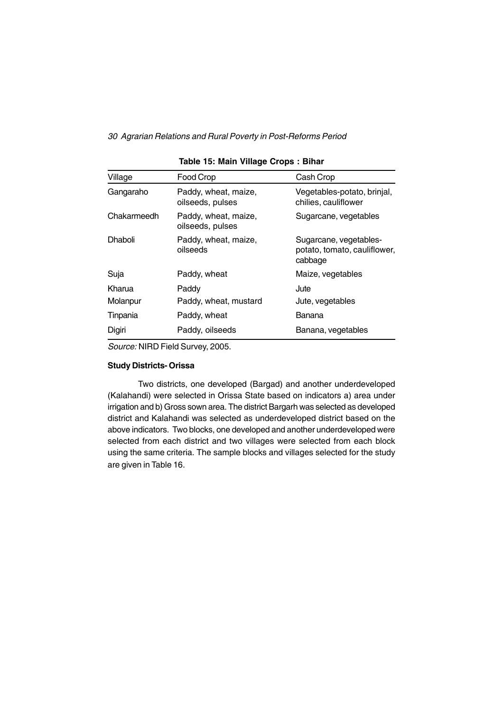| Village     | Food Crop                                | Cash Crop                                                         |
|-------------|------------------------------------------|-------------------------------------------------------------------|
| Gangaraho   | Paddy, wheat, maize,<br>oilseeds, pulses | Vegetables-potato, brinjal,<br>chilies, cauliflower               |
| Chakarmeedh | Paddy, wheat, maize,<br>oilseeds, pulses | Sugarcane, vegetables                                             |
| Dhaboli     | Paddy, wheat, maize,<br>oilseeds         | Sugarcane, vegetables-<br>potato, tomato, cauliflower,<br>cabbage |
| Suja        | Paddy, wheat                             | Maize, vegetables                                                 |
| Kharua      | Paddy                                    | Jute                                                              |
| Molanpur    | Paddy, wheat, mustard                    | Jute, vegetables                                                  |
| Tinpania    | Paddy, wheat                             | Banana                                                            |
| Digiri      | Paddy, oilseeds                          | Banana, vegetables                                                |

#### **Table 15: Main Village Crops : Bihar**

*Source:* NIRD Field Survey, 2005.

## **Study Districts- Orissa**

Two districts, one developed (Bargad) and another underdeveloped (Kalahandi) were selected in Orissa State based on indicators a) area under irrigation and b) Gross sown area. The district Bargarh was selected as developed district and Kalahandi was selected as underdeveloped district based on the above indicators. Two blocks, one developed and another underdeveloped were selected from each district and two villages were selected from each block using the same criteria. The sample blocks and villages selected for the study are given in Table 16.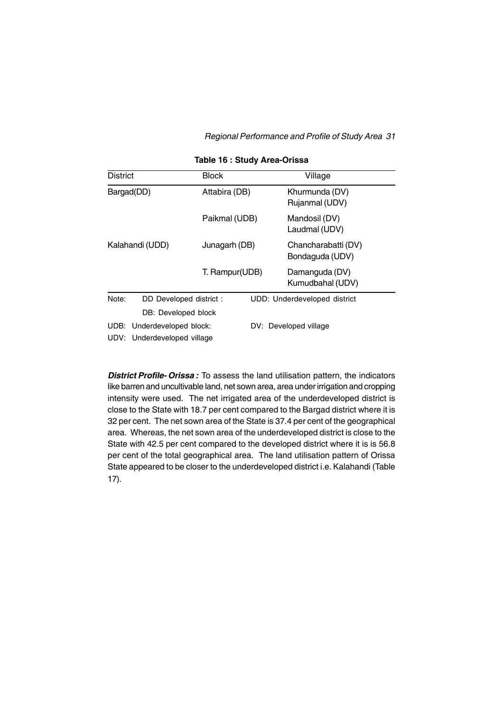| <b>District</b> |                             | <b>Block</b>   | Village                                |
|-----------------|-----------------------------|----------------|----------------------------------------|
|                 | Bargad(DD)                  | Attabira (DB)  | Khurmunda (DV)<br>Rujanmal (UDV)       |
|                 |                             | Paikmal (UDB)  | Mandosil (DV)<br>Laudmal (UDV)         |
|                 | Kalahandi (UDD)             | Junagarh (DB)  | Chancharabatti (DV)<br>Bondaguda (UDV) |
|                 |                             | T. Rampur(UDB) | Damanguda (DV)<br>Kumudbahal (UDV)     |
| Note:           | DD Developed district :     |                | UDD: Underdeveloped district           |
|                 | DB: Developed block         |                |                                        |
|                 | UDB: Underdeveloped block:  |                | DV: Developed village                  |
|                 | UDV: Underdeveloped village |                |                                        |

#### **Table 16 : Study Area-Orissa**

*District Profile- Orissa :* To assess the land utilisation pattern, the indicators like barren and uncultivable land, net sown area, area under irrigation and cropping intensity were used. The net irrigated area of the underdeveloped district is close to the State with 18.7 per cent compared to the Bargad district where it is 32 per cent. The net sown area of the State is 37.4 per cent of the geographical area. Whereas, the net sown area of the underdeveloped district is close to the State with 42.5 per cent compared to the developed district where it is is 56.8 per cent of the total geographical area. The land utilisation pattern of Orissa State appeared to be closer to the underdeveloped district i.e. Kalahandi (Table 17).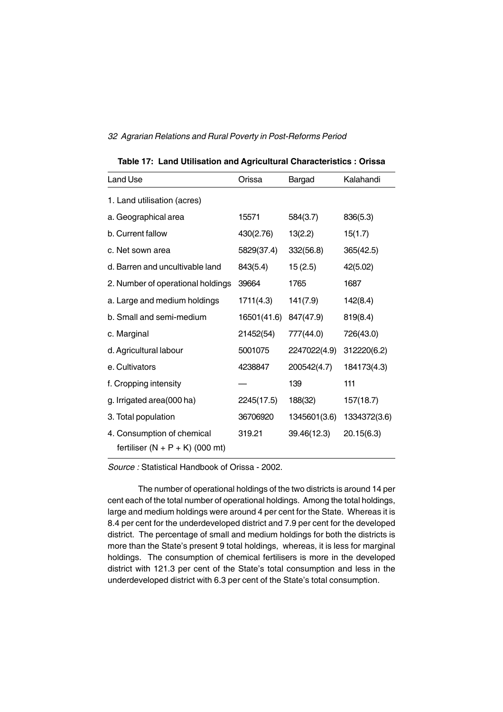| <b>Land Use</b>                                                 | Orissa      | <b>Bargad</b> | Kalahandi    |
|-----------------------------------------------------------------|-------------|---------------|--------------|
| 1. Land utilisation (acres)                                     |             |               |              |
| a. Geographical area                                            | 15571       | 584(3.7)      | 836(5.3)     |
| b. Current fallow                                               | 430(2.76)   | 13(2.2)       | 15(1.7)      |
| c. Net sown area                                                | 5829(37.4)  | 332(56.8)     | 365(42.5)    |
| d. Barren and uncultivable land                                 | 843(5.4)    | 15(2.5)       | 42(5.02)     |
| 2. Number of operational holdings                               | 39664       | 1765          | 1687         |
| a. Large and medium holdings                                    | 1711(4.3)   | 141(7.9)      | 142(8.4)     |
| b. Small and semi-medium                                        | 16501(41.6) | 847(47.9)     | 819(8.4)     |
| c. Marginal                                                     | 21452(54)   | 777(44.0)     | 726(43.0)    |
| d. Agricultural labour                                          | 5001075     | 2247022(4.9)  | 312220(6.2)  |
| e. Cultivators                                                  | 4238847     | 200542(4.7)   | 184173(4.3)  |
| f. Cropping intensity                                           |             | 139           | 111          |
| g. Irrigated area(000 ha)                                       | 2245(17.5)  | 188(32)       | 157(18.7)    |
| 3. Total population                                             | 36706920    | 1345601(3.6)  | 1334372(3.6) |
| 4. Consumption of chemical<br>fertiliser $(N + P + K)$ (000 mt) | 319.21      | 39.46(12.3)   | 20.15(6.3)   |

**Table 17: Land Utilisation and Agricultural Characteristics : Orissa**

*Source :* Statistical Handbook of Orissa - 2002.

The number of operational holdings of the two districts is around 14 per cent each of the total number of operational holdings. Among the total holdings, large and medium holdings were around 4 per cent for the State. Whereas it is 8.4 per cent for the underdeveloped district and 7.9 per cent for the developed district. The percentage of small and medium holdings for both the districts is more than the State's present 9 total holdings, whereas, it is less for marginal holdings. The consumption of chemical fertilisers is more in the developed district with 121.3 per cent of the State's total consumption and less in the underdeveloped district with 6.3 per cent of the State's total consumption.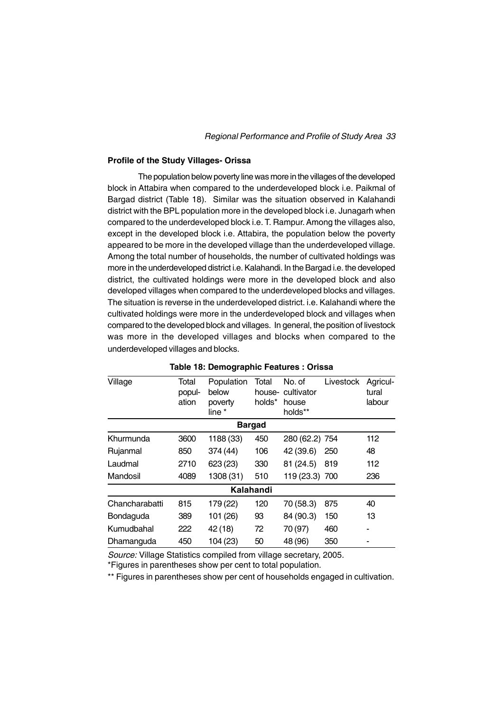#### **Profile of the Study Villages- Orissa**

The population below poverty line was more in the villages of the developed block in Attabira when compared to the underdeveloped block i.e. Paikmal of Bargad district (Table 18). Similar was the situation observed in Kalahandi district with the BPL population more in the developed block i.e. Junagarh when compared to the underdeveloped block i.e. T. Rampur. Among the villages also, except in the developed block i.e. Attabira, the population below the poverty appeared to be more in the developed village than the underdeveloped village. Among the total number of households, the number of cultivated holdings was more in the underdeveloped district i.e. Kalahandi. In the Bargad i.e. the developed district, the cultivated holdings were more in the developed block and also developed villages when compared to the underdeveloped blocks and villages. The situation is reverse in the underdeveloped district. i.e. Kalahandi where the cultivated holdings were more in the underdeveloped block and villages when compared to the developed block and villages. In general, the position of livestock was more in the developed villages and blocks when compared to the underdeveloped villages and blocks.

| Village        | Total<br>popul-<br>ation | Population<br>below<br>poverty<br>line * | Total<br>house-<br>holds* | No. of<br>cultivator<br>house<br>holds** | Livestock | Agricul-<br>tural<br>labour |
|----------------|--------------------------|------------------------------------------|---------------------------|------------------------------------------|-----------|-----------------------------|
|                |                          |                                          | <b>Bargad</b>             |                                          |           |                             |
| Khurmunda      | 3600                     | 1188 (33)                                | 450                       | 280 (62.2) 754                           |           | 112                         |
| Rujanmal       | 850                      | 374 (44)                                 | 106                       | 42 (39.6)                                | 250       | 48                          |
| Laudmal        | 2710                     | 623 (23)                                 | 330                       | 81 (24.5)                                | 819       | 112                         |
| Mandosil       | 4089                     | 1308 (31)                                | 510                       | 119 (23.3) 700                           |           | 236                         |
|                |                          |                                          | Kalahandi                 |                                          |           |                             |
| Chancharabatti | 815                      | 179 (22)                                 | 120                       | 70 (58.3)                                | 875       | 40                          |
| Bondaguda      | 389                      | 101 (26)                                 | 93                        | 84 (90.3)                                | 150       | 13                          |
| Kumudbahal     | 222                      | 42 (18)                                  | 72                        | 70 (97)                                  | 460       | ۰                           |
| Dhamanguda     | 450                      | 104 (23)                                 | 50                        | 48 (96)                                  | 350       |                             |

**Table 18: Demographic Features : Orissa**

*Source:* Village Statistics compiled from village secretary, 2005.

\*Figures in parentheses show per cent to total population.

\*\* Figures in parentheses show per cent of households engaged in cultivation.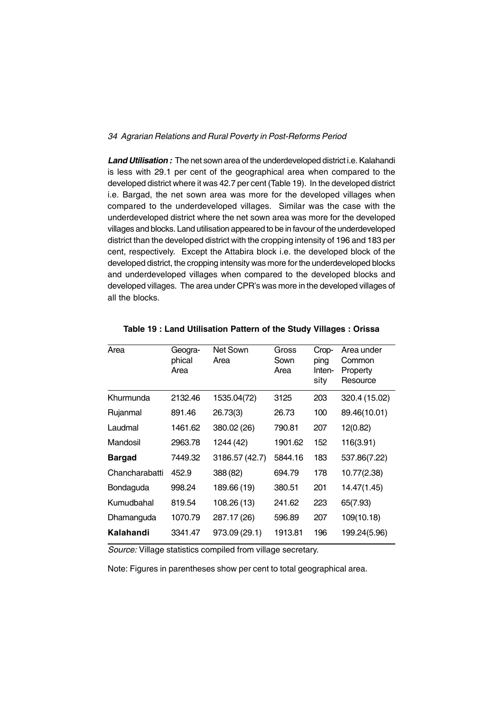*Land Utilisation :* The net sown area of the underdeveloped district i.e. Kalahandi is less with 29.1 per cent of the geographical area when compared to the developed district where it was 42.7 per cent (Table 19). In the developed district i.e. Bargad, the net sown area was more for the developed villages when compared to the underdeveloped villages. Similar was the case with the underdeveloped district where the net sown area was more for the developed villages and blocks. Land utilisation appeared to be in favour of the underdeveloped district than the developed district with the cropping intensity of 196 and 183 per cent, respectively. Except the Attabira block i.e. the developed block of the developed district, the cropping intensity was more for the underdeveloped blocks and underdeveloped villages when compared to the developed blocks and developed villages. The area under CPR's was more in the developed villages of all the blocks.

| Area           | Geogra-<br>phical<br>Area | Net Sown<br>Area | Gross<br>Sown<br>Area | Crop-<br>ping<br>Inten-<br>sity | Area under<br>Common<br>Property<br>Resource |
|----------------|---------------------------|------------------|-----------------------|---------------------------------|----------------------------------------------|
| Khurmunda      | 2132.46                   | 1535.04(72)      | 3125                  | 203                             | 320.4 (15.02)                                |
| Rujanmal       | 891.46                    | 26.73(3)         | 26.73                 | 100                             | 89.46(10.01)                                 |
| Laudmal        | 1461.62                   | 380.02 (26)      | 790.81                | 207                             | 12(0.82)                                     |
| Mandosil       | 2963.78                   | 1244 (42)        | 1901.62               | 152                             | 116(3.91)                                    |
| <b>Bargad</b>  | 7449.32                   | 3186.57 (42.7)   | 5844.16               | 183                             | 537.86(7.22)                                 |
| Chancharabatti | 452.9                     | 388 (82)         | 694.79                | 178                             | 10.77(2.38)                                  |
| Bondaguda      | 998.24                    | 189.66 (19)      | 380.51                | 201                             | 14.47(1.45)                                  |
| Kumudbahal     | 819.54                    | 108.26 (13)      | 241.62                | 223                             | 65(7.93)                                     |
| Dhamanguda     | 1070.79                   | 287.17 (26)      | 596.89                | 207                             | 109(10.18)                                   |
| Kalahandi      | 3341.47                   | 973.09 (29.1)    | 1913.81               | 196                             | 199.24(5.96)                                 |

**Table 19 : Land Utilisation Pattern of the Study Villages : Orissa**

*Source:* Village statistics compiled from village secretary.

Note: Figures in parentheses show per cent to total geographical area.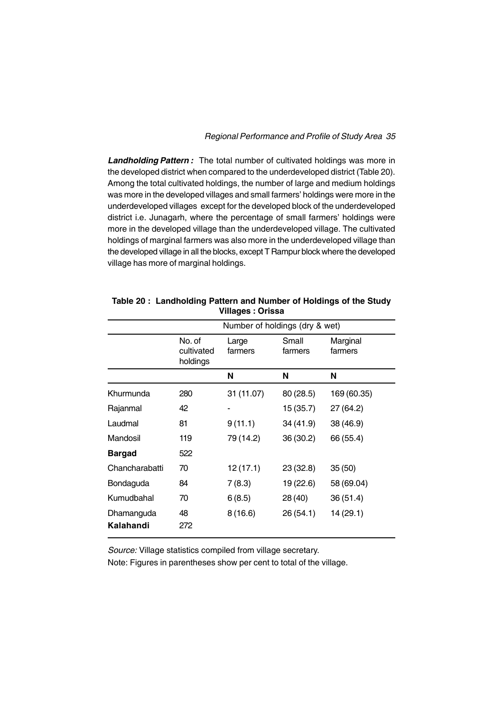*Landholding Pattern :* The total number of cultivated holdings was more in the developed district when compared to the underdeveloped district (Table 20). Among the total cultivated holdings, the number of large and medium holdings was more in the developed villages and small farmers' holdings were more in the underdeveloped villages except for the developed block of the underdeveloped district i.e. Junagarh, where the percentage of small farmers' holdings were more in the developed village than the underdeveloped village. The cultivated holdings of marginal farmers was also more in the underdeveloped village than the developed village in all the blocks, except T Rampur block where the developed village has more of marginal holdings.

| Table 20: Landholding Pattern and Number of Holdings of the Study |  |                  |  |  |
|-------------------------------------------------------------------|--|------------------|--|--|
|                                                                   |  | Villages: Orissa |  |  |

|                         |                                  | Number of holdings (dry & wet) |                  |                     |
|-------------------------|----------------------------------|--------------------------------|------------------|---------------------|
|                         | No. of<br>cultivated<br>holdings | Large<br>farmers               | Small<br>farmers | Marginal<br>farmers |
|                         |                                  | N                              | N                | N                   |
| Khurmunda               | 280                              | 31 (11.07)                     | 80 (28.5)        | 169 (60.35)         |
| Rajanmal                | 42                               |                                | 15 (35.7)        | 27 (64.2)           |
| Laudmal                 | 81                               | 9(11.1)                        | 34 (41.9)        | 38 (46.9)           |
| Mandosil                | 119                              | 79 (14.2)                      | 36(30.2)         | 66 (55.4)           |
| <b>Bargad</b>           | 522                              |                                |                  |                     |
| Chancharabatti          | 70                               | 12 (17.1)                      | 23(32.8)         | 35(50)              |
| Bondaguda               | 84                               | 7(8.3)                         | 19 (22.6)        | 58 (69.04)          |
| Kumudbahal              | 70                               | 6(8.5)                         | 28 (40)          | 36(51.4)            |
| Dhamanguda<br>Kalahandi | 48<br>272                        | 8(16.6)                        | 26(54.1)         | 14 (29.1)           |

*Source:* Village statistics compiled from village secretary.

Note: Figures in parentheses show per cent to total of the village.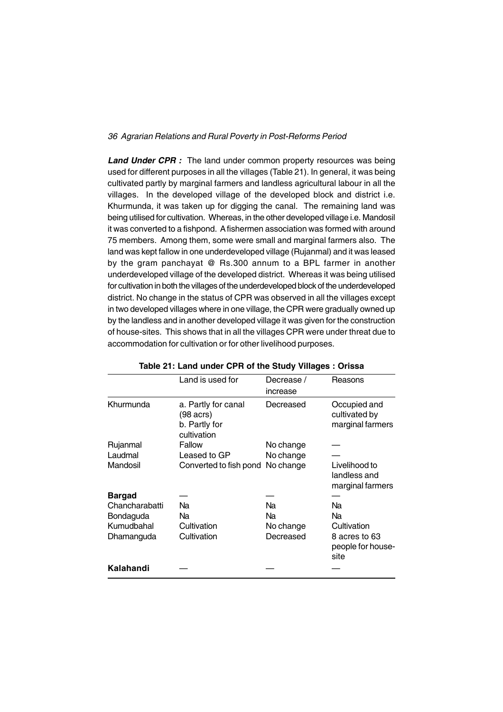Land Under CPR : The land under common property resources was being used for different purposes in all the villages (Table 21). In general, it was being cultivated partly by marginal farmers and landless agricultural labour in all the villages. In the developed village of the developed block and district i.e. Khurmunda, it was taken up for digging the canal. The remaining land was being utilised for cultivation. Whereas, in the other developed village i.e. Mandosil it was converted to a fishpond. A fishermen association was formed with around 75 members. Among them, some were small and marginal farmers also. The land was kept fallow in one underdeveloped village (Rujanmal) and it was leased by the gram panchayat @ Rs.300 annum to a BPL farmer in another underdeveloped village of the developed district. Whereas it was being utilised for cultivation in both the villages of the underdeveloped block of the underdeveloped district. No change in the status of CPR was observed in all the villages except in two developed villages where in one village, the CPR were gradually owned up by the landless and in another developed village it was given for the construction of house-sites. This shows that in all the villages CPR were under threat due to accommodation for cultivation or for other livelihood purposes.

| Land is used for<br>Khurmunda<br>a. Partly for canal<br>(98 acrs) | Decrease /<br>increase<br>Decreased | Reasons<br>Occupied and                           |
|-------------------------------------------------------------------|-------------------------------------|---------------------------------------------------|
|                                                                   |                                     |                                                   |
| b. Partly for<br>cultivation                                      |                                     | cultivated by<br>marginal farmers                 |
| Fallow<br>Rujanmal                                                | No change                           |                                                   |
| Laudmal<br>Leased to GP                                           | No change                           |                                                   |
| Mandosil<br>Converted to fish pond No change                      |                                     | Livelihood to<br>landless and<br>marginal farmers |
| Bargad                                                            |                                     |                                                   |
| Chancharabatti<br>Na                                              | Na                                  | Na                                                |
| Bondaguda<br>Na                                                   | Na                                  | Na                                                |
| Kumudbahal<br>Cultivation                                         | No change                           | Cultivation                                       |
| Cultivation<br>Dhamanguda                                         | Decreased                           | 8 acres to 63<br>people for house-<br>site        |
| Kalahandi                                                         |                                     |                                                   |

#### **Table 21: Land under CPR of the Study Villages : Orissa**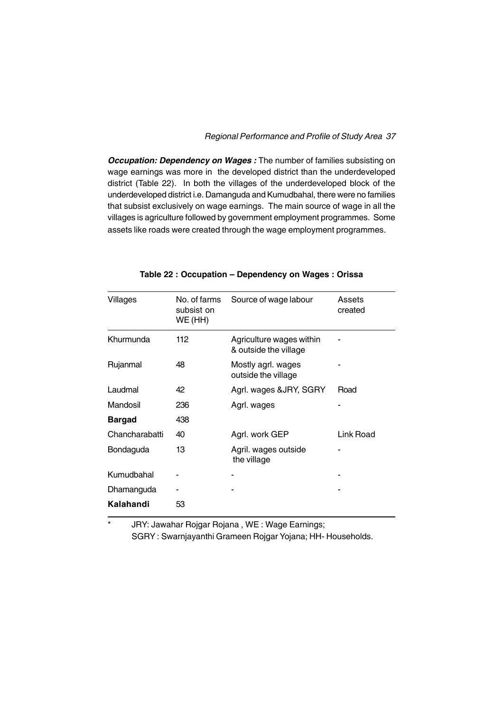*Occupation: Dependency on Wages :* The number of families subsisting on wage earnings was more in the developed district than the underdeveloped district (Table 22). In both the villages of the underdeveloped block of the underdeveloped district i.e. Damanguda and Kumudbahal, there were no families that subsist exclusively on wage earnings. The main source of wage in all the villages is agriculture followed by government employment programmes. Some assets like roads were created through the wage employment programmes.

| Villages       | No. of farms<br>subsist on<br>WE (HH) | Source of wage labour                             | Assets<br>created |
|----------------|---------------------------------------|---------------------------------------------------|-------------------|
| Khurmunda      | 112                                   | Agriculture wages within<br>& outside the village |                   |
| Rujanmal       | 48                                    | Mostly agrl. wages<br>outside the village         |                   |
| Laudmal        | 42                                    | Agrl. wages &JRY, SGRY                            | Road              |
| Mandosil       | 236                                   | Agrl. wages                                       |                   |
| <b>Bargad</b>  | 438                                   |                                                   |                   |
| Chancharabatti | 40                                    | Agrl. work GEP                                    | <b>Link Road</b>  |
| Bondaguda      | 13                                    | Agril. wages outside<br>the village               |                   |
| Kumudbahal     |                                       |                                                   |                   |
| Dhamanguda     |                                       |                                                   |                   |
| Kalahandi      | 53                                    |                                                   |                   |

#### **Table 22 : Occupation – Dependency on Wages : Orissa**

\* JRY: Jawahar Rojgar Rojana , WE : Wage Earnings; SGRY : Swarnjayanthi Grameen Rojgar Yojana; HH- Households.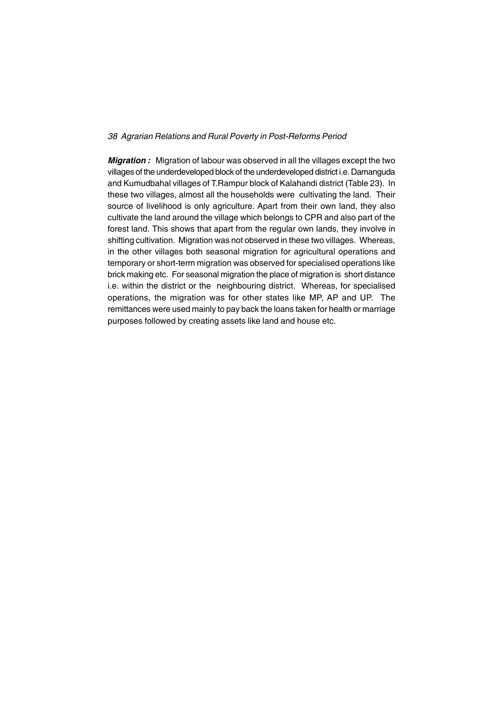*Migration :* Migration of labour was observed in all the villages except the two villages of the underdeveloped block of the underdeveloped district i.e. Damanguda and Kumudbahal villages of T.Rampur block of Kalahandi district (Table 23). In these two villages, almost all the households were cultivating the land. Their source of livelihood is only agriculture. Apart from their own land, they also cultivate the land around the village which belongs to CPR and also part of the forest land. This shows that apart from the regular own lands, they involve in shifting cultivation. Migration was not observed in these two villages. Whereas, in the other villages both seasonal migration for agricultural operations and temporary or short-term migration was observed for specialised operations like brick making etc. For seasonal migration the place of migration is short distance i.e. within the district or the neighbouring district. Whereas, for specialised operations, the migration was for other states like MP, AP and UP. The remittances were used mainly to pay back the loans taken for health or marriage purposes followed by creating assets like land and house etc.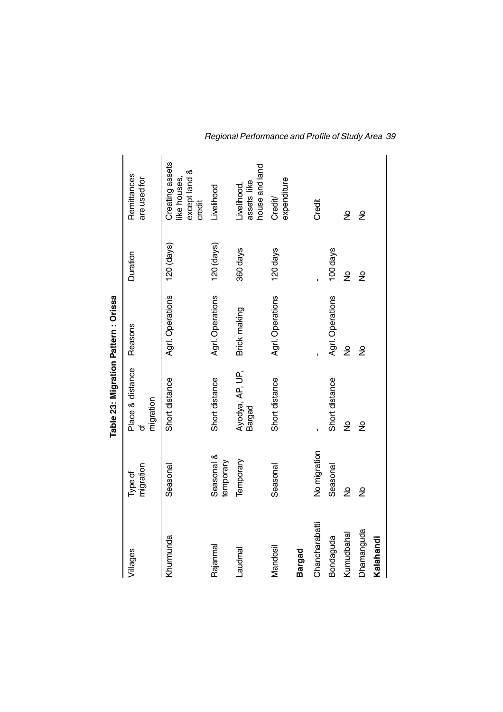|                |                         | Table 23: Migration Pattern : Orissa |                  |               |                                                            |
|----------------|-------------------------|--------------------------------------|------------------|---------------|------------------------------------------------------------|
| Villages       | migration<br>Type of    | Place & distance<br>migration<br>৳   | Reasons          | Duration      | Remittances<br>are used for                                |
| Khurmunda      | Seasonal                | Short distance                       | Agrl. Operations | $120$ (days)  | Creating assets<br>except land &<br>like houses,<br>credit |
| Rajanmal       | Seasonal &<br>temporary | Short distance                       | Agrl. Operations | $120$ (days)  | Livelihood                                                 |
| Laudmal        | Temporary               | Ayodya, AP, UP,<br><b>Bargad</b>     | Brick making     | 360 days      | house and land<br>assets like<br>Livelihood,               |
| Mandosil       | Seasonal                | Short distance                       | Agrl. Operations | 120 days      | expenditure<br>Credit/                                     |
| <b>Bargad</b>  |                         |                                      |                  |               |                                                            |
| Chancharabatti | No migration            |                                      |                  |               | Credit                                                     |
| Bondaguda      | Seasonal                | Short distance                       | Agrl. Operations | 100 days      |                                                            |
| Kumudbahal     | ş                       | ş                                    | ş                | ş             | ş                                                          |
| Dhamanguda     | $\frac{9}{2}$           | $\frac{9}{2}$                        | $\frac{9}{2}$    | $\frac{1}{2}$ | ş                                                          |
| Kalahandi      |                         |                                      |                  |               |                                                            |

*Regional Performance and Profile of Study Area 39*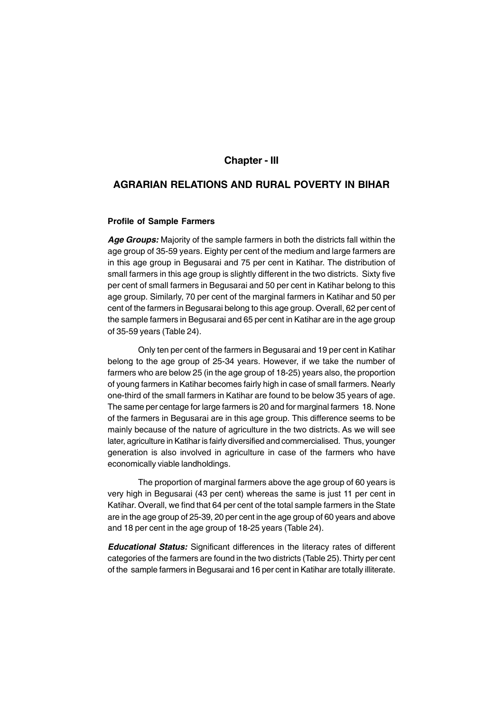### **Chapter - III**

## **AGRARIAN RELATIONS AND RURAL POVERTY IN BIHAR**

#### **Profile of Sample Farmers**

*Age Groups:* Majority of the sample farmers in both the districts fall within the age group of 35-59 years. Eighty per cent of the medium and large farmers are in this age group in Begusarai and 75 per cent in Katihar. The distribution of small farmers in this age group is slightly different in the two districts. Sixty five per cent of small farmers in Begusarai and 50 per cent in Katihar belong to this age group. Similarly, 70 per cent of the marginal farmers in Katihar and 50 per cent of the farmers in Begusarai belong to this age group. Overall, 62 per cent of the sample farmers in Begusarai and 65 per cent in Katihar are in the age group of 35-59 years (Table 24).

Only ten per cent of the farmers in Begusarai and 19 per cent in Katihar belong to the age group of 25-34 years. However, if we take the number of farmers who are below 25 (in the age group of 18-25) years also, the proportion of young farmers in Katihar becomes fairly high in case of small farmers. Nearly one-third of the small farmers in Katihar are found to be below 35 years of age. The same per centage for large farmers is 20 and for marginal farmers 18. None of the farmers in Begusarai are in this age group. This difference seems to be mainly because of the nature of agriculture in the two districts. As we will see later, agriculture in Katihar is fairly diversified and commercialised. Thus, younger generation is also involved in agriculture in case of the farmers who have economically viable landholdings.

The proportion of marginal farmers above the age group of 60 years is very high in Begusarai (43 per cent) whereas the same is just 11 per cent in Katihar. Overall, we find that 64 per cent of the total sample farmers in the State are in the age group of 25-39, 20 per cent in the age group of 60 years and above and 18 per cent in the age group of 18-25 years (Table 24).

*Educational Status:* Significant differences in the literacy rates of different categories of the farmers are found in the two districts (Table 25). Thirty per cent of the sample farmers in Begusarai and 16 per cent in Katihar are totally illiterate.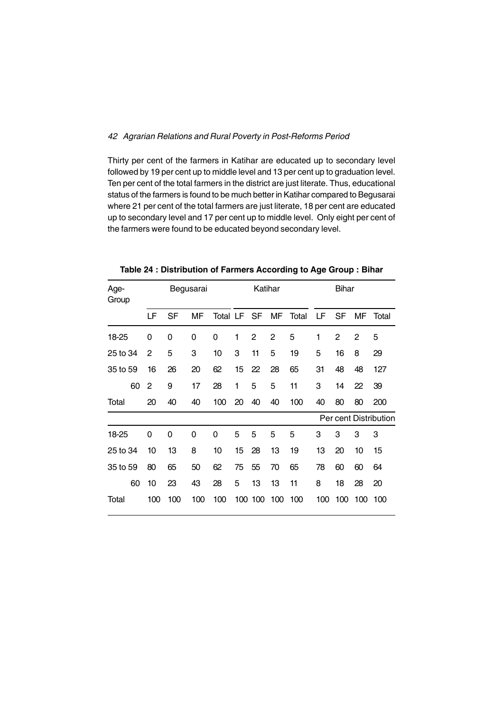Thirty per cent of the farmers in Katihar are educated up to secondary level followed by 19 per cent up to middle level and 13 per cent up to graduation level. Ten per cent of the total farmers in the district are just literate. Thus, educational status of the farmers is found to be much better in Katihar compared to Begusarai where 21 per cent of the total farmers are just literate, 18 per cent are educated up to secondary level and 17 per cent up to middle level. Only eight per cent of the farmers were found to be educated beyond secondary level.

| Age-<br>Group |              |          | Begusarai |          |    | Katihar |                |       |     | <b>Bihar</b>   |                |                       |
|---------------|--------------|----------|-----------|----------|----|---------|----------------|-------|-----|----------------|----------------|-----------------------|
|               | LF           | SF       | MF        | Total LF |    | SF      | MF             | Total | LF  | SF             | МF             | Total                 |
| 18-25         | 0            | 0        | 0         | 0        | 1  | 2       | $\overline{2}$ | 5     | 1   | $\overline{2}$ | $\overline{2}$ | 5                     |
| 25 to 34      | $\mathbf{2}$ | 5        | 3         | 10       | 3  | 11      | 5              | 19    | 5   | 16             | 8              | 29                    |
| 35 to 59      | 16           | 26       | 20        | 62       | 15 | 22      | 28             | 65    | 31  | 48             | 48             | 127                   |
| 60            | 2            | 9        | 17        | 28       | 1  | 5       | 5              | 11    | 3   | 14             | 22             | 39                    |
| Total         | 20           | 40       | 40        | 100      | 20 | 40      | 40             | 100   | 40  | 80             | 80             | 200                   |
|               |              |          |           |          |    |         |                |       |     |                |                | Per cent Distribution |
| 18-25         | 0            | $\Omega$ | 0         | 0        | 5  | 5       | 5              | 5     | 3   | 3              | 3              | 3                     |
| 25 to 34      | 10           | 13       | 8         | 10       | 15 | 28      | 13             | 19    | 13  | 20             | 10             | 15                    |
| 35 to 59      | 80           | 65       | 50        | 62       | 75 | 55      | 70             | 65    | 78  | 60             | 60             | 64                    |
| 60            | 10           | 23       | 43        | 28       | 5  | 13      | 13             | 11    | 8   | 18             | 28             | 20                    |
| Total         | 100          | 100      | 100       | 100      |    | 100 100 | 100            | 100   | 100 | 100            | 100            | 100                   |

**Table 24 : Distribution of Farmers According to Age Group : Bihar**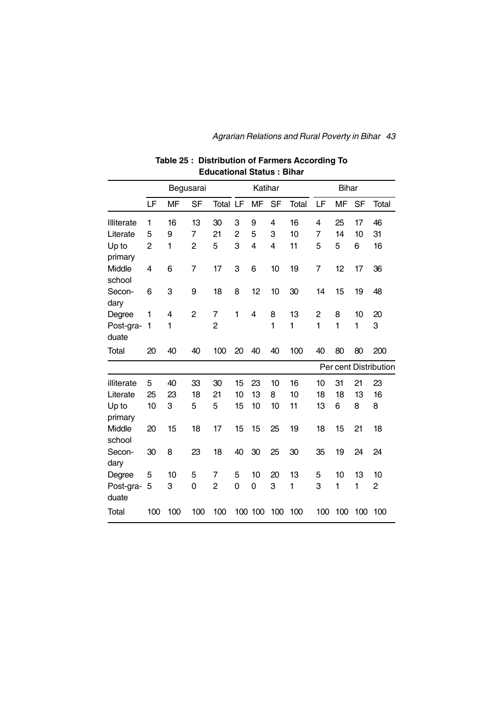|                    |             | Begusarai |                |                |              | Katihar        |           |       |              | <b>Bihar</b> |           |                       |
|--------------------|-------------|-----------|----------------|----------------|--------------|----------------|-----------|-------|--------------|--------------|-----------|-----------------------|
|                    | LF          | <b>MF</b> | <b>SF</b>      | Total LF       |              | MF             | <b>SF</b> | Total | LF           | <b>MF</b>    | <b>SF</b> | Total                 |
| Illiterate         | 1           | 16        | 13             | 30             | 3            | 9              | 4         | 16    | 4            | 25           | 17        | 46                    |
| Literate           | 5           | 9         | $\overline{7}$ | 21             | 2            | 5              | 3         | 10    | 7            | 14           | 10        | 31                    |
| Up to<br>primary   | 2           | 1         | 2              | 5              | 3            | $\overline{4}$ | 4         | 11    | 5            | 5            | 6         | 16                    |
| Middle<br>school   | 4           | 6         | 7              | 17             | 3            | 6              | 10        | 19    | 7            | 12           | 17        | 36                    |
| Secon-<br>dary     | 6           | 3         | 9              | 18             | 8            | 12             | 10        | 30    | 14           | 15           | 19        | 48                    |
| Degree             | 1           | 4         | $\overline{c}$ | $\overline{7}$ | $\mathbf{1}$ | 4              | 8         | 13    | 2            | 8            | 10        | 20                    |
| Post-gra-<br>duate | $\mathbf 1$ | 1         |                | $\overline{2}$ |              |                | 1         | 1     | $\mathbf{1}$ | $\mathbf{1}$ | 1         | 3                     |
| Total              | 20          | 40        | 40             | 100            | 20           | 40             | 40        | 100   | 40           | 80           | 80        | 200                   |
|                    |             |           |                |                |              |                |           |       |              |              |           | Per cent Distribution |
| illiterate         | 5           | 40        | 33             | 30             | 15           | 23             | 10        | 16    | 10           | 31           | 21        | 23                    |
| Literate           | 25          | 23        | 18             | 21             | 10           | 13             | 8         | 10    | 18           | 18           | 13        | 16                    |
| Up to<br>primary   | 10          | 3         | 5              | 5              | 15           | 10             | 10        | 11    | 13           | 6            | 8         | 8                     |
| Middle<br>school   | 20          | 15        | 18             | 17             | 15           | 15             | 25        | 19    | 18           | 15           | 21        | 18                    |
| Secon-<br>dary     | 30          | 8         | 23             | 18             | 40           | 30             | 25        | 30    | 35           | 19           | 24        | 24                    |
| Degree             | 5           | 10        | 5              | 7              | 5            | 10             | 20        | 13    | 5            | 10           | 13        | 10                    |
| Post-gra-<br>duate | 5           | 3         | 0              | $\overline{2}$ | 0            | 0              | 3         | 1     | 3            | 1            | 1         | $\overline{c}$        |
| <b>Total</b>       | 100         | 100       | 100            | 100            |              | 100 100        | 100       | 100   | 100          | 100          | 100       | 100                   |

## **Table 25 : Distribution of Farmers According To Educational Status : Bihar**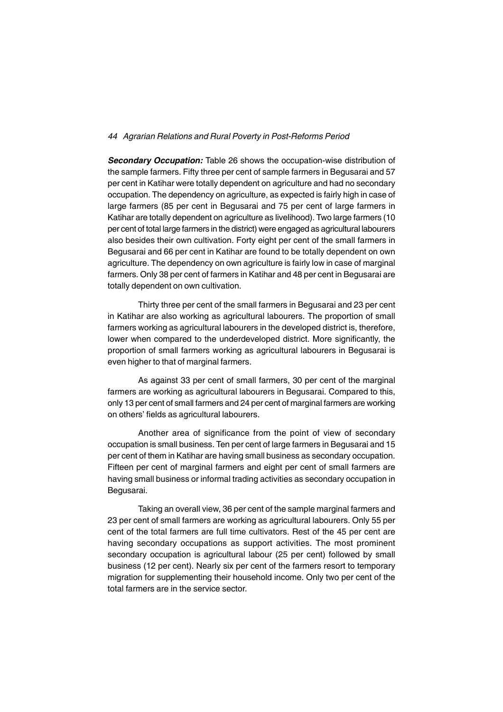*Secondary Occupation:* Table 26 shows the occupation-wise distribution of the sample farmers. Fifty three per cent of sample farmers in Begusarai and 57 per cent in Katihar were totally dependent on agriculture and had no secondary occupation. The dependency on agriculture, as expected is fairly high in case of large farmers (85 per cent in Begusarai and 75 per cent of large farmers in Katihar are totally dependent on agriculture as livelihood). Two large farmers (10 per cent of total large farmers in the district) were engaged as agricultural labourers also besides their own cultivation. Forty eight per cent of the small farmers in Begusarai and 66 per cent in Katihar are found to be totally dependent on own agriculture. The dependency on own agriculture is fairly low in case of marginal farmers. Only 38 per cent of farmers in Katihar and 48 per cent in Begusarai are totally dependent on own cultivation.

Thirty three per cent of the small farmers in Begusarai and 23 per cent in Katihar are also working as agricultural labourers. The proportion of small farmers working as agricultural labourers in the developed district is, therefore, lower when compared to the underdeveloped district. More significantly, the proportion of small farmers working as agricultural labourers in Begusarai is even higher to that of marginal farmers.

As against 33 per cent of small farmers, 30 per cent of the marginal farmers are working as agricultural labourers in Begusarai. Compared to this, only 13 per cent of small farmers and 24 per cent of marginal farmers are working on others' fields as agricultural labourers.

Another area of significance from the point of view of secondary occupation is small business. Ten per cent of large farmers in Begusarai and 15 per cent of them in Katihar are having small business as secondary occupation. Fifteen per cent of marginal farmers and eight per cent of small farmers are having small business or informal trading activities as secondary occupation in Begusarai.

Taking an overall view, 36 per cent of the sample marginal farmers and 23 per cent of small farmers are working as agricultural labourers. Only 55 per cent of the total farmers are full time cultivators. Rest of the 45 per cent are having secondary occupations as support activities. The most prominent secondary occupation is agricultural labour (25 per cent) followed by small business (12 per cent). Nearly six per cent of the farmers resort to temporary migration for supplementing their household income. Only two per cent of the total farmers are in the service sector.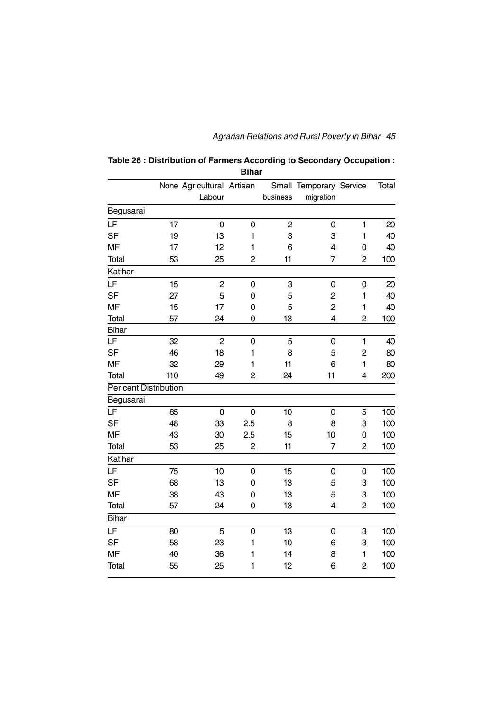| Table 26 : Distribution of Farmers According to Secondary Occupation : |
|------------------------------------------------------------------------|
| Bihar                                                                  |

|                          |     | None Agricultural Artisan<br>Labour |                | business       | Small Temporary Service<br>migration |                | Total |
|--------------------------|-----|-------------------------------------|----------------|----------------|--------------------------------------|----------------|-------|
|                          |     |                                     |                |                |                                      |                |       |
| Begusarai                |     |                                     |                |                |                                      |                |       |
| $\overline{\mathsf{LF}}$ | 17  | $\mathbf 0$                         | 0              | $\overline{c}$ | 0                                    | $\mathbf{1}$   | 20    |
| <b>SF</b>                | 19  | 13                                  | 1              | 3              | 3                                    | $\mathbf{1}$   | 40    |
| <b>MF</b>                | 17  | 12                                  | 1              | 6              | $\overline{4}$                       | 0              | 40    |
| <b>Total</b>             | 53  | 25                                  | 2              | 11             | $\overline{7}$                       | $\overline{2}$ | 100   |
| Katihar                  |     |                                     |                |                |                                      |                |       |
| LF                       | 15  | $\overline{c}$                      | $\mathbf 0$    | 3              | $\mathsf 0$                          | 0              | 20    |
| <b>SF</b>                | 27  | 5                                   | 0              | 5              | $\overline{c}$                       | 1              | 40    |
| <b>MF</b>                | 15  | 17                                  | $\mathbf 0$    | 5              | $\overline{c}$                       | 1              | 40    |
| Total                    | 57  | 24                                  | 0              | 13             | $\overline{4}$                       | $\overline{2}$ | 100   |
| <b>Bihar</b>             |     |                                     |                |                |                                      |                |       |
| LF                       | 32  | $\overline{c}$                      | $\mathbf 0$    | 5              | 0                                    | $\mathbf{1}$   | 40    |
| <b>SF</b>                | 46  | 18                                  | 1              | 8              | 5                                    | $\overline{c}$ | 80    |
| <b>MF</b>                | 32  | 29                                  | 1              | 11             | 6                                    | $\mathbf{1}$   | 80    |
| <b>Total</b>             | 110 | 49                                  | $\overline{2}$ | 24             | 11                                   | 4              | 200   |
| Per cent Distribution    |     |                                     |                |                |                                      |                |       |
| Begusarai                |     |                                     |                |                |                                      |                |       |
| LF                       | 85  | 0                                   | 0              | 10             | 0                                    | 5              | 100   |
| <b>SF</b>                | 48  | 33                                  | 2.5            | 8              | 8                                    | 3              | 100   |
| <b>MF</b>                | 43  | 30                                  | 2.5            | 15             | 10                                   | 0              | 100   |
| Total                    | 53  | 25                                  | $\overline{2}$ | 11             | $\overline{7}$                       | $\overline{2}$ | 100   |
| Katihar                  |     |                                     |                |                |                                      |                |       |
| LF                       | 75  | 10                                  | $\mathbf 0$    | 15             | 0                                    | 0              | 100   |
| <b>SF</b>                | 68  | 13                                  | $\mathbf 0$    | 13             | 5                                    | 3              | 100   |
| <b>MF</b>                | 38  | 43                                  | 0              | 13             | 5                                    | 3              | 100   |
| Total                    | 57  | 24                                  | 0              | 13             | 4                                    | $\overline{c}$ | 100   |
| <b>Bihar</b>             |     |                                     |                |                |                                      |                |       |
| LF                       | 80  | 5                                   | $\mathbf 0$    | 13             | 0                                    | 3              | 100   |
| <b>SF</b>                | 58  | 23                                  | 1              | 10             | 6                                    | 3              | 100   |
| <b>MF</b>                | 40  | 36                                  | 1              | 14             | 8                                    | $\mathbf{1}$   | 100   |
| Total                    | 55  | 25                                  | 1              | 12             | 6                                    | 2              | 100   |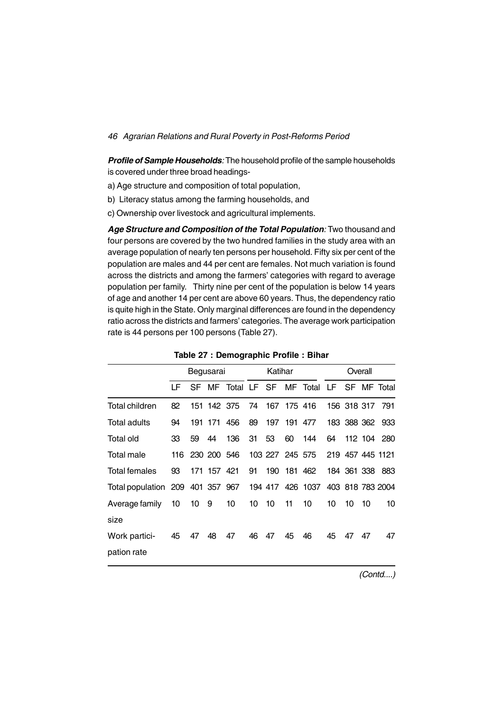*Profile of Sample Households:* The household profile of the sample households is covered under three broad headings-

- a) Age structure and composition of total population,
- b) Literacy status among the farming households, and
- c) Ownership over livestock and agricultural implements.

*Age Structure and Composition of the Total Population:* Two thousand and four persons are covered by the two hundred families in the study area with an average population of nearly ten persons per household. Fifty six per cent of the population are males and 44 per cent are females. Not much variation is found across the districts and among the farmers' categories with regard to average population per family. Thirty nine per cent of the population is below 14 years of age and another 14 per cent are above 60 years. Thus, the dependency ratio is quite high in the State. Only marginal differences are found in the dependency ratio across the districts and farmers' categories. The average work participation rate is 44 persons per 100 persons (Table 27).

|                                                                    |    |    | Begusarai       |                   |    | Katihar         |             |             |    |             | Overall |                  |
|--------------------------------------------------------------------|----|----|-----------------|-------------------|----|-----------------|-------------|-------------|----|-------------|---------|------------------|
|                                                                    | LF |    |                 | SF MF Total LF SF |    |                 |             | MF Total LF |    |             |         | SF MF Total      |
| Total children                                                     | 82 |    | 151 142 375     |                   | 74 |                 | 167 175 416 |             |    | 156 318 317 |         | 791              |
| Total adults                                                       | 94 |    | 191 171         | 456               | 89 | 197             |             | 191 477     |    |             |         | 183 388 362 933  |
| Total old                                                          | 33 | 59 | 44              | 136               | 31 | 53              | 60          | 144         | 64 |             |         | 112 104 280      |
| Total male                                                         |    |    | 116 230 200 546 |                   |    | 103 227 245 575 |             |             |    |             |         | 219 457 445 1121 |
| <b>Total females</b>                                               | 93 |    | 171 157 421     |                   | 91 | 190             |             | 181 462     |    | 184 361 338 |         | 883              |
| Total population 209 401 357 967 194 417 426 1037 403 818 783 2004 |    |    |                 |                   |    |                 |             |             |    |             |         |                  |
| Average family                                                     | 10 | 10 | 9               | 10                | 10 | 10              | 11          | 10          | 10 | 10          | 10      | 10               |
| size                                                               |    |    |                 |                   |    |                 |             |             |    |             |         |                  |
| Work partici-                                                      | 45 | 47 | 48              | 47                | 46 | 47              | 45          | 46          | 45 | 47          | 47      | 47               |
| pation rate                                                        |    |    |                 |                   |    |                 |             |             |    |             |         |                  |

**Table 27 : Demographic Profile : Bihar**

*(Contd....)*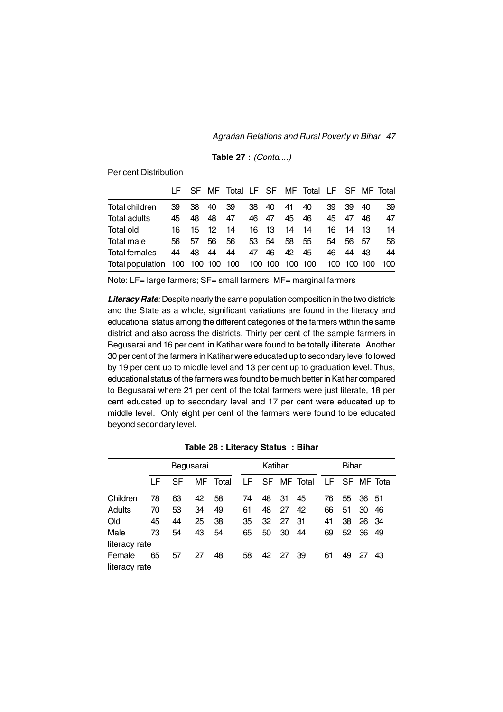*Agrarian Relations and Rural Poverty in Bihar 47*

| Per cent Distribution            |    |    |                 |    |       |         |         |                                              |    |             |     |     |
|----------------------------------|----|----|-----------------|----|-------|---------|---------|----------------------------------------------|----|-------------|-----|-----|
|                                  |    |    |                 |    |       |         |         | LF SF MF Total LF SF MF Total LF SF MF Total |    |             |     |     |
| Total children                   | 39 | 38 | 40              | 39 | 38    | 40      | 41      | 40                                           | 39 | 39          | 40  | 39  |
| Total adults                     | 45 | 48 | 48              | 47 | 46    | 47      | 45      | 46                                           | 45 | 47          | 46  | 47  |
| Total old                        | 16 | 15 | 12 <sup>7</sup> | 14 | 16 -  | -13     | 14      | 14                                           | 16 | 14          | 13  | 14  |
| Total male                       | 56 | 57 | 56              | 56 | 53 54 |         | 58      | 55                                           | 54 | 56          | -57 | 56  |
| Total females                    | 44 | 43 | 44              | 44 | 47    | 46      | 42      | 45                                           | 46 | 44          | 43  | 44  |
| Total population 100 100 100 100 |    |    |                 |    |       | 100 100 | 100 100 |                                              |    | 100 100 100 |     | 100 |

**Table 27 :** *(Contd....)*

Note: LF= large farmers; SF= small farmers; MF= marginal farmers

**Literacy Rate**: Despite nearly the same population composition in the two districts and the State as a whole, significant variations are found in the literacy and educational status among the different categories of the farmers within the same district and also across the districts. Thirty per cent of the sample farmers in Begusarai and 16 per cent in Katihar were found to be totally illiterate. Another 30 per cent of the farmers in Katihar were educated up to secondary level followed by 19 per cent up to middle level and 13 per cent up to graduation level. Thus, educational status of the farmers was found to be much better in Katihar compared to Begusarai where 21 per cent of the total farmers were just literate, 18 per cent educated up to secondary level and 17 per cent were educated up to middle level. Only eight per cent of the farmers were found to be educated beyond secondary level.

|                         |    |    | Begusarai |       |    | Katihar |       |             |    | Bihar |       |             |
|-------------------------|----|----|-----------|-------|----|---------|-------|-------------|----|-------|-------|-------------|
|                         | LF | SF | MF        | Total | LF |         |       | SF MF Total | LF |       |       | SF MF Total |
| Children                | 78 | 63 | 42        | 58    | 74 | 48      | 31    | 45          | 76 | 55    | 36 51 |             |
| Adults                  | 70 | 53 | 34        | 49    | 61 | 48      | 27    | 42          | 66 | 51    | 30    | 46          |
| Old                     | 45 | 44 | 25        | 38    | 35 | 32      | 27    | -31         | 41 | 38    | 26    | - 34        |
| Male                    | 73 | 54 | 43        | 54    | 65 | 50      | 30    | 44          | 69 | 52    | -36   | 49          |
| literacy rate           |    |    |           |       |    |         |       |             |    |       |       |             |
| Female<br>literacy rate | 65 | 57 | 27        | 48    | 58 |         | 42 27 | -39         | 61 | 49    | 27    | 43          |

**Table 28 : Literacy Status : Bihar**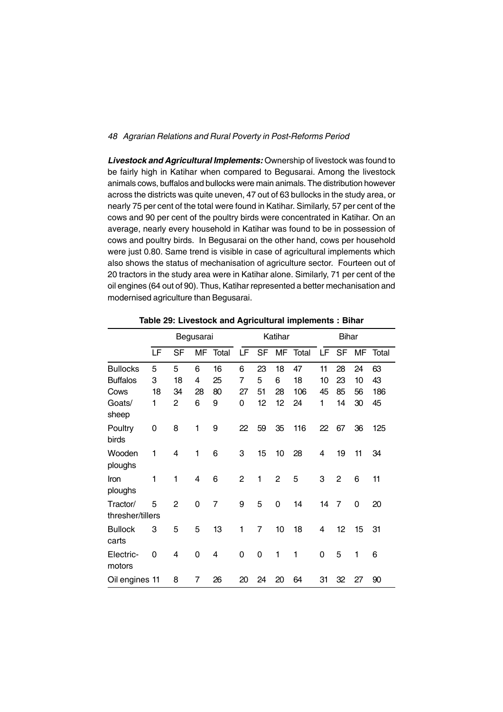*Livestock and Agricultural Implements:* Ownership of livestock was found to be fairly high in Katihar when compared to Begusarai. Among the livestock animals cows, buffalos and bullocks were main animals. The distribution however across the districts was quite uneven, 47 out of 63 bullocks in the study area, or nearly 75 per cent of the total were found in Katihar. Similarly, 57 per cent of the cows and 90 per cent of the poultry birds were concentrated in Katihar. On an average, nearly every household in Katihar was found to be in possession of cows and poultry birds. In Begusarai on the other hand, cows per household were just 0.80. Same trend is visible in case of agricultural implements which also shows the status of mechanisation of agriculture sector. Fourteen out of 20 tractors in the study area were in Katihar alone. Similarly, 71 per cent of the oil engines (64 out of 90). Thus, Katihar represented a better mechanisation and modernised agriculture than Begusarai.

|                              |    |                | Begusarai   |       |                |           | Katihar        |       |    | <b>Bihar</b>   |    |       |
|------------------------------|----|----------------|-------------|-------|----------------|-----------|----------------|-------|----|----------------|----|-------|
|                              | LF | SF             | MF          | Total | LF             | <b>SF</b> | MF             | Total | LF | SF             | MF | Total |
| <b>Bullocks</b>              | 5  | 5              | 6           | 16    | 6              | 23        | 18             | 47    | 11 | 28             | 24 | 63    |
| <b>Buffalos</b>              | 3  | 18             | 4           | 25    | 7              | 5         | 6              | 18    | 10 | 23             | 10 | 43    |
| Cows                         | 18 | 34             | 28          | 80    | 27             | 51        | 28             | 106   | 45 | 85             | 56 | 186   |
| Goats/<br>sheep              | 1  | 2              | 6           | 9     | 0              | 12        | 12             | 24    | 1  | 14             | 30 | 45    |
| Poultry<br>birds             | 0  | 8              | 1           | 9     | 22             | 59        | 35             | 116   | 22 | 67             | 36 | 125   |
| Wooden<br>ploughs            | 1  | 4              | 1           | 6     | 3              | 15        | 10             | 28    | 4  | 19             | 11 | 34    |
| Iron<br>ploughs              | 1  | 1              | 4           | 6     | $\overline{c}$ | 1         | $\overline{2}$ | 5     | 3  | $\overline{2}$ | 6  | 11    |
| Tractor/<br>thresher/tillers | 5  | $\overline{2}$ | 0           | 7     | 9              | 5         | 0              | 14    | 14 | 7              | 0  | 20    |
| <b>Bullock</b><br>carts      | 3  | 5              | 5           | 13    | 1              | 7         | 10             | 18    | 4  | 12             | 15 | 31    |
| Electric-<br>motors          | 0  | 4              | $\mathbf 0$ | 4     | 0              | 0         | 1              | 1     | 0  | 5              | 1  | 6     |
| Oil engines 11               |    | 8              | 7           | 26    | 20             | 24        | 20             | 64    | 31 | 32             | 27 | 90    |

**Table 29: Livestock and Agricultural implements : Bihar**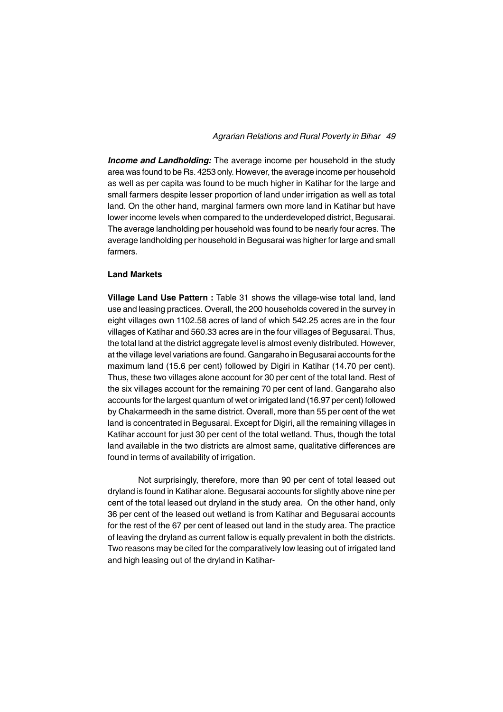*Income and Landholding:* The average income per household in the study area was found to be Rs. 4253 only. However, the average income per household as well as per capita was found to be much higher in Katihar for the large and small farmers despite lesser proportion of land under irrigation as well as total land. On the other hand, marginal farmers own more land in Katihar but have lower income levels when compared to the underdeveloped district, Begusarai. The average landholding per household was found to be nearly four acres. The average landholding per household in Begusarai was higher for large and small farmers.

#### **Land Markets**

**Village Land Use Pattern : Table 31 shows the village-wise total land, land** use and leasing practices. Overall, the 200 households covered in the survey in eight villages own 1102.58 acres of land of which 542.25 acres are in the four villages of Katihar and 560.33 acres are in the four villages of Begusarai. Thus, the total land at the district aggregate level is almost evenly distributed. However, at the village level variations are found. Gangaraho in Begusarai accounts for the maximum land (15.6 per cent) followed by Digiri in Katihar (14.70 per cent). Thus, these two villages alone account for 30 per cent of the total land. Rest of the six villages account for the remaining 70 per cent of land. Gangaraho also accounts for the largest quantum of wet or irrigated land (16.97 per cent) followed by Chakarmeedh in the same district. Overall, more than 55 per cent of the wet land is concentrated in Begusarai. Except for Digiri, all the remaining villages in Katihar account for just 30 per cent of the total wetland. Thus, though the total land available in the two districts are almost same, qualitative differences are found in terms of availability of irrigation.

Not surprisingly, therefore, more than 90 per cent of total leased out dryland is found in Katihar alone. Begusarai accounts for slightly above nine per cent of the total leased out dryland in the study area. On the other hand, only 36 per cent of the leased out wetland is from Katihar and Begusarai accounts for the rest of the 67 per cent of leased out land in the study area. The practice of leaving the dryland as current fallow is equally prevalent in both the districts. Two reasons may be cited for the comparatively low leasing out of irrigated land and high leasing out of the dryland in Katihar-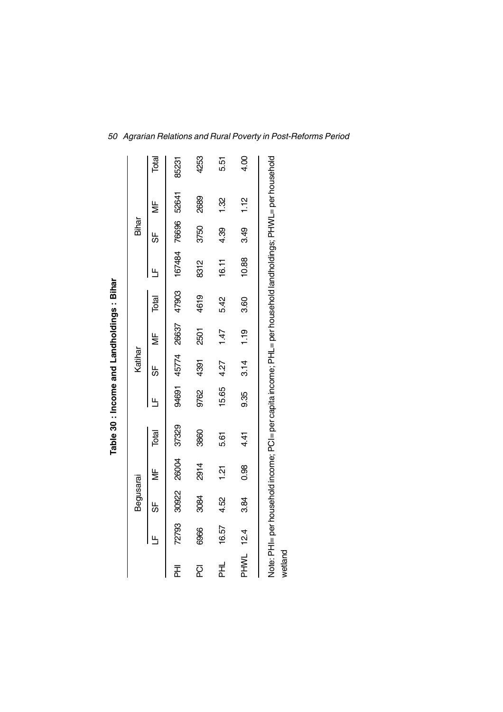|             |       |           |                | Table 30 : Income and Landholdings : Bihar                                                                    |       |         |       |       |        |       |               |       |
|-------------|-------|-----------|----------------|---------------------------------------------------------------------------------------------------------------|-------|---------|-------|-------|--------|-------|---------------|-------|
|             |       | Begusarai |                |                                                                                                               |       | Katihar |       |       |        | Bihar |               |       |
|             | Щ     | 56        | ₩              | Total                                                                                                         | ۳     | 55      | ≝     | Total | ╚      | 56    | $\frac{1}{2}$ | Total |
| 굳           | 72793 | 30922     | 26004          | 37329                                                                                                         | 94691 | 45774   | 26637 | 47903 | 167484 | 76696 | 52641         | 85231 |
| 2           | 6966  | 3084      | 2914           | 3860                                                                                                          | 9762  | 4391    | 2501  | 4619  | 8312   | 3750  | 2689          | 4253  |
| 보<br>도      | 16.57 | 4.52      | $\frac{51}{2}$ | 5.61                                                                                                          | 15.65 | 4.27    | 1.47  | 5.42  | 16.11  | 4.39  | 1.32          | 5.51  |
| <b>PHWL</b> | 12.4  | 3.84      | 0.98           | 4.4                                                                                                           | 9.35  | 3.14    | 1.19  | 3.60  | 10.88  | 3.49  | 1.12          | 4.00  |
| wetland     |       |           |                | Note: PHI= per household income; PCI= per capita income; PHL= per household landholdings; PHWL= per household |       |         |       |       |        |       |               |       |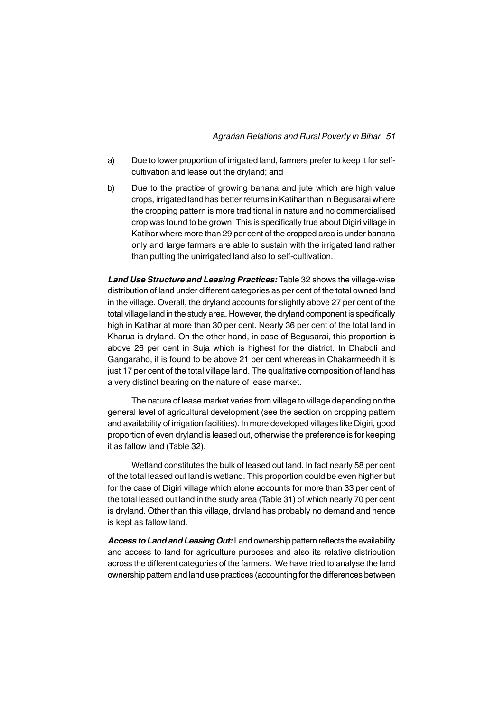- a) Due to lower proportion of irrigated land, farmers prefer to keep it for selfcultivation and lease out the dryland; and
- b) Due to the practice of growing banana and jute which are high value crops, irrigated land has better returns in Katihar than in Begusarai where the cropping pattern is more traditional in nature and no commercialised crop was found to be grown. This is specifically true about Digiri village in Katihar where more than 29 per cent of the cropped area is under banana only and large farmers are able to sustain with the irrigated land rather than putting the unirrigated land also to self-cultivation.

*Land Use Structure and Leasing Practices:* Table 32 shows the village-wise distribution of land under different categories as per cent of the total owned land in the village. Overall, the dryland accounts for slightly above 27 per cent of the total village land in the study area. However, the dryland component is specifically high in Katihar at more than 30 per cent. Nearly 36 per cent of the total land in Kharua is dryland. On the other hand, in case of Begusarai, this proportion is above 26 per cent in Suja which is highest for the district. In Dhaboli and Gangaraho, it is found to be above 21 per cent whereas in Chakarmeedh it is just 17 per cent of the total village land. The qualitative composition of land has a very distinct bearing on the nature of lease market.

The nature of lease market varies from village to village depending on the general level of agricultural development (see the section on cropping pattern and availability of irrigation facilities). In more developed villages like Digiri, good proportion of even dryland is leased out, otherwise the preference is for keeping it as fallow land (Table 32).

Wetland constitutes the bulk of leased out land. In fact nearly 58 per cent of the total leased out land is wetland. This proportion could be even higher but for the case of Digiri village which alone accounts for more than 33 per cent of the total leased out land in the study area (Table 31) of which nearly 70 per cent is dryland. Other than this village, dryland has probably no demand and hence is kept as fallow land.

*Access to Land and Leasing Out:* Land ownership pattern reflects the availability and access to land for agriculture purposes and also its relative distribution across the different categories of the farmers. We have tried to analyse the land ownership pattern and land use practices (accounting for the differences between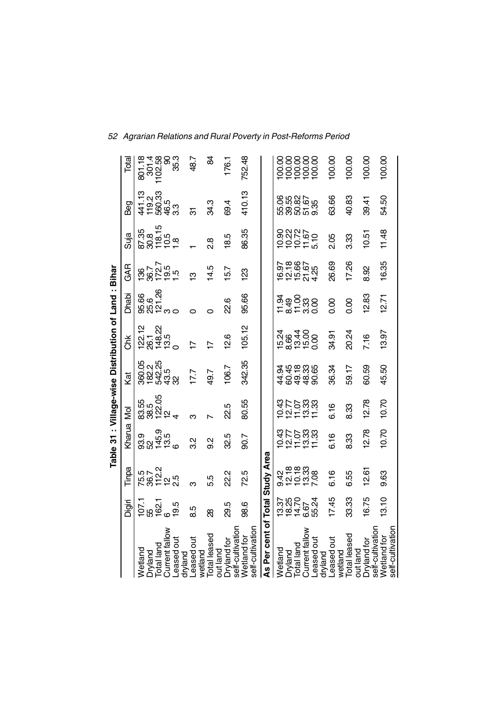|                                  |                          |                                        |                                       |                               |                         | Table 31: Village-wise Distribution of Land: Bihar |                                      |                            |                            |                              |                            |
|----------------------------------|--------------------------|----------------------------------------|---------------------------------------|-------------------------------|-------------------------|----------------------------------------------------|--------------------------------------|----------------------------|----------------------------|------------------------------|----------------------------|
|                                  | Digiri                   | Tinpa                                  | Kharua Mol                            |                               | Kat                     | き                                                  | Dhabi                                | GAR                        | Suja                       | Beg                          | Total                      |
| Total land<br>Wetland<br>Dryland | 15<br>២<br>១ ១<br>០      | 5 5 7 2<br>5 9 2 2 5<br>5 8 7 2 3      | 0<br>00 0 0 0<br>00 0 0 0<br>00 0 0 0 | 83.55<br>83.5<br>832.05<br>22 | 80236<br>80365<br>80286 | 122.12<br>26.1                                     | ဖွေ - ဗို<br>မွန်ပြီ<br>မွန်ပြီး - ၁ | 1867<br>86705<br>18705     | 87.35<br>88.45<br>88.45.83 | 4108<br>4008<br>4008<br>4008 | 801.18<br>1102.58<br>301.4 |
| Current fallow                   |                          |                                        |                                       |                               |                         | 148.22<br>13.5                                     |                                      |                            |                            |                              | Ձ                          |
| Leased out<br>dryland            | 19.5                     |                                        |                                       |                               |                         | $\circ$                                            |                                      |                            |                            |                              | 35.3                       |
| Leased out<br>wetland            | 8.5                      | ო                                      | 32                                    | ო                             | 17.7                    | $\overline{1}$                                     |                                      | ო                          |                            | ल                            | 48.7                       |
| Total leased<br>out land         | 8                        | 5.5                                    | $\frac{2}{9}$                         |                               | 49.7                    |                                                    |                                      | 14.5                       | $\frac{8}{2}$              | 34.3                         | ₩                          |
| self-cultivation<br>Dryland for  | 29.5                     | 22.2                                   | 32.5                                  | 22.5                          | 106.7                   | $\frac{2.6}{2}$                                    | 22.6                                 | 5.7                        | 18.5                       | 69.4                         | 176.1                      |
| self-cultivation<br>Wetland for  | 98.6                     | 72.5                                   | 90.7                                  | 80.55                         | 342.35                  | 105.12                                             | 95.66                                | 83                         | 86.35                      | 410.13                       | 752.48                     |
| As Per cent of Total Study Area  |                          |                                        |                                       |                               |                         |                                                    |                                      |                            |                            |                              |                            |
|                                  |                          |                                        |                                       |                               |                         |                                                    |                                      |                            |                            |                              |                            |
| Wetland<br>Dryland<br>Total land | 181465<br>18167<br>18167 | 9 10 10 10<br>9 10 10 10<br>9 10 10 10 | 551588<br>55288                       | darat<br>Shows<br>Shows       | 48448<br>24588<br>245   | tegtt0<br>186400<br>18480                          | gang<br>အို့ဆိုင္သယ္လို              | 101507<br>101607<br>101507 | 202250<br>202250           | ទ្រី<br>មិនទី<br>កូនាំង ចំនួ | 88888<br>88888<br>88888    |
| Current fallow                   |                          |                                        |                                       |                               |                         |                                                    |                                      |                            |                            |                              |                            |
| Leased out<br>dryland            |                          |                                        |                                       |                               |                         |                                                    |                                      |                            |                            |                              |                            |
| Leased out<br>wetland            | 17.45                    | 6.16                                   | 6.16                                  | 6.16                          | 36.34                   | 34.91                                              | 8<br>0.00                            | 26.69                      | 2.05                       | 63.66                        | 100.00                     |
| Total leased<br>out land         | 33.33                    | 6.55                                   | 8.33                                  | 8.33                          | 59.17                   | 20.24                                              | 8<br>0.0                             | 17.26                      | 3.33                       | 40.83                        | 100.00                     |
| self-cultivation<br>Dryland for  | 16.75                    | 12.61                                  | 2.78                                  | 12.78                         | 60.59                   | 7.16                                               | 12.83                                | 8.92                       | 10.51                      | 39.41                        | 100.00                     |
| self-cultivation<br>Wetland for  | 13.10                    | 9.63                                   | 10.70                                 | 10.70                         | 45.50                   | 13.97                                              | 12.71                                | 16.35                      | 11.48                      | 54.50                        | 100.00                     |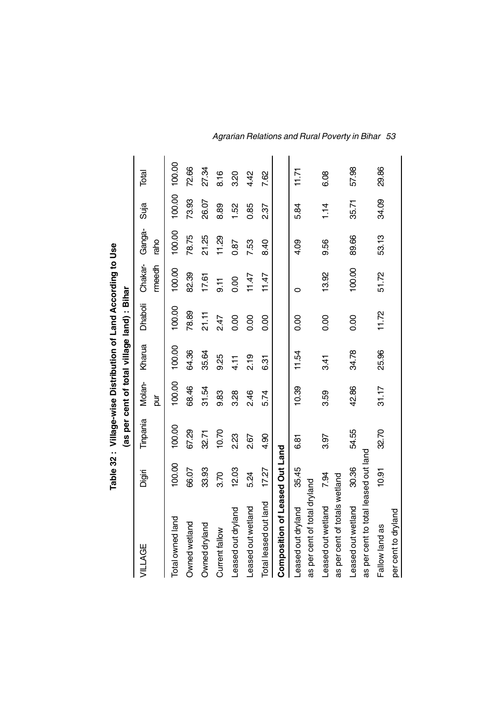|                                      |        | Table 32: Village-wise Distribution of Land According to Use |               |        |                                             |                  |                |        |        |
|--------------------------------------|--------|--------------------------------------------------------------|---------------|--------|---------------------------------------------|------------------|----------------|--------|--------|
|                                      |        |                                                              |               |        | (as per cent of total village land) : Bihar |                  |                |        |        |
| VILLAGE                              | Digiri | Tinpania                                                     | Molan-<br>pur | Kharua | Dhaboli                                     | Chakar-<br>meedh | Ganga-<br>raho | Suja   | Total  |
| Total owned land                     | 100.00 | 100.00                                                       | 100.00        | 100.00 | 100.00                                      | 100.00           | 100.00         | 100.00 | 100.00 |
| Owned wetland                        | 66.07  | 67.29                                                        | 68.46         | 64.36  | 78.89                                       | 82.39            | 78.75          | 73.93  | 72.66  |
| Owned dryland                        | 33.93  | 32.71                                                        | 31.54         | 35.64  | 21.11                                       | 17.61            | 21.25          | 26.07  | 27.34  |
| Current fallow                       | 3.70   | 10.70                                                        | 9.83          | 9.25   | 2.47                                        | $\overline{5}$   | 11.29          | 8.89   | 8.16   |
| Leased out dryland                   | 12.03  | 2.23                                                         | 3.28          | 4.1    | 0.00                                        | 0.00             | 0.87           | 1.52   | 3.20   |
| Leased out wetland                   | 5.24   | 2.67                                                         | 2.46          | 2.19   | 0.00                                        | 11.47            | 7.53           | 0.85   | 4.42   |
| Total leased out land                | 17.27  | 4.90                                                         | 5.74          | 631    | 0.00                                        | 11.47            | 8.40           | 237    | 7.62   |
| Composition of Leased Out Land       |        |                                                              |               |        |                                             |                  |                |        |        |
| Leased out dryland                   | 35.45  | 6.81                                                         | 10.39         | 11.54  | 8.00                                        | 0                | 4.09           | 5.84   | 11.71  |
| as per cent of total dryland         |        |                                                              |               |        |                                             |                  |                |        |        |
| Leased out wetland                   | 7.94   | 3.97                                                         | 3.59          | 3.41   | 0.00                                        | 13.92            | 9.56           | 1.14   | 6.08   |
| as per cent of totals wetland        |        |                                                              |               |        |                                             |                  |                |        |        |
| Leased out wetland                   | 30.36  | 54.55                                                        | 42.86         | 34.78  | 0.00                                        | 100.00           | 89.66          | 35.71  | 57.98  |
| as per cent to total leased out land |        |                                                              |               |        |                                             |                  |                |        |        |
| Fallow land as                       | 10.91  | 32.70                                                        | 31.17         | 25.96  | 11.72                                       | 51.72            | 53.13          | 34.09  | 29.86  |
| per cent to dryland                  |        |                                                              |               |        |                                             |                  |                |        |        |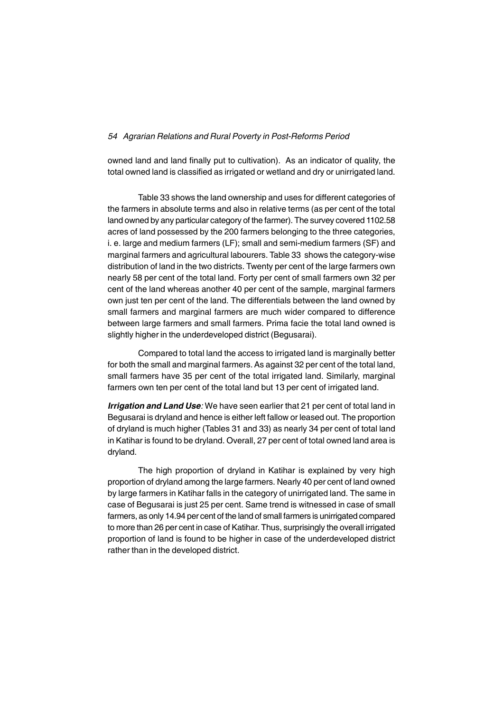owned land and land finally put to cultivation). As an indicator of quality, the total owned land is classified as irrigated or wetland and dry or unirrigated land.

Table 33 shows the land ownership and uses for different categories of the farmers in absolute terms and also in relative terms (as per cent of the total land owned by any particular category of the farmer). The survey covered 1102.58 acres of land possessed by the 200 farmers belonging to the three categories, i. e. large and medium farmers (LF); small and semi-medium farmers (SF) and marginal farmers and agricultural labourers. Table 33 shows the category-wise distribution of land in the two districts. Twenty per cent of the large farmers own nearly 58 per cent of the total land. Forty per cent of small farmers own 32 per cent of the land whereas another 40 per cent of the sample, marginal farmers own just ten per cent of the land. The differentials between the land owned by small farmers and marginal farmers are much wider compared to difference between large farmers and small farmers. Prima facie the total land owned is slightly higher in the underdeveloped district (Begusarai).

Compared to total land the access to irrigated land is marginally better for both the small and marginal farmers. As against 32 per cent of the total land, small farmers have 35 per cent of the total irrigated land. Similarly, marginal farmers own ten per cent of the total land but 13 per cent of irrigated land.

*Irrigation and Land Use:* We have seen earlier that 21 per cent of total land in Begusarai is dryland and hence is either left fallow or leased out. The proportion of dryland is much higher (Tables 31 and 33) as nearly 34 per cent of total land in Katihar is found to be dryland. Overall, 27 per cent of total owned land area is dryland.

The high proportion of dryland in Katihar is explained by very high proportion of dryland among the large farmers. Nearly 40 per cent of land owned by large farmers in Katihar falls in the category of unirrigated land. The same in case of Begusarai is just 25 per cent. Same trend is witnessed in case of small farmers, as only 14.94 per cent of the land of small farmers is unirrigated compared to more than 26 per cent in case of Katihar. Thus, surprisingly the overall irrigated proportion of land is found to be higher in case of the underdeveloped district rather than in the developed district.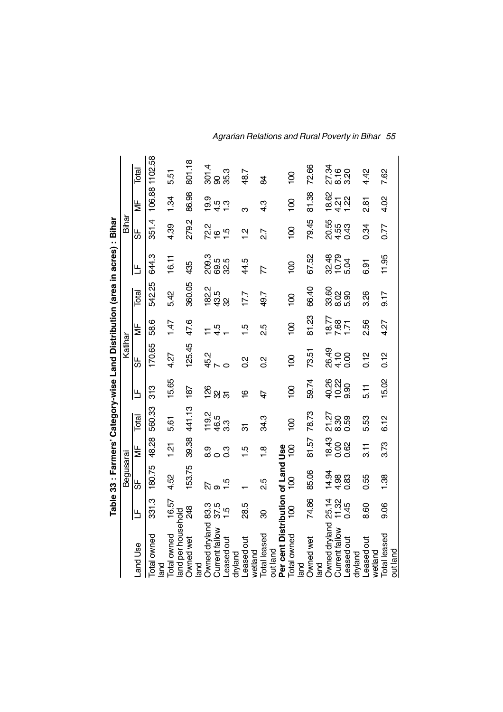|                                   |                | Table 33 : Farmers' Category-wise Land Distribution (area in acres) : Bihar |                |                |                |                |          |                |                          |                |                |                |
|-----------------------------------|----------------|-----------------------------------------------------------------------------|----------------|----------------|----------------|----------------|----------|----------------|--------------------------|----------------|----------------|----------------|
|                                   |                | Begusarai                                                                   |                |                |                | Katihar        |          |                |                          | Bihar          |                |                |
| Land Use                          | ١Ľ             | ს<br>თ                                                                      | ξ              | Total          | ١Ľ             | 56             | ¥        | Total          | ١Ľ                       | 56             | ¥              | Total          |
| Total owned<br>land               | 331.3          | 180.75                                                                      | 48.28          | 560.33         | 313            | 170.65         | 58.6     | 542.25         | 644.3                    | 351.4          |                | 106.88 1102.58 |
| Total owned                       | 16.57          | 4.52                                                                        | $\frac{21}{2}$ | 5.61           | 15.65          | 4.27           | 1.47     | 5.42           | 16.11                    | 4.39           | 1.34           | 5.51           |
| land per household                |                |                                                                             |                |                |                |                |          |                |                          |                |                |                |
| <b>Owned wet</b><br>land          | 248            | 153.75                                                                      | 39.38          | 441.13         | 187            | 125.45         | 47.6     | 360.05         | 435                      | 279.2          | 86.98          | 801.18         |
| Owned dryland                     | 83.3           | 22                                                                          | တ<br>ထံ ဝ      | 119.2          | 126            | 45.2           |          | 182.2          | 209.3                    | 72<br>16<br>16 | $\frac{0}{2}$  | 301.4          |
| Current fallow                    | 37.5           | $\infty$                                                                    |                | 46.5           | $\frac{2}{3}$  |                | 4.5      | 43.5           | 69.5<br>32.5             |                |                |                |
| -eased out                        | $\frac{5}{1}$  | 1.5                                                                         | $\frac{3}{2}$  | 33             |                |                |          | လ္က            |                          | $\frac{5}{1}$  | $4.3$<br>$7.3$ | 95.3<br>95.9   |
| dryland                           |                |                                                                             |                |                |                |                |          |                |                          |                |                |                |
| Leased out<br>wetland             | 28.5           |                                                                             | 1.5            | ᡖ              | $\overline{6}$ | $\frac{2}{5}$  | <u>ي</u> | 17.7           | 44.5                     | $\frac{2}{1}$  | ო              | 48.7           |
| Total leased                      | ஜ              | 2.5                                                                         | $\frac{8}{1}$  | 34.3           | 47             | $\frac{2}{5}$  | 2.5      | 49.7           | $\overline{\mathcal{L}}$ | 2.7            | 4.3            | æ              |
| out land                          |                |                                                                             |                |                |                |                |          |                |                          |                |                |                |
| Per cent Distribution of Land Use |                |                                                                             |                |                |                |                |          |                |                          |                |                |                |
| Total owned<br>land               | $\overline{5}$ | $\overline{5}$                                                              | Sol            | $\overline{6}$ | $\overline{0}$ | $\overline{0}$ | S)       | $\overline{5}$ | $\overline{6}$           | $\overline{5}$ | $\overline{5}$ | $\overline{5}$ |
| Owned wet                         | 74.86          | 85.06                                                                       | 81.57          | 78.73          | 59.74          | 73.51          | 81.23    | 66.40          | 67.52                    | 79.45          | 81.38          | 72.66          |
| land                              |                |                                                                             |                |                |                |                |          |                |                          |                |                |                |
| Owned dryland                     | 25.14          | 14.94                                                                       | 18.43          | 21.27          | 40.26          | 26.49          | 18.77    | 33.60          | 32.48                    | 20.55          | 18.62          | 27.34          |
| Current fallow                    | 11.32          | 4.98                                                                        | 0.00           | 8.30           | 10.22          | 4.10           | 7.68     | 8.02           | $\frac{10.79}{5.04}$     | 4.55           | 4.21           | 8.16<br>3.20   |
| -eased out<br>dryland             | 0.45           | 0.83                                                                        | 0.62           | 0.59           | 9.90           | 0.00           |          | 5.90           |                          | 0.43           | 1.22           |                |
|                                   |                |                                                                             |                |                |                |                |          |                |                          |                |                |                |
| Leased out<br>wetland             | 8.60           | 0.55                                                                        | $\frac{1}{3}$  | 5.53           | 11<br>51       | 0.12           | 2.56     | 3.26           | 6.91                     | 0.34           | 281            | 4.42           |
| <b>Total leased</b>               | 9.06           | 1.38                                                                        | 3.73           | 6.12           | 15.02          | 0.12           | 4.27     | 9.17           | 11.95                    | 0.77           | 4.02           | 7.62           |
| out land                          |                |                                                                             |                |                |                |                |          |                |                          |                |                |                |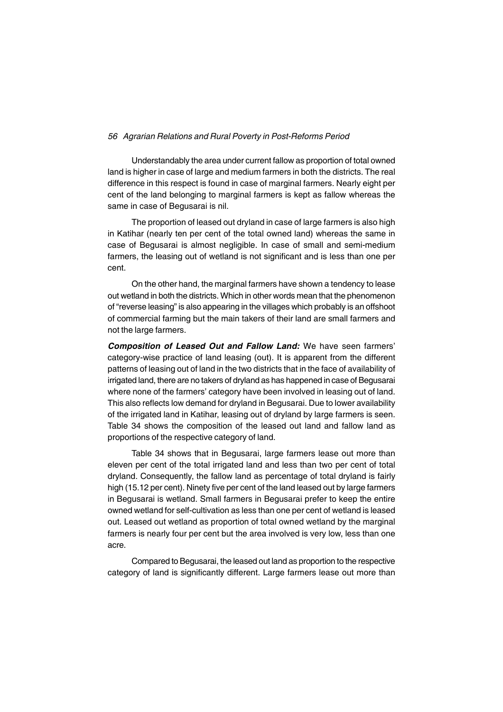Understandably the area under current fallow as proportion of total owned land is higher in case of large and medium farmers in both the districts. The real difference in this respect is found in case of marginal farmers. Nearly eight per cent of the land belonging to marginal farmers is kept as fallow whereas the same in case of Begusarai is nil.

The proportion of leased out dryland in case of large farmers is also high in Katihar (nearly ten per cent of the total owned land) whereas the same in case of Begusarai is almost negligible. In case of small and semi-medium farmers, the leasing out of wetland is not significant and is less than one per cent.

On the other hand, the marginal farmers have shown a tendency to lease out wetland in both the districts. Which in other words mean that the phenomenon of "reverse leasing" is also appearing in the villages which probably is an offshoot of commercial farming but the main takers of their land are small farmers and not the large farmers.

*Composition of Leased Out and Fallow Land:* We have seen farmers' category-wise practice of land leasing (out). It is apparent from the different patterns of leasing out of land in the two districts that in the face of availability of irrigated land, there are no takers of dryland as has happened in case of Begusarai where none of the farmers' category have been involved in leasing out of land. This also reflects low demand for dryland in Begusarai. Due to lower availability of the irrigated land in Katihar, leasing out of dryland by large farmers is seen. Table 34 shows the composition of the leased out land and fallow land as proportions of the respective category of land.

Table 34 shows that in Begusarai, large farmers lease out more than eleven per cent of the total irrigated land and less than two per cent of total dryland. Consequently, the fallow land as percentage of total dryland is fairly high (15.12 per cent). Ninety five per cent of the land leased out by large farmers in Begusarai is wetland. Small farmers in Begusarai prefer to keep the entire owned wetland for self-cultivation as less than one per cent of wetland is leased out. Leased out wetland as proportion of total owned wetland by the marginal farmers is nearly four per cent but the area involved is very low, less than one acre.

Compared to Begusarai, the leased out land as proportion to the respective category of land is significantly different. Large farmers lease out more than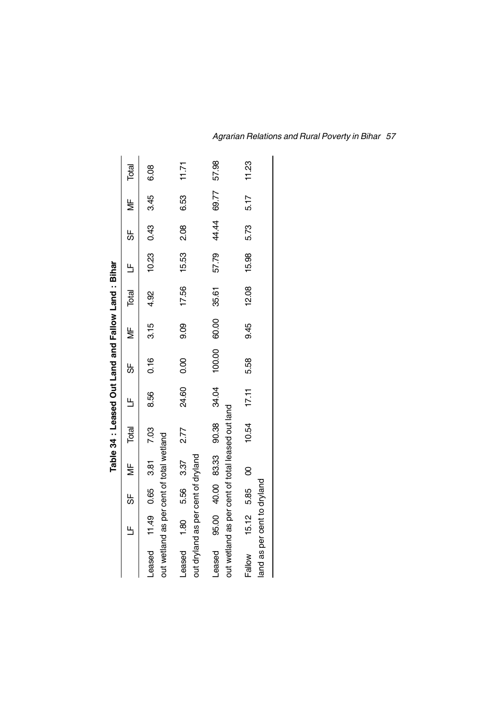|                                                                                          |               |    |   |       |        | Table 34 : Leased Out Land and Fallow Land : Bihar |               |          |                       |             |               |       |
|------------------------------------------------------------------------------------------|---------------|----|---|-------|--------|----------------------------------------------------|---------------|----------|-----------------------|-------------|---------------|-------|
|                                                                                          | $\frac{1}{1}$ | 55 | Ψ | Total | 巴<br>一 | 5                                                  | $\frac{1}{2}$ | Total LF |                       | 55          | $\frac{1}{2}$ | Total |
| Leased 11.49 0.65 3.81 7.03<br>out wetland as per cent of total wetland                  |               |    |   |       | 8.56   | 0.16                                               | 3.15          | 4.92     | $10.23$ $0.43$ $3.45$ |             |               | 6.08  |
| Leased 1.80 5.56 3.37 2.77<br>out dryland as per cent of dryland                         |               |    |   |       | 24.60  | 0.00                                               | 9.09          |          | 17.56 15.53 2.08      |             | 6.53          | 11.71 |
| Leased 95.00 40.00 83.33 90.38 34.04<br>out wetland as per cent of total leased out land |               |    |   |       |        | 100.00                                             | 60.00         | 35.61    | 57.79                 | 44.44 69.77 |               | 57.98 |
| Fallow 15.12 5.85 00<br>land as per cent to dryland                                      |               |    |   | 10.54 | 17.11  | 5.58                                               | 9.45          | 12.08    | 15.98                 | 5.73        | 5.17          | 11.23 |

H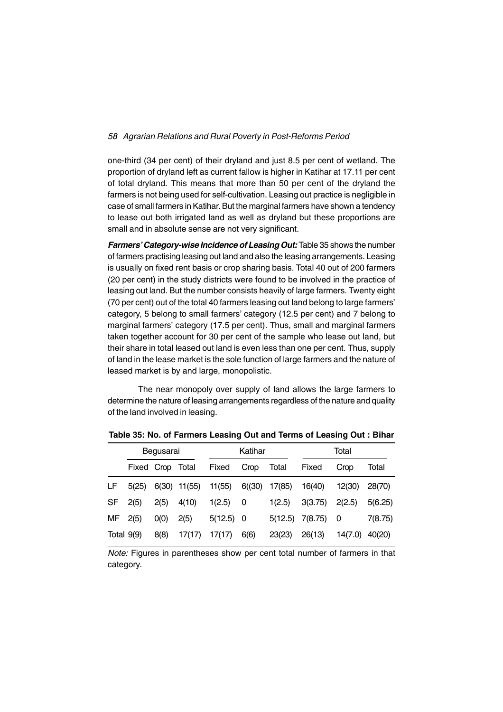one-third (34 per cent) of their dryland and just 8.5 per cent of wetland. The proportion of dryland left as current fallow is higher in Katihar at 17.11 per cent of total dryland. This means that more than 50 per cent of the dryland the farmers is not being used for self-cultivation. Leasing out practice is negligible in case of small farmers in Katihar. But the marginal farmers have shown a tendency to lease out both irrigated land as well as dryland but these proportions are small and in absolute sense are not very significant.

*Farmers' Category-wise Incidence of Leasing Out:* Table 35 shows the number of farmers practising leasing out land and also the leasing arrangements. Leasing is usually on fixed rent basis or crop sharing basis. Total 40 out of 200 farmers (20 per cent) in the study districts were found to be involved in the practice of leasing out land. But the number consists heavily of large farmers. Twenty eight (70 per cent) out of the total 40 farmers leasing out land belong to large farmers' category, 5 belong to small farmers' category (12.5 per cent) and 7 belong to marginal farmers' category (17.5 per cent). Thus, small and marginal farmers taken together account for 30 per cent of the sample who lease out land, but their share in total leased out land is even less than one per cent. Thus, supply of land in the lease market is the sole function of large farmers and the nature of leased market is by and large, monopolistic.

The near monopoly over supply of land allows the large farmers to determine the nature of leasing arrangements regardless of the nature and quality of the land involved in leasing.

|              |                  | Begusarai |              |             | Katihar |         |         | Total   |         |
|--------------|------------------|-----------|--------------|-------------|---------|---------|---------|---------|---------|
|              | Fixed Crop Total |           |              | Fixed       | Crop    | Total   | Fixed   | Crop    | Total   |
| LF           | 5(25)            |           | 6(30) 11(55) | 11(55)      | 6(30)   | 17(85)  | 16(40)  | 12(30)  | 28(70)  |
| SF           | 2(5)             | 2(5)      | 4(10)        | 1(2.5)      | 0       | 1(2.5)  | 3(3.75) | 2(2.5)  | 5(6.25) |
| MF.          | 2(5)             | O(0)      | 2(5)         | $5(12.5)$ 0 |         | 5(12.5) | 7(8.75) | 0       | 7(8.75) |
| Total $9(9)$ |                  | 8(8)      | 17(17)       | 17(17)      | 6(6)    | 23(23)  | 26(13)  | 14(7.0) | 40(20)  |

**Table 35: No. of Farmers Leasing Out and Terms of Leasing Out : Bihar**

*Note:* Figures in parentheses show per cent total number of farmers in that category.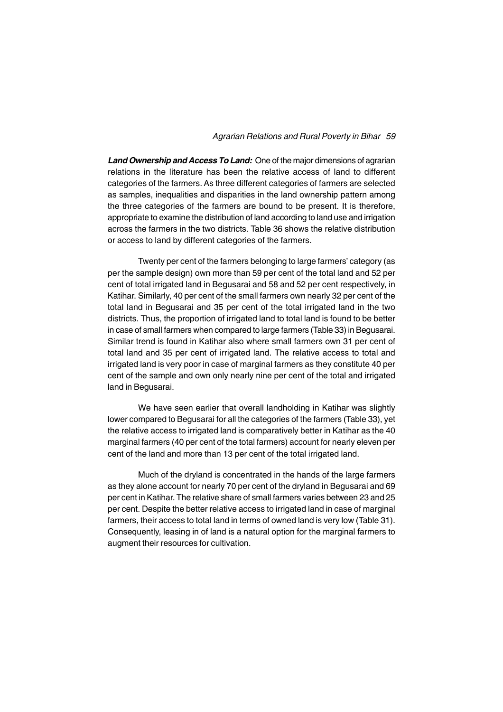*Land Ownership and Access To Land:* One of the major dimensions of agrarian relations in the literature has been the relative access of land to different categories of the farmers. As three different categories of farmers are selected as samples, inequalities and disparities in the land ownership pattern among the three categories of the farmers are bound to be present. It is therefore, appropriate to examine the distribution of land according to land use and irrigation across the farmers in the two districts. Table 36 shows the relative distribution or access to land by different categories of the farmers.

Twenty per cent of the farmers belonging to large farmers' category (as per the sample design) own more than 59 per cent of the total land and 52 per cent of total irrigated land in Begusarai and 58 and 52 per cent respectively, in Katihar. Similarly, 40 per cent of the small farmers own nearly 32 per cent of the total land in Begusarai and 35 per cent of the total irrigated land in the two districts. Thus, the proportion of irrigated land to total land is found to be better in case of small farmers when compared to large farmers (Table 33) in Begusarai. Similar trend is found in Katihar also where small farmers own 31 per cent of total land and 35 per cent of irrigated land. The relative access to total and irrigated land is very poor in case of marginal farmers as they constitute 40 per cent of the sample and own only nearly nine per cent of the total and irrigated land in Begusarai.

We have seen earlier that overall landholding in Katihar was slightly lower compared to Begusarai for all the categories of the farmers (Table 33), yet the relative access to irrigated land is comparatively better in Katihar as the 40 marginal farmers (40 per cent of the total farmers) account for nearly eleven per cent of the land and more than 13 per cent of the total irrigated land.

Much of the dryland is concentrated in the hands of the large farmers as they alone account for nearly 70 per cent of the dryland in Begusarai and 69 per cent in Katihar. The relative share of small farmers varies between 23 and 25 per cent. Despite the better relative access to irrigated land in case of marginal farmers, their access to total land in terms of owned land is very low (Table 31). Consequently, leasing in of land is a natural option for the marginal farmers to augment their resources for cultivation.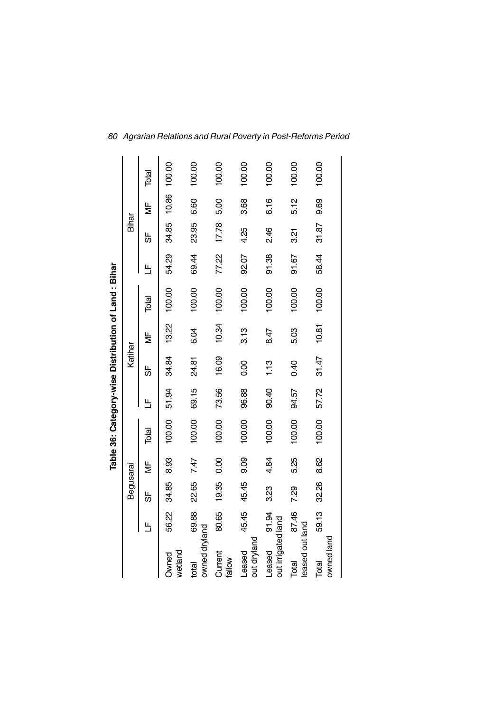|                              |       |           |      |        |       |         |                           | Table 36: Category-wise Distribution of Land: Bihar |       |       |       |        |
|------------------------------|-------|-----------|------|--------|-------|---------|---------------------------|-----------------------------------------------------|-------|-------|-------|--------|
|                              |       | Begusarai |      |        |       | Katihar |                           |                                                     |       | Bihar |       |        |
|                              | ۳     | ₩         | ₩    | Total  | 出     | ₩       | $\overline{\overline{z}}$ | Total                                               | Щ     | ₩     | ξ     | Total  |
| wetland<br><b>Owned</b>      | 56.22 | 34.85     | 8.93 | 100.00 | 51.94 | 34.84   | 13.22                     | 100.00                                              | 54.29 | 34.85 | 10.86 | 100.00 |
| owned dryland<br>total       | 69.88 | 22.65     | 7.47 | 100.00 | 69.15 | 24.81   | 6.04                      | 100.00                                              | 69.44 | 23.95 | 6.60  | 100.00 |
| Current<br>tallow            | 80.65 | 19.35     | 0.00 | 100.00 | 73.56 | 16.09   | 10.34                     | 100.00                                              | 77.22 | 17.78 | 5.00  | 100.00 |
| out dryland<br>Leased        | 45.45 | 45.45     | 9.09 | 100.00 | 96.88 | 0.00    | 3.13                      | 100.00                                              | 92.07 | 4.25  | 3.68  | 100.00 |
| out irrigated land<br>Leased | 91.94 | 3.23      | 4.84 | 100.00 | 90.40 | 1.13    | 8.47                      | 100.00                                              | 91.38 | 246   | 6.16  | 100.00 |
| leased out land<br>Total     | 87.46 | 7.29      | 5.25 | 100.00 | 94.57 | 0.40    | 5.03                      | 100.00                                              | 91.67 | 321   | 5.12  | 100.00 |
| owned land<br>Total          | 59.13 | 32.26     | 8.62 | 100.00 | 57.72 | 31.47   | 10.81                     | 100.00                                              | 58.44 | 31.87 | 9.69  | 100.00 |
|                              |       |           |      |        |       |         |                           |                                                     |       |       |       |        |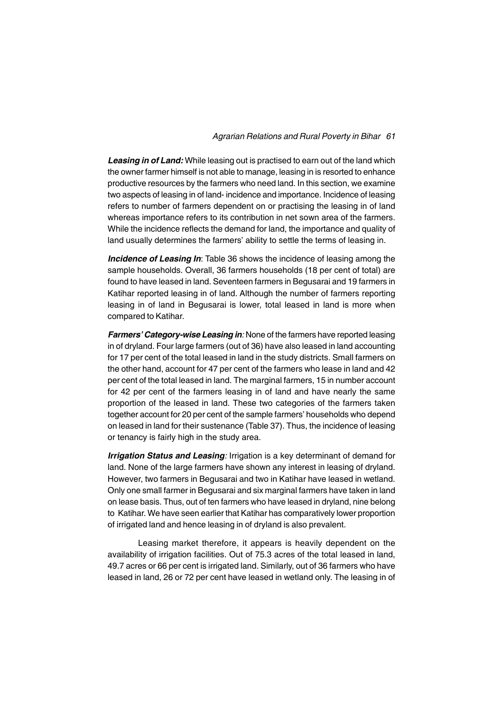*Leasing in of Land:* While leasing out is practised to earn out of the land which the owner farmer himself is not able to manage, leasing in is resorted to enhance productive resources by the farmers who need land. In this section, we examine two aspects of leasing in of land- incidence and importance. Incidence of leasing refers to number of farmers dependent on or practising the leasing in of land whereas importance refers to its contribution in net sown area of the farmers. While the incidence reflects the demand for land, the importance and quality of land usually determines the farmers' ability to settle the terms of leasing in.

*Incidence of Leasing In*: Table 36 shows the incidence of leasing among the sample households. Overall, 36 farmers households (18 per cent of total) are found to have leased in land. Seventeen farmers in Begusarai and 19 farmers in Katihar reported leasing in of land. Although the number of farmers reporting leasing in of land in Begusarai is lower, total leased in land is more when compared to Katihar.

*Farmers' Category-wise Leasing in:* None of the farmers have reported leasing in of dryland. Four large farmers (out of 36) have also leased in land accounting for 17 per cent of the total leased in land in the study districts. Small farmers on the other hand, account for 47 per cent of the farmers who lease in land and 42 per cent of the total leased in land. The marginal farmers, 15 in number account for 42 per cent of the farmers leasing in of land and have nearly the same proportion of the leased in land. These two categories of the farmers taken together account for 20 per cent of the sample farmers' households who depend on leased in land for their sustenance (Table 37). Thus, the incidence of leasing or tenancy is fairly high in the study area.

*Irrigation Status and Leasing:* Irrigation is a key determinant of demand for land. None of the large farmers have shown any interest in leasing of dryland. However, two farmers in Begusarai and two in Katihar have leased in wetland. Only one small farmer in Begusarai and six marginal farmers have taken in land on lease basis. Thus, out of ten farmers who have leased in dryland, nine belong to Katihar. We have seen earlier that Katihar has comparatively lower proportion of irrigated land and hence leasing in of dryland is also prevalent.

Leasing market therefore, it appears is heavily dependent on the availability of irrigation facilities. Out of 75.3 acres of the total leased in land, 49.7 acres or 66 per cent is irrigated land. Similarly, out of 36 farmers who have leased in land, 26 or 72 per cent have leased in wetland only. The leasing in of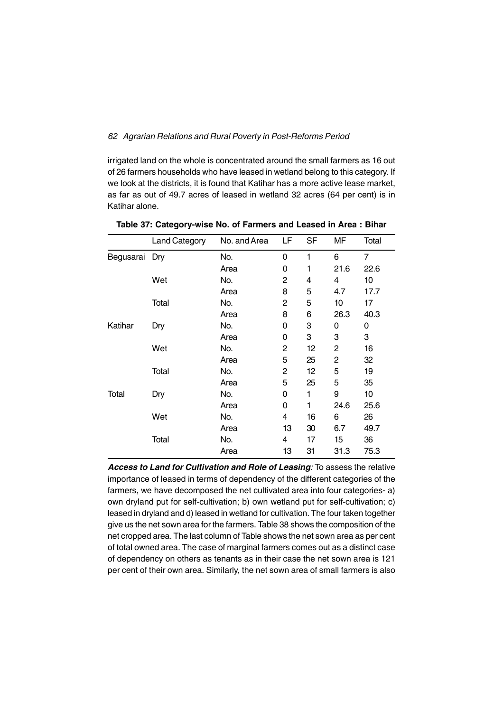irrigated land on the whole is concentrated around the small farmers as 16 out of 26 farmers households who have leased in wetland belong to this category. If we look at the districts, it is found that Katihar has a more active lease market, as far as out of 49.7 acres of leased in wetland 32 acres (64 per cent) is in Katihar alone.

|               | <b>Land Category</b> | No. and Area | LF | <b>SF</b> | MF             | Total          |
|---------------|----------------------|--------------|----|-----------|----------------|----------------|
| Begusarai Dry |                      | No.          | 0  | 1         | 6              | $\overline{7}$ |
|               |                      | Area         | 0  | 1         | 21.6           | 22.6           |
|               | Wet                  | No.          | 2  | 4         | 4              | 10             |
|               |                      | Area         | 8  | 5         | 4.7            | 17.7           |
|               | Total                | No.          | 2  | 5         | 10             | 17             |
|               |                      | Area         | 8  | 6         | 26.3           | 40.3           |
| Katihar       | Dry                  | No.          | 0  | 3         | 0              | 0              |
|               |                      | Area         | 0  | 3         | 3              | 3              |
|               | Wet                  | No.          | 2  | 12        | 2              | 16             |
|               |                      | Area         | 5  | 25        | $\overline{2}$ | 32             |
|               | Total                | No.          | 2  | 12        | 5              | 19             |
|               |                      | Area         | 5  | 25        | 5              | 35             |
| Total         | Dry                  | No.          | 0  | 1         | 9              | 10             |
|               |                      | Area         | 0  | 1         | 24.6           | 25.6           |
|               | Wet                  | No.          | 4  | 16        | 6              | 26             |
|               |                      | Area         | 13 | 30        | 6.7            | 49.7           |
|               | Total                | No.          | 4  | 17        | 15             | 36             |
|               |                      | Area         | 13 | 31        | 31.3           | 75.3           |

**Table 37: Category-wise No. of Farmers and Leased in Area : Bihar**

*Access to Land for Cultivation and Role of Leasing:* To assess the relative importance of leased in terms of dependency of the different categories of the farmers, we have decomposed the net cultivated area into four categories- a) own dryland put for self-cultivation; b) own wetland put for self-cultivation; c) leased in dryland and d) leased in wetland for cultivation. The four taken together give us the net sown area for the farmers. Table 38 shows the composition of the net cropped area. The last column of Table shows the net sown area as per cent of total owned area. The case of marginal farmers comes out as a distinct case of dependency on others as tenants as in their case the net sown area is 121 per cent of their own area. Similarly, the net sown area of small farmers is also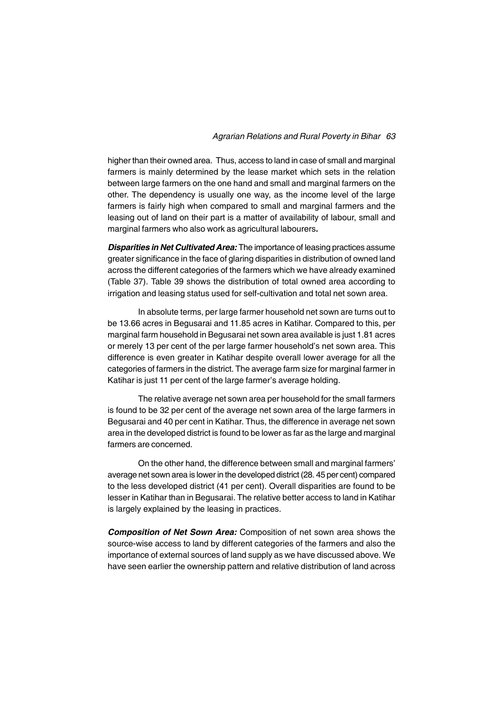higher than their owned area. Thus, access to land in case of small and marginal farmers is mainly determined by the lease market which sets in the relation between large farmers on the one hand and small and marginal farmers on the other. The dependency is usually one way, as the income level of the large farmers is fairly high when compared to small and marginal farmers and the leasing out of land on their part is a matter of availability of labour, small and marginal farmers who also work as agricultural labourers**.**

*Disparities in Net Cultivated Area:* The importance of leasing practices assume greater significance in the face of glaring disparities in distribution of owned land across the different categories of the farmers which we have already examined (Table 37). Table 39 shows the distribution of total owned area according to irrigation and leasing status used for self-cultivation and total net sown area.

In absolute terms, per large farmer household net sown are turns out to be 13.66 acres in Begusarai and 11.85 acres in Katihar. Compared to this, per marginal farm household in Begusarai net sown area available is just 1.81 acres or merely 13 per cent of the per large farmer household's net sown area. This difference is even greater in Katihar despite overall lower average for all the categories of farmers in the district. The average farm size for marginal farmer in Katihar is just 11 per cent of the large farmer's average holding.

The relative average net sown area per household for the small farmers is found to be 32 per cent of the average net sown area of the large farmers in Begusarai and 40 per cent in Katihar. Thus, the difference in average net sown area in the developed district is found to be lower as far as the large and marginal farmers are concerned.

On the other hand, the difference between small and marginal farmers' average net sown area is lower in the developed district (28. 45 per cent) compared to the less developed district (41 per cent). Overall disparities are found to be lesser in Katihar than in Begusarai. The relative better access to land in Katihar is largely explained by the leasing in practices.

*Composition of Net Sown Area:* Composition of net sown area shows the source-wise access to land by different categories of the farmers and also the importance of external sources of land supply as we have discussed above. We have seen earlier the ownership pattern and relative distribution of land across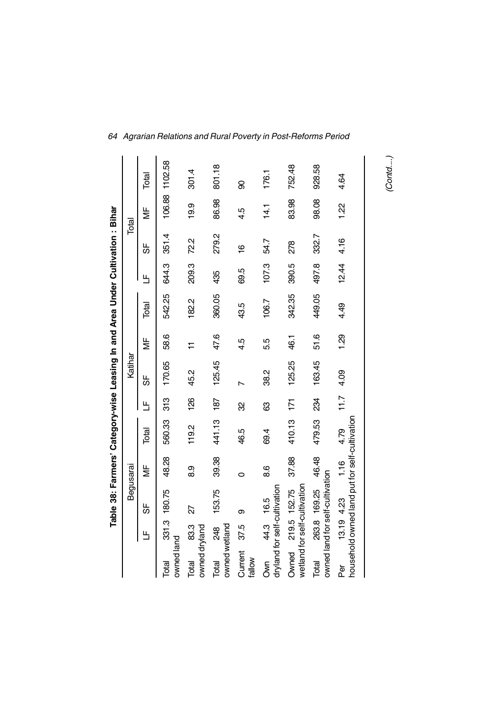|                        |            | Table 38: Farmers' Category-wise Leasing In and Area Under Cultivation:Bihar |                                      |        |      |         |                                      |        |       |       |                                      |         |
|------------------------|------------|------------------------------------------------------------------------------|--------------------------------------|--------|------|---------|--------------------------------------|--------|-------|-------|--------------------------------------|---------|
|                        |            | Begusarai                                                                    |                                      |        |      | Katihar |                                      |        |       | Total |                                      |         |
|                        | Щ          | 59                                                                           | $\overline{\overline{\overline{z}}}$ | Total  | Ь    | 56      | $\overline{\overline{\overline{z}}}$ | Total  | Ь     | 56    | $\overline{\overline{\overline{z}}}$ | Total   |
| owned land<br>Total    |            | 331.3 180.75                                                                 | 48.28                                | 560.33 | 313  | 170.65  | 58.6                                 | 542.25 | 644.3 | 351.4 | 106.88                               | 1102.58 |
| owned dryland<br>Total | 83.3       | 27                                                                           | 8.9                                  | 119.2  | 126  | 45.2    | $\overline{1}$                       | 182.2  | 209.3 | 72.2  | 19.9                                 | 301.4   |
| owned wetland<br>Total | 248        | 153.75                                                                       | 39.38                                | 441.13 | 187  | 125.45  | 47.6                                 | 360.05 | 435   | 279.2 | 86.98                                | 801.18  |
| Current<br>tallow      | 37.5       | თ                                                                            | 0                                    | 46.5   | 8    |         | 4.5                                  | 43.5   | 69.5  | ڥ     | 4.5                                  | 8       |
| S<br>M                 | 44.3 16.5  | dryland for self-cultivation                                                 | 8.6                                  | 69.4   | ශී   | 38.2    | 5.5                                  | 106.7  | 107.3 | 54.7  | 14.1                                 | 176.1   |
| Owned                  |            | wetland for self-cultivation<br>219.5 152.75                                 | 37.88                                | 410.13 | 171  | 125.25  | 46.1                                 | 342.35 | 390.5 | 278   | 83.98                                | 752.48  |
| Total                  |            | owned land for self-cultivation<br>263.8 169.25                              | 46.48                                | 479.53 | 34   | 163.45  | 51.6                                 | 449.05 | 497.8 | 332.7 | 98.08                                | 928.58  |
|                        | 13.19 4.23 | household owned land put for self-cultivation                                | 1.16                                 | 4.79   | 11.7 | 4.09    | 1.29                                 | 4.49   | 12.44 | 4.16  | 1.22                                 | 4.64    |

*(Contd....)*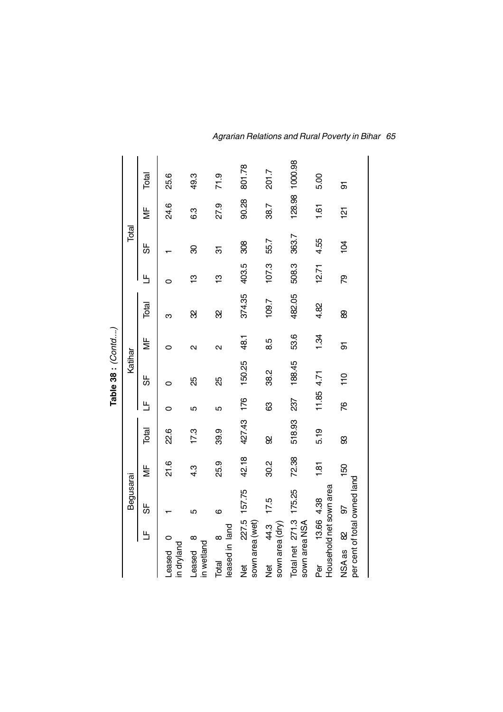|                                                    |              |               |        |            | Table 38 : $(Contd)$ |                   |        |       |                |               |                |
|----------------------------------------------------|--------------|---------------|--------|------------|----------------------|-------------------|--------|-------|----------------|---------------|----------------|
|                                                    | Begusarai    |               |        |            | Katihar              |                   |        |       | Total          |               |                |
| Ь                                                  | 56           | ξ             | Total  | Ь          | 56                   | ξ                 | Total  | Ь     | 56             | ξ             | <b>Rod</b>     |
| in dryland<br>Leased                               |              | 21.6          | 22.6   |            | O                    | 0                 | ო      |       |                | 24.6          | 25.6           |
| $\infty$<br>in wetland<br>Leased                   | 5            | 4.3           | 17.3   | 5          | æ                    | $\mathbf{\Omega}$ | 8      | င္    | 8              | 6.3           | 49.3           |
| leased in land<br>$\infty$<br>Total                | ဖ            | 25.9          | 39.9   | 5          | 85                   | $\mathbf{\Omega}$ | ଅ      | ဗ္    | ᡖ              | 27.9          | 71.9           |
| sown area (wet)<br>ğ                               | 227.5 157.75 | 42.18         | 427.43 | 176        | 150.25               | 48.1              | 374.35 | 403.5 | 308            | 90.28         | 801.78         |
| 44.3<br>sown area (dry)<br><b>Jer</b>              | 17.5         | 30.2          | 8      | ශී         | 38.2                 | 8.5               | 109.7  | 107.3 | 55.7           | 38.7          | 201.7          |
| Total net 271.3 175.25<br>sown area NSA            |              | 72.38         | 518.93 | 237        | 188.45               | 53.6              | 482.05 | 508.3 | 363.7          |               | 128.98 1000.98 |
| Household net sown area<br>13.66 4.38<br>Per       |              | $\frac{1}{2}$ | 5.19   | 11.85 4.71 |                      | 1.34              | 4.82   | 12.71 | 4.55           | $\frac{5}{1}$ | 5.00           |
| per cent of total owned land<br>$\infty$<br>NSA as | 92           | 50            | 8      | 87         | 110                  | क                 | 89     | ద్    | $\overline{5}$ | <u>ist</u>    | 5              |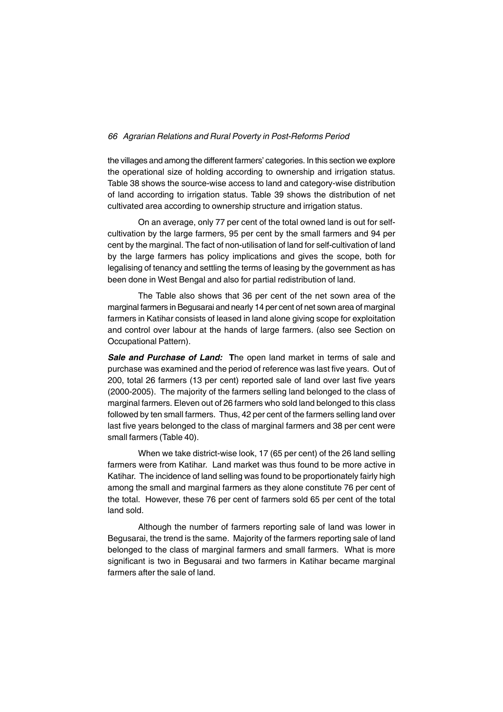the villages and among the different farmers' categories. In this section we explore the operational size of holding according to ownership and irrigation status. Table 38 shows the source-wise access to land and category-wise distribution of land according to irrigation status. Table 39 shows the distribution of net cultivated area according to ownership structure and irrigation status.

On an average, only 77 per cent of the total owned land is out for selfcultivation by the large farmers, 95 per cent by the small farmers and 94 per cent by the marginal. The fact of non-utilisation of land for self-cultivation of land by the large farmers has policy implications and gives the scope, both for legalising of tenancy and settling the terms of leasing by the government as has been done in West Bengal and also for partial redistribution of land.

The Table also shows that 36 per cent of the net sown area of the marginal farmers in Begusarai and nearly 14 per cent of net sown area of marginal farmers in Katihar consists of leased in land alone giving scope for exploitation and control over labour at the hands of large farmers. (also see Section on Occupational Pattern).

*Sale and Purchase of Land:* **T**he open land market in terms of sale and purchase was examined and the period of reference was last five years. Out of 200, total 26 farmers (13 per cent) reported sale of land over last five years (2000-2005). The majority of the farmers selling land belonged to the class of marginal farmers. Eleven out of 26 farmers who sold land belonged to this class followed by ten small farmers. Thus, 42 per cent of the farmers selling land over last five years belonged to the class of marginal farmers and 38 per cent were small farmers (Table 40).

When we take district-wise look, 17 (65 per cent) of the 26 land selling farmers were from Katihar. Land market was thus found to be more active in Katihar. The incidence of land selling was found to be proportionately fairly high among the small and marginal farmers as they alone constitute 76 per cent of the total. However, these 76 per cent of farmers sold 65 per cent of the total land sold.

Although the number of farmers reporting sale of land was lower in Begusarai, the trend is the same. Majority of the farmers reporting sale of land belonged to the class of marginal farmers and small farmers. What is more significant is two in Begusarai and two farmers in Katihar became marginal farmers after the sale of land.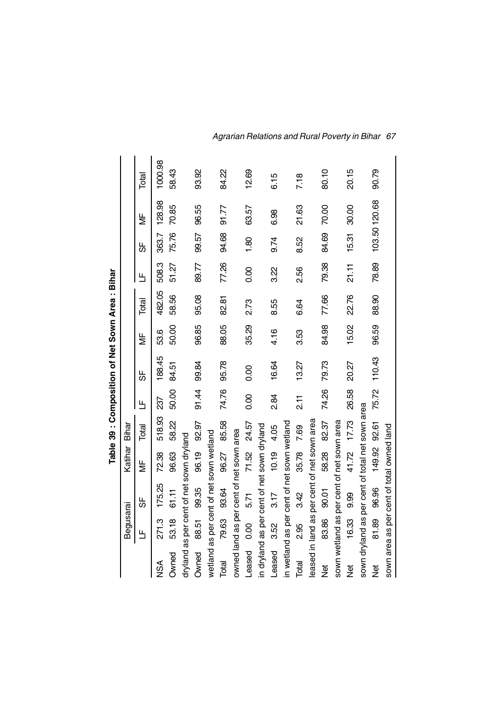|             |           |                                                 |                           |        |             | Table 39 : Composition of Net Sown Area : Bihar |       |        |       |       |              |         |
|-------------|-----------|-------------------------------------------------|---------------------------|--------|-------------|-------------------------------------------------|-------|--------|-------|-------|--------------|---------|
|             | Begusarai |                                                 | Katihar                   | Bihar  |             |                                                 |       |        |       |       |              |         |
|             | Щ         | ₩                                               | $\frac{\mu}{\Sigma}$      | Total  | Щ           | ₩                                               | ξ     | Total  | Ь     | 56    | ¥            | Total   |
| NSA         | 271.3     | 175.25                                          | 72.38                     | 518.93 | 237         | 188.45                                          | 53.6  | 482.05 | 508.3 | 363.7 | 128.98       | 1000.98 |
| Owned       | 53.18     | 61.11                                           | 96.63                     | 58.22  | 50.00       | 84.51                                           | 50.00 | 58.56  | 51.27 | 75.76 | 70.85        | 58.43   |
|             |           | dryland as per cent of net sown dryland         |                           |        |             |                                                 |       |        |       |       |              |         |
| Owned       | 88.51     | 99.35                                           | 96.19 92.97               |        | 91.44 99.84 |                                                 | 96.85 | 95.08  | 89.77 | 99.57 | 96.55        | 93.92   |
|             |           | wetland as per cent of net sown wetland         |                           |        |             |                                                 |       |        |       |       |              |         |
| Total       | 79.63     | 93.64                                           | 96.27                     | 85.58  | 74.76       | 95.78                                           | 88.05 | 82.81  | 77.26 | 94.68 | 91.77        | 84.22   |
|             |           | owned land as per cent of net sown area         |                           |        |             |                                                 |       |        |       |       |              |         |
| Leased      | 80<br>0.0 | 5.71                                            | 71.52                     | 24.57  | 0.00        | 0.00                                            | 35.29 | 2.73   | 0.00  | 1.80  | 63.57        | 12.69   |
|             |           | in dryland as per cent of net sown dryland      |                           |        |             |                                                 |       |        |       |       |              |         |
| Leased 3.52 |           | 3.17                                            | 10.19 4.05                |        | 2.84        | 16.64                                           | 4.16  | 8.55   | 3.22  | 9.74  | 6.98         | 6.15    |
|             |           | in wetland as per cent of net sown wetland      |                           |        |             |                                                 |       |        |       |       |              |         |
| Total       | 2.95      | 3.42                                            | 35.78 7.69                |        | ۲T<br>21    | 13.27                                           | 3.53  | 6.64   | 2.56  | 8.52  | 21.63        | 7.18    |
|             |           | leased in land as per cent of net sown area     |                           |        |             |                                                 |       |        |       |       |              |         |
| ğ           | 83.86     | 90.01                                           | 58.28                     | 82.37  | 74.26       | 79.73                                           | 84.98 | 77.66  | 79.38 | 84.69 | 70.00        | 80.10   |
|             |           | sown wetland as per cent of net sown area       |                           |        |             |                                                 |       |        |       |       |              |         |
| ğ           | 16.33     | 9.99                                            | 41.72 17.73               |        | 26.58       | 20.27                                           | 15.02 | 22.76  | 21.11 | 15.31 | 30.00        | 20.15   |
|             |           | sown dryland as per cent of total net sown area |                           |        |             |                                                 |       |        |       |       |              |         |
| ğ           | 81.89     | 96.96                                           | 149.92 92.61 75.72 110.43 |        |             |                                                 | 96.59 | 88.90  | 78.89 |       | 103.50120.68 | 90.79   |
|             |           | sown area as per cent of total owned land       |                           |        |             |                                                 |       |        |       |       |              |         |

*Agrarian Relations and Rural Poverty in Bihar 67*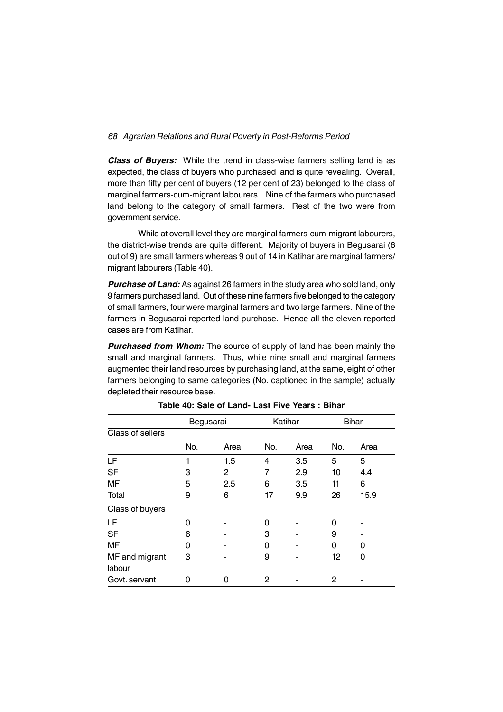*Class of Buyers:* While the trend in class-wise farmers selling land is as expected, the class of buyers who purchased land is quite revealing. Overall, more than fifty per cent of buyers (12 per cent of 23) belonged to the class of marginal farmers-cum-migrant labourers. Nine of the farmers who purchased land belong to the category of small farmers. Rest of the two were from government service.

While at overall level they are marginal farmers-cum-migrant labourers, the district-wise trends are quite different. Majority of buyers in Begusarai (6 out of 9) are small farmers whereas 9 out of 14 in Katihar are marginal farmers/ migrant labourers (Table 40).

*Purchase of Land:* As against 26 farmers in the study area who sold land, only 9 farmers purchased land. Out of these nine farmers five belonged to the category of small farmers, four were marginal farmers and two large farmers. Nine of the farmers in Begusarai reported land purchase. Hence all the eleven reported cases are from Katihar.

**Purchased from Whom:** The source of supply of land has been mainly the small and marginal farmers. Thus, while nine small and marginal farmers augmented their land resources by purchasing land, at the same, eight of other farmers belonging to same categories (No. captioned in the sample) actually depleted their resource base.

|                  | Begusarai |      |     | Katihar |     | <b>Bihar</b> |
|------------------|-----------|------|-----|---------|-----|--------------|
| Class of sellers |           |      |     |         |     |              |
|                  | No.       | Area | No. | Area    | No. | Area         |
| LF               | 1         | 1.5  | 4   | 3.5     | 5   | 5            |
| <b>SF</b>        | 3         | 2    | 7   | 2.9     | 10  | 4.4          |
| <b>MF</b>        | 5         | 2.5  | 6   | 3.5     | 11  | 6            |
| Total            | 9         | 6    | 17  | 9.9     | 26  | 15.9         |
| Class of buyers  |           |      |     |         |     |              |
| LF               | Ω         |      | O   |         | 0   |              |
| <b>SF</b>        | 6         |      | 3   |         | 9   |              |
| MF               | ი         |      | O   |         | 0   | 0            |
| MF and migrant   | 3         |      | 9   |         | 12  | 0            |
| labour           |           |      |     |         |     |              |
| Govt. servant    | O         | 0    | 2   |         | 2   |              |

**Table 40: Sale of Land- Last Five Years : Bihar**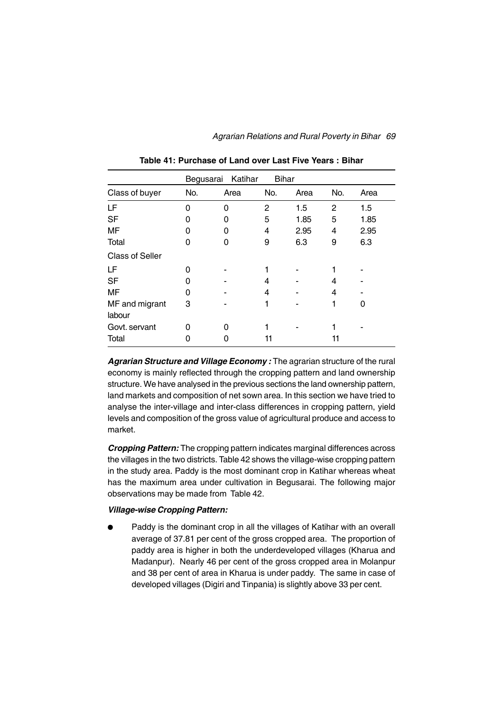|                          | Begusarai | Katihar | <b>Bihar</b> |      |     |      |
|--------------------------|-----------|---------|--------------|------|-----|------|
| Class of buyer           | No.       | Area    | No.          | Area | No. | Area |
| LF                       | 0         | 0       | 2            | 1.5  | 2   | 1.5  |
| <b>SF</b>                | O         | O       | 5            | 1.85 | 5   | 1.85 |
| MF                       | O         | Ω       | 4            | 2.95 | 4   | 2.95 |
| Total                    | 0         | O       | 9            | 6.3  | 9   | 6.3  |
| <b>Class of Seller</b>   |           |         |              |      |     |      |
| LF                       | 0         |         |              |      |     |      |
| <b>SF</b>                | O         |         | 4            |      | 4   |      |
| MF                       | 0         |         | 4            |      | 4   |      |
| MF and migrant<br>labour | 3         |         | 1            |      |     | 0    |
| Govt. servant            | ი         | O       |              |      |     |      |
| Total                    |           |         | 11           |      | 11  |      |

**Table 41: Purchase of Land over Last Five Years : Bihar**

*Agrarian Structure and Village Economy :* The agrarian structure of the rural economy is mainly reflected through the cropping pattern and land ownership structure. We have analysed in the previous sections the land ownership pattern, land markets and composition of net sown area. In this section we have tried to analyse the inter-village and inter-class differences in cropping pattern, yield levels and composition of the gross value of agricultural produce and access to market.

*Cropping Pattern:* The cropping pattern indicates marginal differences across the villages in the two districts. Table 42 shows the village-wise cropping pattern in the study area. Paddy is the most dominant crop in Katihar whereas wheat has the maximum area under cultivation in Begusarai. The following major observations may be made from Table 42.

#### *Village-wise Cropping Pattern:*

Paddy is the dominant crop in all the villages of Katihar with an overall average of 37.81 per cent of the gross cropped area. The proportion of paddy area is higher in both the underdeveloped villages (Kharua and Madanpur). Nearly 46 per cent of the gross cropped area in Molanpur and 38 per cent of area in Kharua is under paddy. The same in case of developed villages (Digiri and Tinpania) is slightly above 33 per cent.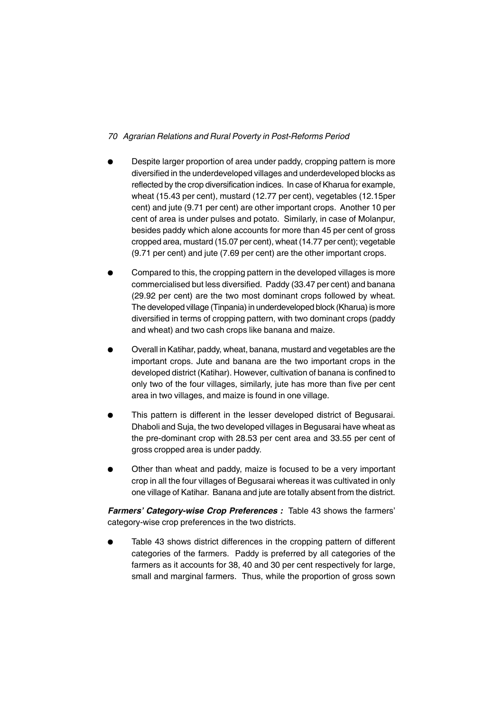- Despite larger proportion of area under paddy, cropping pattern is more diversified in the underdeveloped villages and underdeveloped blocks as reflected by the crop diversification indices. In case of Kharua for example, wheat (15.43 per cent), mustard (12.77 per cent), vegetables (12.15per cent) and jute (9.71 per cent) are other important crops. Another 10 per cent of area is under pulses and potato. Similarly, in case of Molanpur, besides paddy which alone accounts for more than 45 per cent of gross cropped area, mustard (15.07 per cent), wheat (14.77 per cent); vegetable (9.71 per cent) and jute (7.69 per cent) are the other important crops.
- Compared to this, the cropping pattern in the developed villages is more commercialised but less diversified. Paddy (33.47 per cent) and banana (29.92 per cent) are the two most dominant crops followed by wheat. The developed village (Tinpania) in underdeveloped block (Kharua) is more diversified in terms of cropping pattern, with two dominant crops (paddy and wheat) and two cash crops like banana and maize.
- Overall in Katihar, paddy, wheat, banana, mustard and vegetables are the important crops. Jute and banana are the two important crops in the developed district (Katihar). However, cultivation of banana is confined to only two of the four villages, similarly, jute has more than five per cent area in two villages, and maize is found in one village.
- This pattern is different in the lesser developed district of Begusarai. Dhaboli and Suja, the two developed villages in Begusarai have wheat as the pre-dominant crop with 28.53 per cent area and 33.55 per cent of gross cropped area is under paddy.
- Other than wheat and paddy, maize is focused to be a very important crop in all the four villages of Begusarai whereas it was cultivated in only one village of Katihar. Banana and jute are totally absent from the district.

*Farmers' Category-wise Crop Preferences :* Table 43 shows the farmers' category-wise crop preferences in the two districts.

Table 43 shows district differences in the cropping pattern of different categories of the farmers. Paddy is preferred by all categories of the farmers as it accounts for 38, 40 and 30 per cent respectively for large, small and marginal farmers. Thus, while the proportion of gross sown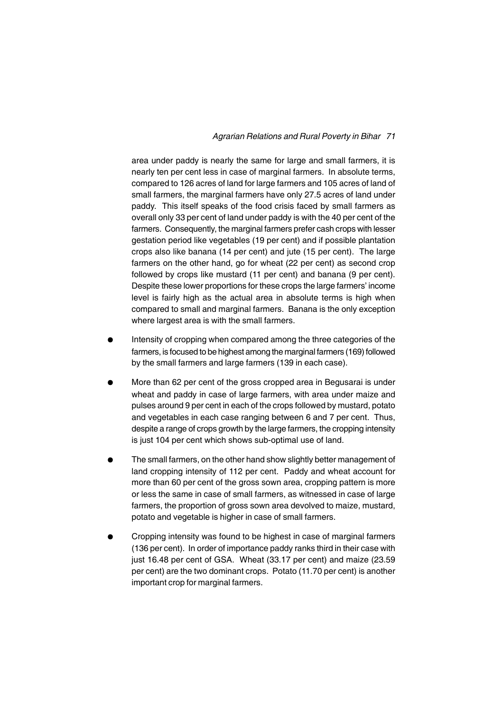area under paddy is nearly the same for large and small farmers, it is nearly ten per cent less in case of marginal farmers. In absolute terms, compared to 126 acres of land for large farmers and 105 acres of land of small farmers, the marginal farmers have only 27.5 acres of land under paddy. This itself speaks of the food crisis faced by small farmers as overall only 33 per cent of land under paddy is with the 40 per cent of the farmers. Consequently, the marginal farmers prefer cash crops with lesser gestation period like vegetables (19 per cent) and if possible plantation crops also like banana (14 per cent) and jute (15 per cent). The large farmers on the other hand, go for wheat (22 per cent) as second crop followed by crops like mustard (11 per cent) and banana (9 per cent). Despite these lower proportions for these crops the large farmers' income level is fairly high as the actual area in absolute terms is high when compared to small and marginal farmers. Banana is the only exception where largest area is with the small farmers.

- <sup>l</sup> Intensity of cropping when compared among the three categories of the farmers, is focused to be highest among the marginal farmers (169) followed by the small farmers and large farmers (139 in each case).
- <sup>l</sup> More than 62 per cent of the gross cropped area in Begusarai is under wheat and paddy in case of large farmers, with area under maize and pulses around 9 per cent in each of the crops followed by mustard, potato and vegetables in each case ranging between 6 and 7 per cent. Thus, despite a range of crops growth by the large farmers, the cropping intensity is just 104 per cent which shows sub-optimal use of land.
- The small farmers, on the other hand show slightly better management of land cropping intensity of 112 per cent. Paddy and wheat account for more than 60 per cent of the gross sown area, cropping pattern is more or less the same in case of small farmers, as witnessed in case of large farmers, the proportion of gross sown area devolved to maize, mustard, potato and vegetable is higher in case of small farmers.
- <sup>l</sup> Cropping intensity was found to be highest in case of marginal farmers (136 per cent). In order of importance paddy ranks third in their case with just 16.48 per cent of GSA. Wheat (33.17 per cent) and maize (23.59 per cent) are the two dominant crops. Potato (11.70 per cent) is another important crop for marginal farmers.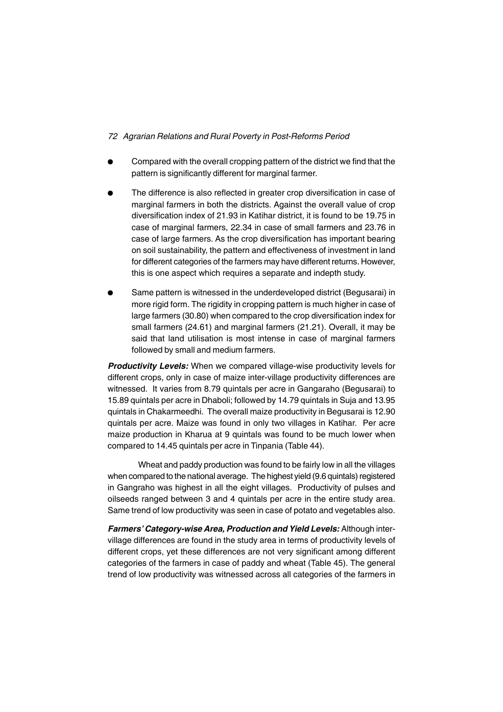- <sup>l</sup> Compared with the overall cropping pattern of the district we find that the pattern is significantly different for marginal farmer.
- The difference is also reflected in greater crop diversification in case of marginal farmers in both the districts. Against the overall value of crop diversification index of 21.93 in Katihar district, it is found to be 19.75 in case of marginal farmers, 22.34 in case of small farmers and 23.76 in case of large farmers. As the crop diversification has important bearing on soil sustainability, the pattern and effectiveness of investment in land for different categories of the farmers may have different returns. However, this is one aspect which requires a separate and indepth study.
- Same pattern is witnessed in the underdeveloped district (Begusarai) in more rigid form. The rigidity in cropping pattern is much higher in case of large farmers (30.80) when compared to the crop diversification index for small farmers (24.61) and marginal farmers (21.21). Overall, it may be said that land utilisation is most intense in case of marginal farmers followed by small and medium farmers.

*Productivity Levels:* When we compared village-wise productivity levels for different crops, only in case of maize inter-village productivity differences are witnessed. It varies from 8.79 quintals per acre in Gangaraho (Begusarai) to 15.89 quintals per acre in Dhaboli; followed by 14.79 quintals in Suja and 13.95 quintals in Chakarmeedhi. The overall maize productivity in Begusarai is 12.90 quintals per acre. Maize was found in only two villages in Katihar. Per acre maize production in Kharua at 9 quintals was found to be much lower when compared to 14.45 quintals per acre in Tinpania (Table 44).

Wheat and paddy production was found to be fairly low in all the villages when compared to the national average. The highest yield (9.6 quintals) registered in Gangraho was highest in all the eight villages. Productivity of pulses and oilseeds ranged between 3 and 4 quintals per acre in the entire study area. Same trend of low productivity was seen in case of potato and vegetables also.

*Farmers' Category-wise Area, Production and Yield Levels:* Although intervillage differences are found in the study area in terms of productivity levels of different crops, yet these differences are not very significant among different categories of the farmers in case of paddy and wheat (Table 45). The general trend of low productivity was witnessed across all categories of the farmers in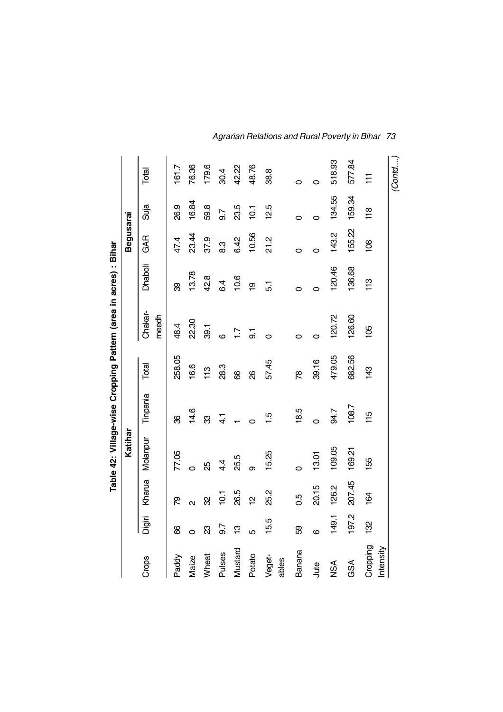|                       |               |                         | Katihar         |               |        | Table 42: Village-wise Cropping Pattern (area in acres) : Bihar |         | <b>Begusarai</b> |         |                 |
|-----------------------|---------------|-------------------------|-----------------|---------------|--------|-----------------------------------------------------------------|---------|------------------|---------|-----------------|
| Crops                 | Digiri        | Kharua                  | Molanpur        | Tinpania      | Total  | Chakar-<br>meedh                                                | Dhaboli | GAR              | Suja    | Total           |
| Paddy                 | 8             | ల్ల                     | 77.05           | 8             | 258.05 | 48.4                                                            | 8       | 47.4             | 26.9    | 161.7           |
| Maize                 | $\circ$       | $\overline{\mathsf{C}}$ | $\circ$         | 14.6          | 16.6   | 22.30                                                           | 13.78   | 23.44            | 16.84   | 76.36           |
| Wheat                 | සි            | ଅ                       | ЯŠ              | 83            | 113    | 39.1                                                            | 42.8    | 37.9             | 59.8    | 179.6           |
| Pulses                | 9.7           | 10.1                    | $4\overline{4}$ | $\frac{1}{4}$ | 28.3   | $\circ$                                                         | 64      | 8.3              | 9.7     | 30.4            |
| Mustard               | $\frac{1}{2}$ | 26.5                    | 25.5            |               | 8      | $\ddot{ }$ :                                                    | 10.6    | 6.42             | 23.5    | 42.22           |
| Potato                | Ю             | 얻                       | တ               | 0             | 8      | $\overline{5}$                                                  | စ္      | 10.56            | 10.1    | 48.76           |
| Veget-<br>ables       | 15.5          | 25.2                    | 15.25           | 1.9           | 57.45  | $\circ$                                                         | 5.1     | 21.2             | 12.5    | 38.8            |
| Banana                | 89            | 0.5                     | O               | 18.5          | œ      | 0                                                               | 0       | $\circ$          | 0       | 0               |
| Jute                  | ဖ             | 20.15                   | 13.01           | Ó             | 39.16  | $\circ$                                                         | 0       | 0                | $\circ$ | 0               |
| NSA                   | 149.1         | 126.2                   | 109.05          | 94.7          | 479.05 | 120.72                                                          | 120.46  | 143.2            | 134.55  | 518.93          |
| GSA                   | 197.2         | 207.45                  | 169.21          | 108.7         | 682.56 | 126.60                                                          | 136.68  | 155.22           | 159.34  | 577.84          |
| Cropping<br>Intensity | 132           | 164                     | 155             | 115           | 143    | 105                                                             | 113     | 108              | 118     | $\overline{11}$ |
|                       |               |                         |                 |               |        |                                                                 |         |                  |         | (Contd          |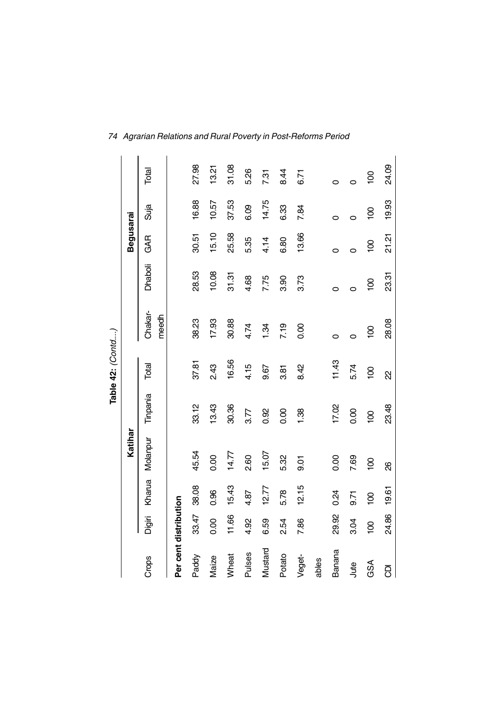|                       |                |                |                |                  | Table 42: (Contd) |                |                 |                 |                |                 |
|-----------------------|----------------|----------------|----------------|------------------|-------------------|----------------|-----------------|-----------------|----------------|-----------------|
|                       |                |                | Katihar        |                  |                   |                |                 | Begusarai       |                |                 |
| Crops                 | Digiri         | Kharua         | Molanpur       | Tinpania         | Total             | Chakar-        | Dhaboli         | GAR             | Suja           | Total           |
|                       |                |                |                |                  |                   | meedh          |                 |                 |                |                 |
| Per cent distribution |                |                |                |                  |                   |                |                 |                 |                |                 |
| Paddy                 | 33.47          | 38.08          | 45.54          | 33.12            | 37.81             | 38.23          | 28.53           | 30.51           | 16.88          | 27.98           |
| Maize                 | 0.00           | 0.96           | 0.00           | 13.43            | 2.43              | 17.93          | 10.08           | 15.10           | 10.57          | 13.21           |
| Wheat                 | 11.66          | 15.43          | 14.77          | 30.36            | 16.56             | 30.88          | 31.31           | 25.58           | 37.53          | 31.08           |
| <b>Pulses</b>         | 4.92           | 4.87           | 2.60           | 3.77             | 4.15              | 4.74           | 4.68            | 5.35            | 6.09           | 5.26            |
| Mustard               | 6.59           | 12.77          | 15.07          | 0.92             | 9.67              | 1.34           | 7.75            | 4.14            | 14.75          | 7.31            |
| Potato                | 2.54           | 5.78           | 5.32           | 0.00             | 3.81              | 7.19           | 3.90            | 6.80            | 6.33           | 8.44            |
| Veget-                | 7.86           | 12.15          | 5.6            | 1.38             | 8.42              | 0.00           | 3.73            | 13.66           | 7.84           | 6.71            |
| ables                 |                |                |                |                  |                   |                |                 |                 |                |                 |
| <b>Banana</b>         | 29.92          | 0.24           | 0.00           | 17.02            | 11.43             | $\circ$        | $\circ$         | $\circ$         | 0              | 0               |
| Jute                  | 3.04           | 5.71           | 7.69           | 0.00             | 5.74              | 0              | 0               | 0               | $\circ$        | $\circ$         |
| GSA                   | $\overline{5}$ | $\overline{0}$ | $\overline{6}$ | $\overline{100}$ | $\overline{5}$    | $\overline{5}$ | $\overline{00}$ | $\overline{00}$ | $\overline{0}$ | $\overline{00}$ |
| g                     | 24.86          | 19.61          | 8              | 23.48            | ଧ                 | 28.08          | 23.31           | 21.21           | 19.93          | 24.09           |

 $\mathbf{I}$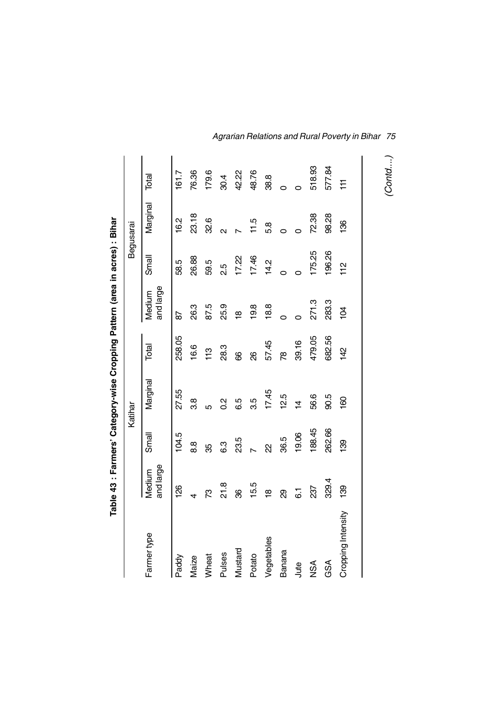|                    |                     |                | Table 43 : Farmers' Category-wise Cropping Pattern (area in acres) : Bihar |        |                     |                |                         |        |
|--------------------|---------------------|----------------|----------------------------------------------------------------------------|--------|---------------------|----------------|-------------------------|--------|
|                    |                     |                | Katihar                                                                    |        |                     | Begusarai      |                         |        |
| Farmer type        | and large<br>Medium | Small          | Marginal                                                                   | Total  | and large<br>Medium | Small          | Marginal                | Total  |
| Paddy              | 126                 | 104.5          | 27.55                                                                      | 258.05 | 9                   | 58.5           | 16.2                    | 161.7  |
| Maize              | 4                   | 8.8            | 3.8                                                                        | 16.6   | 26.3                | 26.88          | 23.18                   | 76.36  |
| Wheat              | ζŚ,                 | 35             | ယ                                                                          | 113    | 87.5                | 59.5           | 32.6                    | 179.6  |
| Pulses             | 21.8                | 6.3            | $\frac{2}{3}$                                                              | 28.3   | 25.9                | 25<br>21       | $\overline{\mathsf{c}}$ | 30.4   |
| Mustard            | 8                   | 23.5           | 6.5                                                                        | 8      | ₽                   | 17.22          |                         | 42.22  |
| Potato             | 15.5                | $\overline{ }$ | 3.5                                                                        | 8      | 19.8                | 17.46          | 11.5                    | 48.76  |
| Vegetables         | $\frac{\infty}{2}$  | R              | 17.45                                                                      | 57.45  | 18.8                | 14.2           | 5.8                     | 38.8   |
| Banana             | හි                  | 36.5           | 12.5                                                                       | œ      | Ó                   | Ó              | Ó                       | 0      |
| Jute               | $\overline{6}$ .    | 19.06          | $\overline{4}$                                                             | 39.16  |                     | O              |                         |        |
| <b>NSA</b>         | 237                 | 188.45         | 56.6                                                                       | 479.05 | 271.3               | 175.25         | 72.38                   | 518.93 |
| GSA                | 329.4               | 262.66         | 90.5                                                                       | 682.56 | 283.3               | 196.26         | 98.28                   | 577.84 |
| Cropping Intensity | 139                 | 139            | 160                                                                        | 142    | $\overline{a}$      | $\frac{1}{11}$ | 136                     | Ħ      |
|                    |                     |                |                                                                            |        |                     |                |                         |        |

*Agrarian Relations and Rural Poverty in Bihar 75*

*(Contd....)*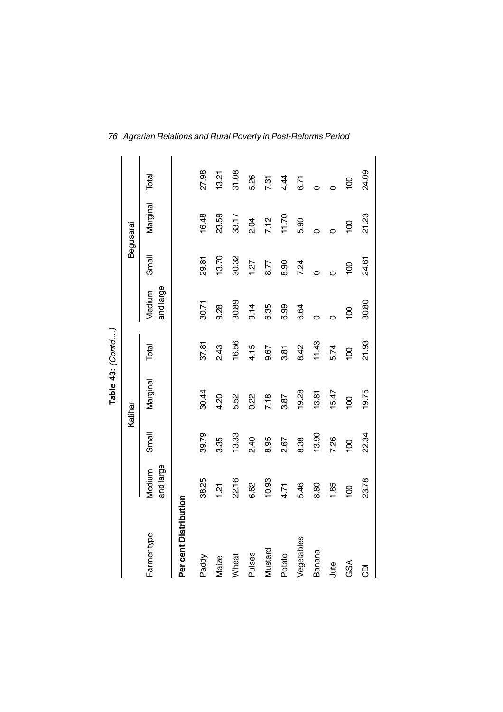|                       |                     |                | Table 43: (Contd) |                |                     |                |                  |                |
|-----------------------|---------------------|----------------|-------------------|----------------|---------------------|----------------|------------------|----------------|
|                       |                     | Katihar        |                   |                |                     | Begusarai      |                  |                |
| Farmer type           | and large<br>Medium | Small          | Marginal          | Total          | and large<br>Medium | Small          | Marginal         | Total          |
| Per cent Distribution |                     |                |                   |                |                     |                |                  |                |
| Paddy                 | 38.25               | 39.79          | 30.44             | 37.81          | 30.71               | 29.81          | 16.48            | 27.98          |
| Maize                 | $\frac{51}{2}$      | 3.35           | 4.20              | 2.43           | 9.28                | 13.70          | 23.59            | 13.21          |
| Wheat                 | 22.16               | 13.33          | 5.52              | 16.56          | 30.89               | 30.32          | 33.17            | 31.08          |
| Pulses                | 6.62                | 2.40           | 0.22              | 4.15           | 9.14                | 1.27           | 2.04             | 5.26           |
| Mustard               | 10.93               | 8.95           | 7.18              | 9.67           | 6.35                | 8.77           | 7.12             | 7.31           |
| Potato                | 4.71                | 2.67           | 3.87              | 3.81           | 6.99                | 8.90           | 11.70            | 4.44           |
| Vegetables            | 5.46                | 8.38           | 19.28             | 8.42           | 6.64                | 7.24           | 5.90             | 6.71           |
| Banana                | 8.80                | 13.90          | 13.81             | 11.43          | $\circ$             | O              | $\circ$          | Ó              |
| Jute                  | 1.85                | 7.26           | 15.47             | 5.74           | $\circ$             |                | $\circ$          |                |
| GSA                   | $\overline{6}$      | $\overline{5}$ | $\overline{0}$    | $\overline{5}$ | $\overline{5}$      | $\overline{5}$ | $\overline{100}$ | $\overline{0}$ |
| ā                     | 23.78               | 22.34          | 19.75             | 21.93          | 30.80               | 24.61          | 21.23            | 24.09          |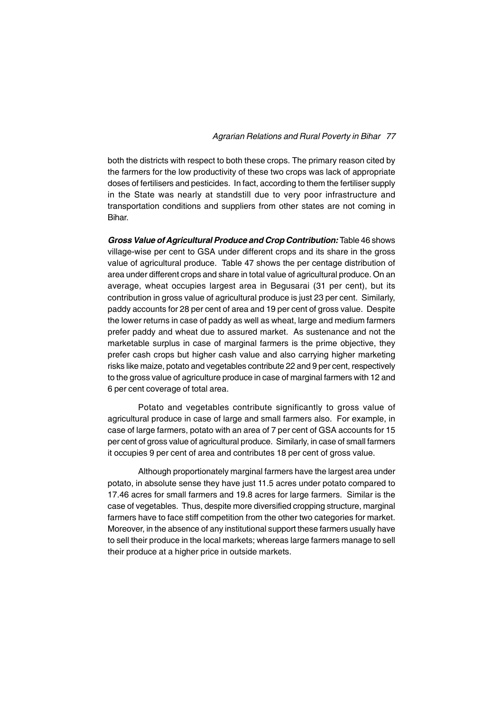both the districts with respect to both these crops. The primary reason cited by the farmers for the low productivity of these two crops was lack of appropriate doses of fertilisers and pesticides. In fact, according to them the fertiliser supply in the State was nearly at standstill due to very poor infrastructure and transportation conditions and suppliers from other states are not coming in Bihar.

*Gross Value of Agricultural Produce and Crop Contribution:* Table 46 shows village-wise per cent to GSA under different crops and its share in the gross value of agricultural produce. Table 47 shows the per centage distribution of area under different crops and share in total value of agricultural produce. On an average, wheat occupies largest area in Begusarai (31 per cent), but its contribution in gross value of agricultural produce is just 23 per cent. Similarly, paddy accounts for 28 per cent of area and 19 per cent of gross value. Despite the lower returns in case of paddy as well as wheat, large and medium farmers prefer paddy and wheat due to assured market. As sustenance and not the marketable surplus in case of marginal farmers is the prime objective, they prefer cash crops but higher cash value and also carrying higher marketing risks like maize, potato and vegetables contribute 22 and 9 per cent, respectively to the gross value of agriculture produce in case of marginal farmers with 12 and 6 per cent coverage of total area.

Potato and vegetables contribute significantly to gross value of agricultural produce in case of large and small farmers also. For example, in case of large farmers, potato with an area of 7 per cent of GSA accounts for 15 per cent of gross value of agricultural produce. Similarly, in case of small farmers it occupies 9 per cent of area and contributes 18 per cent of gross value.

Although proportionately marginal farmers have the largest area under potato, in absolute sense they have just 11.5 acres under potato compared to 17.46 acres for small farmers and 19.8 acres for large farmers. Similar is the case of vegetables. Thus, despite more diversified cropping structure, marginal farmers have to face stiff competition from the other two categories for market. Moreover, in the absence of any institutional support these farmers usually have to sell their produce in the local markets; whereas large farmers manage to sell their produce at a higher price in outside markets.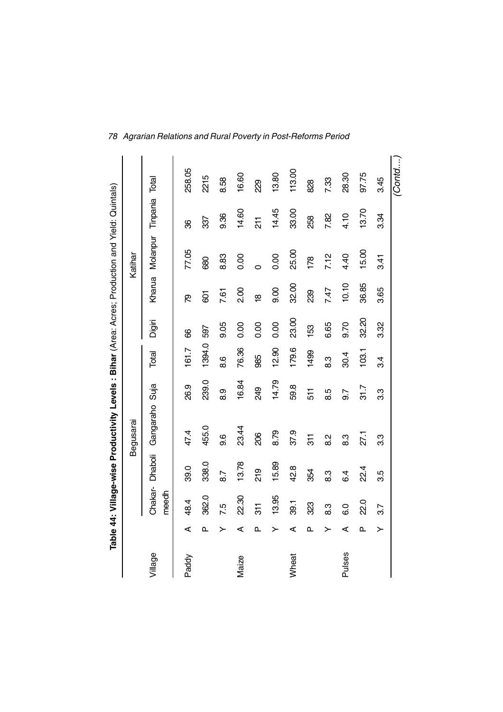|         |   |                   |                | Table 44: Village-wise Productivity Levels : Bihar (Area: Acres; Production and Yield: Quintals) |       |        |        |                    |                                |                |            |
|---------|---|-------------------|----------------|--------------------------------------------------------------------------------------------------|-------|--------|--------|--------------------|--------------------------------|----------------|------------|
|         |   |                   |                | Begusarai                                                                                        |       |        |        |                    | Katihar                        |                |            |
| Village |   | Chakar-<br>meedh  | <b>Dhaboli</b> | Gangaraho                                                                                        | Suja  | Total  | Digiri |                    | Kharua Molanpur Tinpania Total |                |            |
| Paddy   | ⋖ | 48.4              | 39.0           | 47.4                                                                                             | 26.9  | 161.7  | 8      | ల్ల                | 77.05                          | 8              | 258.05     |
|         | ൨ | 362.0             | 338.0          | 455.0                                                                                            | 239.0 | 1394.0 | 597    | 601                | 680                            | 337            | 2215       |
|         | ≻ | 7.5               | 8.7            | 9.6                                                                                              | 8.9   | 8.6    | 9.05   | 7.61               | 8.83                           | 9.36           | 8.58       |
| Maize   | ⋖ | 22.30             | 13.78          | 23.44                                                                                            | 16.84 | 76.36  | 0.00   | 2.00               | 0.00                           | 14.60          | 16.60      |
|         | ൨ | 311               | 219            | 206                                                                                              | 249   | 985    | 0.00   | $\frac{\infty}{2}$ | Ó                              | $\overline{5}$ | <b>829</b> |
|         | ≻ | 13.95             | 15.89          | 8.79                                                                                             | 14.79 | 12.90  | 0.00   | 0.6                | 0.00                           | 14.45          | 13.80      |
| Wheat   | ⋖ | 39.1              | 42.8           | 37.9                                                                                             | 59.8  | 179.6  | 23.00  | 32.00              | 25.00                          | 33.00          | 113.00     |
|         | ൨ | 323               | 354            | 51                                                                                               | 511   | 1499   | 153    | 88                 | 178                            | 258            | 828        |
|         | ≻ | 8.3               | 8.3            | 2.8                                                                                              | 8.5   | 8.3    | 6.65   | 7.47               | 7.12                           | 7.82           | 7.33       |
| Pulses  | ⋖ | $\overline{6}$ .0 | 6.4            | 8.3                                                                                              | 9.7   | 30.4   | 9.70   | 10.10              | 4.40                           | 4.10           | 28.30      |
|         | ൨ | <b>22.0</b>       | $2^{4}$        | 27.1                                                                                             | 31.7  | 103.1  | 32.20  | 36.85              | 15.00                          | 13.70          | 97.75      |
|         | ≻ | 37                | 3.5            | 3.3                                                                                              | 3.3   | 34     | 3.32   | 3.65               | 3.41                           | 3.34           | 3.45       |
|         |   |                   |                |                                                                                                  |       |        |        |                    |                                |                | Contd      |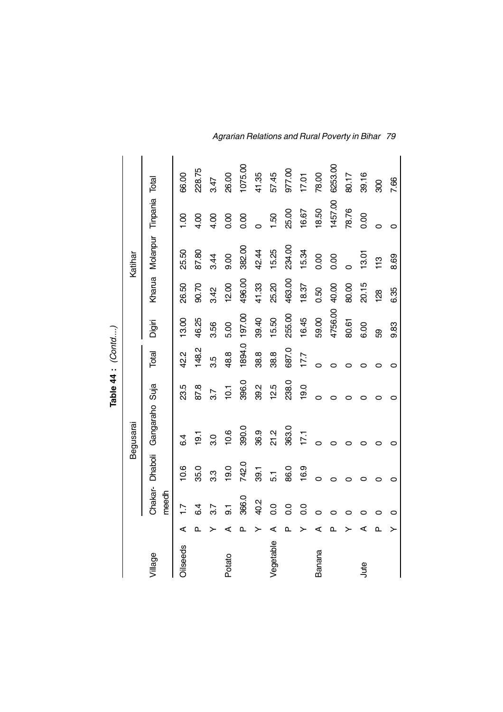|                 |    |                  |                |                |                 | Table 44 : (Contd) |         |               |                                |                |         |
|-----------------|----|------------------|----------------|----------------|-----------------|--------------------|---------|---------------|--------------------------------|----------------|---------|
|                 |    |                  |                | Begusarai      |                 |                    |         |               | Katihar                        |                |         |
| Village         |    | meedh            | Chakar-Dhaboli | Gangaraho Suja |                 | Total              | Digiri  |               | Kharua Molanpur Tinpania Total |                |         |
| <b>Oilseeds</b> | ⋖  | Ŀ                | 10.6           | 6.4            | 23.5            | 42.2               | 3.00    | 26.50         | 25.50                          | $\frac{8}{10}$ | 66.00   |
|                 | ൨  | 6.4              | 35.0           | 19.1           | 87.8            | 148.2              | 46.25   | 90.70         | 87.80                          | 4.00           | 228.75  |
|                 |    | 3.7              | 3.3            | 3.0            | 3.7             | 3.5                | 3.56    | 3.42          | 3.44                           | 4.00           | 3.47    |
| Potato          | ⋖  | 5.               | 19.0           | 10.6           | $\overline{10}$ | 48.8               | 5.00    | 12.00         | 0.6                            | 0.00           | 26.00   |
|                 | ൨  | 366.0            | 742.0          | 390.0          | 396.0           | 1894.0             | 197.00  | 496.00        | 382.00                         | 0.00           | 1075.00 |
|                 |    | 40.2             | 39.1           | 36.9           | 39.2            | 38.8               | 39.40   | 41.33         | 42.44                          |                | 41.35   |
| Vegetable       | ⋖  | $\overline{0}$ . | 5.1            | 21.2           | 12.5            | 38.8               | 15.50   | 25.20         | 15.25                          | 1.50           | 57.45   |
|                 | Ō. | $\overline{0}$ . | 86.0           | 363.0          | 238.0           | 687.0              | 255.00  | 463.00        | 234.00                         | 25.00          | 977.00  |
|                 |    | $\overline{0}$   | 16.9           | 17.1           | 19.0            | 17.7               | 16.45   | 18.37         | 15.34                          | 16.67          | 17.01   |
| Banana          | ⊄  | $\circ$          | $\circ$        | $\circ$        | 0               | O                  | 59.00   | 0.50          | 0.00                           | 18.50          | 78.00   |
|                 | Δ. | O                | O              | 0              |                 | o                  | 4756.00 | 40.00         | 0.00                           | 1457.00        | 6253.00 |
|                 |    |                  |                | 0              |                 |                    | 80.61   | 80.00         | $\circ$                        | 78.76          | 80.17   |
| Jute            | ⊄  | ⊂                | 0              | 0              |                 | c                  | 6.00    | 20.15         | 13.01                          | 0.00           | 39.16   |
|                 | ≏  |                  | 0              | 0              |                 |                    | සි      | $\frac{8}{3}$ | 113                            |                | 900     |
|                 |    |                  | 0              | 0              |                 | 0                  | 9.83    | 6.35          | 8.69                           | $\circ$        | 7.66    |

*Agrarian Relations and Rural Poverty in Bihar 79*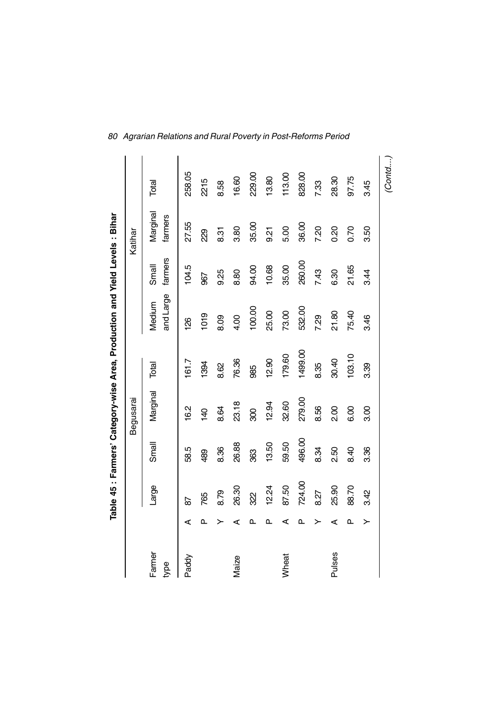|                |   |        |        |                 | Table 45 : Farmers' Category-wise Area, Production and Yield Levels : Bihar |                     |                  |                     |        |
|----------------|---|--------|--------|-----------------|-----------------------------------------------------------------------------|---------------------|------------------|---------------------|--------|
|                |   |        |        | Begusarai       |                                                                             |                     |                  | Katihar             |        |
| Farmer<br>type |   | Large  | Small  | Marginal        | Total                                                                       | and Large<br>Medium | farmers<br>Small | Marginal<br>farmers | Total  |
| Paddy          | ⋖ | 59     | 58.5   | 16.2            | 161.7                                                                       | 88                  | 104.5            | 27.55               | 258.05 |
|                | ௳ | 765    | 489    | $\overline{40}$ | 1394                                                                        | 1019                | 967              | 229                 | 2215   |
|                | ≻ | 8.79   | 8.36   | 8.64            | 8.62                                                                        | 8.09                | 9.25             | 8.31                | 8.58   |
| Maize          | ⋖ | 26.30  | 26.88  | 23.18           | 76.36                                                                       | 4.00                | 8.80             | 3.80                | 16.60  |
|                | ௳ | 322    | 363    | 800             | 985                                                                         | 100.00              | 94.00            | 35.00               | 229.00 |
|                | ൨ | 12.24  | 13.50  | 12.94           | 12.90                                                                       | 25.00               | 10.68            | 9.21                | 13.80  |
| Wheat          | ⋖ | 87.50  | 59.50  | 32.60           | 179.60                                                                      | 73.00               | 35.00            | 5.00                | 113.00 |
|                | ௳ | 724.00 | 496.00 | 279.00          | 1499.00                                                                     | 532.00              | 260.00           | 36.00               | 828.00 |
|                | > | 8.27   | 8.34   | 8.56            | 8.35                                                                        | 7.29                | 7.43             | 7.20                | 7.33   |
| Pulses         | ⋖ | 25.90  | 2.50   | 200             | 30.40                                                                       | 21.80               | 6.30             | 0.20                | 28.30  |
|                | ௳ | 88.70  | 8.40   | 6.00            | 103.10                                                                      | 75.40               | 21.65            | 0.70                | 97.75  |
|                | ≻ | 3.42   | 3.36   | 3.00            | 3.39                                                                        | 3.46                | 3.44             | 3.50                | 3.45   |
|                |   |        |        |                 |                                                                             |                     |                  |                     | (Contd |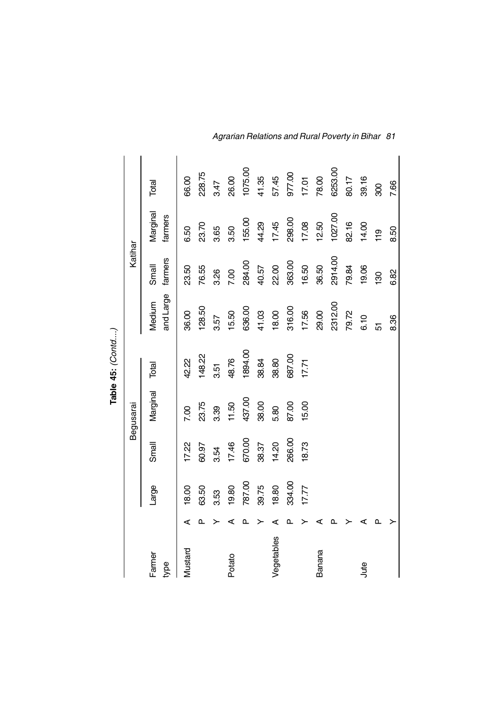|                |   |        |        |           | Table 45: (Contd) |                     |                  |                     |         |
|----------------|---|--------|--------|-----------|-------------------|---------------------|------------------|---------------------|---------|
|                |   |        |        | Begusarai |                   |                     | Katihar          |                     |         |
| Farmer<br>type |   | Large  | Small  | Marginal  | Total             | and Large<br>Medium | farmers<br>Small | Marginal<br>farmers | Total   |
| Mustard        | ⋖ | 18.00  | 17.22  | 7.00      | 42.22             | 36.00               | 23.50            | 6.50                | 66.00   |
|                |   | 63.50  | 60.97  | 23.75     | 148.22            | 128.50              | 76.55            | 23.70               | 228.75  |
|                |   | 3.53   | 3.54   | 339       | 3.51              | 3.57                | 3.26             | 3.65                | 3.47    |
| Potato         |   | 19.80  | 17.46  | 11.50     | 48.76             | 15.50               | 7.00             | 3.50                | 26.00   |
|                |   | 787.00 | 670.00 | 437.00    | 1894.00           | 636.00              | 284.00           | 155.00              | 1075.00 |
|                |   | 39.75  | 38.37  | 38.00     | 38.84             | 41.03               | 40.57            | 44.29               | 41.35   |
| Vegetables     |   | 18.80  | 14.20  | 5.80      | 38.80             | 18.00               | 22.00            | 17.45               | 57.45   |
|                |   | 334.00 | 266.00 | 87.00     | 687.00            | 316.00              | 363.00           | 298.00              | 977.00  |
|                |   | 17.77  | 18.73  | 15.00     | 17.71             | 17.56               | 16.50            | 17.08               | 17.01   |
| Banana         |   |        |        |           |                   | 29.00               | 36.50            | 12.50               | 78.00   |
|                |   |        |        |           |                   | 2312.00             | 2914.00          | 1027.00             | 6253.00 |
|                |   |        |        |           |                   | 79.72               | 79.84            | 82.16               | 80.17   |
| Jute           |   |        |        |           |                   | 6.10                | 19.06            | 14.00               | 39.16   |
|                |   |        |        |           |                   | 5                   | 130              | $\frac{9}{11}$      | 800     |
|                |   |        |        |           |                   | 8.36                | 6.82             | 8.50                | 7.66    |

*Agrarian Relations and Rural Poverty in Bihar 81*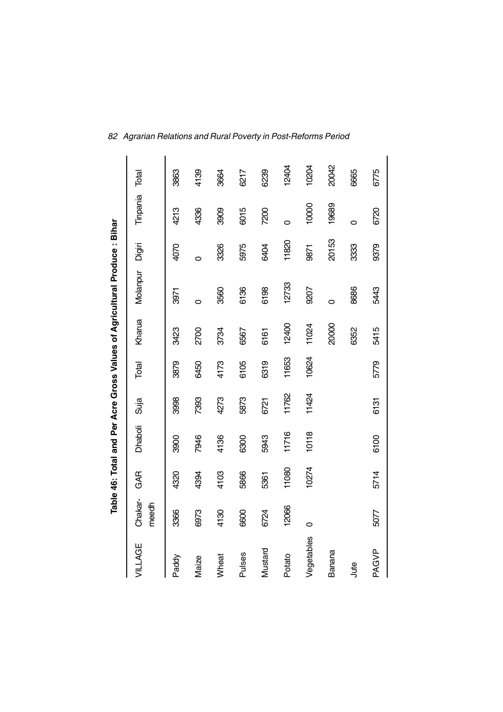|               |                  |       |         |       |       |        | Table 46: Total and Per Acre Gross Values of Agricultural Produce : Bihar |        |          |       |
|---------------|------------------|-------|---------|-------|-------|--------|---------------------------------------------------------------------------|--------|----------|-------|
| VILLAGE       | Chakar-<br>meedh | GAR   | Dhaboli | Suja  | Total | Kharua | Molanpur                                                                  | Digiri | Tinpania | Total |
| Paddy         | 3366             | 4320  | 3900    | 3998  | 3879  | 3423   | 3971                                                                      | 4070   | 4213     | 3863  |
| Maize         | 6973             | 4394  | 7946    | 7393  | 6450  | 2700   | 0                                                                         | 0      | 4336     | 4139  |
| Wheat         | 4130             | 4103  | 4136    | 4273  | 4173  | 3734   | 3560                                                                      | 3326   | 3909     | 3664  |
| <b>Pulses</b> | 6600             | 5866  | 6300    | 5873  | 6105  | 6567   | 6136                                                                      | 5975   | 6015     | 6217  |
| Mustard       | 6724             | 5361  | 5943    | 6721  | 6319  | 6161   | 6198                                                                      | 6404   | 7200     | 6239  |
| Potato        | 12066            | 11080 | 11716   | 11762 | 11653 | 12400  | 12733                                                                     | 11820  | 0        | 12404 |
| Vegetables    | 0                | 10274 | 10118   | 11424 | 10624 | 11024  | 9207                                                                      | 9871   | 10000    | 10204 |
| Banana        |                  |       |         |       |       | 20000  | 0                                                                         | 20153  | 19689    | 20042 |
| Jute          |                  |       |         |       |       | 6352   | 8686                                                                      | 3333   | $\circ$  | 6665  |
| PAGVP         | 5077             | 5714  | 6100    | 6131  | 5779  | 5415   | 5443                                                                      | 9379   | 6720     | 6775  |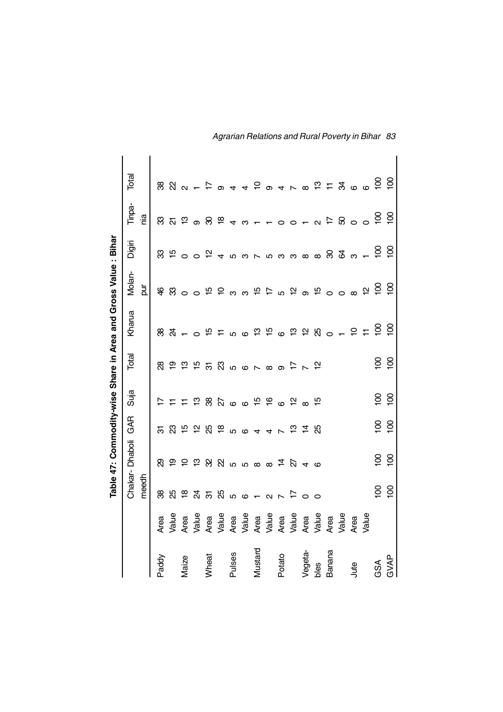|         |                                |                         |                              |                             |                             |                | Table 47: Commodity-wise Share in Area and Gross Value : Bihar |                                                   |                                                                                                                                                                   |                |                                       |
|---------|--------------------------------|-------------------------|------------------------------|-----------------------------|-----------------------------|----------------|----------------------------------------------------------------|---------------------------------------------------|-------------------------------------------------------------------------------------------------------------------------------------------------------------------|----------------|---------------------------------------|
|         |                                |                         | Chakar-Dhaboli               | GAR                         | Suja                        | Total          | Kharua                                                         | Molan-                                            | Digiri                                                                                                                                                            | Tinpa-         | Total                                 |
|         |                                | meedh                   |                              |                             |                             |                |                                                                | pur                                               |                                                                                                                                                                   | nia.           |                                       |
| Paddy   | Area                           | 88                      | ଅ                            |                             | $\overline{1}$              | <u>ஜ</u>       |                                                                |                                                   |                                                                                                                                                                   |                |                                       |
|         | Value                          | සි                      |                              |                             |                             |                | శి న                                                           |                                                   |                                                                                                                                                                   |                |                                       |
| Maize   | Area                           |                         |                              |                             |                             |                |                                                                |                                                   |                                                                                                                                                                   |                |                                       |
|         | Value                          |                         |                              |                             |                             |                |                                                                |                                                   |                                                                                                                                                                   |                |                                       |
| Wheat   |                                | 18 み 5 8 5 6 1 2 7 17 0 | 19 2 2 3 3 4 5 6 6 6 7 6 7 6 | 5 2 5 5 5 6 6 6 4 4 7 5 7 5 | F F F B B P 6 6 F F 6 F 8 F |                |                                                                |                                                   |                                                                                                                                                                   | 8.5.59854      | $R$ $R$ $\alpha$ $ \epsilon$ $\alpha$ |
|         | Area<br>Value                  |                         |                              |                             |                             |                |                                                                |                                                   |                                                                                                                                                                   |                |                                       |
| Pulses  |                                |                         |                              |                             |                             |                |                                                                |                                                   |                                                                                                                                                                   |                | $\overline{4}$                        |
|         | Area<br>Value                  |                         |                              |                             |                             |                |                                                                |                                                   |                                                                                                                                                                   | ო              |                                       |
| Mustard |                                |                         |                              |                             |                             |                |                                                                |                                                   |                                                                                                                                                                   |                |                                       |
|         | Area<br>Value                  |                         |                              |                             |                             |                |                                                                |                                                   |                                                                                                                                                                   |                |                                       |
| Potato  |                                |                         |                              |                             |                             |                |                                                                |                                                   |                                                                                                                                                                   | $\overline{C}$ |                                       |
|         |                                |                         |                              |                             |                             |                |                                                                |                                                   |                                                                                                                                                                   |                |                                       |
| Vegeta- | Area<br>Value<br>Area<br>Value |                         |                              |                             |                             |                |                                                                |                                                   |                                                                                                                                                                   |                |                                       |
| bles    |                                | $\circ$                 |                              |                             |                             |                | <u>+ o fo tro o tro o tro fo + b tro</u>                       | <b>4 83 ๐ ๐ 5 5 ๑ ๑ 5 5 ๑ 5 ๑ 5 ๑ 5 ๑ ๑ 5 5 g</b> | $\mathcal{B}$ $\Xi$ $\circ$ $\circ$ $\Xi$ $\rightarrow$ $\pi$ $\omega$ $\omega$ $\sim$ $\mu$ $\omega$ $\sim$ $\omega$ $\omega$ $\approx$ $\omega$ $\approx$ $\pi$ | $0 - 92500$    | $450400$ $55700$                      |
| Banana  | Area<br>Value                  |                         |                              |                             |                             |                |                                                                |                                                   |                                                                                                                                                                   |                |                                       |
|         |                                |                         |                              |                             |                             |                |                                                                |                                                   |                                                                                                                                                                   |                |                                       |
| Jute    | Area                           |                         |                              |                             |                             |                |                                                                |                                                   |                                                                                                                                                                   |                |                                       |
|         | yalue                          |                         |                              |                             |                             |                |                                                                |                                                   |                                                                                                                                                                   |                |                                       |
| GSA     |                                | <u>ទី ទី</u>            | $\overline{5}$               | $\overline{5}$              | $\overline{5}$              | $\overline{5}$ |                                                                |                                                   | $\overline{\mathsf{a}}$                                                                                                                                           | ុដ             | $\overline{5}$                        |
| GVAP    |                                |                         | $\overline{5}$               | $\overline{5}$              | $\overline{5}$              | $\overline{5}$ | $\overline{5}$                                                 | $\overline{5}$                                    | $\overline{5}$                                                                                                                                                    | $\overline{5}$ | $\frac{8}{5}$                         |

*Agrarian Relations and Rural Poverty in Bihar 83*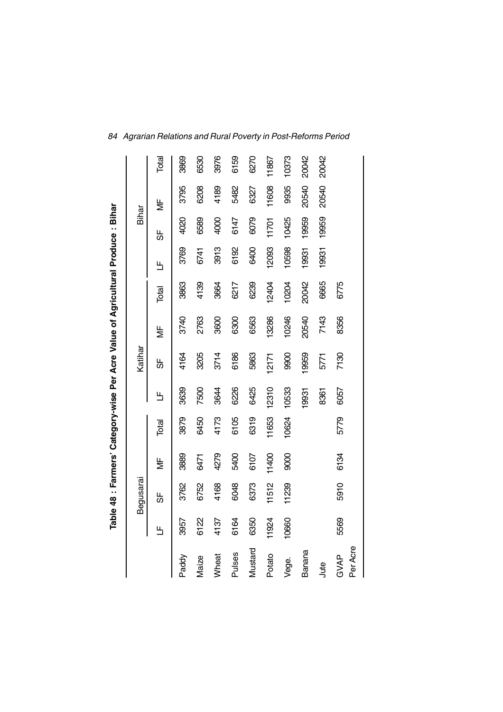|                  |       |           |       |       |       |         | Table 48 : Farmers' Category-wise Per Acre Value of Agricultural Produce : Bihar |       |       |       |       |       |
|------------------|-------|-----------|-------|-------|-------|---------|----------------------------------------------------------------------------------|-------|-------|-------|-------|-------|
|                  |       | Begusarai |       |       |       | Katihar |                                                                                  |       |       | Bihar |       |       |
|                  | Щ     | ჭ         | ξ     | Total | Ь     | 5       | ξ                                                                                | Total | 띡     | 56    | ¥     | Total |
| Paddy            | 3957  | 3762      | 3889  | 3879  | 3639  | 4164    | 3740                                                                             | 3863  | 3769  | 4020  | 3795  | 3869  |
| Maize            | 6122  | 6752      | 6471  | 6450  | 7500  | 3205    | 2763                                                                             | 4139  | 6741  | 6589  | 6208  | 6530  |
| Wheat            | 4137  | 4168      | 4279  | 4173  | 3644  | 3714    | 3600                                                                             | 3664  | 3913  | 4000  | 4189  | 3976  |
| Pulses           | 6164  | 6048      | 5400  | 6105  | 6226  | 6186    | 6300                                                                             | 6217  | 6192  | 6147  | 5482  | 6159  |
| Mustard          | 6350  | 6373      | 6107  | 6319  | 6425  | 5863    | 6563                                                                             | 6239  | 6400  | 6079  | 6327  | 6270  |
| Potato           | 11924 | 11512     | 11400 | 11653 | 12310 | 12171   | 13286                                                                            | 12404 | 12093 | 11701 | 11608 | 11867 |
| Vege.            | 10660 | 11239     | 9000  | 10624 | 10533 | 9900    | 10246                                                                            | 10204 | 10598 | 10425 | 9935  | 10373 |
| Banana           |       |           |       |       | 19931 | 19959   | 20540                                                                            | 20042 | 19931 | 19959 | 20540 | 20042 |
| Jute             |       |           |       |       | 8361  | 5771    | 7143                                                                             | 6665  | 19931 | 19959 | 20540 | 20042 |
| Per Acre<br>GVAP | 5569  | 5910      | 6134  | 5779  | 6057  | 7130    | 8356                                                                             | 6775  |       |       |       |       |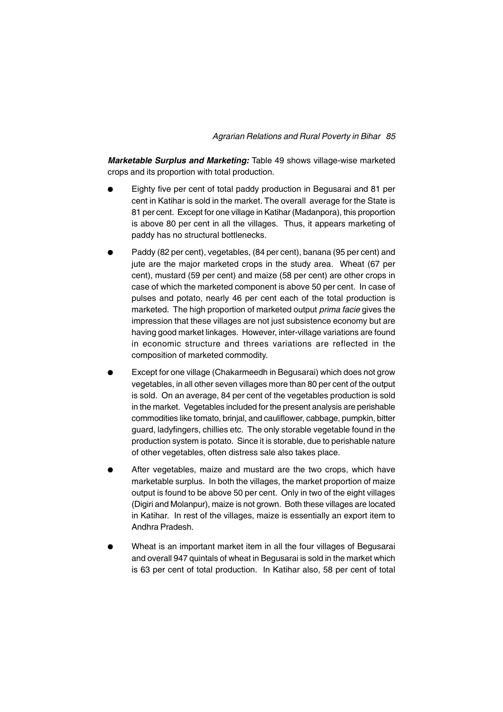*Marketable Surplus and Marketing:* Table 49 shows village-wise marketed crops and its proportion with total production.

- Eighty five per cent of total paddy production in Begusarai and 81 per cent in Katihar is sold in the market. The overall average for the State is 81 per cent. Except for one village in Katihar (Madanpora), this proportion is above 80 per cent in all the villages. Thus, it appears marketing of paddy has no structural bottlenecks.
- Paddy (82 per cent), vegetables, (84 per cent), banana (95 per cent) and jute are the major marketed crops in the study area. Wheat (67 per cent), mustard (59 per cent) and maize (58 per cent) are other crops in case of which the marketed component is above 50 per cent. In case of pulses and potato, nearly 46 per cent each of the total production is marketed. The high proportion of marketed output *prima facie* gives the impression that these villages are not just subsistence economy but are having good market linkages. However, inter-village variations are found in economic structure and threes variations are reflected in the composition of marketed commodity.
- Except for one village (Chakarmeedh in Begusarai) which does not grow vegetables, in all other seven villages more than 80 per cent of the output is sold. On an average, 84 per cent of the vegetables production is sold in the market. Vegetables included for the present analysis are perishable commodities like tomato, brinjal, and cauliflower, cabbage, pumpkin, bitter guard, ladyfingers, chillies etc. The only storable vegetable found in the production system is potato. Since it is storable, due to perishable nature of other vegetables, often distress sale also takes place.
- After vegetables, maize and mustard are the two crops, which have marketable surplus. In both the villages, the market proportion of maize output is found to be above 50 per cent. Only in two of the eight villages (Digiri and Molanpur), maize is not grown. Both these villages are located in Katihar. In rest of the villages, maize is essentially an export item to Andhra Pradesh.
- <sup>l</sup> Wheat is an important market item in all the four villages of Begusarai and overall 947 quintals of wheat in Begusarai is sold in the market which is 63 per cent of total production. In Katihar also, 58 per cent of total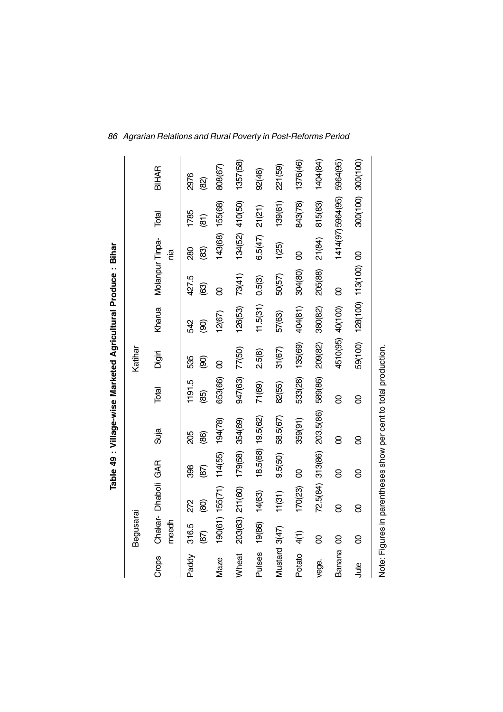|               |               |                     |                   | Table 49 : Village-wise Marketed Agricultural Produce : Bihar |                |          |                           |                 |                 |                       |                     |
|---------------|---------------|---------------------|-------------------|---------------------------------------------------------------|----------------|----------|---------------------------|-----------------|-----------------|-----------------------|---------------------|
|               | Begusarai     |                     |                   |                                                               |                | Katihar  |                           |                 |                 |                       |                     |
| Crops         | meedh         | Chakar- Dhaboli GAR |                   | Suja                                                          | Total          | Digiri   | Kharua                    | Molanpur Tinpa- | ia              | Total                 | BIHAR               |
| Paddy         | 316.5<br>(87) | 272<br>$\circledS$  | 398<br>(87)       | 205<br>(86)                                                   | 1191.5<br>(85) | 535<br>8 | 342<br>මූ                 | 427.5<br>ලි     | 88<br>(83)      | 1785<br>$\widehat{a}$ | 2976<br>$\circledR$ |
| <b>Maze</b>   |               | 190(61) 155(71)     | 114(55)           | 194(78)                                                       | 653(66)        | 8        | 12(67)                    | 8               | 143(68) 155(68) |                       | 808(67)             |
| Wheat         | 203(63)       | 211(60)             | 179(58)           | 354(69)                                                       | 947(63)        | 77(50)   | 126(53)                   | 73(41)          | 134(52) 410(50) |                       | 1357(58)            |
| Pulses        | 19(86)        | 14(63)              | 18.5(68) 19.5(62) |                                                               | 71(69)         | 2.5(8)   | 11.5(31)                  | 0.5(3)          | 6.5(47)         | 21(21)                | 92(46)              |
| Mustard 3(47) |               | 11(31)              | 9.5(50)           | 58.5(67)                                                      | 82(55)         | 31(67)   | 57(63)                    | 50(57)          | 1(25)           | 139(61)               | 221(59)             |
| Potato        | 4(1)          | 170(23)             | 8                 | 359(91)                                                       | 533(28)        | 135(69)  | 404(81)                   | 304(80)         | 8               | 843(78)               | 1376(46)            |
| vege.         | 8             | 72.5(84) 313(86)    |                   | 203.5(86)                                                     | 589(86)        | 209(82)  | 380(82)                   | 205(88)         | 21(84)          | 815(83)               | 1404(84)            |
| <b>Banana</b> | 8             | 8                   | 8                 | 8                                                             | 8              | 4510(95) | 40(100)                   | 8               |                 | 1414(97)5964(95)      | 5964(95)            |
| Jute          | 8             | 8                   | 8                 | 8                                                             | 8              |          | 59(100) 128(100) 113(100) |                 | 8               | 300(100)              | 300(100)            |

Note: Figures in parentheses show per cent to total production. Note: Figures in parentheses show per cent to total production.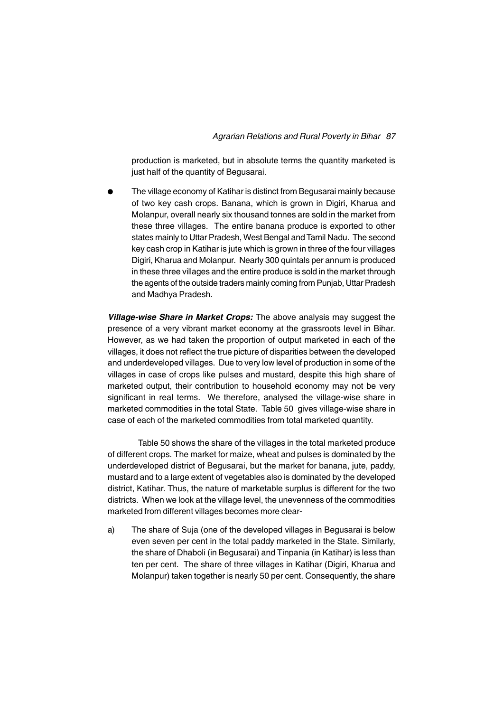production is marketed, but in absolute terms the quantity marketed is just half of the quantity of Begusarai.

The village economy of Katihar is distinct from Begusarai mainly because of two key cash crops. Banana, which is grown in Digiri, Kharua and Molanpur, overall nearly six thousand tonnes are sold in the market from these three villages. The entire banana produce is exported to other states mainly to Uttar Pradesh, West Bengal and Tamil Nadu. The second key cash crop in Katihar is jute which is grown in three of the four villages Digiri, Kharua and Molanpur. Nearly 300 quintals per annum is produced in these three villages and the entire produce is sold in the market through the agents of the outside traders mainly coming from Punjab, Uttar Pradesh and Madhya Pradesh.

*Village-wise Share in Market Crops:* The above analysis may suggest the presence of a very vibrant market economy at the grassroots level in Bihar. However, as we had taken the proportion of output marketed in each of the villages, it does not reflect the true picture of disparities between the developed and underdeveloped villages. Due to very low level of production in some of the villages in case of crops like pulses and mustard, despite this high share of marketed output, their contribution to household economy may not be very significant in real terms. We therefore, analysed the village-wise share in marketed commodities in the total State. Table 50 gives village-wise share in case of each of the marketed commodities from total marketed quantity.

Table 50 shows the share of the villages in the total marketed produce of different crops. The market for maize, wheat and pulses is dominated by the underdeveloped district of Begusarai, but the market for banana, jute, paddy, mustard and to a large extent of vegetables also is dominated by the developed district, Katihar. Thus, the nature of marketable surplus is different for the two districts. When we look at the village level, the unevenness of the commodities marketed from different villages becomes more clear-

a) The share of Suja (one of the developed villages in Begusarai is below even seven per cent in the total paddy marketed in the State. Similarly, the share of Dhaboli (in Begusarai) and Tinpania (in Katihar) is less than ten per cent. The share of three villages in Katihar (Digiri, Kharua and Molanpur) taken together is nearly 50 per cent. Consequently, the share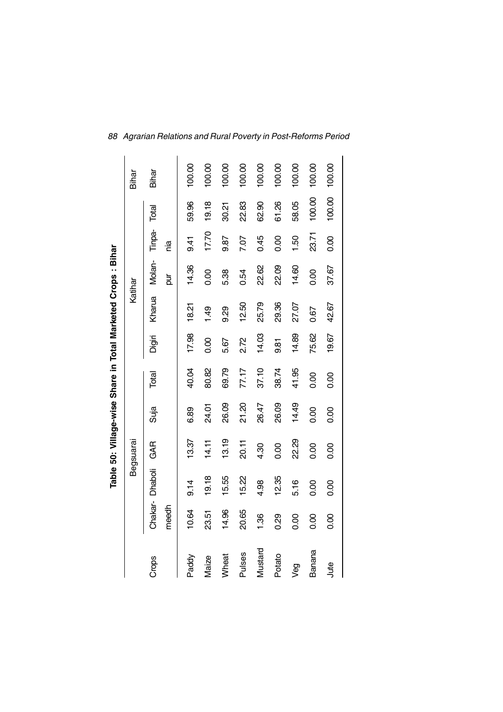|               |                  |         |           |       |       |                | Table 50: Village-wise Share in Total Marketed Crops: Bihar |             |                |        |        |
|---------------|------------------|---------|-----------|-------|-------|----------------|-------------------------------------------------------------|-------------|----------------|--------|--------|
|               |                  |         | Begsuarai |       |       |                | Katihar                                                     |             |                |        | Bihar  |
| Crops         | Chakar-<br>meedh | Dhaboli | GAR       | Suja  | Total | Digiri         | Kharua                                                      | Molan-<br>ă | Tinpa-<br>nia  | Total  | Bihar  |
| Paddy         | 10.64            | 9.14    | 13.37     | 6.89  | 40.04 | 17.98          | 18.21                                                       | 14.36       | $\frac{41}{9}$ | 59.96  | 100.00 |
| Maize         | 23.51            | 19.18   | 14.11     | 24.01 | 80.82 | 0.00           | $\frac{49}{5}$                                              | 0.00        | 17.70          | 19.18  | 100.00 |
| Wheat         | 14.96            | 15.55   | 13.19     | 26.09 | 69.79 | 5.67           | 9.29                                                        | 5.38        | 9.87           | 30.21  | 100.00 |
| <b>Pulses</b> | 20.65            | 15.22   | 20.11     | 21.20 | 77.17 | 2.72           | 12.50                                                       | 0.54        | 7.07           | 22.83  | 100.00 |
| Mustard       | 1.36             | 4.98    | 4.30      | 26.47 | 37.10 | 14.03          | 25.79                                                       | 22.62       | 0.45           | 62.90  | 100.00 |
| Potato        | 0.29             | 12.35   | 0.00      | 26.09 | 38.74 | $\frac{81}{3}$ | 29.36                                                       | 22.09       | 0.00           | 61.26  | 100.00 |
| yeg           | 0.00             | 5.16    | 22.29     | 14.49 | 41.95 | 14.89          | 27.07                                                       | 14.60       | 1.50           | 58.05  | 100.00 |
| Banana        | 0.00             | 0.00    | 0.00      | 0.00  | 0.00  | 75.62          | 0.67                                                        | 0.00        | 23.71          | 100.00 | 100.00 |
| Jute          | 0.00             | 0.00    | 0.00      | 0.00  | 0.00  | 19.67          | 42.67                                                       | 37.67       | 0.00           | 100.00 | 100.00 |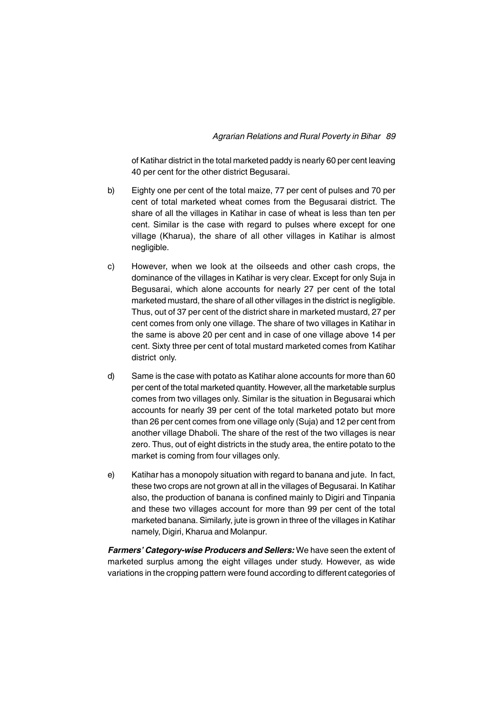of Katihar district in the total marketed paddy is nearly 60 per cent leaving 40 per cent for the other district Begusarai.

- b) Eighty one per cent of the total maize, 77 per cent of pulses and 70 per cent of total marketed wheat comes from the Begusarai district. The share of all the villages in Katihar in case of wheat is less than ten per cent. Similar is the case with regard to pulses where except for one village (Kharua), the share of all other villages in Katihar is almost negligible.
- c) However, when we look at the oilseeds and other cash crops, the dominance of the villages in Katihar is very clear. Except for only Suja in Begusarai, which alone accounts for nearly 27 per cent of the total marketed mustard, the share of all other villages in the district is negligible. Thus, out of 37 per cent of the district share in marketed mustard, 27 per cent comes from only one village. The share of two villages in Katihar in the same is above 20 per cent and in case of one village above 14 per cent. Sixty three per cent of total mustard marketed comes from Katihar district only.
- d) Same is the case with potato as Katihar alone accounts for more than 60 per cent of the total marketed quantity. However, all the marketable surplus comes from two villages only. Similar is the situation in Begusarai which accounts for nearly 39 per cent of the total marketed potato but more than 26 per cent comes from one village only (Suja) and 12 per cent from another village Dhaboli. The share of the rest of the two villages is near zero. Thus, out of eight districts in the study area, the entire potato to the market is coming from four villages only.
- e) Katihar has a monopoly situation with regard to banana and jute. In fact, these two crops are not grown at all in the villages of Begusarai. In Katihar also, the production of banana is confined mainly to Digiri and Tinpania and these two villages account for more than 99 per cent of the total marketed banana. Similarly, jute is grown in three of the villages in Katihar namely, Digiri, Kharua and Molanpur.

*Farmers' Category-wise Producers and Sellers:* We have seen the extent of marketed surplus among the eight villages under study. However, as wide variations in the cropping pattern were found according to different categories of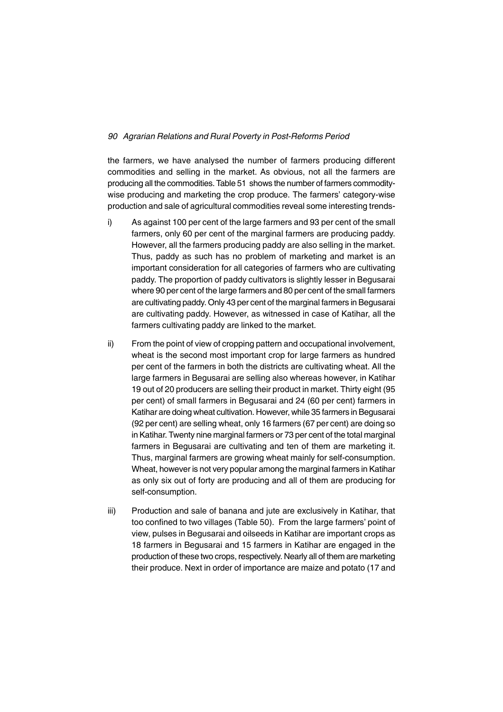the farmers, we have analysed the number of farmers producing different commodities and selling in the market. As obvious, not all the farmers are producing all the commodities. Table 51 shows the number of farmers commoditywise producing and marketing the crop produce. The farmers' category-wise production and sale of agricultural commodities reveal some interesting trends-

- i) As against 100 per cent of the large farmers and 93 per cent of the small farmers, only 60 per cent of the marginal farmers are producing paddy. However, all the farmers producing paddy are also selling in the market. Thus, paddy as such has no problem of marketing and market is an important consideration for all categories of farmers who are cultivating paddy. The proportion of paddy cultivators is slightly lesser in Begusarai where 90 per cent of the large farmers and 80 per cent of the small farmers are cultivating paddy. Only 43 per cent of the marginal farmers in Begusarai are cultivating paddy. However, as witnessed in case of Katihar, all the farmers cultivating paddy are linked to the market.
- ii) From the point of view of cropping pattern and occupational involvement, wheat is the second most important crop for large farmers as hundred per cent of the farmers in both the districts are cultivating wheat. All the large farmers in Begusarai are selling also whereas however, in Katihar 19 out of 20 producers are selling their product in market. Thirty eight (95 per cent) of small farmers in Begusarai and 24 (60 per cent) farmers in Katihar are doing wheat cultivation. However, while 35 farmers in Begusarai (92 per cent) are selling wheat, only 16 farmers (67 per cent) are doing so in Katihar. Twenty nine marginal farmers or 73 per cent of the total marginal farmers in Begusarai are cultivating and ten of them are marketing it. Thus, marginal farmers are growing wheat mainly for self-consumption. Wheat, however is not very popular among the marginal farmers in Katihar as only six out of forty are producing and all of them are producing for self-consumption.
- iii) Production and sale of banana and jute are exclusively in Katihar, that too confined to two villages (Table 50). From the large farmers' point of view, pulses in Begusarai and oilseeds in Katihar are important crops as 18 farmers in Begusarai and 15 farmers in Katihar are engaged in the production of these two crops, respectively. Nearly all of them are marketing their produce. Next in order of importance are maize and potato (17 and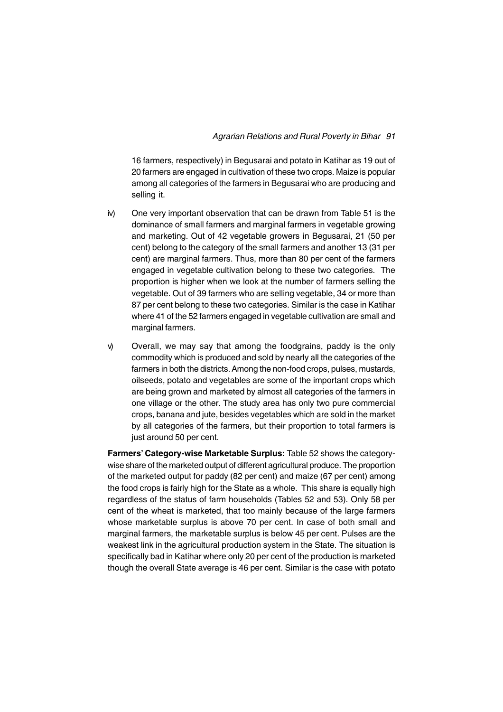16 farmers, respectively) in Begusarai and potato in Katihar as 19 out of 20 farmers are engaged in cultivation of these two crops. Maize is popular among all categories of the farmers in Begusarai who are producing and selling it.

- iv) One very important observation that can be drawn from Table 51 is the dominance of small farmers and marginal farmers in vegetable growing and marketing. Out of 42 vegetable growers in Begusarai, 21 (50 per cent) belong to the category of the small farmers and another 13 (31 per cent) are marginal farmers. Thus, more than 80 per cent of the farmers engaged in vegetable cultivation belong to these two categories. The proportion is higher when we look at the number of farmers selling the vegetable. Out of 39 farmers who are selling vegetable, 34 or more than 87 per cent belong to these two categories. Similar is the case in Katihar where 41 of the 52 farmers engaged in vegetable cultivation are small and marginal farmers.
- v) Overall, we may say that among the foodgrains, paddy is the only commodity which is produced and sold by nearly all the categories of the farmers in both the districts. Among the non-food crops, pulses, mustards, oilseeds, potato and vegetables are some of the important crops which are being grown and marketed by almost all categories of the farmers in one village or the other. The study area has only two pure commercial crops, banana and jute, besides vegetables which are sold in the market by all categories of the farmers, but their proportion to total farmers is just around 50 per cent.

**Farmers' Category-wise Marketable Surplus:** Table 52 shows the categorywise share of the marketed output of different agricultural produce. The proportion of the marketed output for paddy (82 per cent) and maize (67 per cent) among the food crops is fairly high for the State as a whole. This share is equally high regardless of the status of farm households (Tables 52 and 53). Only 58 per cent of the wheat is marketed, that too mainly because of the large farmers whose marketable surplus is above 70 per cent. In case of both small and marginal farmers, the marketable surplus is below 45 per cent. Pulses are the weakest link in the agricultural production system in the State. The situation is specifically bad in Katihar where only 20 per cent of the production is marketed though the overall State average is 46 per cent. Similar is the case with potato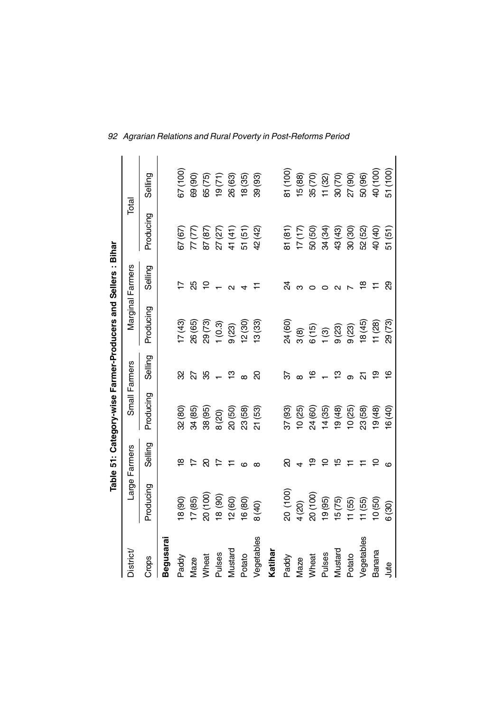|            |                      |                |               |                          | Table 51: Category-wise Farmer-Producers and Sellers: Bihar |                    |           |                         |  |
|------------|----------------------|----------------|---------------|--------------------------|-------------------------------------------------------------|--------------------|-----------|-------------------------|--|
| District   |                      | Large Farmers  | Small Farmers |                          |                                                             | Marginal Farmers   | Total     |                         |  |
| Crops      | Producing            | Selling        | Producing     | Selling                  | Producing                                                   | Selling            | Producing | Selling                 |  |
| Begusara   |                      |                |               |                          |                                                             |                    |           |                         |  |
| Paddy      | 18 (90)              | ∞              | 32 (80)       | ୠ                        | 17(43)                                                      |                    | 67 (67)   | 67 (100)                |  |
| Maze       | 17(85)               |                | 34 (85)       | S.                       | 26 (65)                                                     | ನೆ                 | 77 (77)   | 69 (90)                 |  |
| Wheat      | 20 (100)             | ସ              | 38 (95)       | ೫                        | 29 (73)                                                     | ₽                  | 87 (87)   | 65 (75)                 |  |
| Pulses     | $(06)$ 81            | $\overline{1}$ | 8(20)         |                          | 1(0.3)                                                      |                    | 27 (27)   |                         |  |
| Mustard    | 12(60)               | 는              | 20(50)        | $ \frac{\infty}{2}$      | 9(23)                                                       | $\sim$             | 41 (41)   | $19(71)$<br>$26(63)$    |  |
| Potato     | 16 (80)              | ဖ              | 23 (58)       | $\infty$                 | 12(30)                                                      |                    | 51 (51)   | 18(35)                  |  |
| Vegetables | 8 (40)               | $\infty$       | 21 (53)       | ର                        | 13(33)                                                      |                    | 42 (42)   | 39 (93)                 |  |
| Katihar    |                      |                |               |                          |                                                             |                    |           |                         |  |
| Paddy      |                      | ର              | 37 (93)       | ৯                        | 24 (60)                                                     | S.                 | 81 (81)   | 81 (100)                |  |
| Maze       | $20(100)$<br>$4(20)$ |                | 10(25)        |                          | $\frac{1}{3}$                                               |                    | (17)(17)  | 15 (88)                 |  |
| Wheat      | 20 (100)             | စ္             | 24 (60)       | $\frac{6}{1}$            |                                                             |                    | 50 (50)   | 35 (70)                 |  |
| Pulses     | 19(95)               | ₽              | 14(35)        |                          | $6(15)$<br>$1(3)$<br>$9(23)$                                |                    | 34 (34)   |                         |  |
| Mustard    | 15(75)               | 15             | 19(48)        | $ \frac{\infty}{2}$      |                                                             |                    | 43 (43)   | $\frac{11(32)}{27(90)}$ |  |
| Potato     | 11(55)               | Ξ              | 10(25)        |                          | 9(23)                                                       |                    | 30(30)    |                         |  |
| Vegetables | 11 (55)              |                | 23(58)        | $\overline{\mathcal{S}}$ | (45)                                                        | $\frac{\infty}{2}$ | 52 (52)   | 50 (96)                 |  |
| Banana     | 10(50)               |                | (48)          | စ္                       | 11(28)                                                      | ニ                  | 40 (40)   | 40 (100)                |  |
| Jute       | 6(30)                |                | 16(40)        | $\frac{6}{1}$            | 29 (73)                                                     | ଅ                  | 51(51)    | 51 (100)                |  |

*92 Agrarian Relations and Rural Poverty in Post-Reforms Period*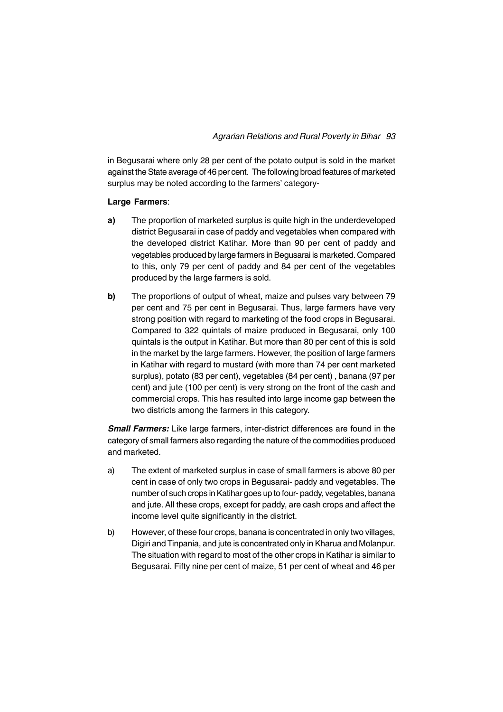### *Agrarian Relations and Rural Poverty in Bihar 93*

in Begusarai where only 28 per cent of the potato output is sold in the market against the State average of 46 per cent. The following broad features of marketed surplus may be noted according to the farmers' category-

### **Large Farmers**:

- **a)** The proportion of marketed surplus is quite high in the underdeveloped district Begusarai in case of paddy and vegetables when compared with the developed district Katihar. More than 90 per cent of paddy and vegetables produced by large farmers in Begusarai is marketed. Compared to this, only 79 per cent of paddy and 84 per cent of the vegetables produced by the large farmers is sold.
- **b)** The proportions of output of wheat, maize and pulses vary between 79 per cent and 75 per cent in Begusarai. Thus, large farmers have very strong position with regard to marketing of the food crops in Begusarai. Compared to 322 quintals of maize produced in Begusarai, only 100 quintals is the output in Katihar. But more than 80 per cent of this is sold in the market by the large farmers. However, the position of large farmers in Katihar with regard to mustard (with more than 74 per cent marketed surplus), potato (83 per cent), vegetables (84 per cent) , banana (97 per cent) and jute (100 per cent) is very strong on the front of the cash and commercial crops. This has resulted into large income gap between the two districts among the farmers in this category.

**Small Farmers:** Like large farmers, inter-district differences are found in the category of small farmers also regarding the nature of the commodities produced and marketed.

- a) The extent of marketed surplus in case of small farmers is above 80 per cent in case of only two crops in Begusarai- paddy and vegetables. The number of such crops in Katihar goes up to four- paddy, vegetables, banana and jute. All these crops, except for paddy, are cash crops and affect the income level quite significantly in the district.
- b) However, of these four crops, banana is concentrated in only two villages, Digiri and Tinpania, and jute is concentrated only in Kharua and Molanpur. The situation with regard to most of the other crops in Katihar is similar to Begusarai. Fifty nine per cent of maize, 51 per cent of wheat and 46 per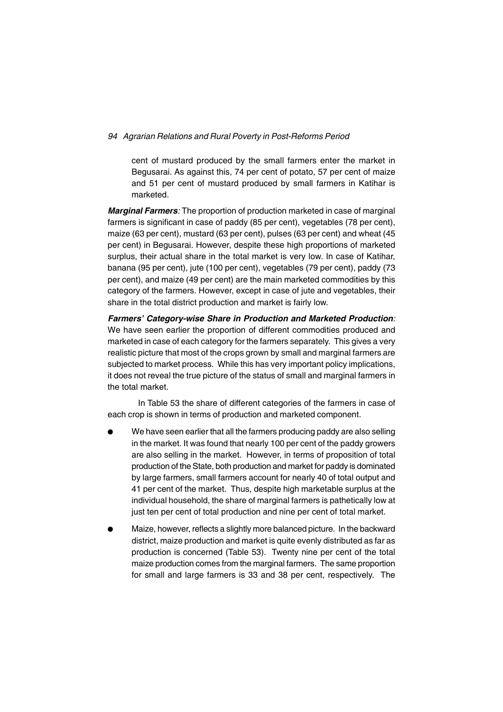cent of mustard produced by the small farmers enter the market in Begusarai. As against this, 74 per cent of potato, 57 per cent of maize and 51 per cent of mustard produced by small farmers in Katihar is marketed.

*Marginal Farmers:* The proportion of production marketed in case of marginal farmers is significant in case of paddy (85 per cent), vegetables (78 per cent), maize (63 per cent), mustard (63 per cent), pulses (63 per cent) and wheat (45 per cent) in Begusarai. However, despite these high proportions of marketed surplus, their actual share in the total market is very low. In case of Katihar, banana (95 per cent), jute (100 per cent), vegetables (79 per cent), paddy (73 per cent), and maize (49 per cent) are the main marketed commodities by this category of the farmers. However, except in case of jute and vegetables, their share in the total district production and market is fairly low.

*Farmers' Category-wise Share in Production and Marketed Production:* We have seen earlier the proportion of different commodities produced and marketed in case of each category for the farmers separately. This gives a very realistic picture that most of the crops grown by small and marginal farmers are subjected to market process. While this has very important policy implications, it does not reveal the true picture of the status of small and marginal farmers in the total market.

In Table 53 the share of different categories of the farmers in case of each crop is shown in terms of production and marketed component.

- <sup>l</sup> We have seen earlier that all the farmers producing paddy are also selling in the market. It was found that nearly 100 per cent of the paddy growers are also selling in the market. However, in terms of proposition of total production of the State, both production and market for paddy is dominated by large farmers, small farmers account for nearly 40 of total output and 41 per cent of the market. Thus, despite high marketable surplus at the individual household, the share of marginal farmers is pathetically low at just ten per cent of total production and nine per cent of total market.
- Maize, however, reflects a slightly more balanced picture. In the backward district, maize production and market is quite evenly distributed as far as production is concerned (Table 53). Twenty nine per cent of the total maize production comes from the marginal farmers. The same proportion for small and large farmers is 33 and 38 per cent, respectively. The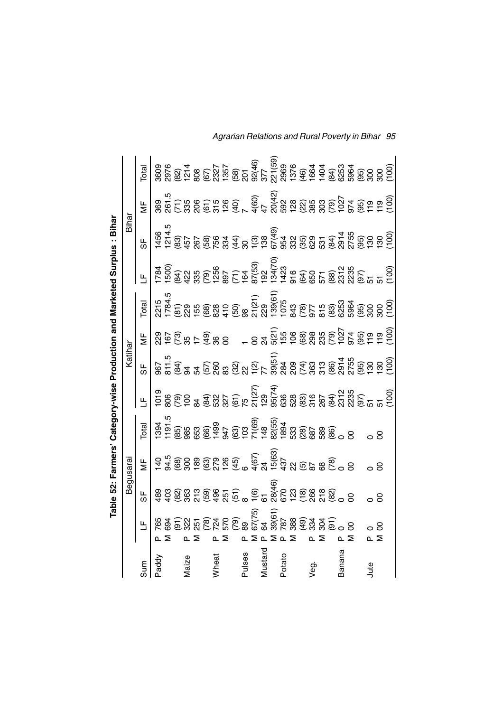|              |                                                                                                                                                                                                                                                                                                                                                                                                                                                           |    |                                                                                                                                                                                                                                                                                                                                                                                                 |       |        |         |    |                                                                                                                                                                                                                                                                                                                                                                                                                                                  |                                                                                                                                                                                                                                                                                                               | Table 52: Farmers' Category-wise Production and Marketed Surplus : Bihar |                      |                                                                                                                                                                                                                                                                                                     |
|--------------|-----------------------------------------------------------------------------------------------------------------------------------------------------------------------------------------------------------------------------------------------------------------------------------------------------------------------------------------------------------------------------------------------------------------------------------------------------------|----|-------------------------------------------------------------------------------------------------------------------------------------------------------------------------------------------------------------------------------------------------------------------------------------------------------------------------------------------------------------------------------------------------|-------|--------|---------|----|--------------------------------------------------------------------------------------------------------------------------------------------------------------------------------------------------------------------------------------------------------------------------------------------------------------------------------------------------------------------------------------------------------------------------------------------------|---------------------------------------------------------------------------------------------------------------------------------------------------------------------------------------------------------------------------------------------------------------------------------------------------------------|--------------------------------------------------------------------------|----------------------|-----------------------------------------------------------------------------------------------------------------------------------------------------------------------------------------------------------------------------------------------------------------------------------------------------|
|              |                                                                                                                                                                                                                                                                                                                                                                                                                                                           |    | Begusarai                                                                                                                                                                                                                                                                                                                                                                                       |       |        | Katihar |    |                                                                                                                                                                                                                                                                                                                                                                                                                                                  |                                                                                                                                                                                                                                                                                                               | Bihar                                                                    |                      |                                                                                                                                                                                                                                                                                                     |
|              | Е                                                                                                                                                                                                                                                                                                                                                                                                                                                         | ზ∣ | $\overline{\Sigma}$                                                                                                                                                                                                                                                                                                                                                                             | Total | ц<br>Ц | ზ       | \⊧ | <b>Total</b>                                                                                                                                                                                                                                                                                                                                                                                                                                     | $\mathbb{E}^{\frac{1}{2}}$                                                                                                                                                                                                                                                                                    | ა∥                                                                       | $\frac{\mu}{\Sigma}$ | Total                                                                                                                                                                                                                                                                                               |
| add)         |                                                                                                                                                                                                                                                                                                                                                                                                                                                           |    | $\begin{array}{l} \Xi_5 \cong \Xi_6 \cong \Xi_7 \cong \Xi_8 \cong \Xi_7 \cong \Xi_8 \cong \Xi_7 \cong \Xi_8 \cong \Xi_7 \cong \Xi_8 \cong \Xi_7 \cong \Xi_8 \cong \Xi_7 \cong \Xi_8 \cong \Xi_7 \cong \Xi_8 \cong \Xi_7 \cong \Xi_8 \cong \Xi_7 \cong \Xi_8 \cong \Xi_7 \cong \Xi_8 \cong \Xi_8 \cong \Xi_7 \cong \Xi_8 \cong \Xi_8 \cong \Xi_8 \cong \Xi_8 \cong \Xi_8 \cong \Xi_8 \cong \Xi_$ |       |        |         |    | $\begin{array}{ll} \mathbb{F}_6 & \mathbb{F}_6 \\ \mathbb{F}_7 & \mathbb{F}_8 \\ \mathbb{F}_8 & \mathbb{F}_9 \\ \mathbb{F}_9 & \mathbb{F}_9 \\ \mathbb{F}_9 & \mathbb{F}_9 \\ \mathbb{F}_9 & \mathbb{F}_9 \\ \mathbb{F}_9 & \mathbb{F}_9 \\ \mathbb{F}_9 & \mathbb{F}_9 \\ \mathbb{F}_9 & \mathbb{F}_9 \\ \mathbb{F}_9 & \mathbb{F}_9 \\ \mathbb{F}_9 & \mathbb{F}_9 \\ \mathbb{F}_9 & \mathbb{F}_9 \\ \mathbb{F}_9 & \mathbb{F}_9 \\ \mathbb{F$ | $\begin{array}{l} 7.50 \\ 7.50 \\ 7.50 \\ 7.50 \\ 8.51 \\ 9.51 \\ 9.52 \\ 9.53 \\ 9.54 \\ 9.55 \\ 9.56 \\ 9.57 \\ 9.57 \\ 9.58 \\ 9.59 \\ 9.59 \\ 9.53 \\ 9.53 \\ 9.53 \\ 9.53 \\ 9.53 \\ 9.53 \\ 9.53 \\ 9.53 \\ 9.53 \\ 9.53 \\ 9.53 \\ 9.53 \\ 9.53 \\ 9.53 \\ 9.53 \\ 9.53 \\ 9.53 \\ 9.53 \\ 9.53 \\ 9.$ |                                                                          |                      |                                                                                                                                                                                                                                                                                                     |
|              |                                                                                                                                                                                                                                                                                                                                                                                                                                                           |    |                                                                                                                                                                                                                                                                                                                                                                                                 |       |        |         |    |                                                                                                                                                                                                                                                                                                                                                                                                                                                  |                                                                                                                                                                                                                                                                                                               |                                                                          |                      |                                                                                                                                                                                                                                                                                                     |
|              |                                                                                                                                                                                                                                                                                                                                                                                                                                                           |    |                                                                                                                                                                                                                                                                                                                                                                                                 |       |        |         |    |                                                                                                                                                                                                                                                                                                                                                                                                                                                  |                                                                                                                                                                                                                                                                                                               |                                                                          |                      |                                                                                                                                                                                                                                                                                                     |
| Maize        |                                                                                                                                                                                                                                                                                                                                                                                                                                                           |    |                                                                                                                                                                                                                                                                                                                                                                                                 |       |        |         |    |                                                                                                                                                                                                                                                                                                                                                                                                                                                  |                                                                                                                                                                                                                                                                                                               |                                                                          |                      |                                                                                                                                                                                                                                                                                                     |
|              |                                                                                                                                                                                                                                                                                                                                                                                                                                                           |    |                                                                                                                                                                                                                                                                                                                                                                                                 |       |        |         |    |                                                                                                                                                                                                                                                                                                                                                                                                                                                  |                                                                                                                                                                                                                                                                                                               |                                                                          |                      |                                                                                                                                                                                                                                                                                                     |
|              | $\begin{array}{l} \mathfrak{g}\mathfrak{g}\mathfrak{g}\mathfrak{g}\mathfrak{g}\mathfrak{g}\mathfrak{g}\mathfrak{g}\mathfrak{g} \\ \mathfrak{g}\mathfrak{g}\mathfrak{g}\mathfrak{g}\mathfrak{g}\mathfrak{g}\mathfrak{g}\mathfrak{g}\mathfrak{g} \\ \mathfrak{g}\mathfrak{g}\mathfrak{g}\mathfrak{g}\mathfrak{g}\mathfrak{g}\mathfrak{g}\mathfrak{g} \\ \mathfrak{g}\mathfrak{g}\mathfrak{g}\mathfrak{g}\mathfrak{g}\mathfrak{g} \mathfrak{g} \mathfrak{g}$ |    |                                                                                                                                                                                                                                                                                                                                                                                                 |       |        |         |    |                                                                                                                                                                                                                                                                                                                                                                                                                                                  |                                                                                                                                                                                                                                                                                                               |                                                                          |                      | $\begin{array}{l} 0966 \\ 8880 \\ 89922 \\ 89922 \\ 89922 \\ 89922 \\ 89922 \\ 89922 \\ 89922 \\ 89922 \\ 89922 \\ 89922 \\ 89922 \\ 89922 \\ 89922 \\ 89922 \\ 89922 \\ 89922 \\ 89922 \\ 89922 \\ 89922 \\ 89922 \\ 89922 \\ 89922 \\ 89922 \\ 89922 \\ 89922 \\ 89922 \\ 89922 \\ 89922 \\ 8992$ |
| <b>Mheat</b> |                                                                                                                                                                                                                                                                                                                                                                                                                                                           |    |                                                                                                                                                                                                                                                                                                                                                                                                 |       |        |         |    |                                                                                                                                                                                                                                                                                                                                                                                                                                                  |                                                                                                                                                                                                                                                                                                               |                                                                          |                      |                                                                                                                                                                                                                                                                                                     |
|              |                                                                                                                                                                                                                                                                                                                                                                                                                                                           |    |                                                                                                                                                                                                                                                                                                                                                                                                 |       |        |         |    |                                                                                                                                                                                                                                                                                                                                                                                                                                                  |                                                                                                                                                                                                                                                                                                               |                                                                          |                      |                                                                                                                                                                                                                                                                                                     |
|              |                                                                                                                                                                                                                                                                                                                                                                                                                                                           |    |                                                                                                                                                                                                                                                                                                                                                                                                 |       |        |         |    |                                                                                                                                                                                                                                                                                                                                                                                                                                                  |                                                                                                                                                                                                                                                                                                               |                                                                          |                      |                                                                                                                                                                                                                                                                                                     |
| pulses       |                                                                                                                                                                                                                                                                                                                                                                                                                                                           |    |                                                                                                                                                                                                                                                                                                                                                                                                 |       |        |         |    |                                                                                                                                                                                                                                                                                                                                                                                                                                                  |                                                                                                                                                                                                                                                                                                               |                                                                          |                      |                                                                                                                                                                                                                                                                                                     |
|              |                                                                                                                                                                                                                                                                                                                                                                                                                                                           |    |                                                                                                                                                                                                                                                                                                                                                                                                 |       |        |         |    |                                                                                                                                                                                                                                                                                                                                                                                                                                                  |                                                                                                                                                                                                                                                                                                               |                                                                          |                      |                                                                                                                                                                                                                                                                                                     |
| Vlustard     |                                                                                                                                                                                                                                                                                                                                                                                                                                                           |    |                                                                                                                                                                                                                                                                                                                                                                                                 |       |        |         |    |                                                                                                                                                                                                                                                                                                                                                                                                                                                  |                                                                                                                                                                                                                                                                                                               |                                                                          |                      |                                                                                                                                                                                                                                                                                                     |
|              |                                                                                                                                                                                                                                                                                                                                                                                                                                                           |    |                                                                                                                                                                                                                                                                                                                                                                                                 |       |        |         |    |                                                                                                                                                                                                                                                                                                                                                                                                                                                  |                                                                                                                                                                                                                                                                                                               |                                                                          |                      |                                                                                                                                                                                                                                                                                                     |
| Potato       |                                                                                                                                                                                                                                                                                                                                                                                                                                                           |    |                                                                                                                                                                                                                                                                                                                                                                                                 |       |        |         |    |                                                                                                                                                                                                                                                                                                                                                                                                                                                  |                                                                                                                                                                                                                                                                                                               |                                                                          |                      |                                                                                                                                                                                                                                                                                                     |
|              |                                                                                                                                                                                                                                                                                                                                                                                                                                                           |    |                                                                                                                                                                                                                                                                                                                                                                                                 |       |        |         |    |                                                                                                                                                                                                                                                                                                                                                                                                                                                  |                                                                                                                                                                                                                                                                                                               |                                                                          |                      |                                                                                                                                                                                                                                                                                                     |
|              |                                                                                                                                                                                                                                                                                                                                                                                                                                                           |    |                                                                                                                                                                                                                                                                                                                                                                                                 |       |        |         |    |                                                                                                                                                                                                                                                                                                                                                                                                                                                  |                                                                                                                                                                                                                                                                                                               |                                                                          |                      |                                                                                                                                                                                                                                                                                                     |
| /eg.         |                                                                                                                                                                                                                                                                                                                                                                                                                                                           |    |                                                                                                                                                                                                                                                                                                                                                                                                 |       |        |         |    |                                                                                                                                                                                                                                                                                                                                                                                                                                                  |                                                                                                                                                                                                                                                                                                               |                                                                          |                      |                                                                                                                                                                                                                                                                                                     |
|              |                                                                                                                                                                                                                                                                                                                                                                                                                                                           |    |                                                                                                                                                                                                                                                                                                                                                                                                 |       |        |         |    |                                                                                                                                                                                                                                                                                                                                                                                                                                                  |                                                                                                                                                                                                                                                                                                               |                                                                          |                      |                                                                                                                                                                                                                                                                                                     |
|              |                                                                                                                                                                                                                                                                                                                                                                                                                                                           |    |                                                                                                                                                                                                                                                                                                                                                                                                 |       |        |         |    |                                                                                                                                                                                                                                                                                                                                                                                                                                                  |                                                                                                                                                                                                                                                                                                               |                                                                          |                      |                                                                                                                                                                                                                                                                                                     |
| Banana       |                                                                                                                                                                                                                                                                                                                                                                                                                                                           |    |                                                                                                                                                                                                                                                                                                                                                                                                 |       |        |         |    |                                                                                                                                                                                                                                                                                                                                                                                                                                                  |                                                                                                                                                                                                                                                                                                               |                                                                          |                      |                                                                                                                                                                                                                                                                                                     |
|              |                                                                                                                                                                                                                                                                                                                                                                                                                                                           |    |                                                                                                                                                                                                                                                                                                                                                                                                 |       |        |         |    |                                                                                                                                                                                                                                                                                                                                                                                                                                                  |                                                                                                                                                                                                                                                                                                               |                                                                          |                      |                                                                                                                                                                                                                                                                                                     |
|              |                                                                                                                                                                                                                                                                                                                                                                                                                                                           |    |                                                                                                                                                                                                                                                                                                                                                                                                 |       |        |         |    |                                                                                                                                                                                                                                                                                                                                                                                                                                                  |                                                                                                                                                                                                                                                                                                               |                                                                          |                      |                                                                                                                                                                                                                                                                                                     |
| Jute         |                                                                                                                                                                                                                                                                                                                                                                                                                                                           |    |                                                                                                                                                                                                                                                                                                                                                                                                 |       |        |         |    |                                                                                                                                                                                                                                                                                                                                                                                                                                                  |                                                                                                                                                                                                                                                                                                               |                                                                          |                      |                                                                                                                                                                                                                                                                                                     |
|              |                                                                                                                                                                                                                                                                                                                                                                                                                                                           |    |                                                                                                                                                                                                                                                                                                                                                                                                 |       |        |         |    |                                                                                                                                                                                                                                                                                                                                                                                                                                                  |                                                                                                                                                                                                                                                                                                               |                                                                          |                      |                                                                                                                                                                                                                                                                                                     |
|              |                                                                                                                                                                                                                                                                                                                                                                                                                                                           |    |                                                                                                                                                                                                                                                                                                                                                                                                 |       |        |         |    |                                                                                                                                                                                                                                                                                                                                                                                                                                                  |                                                                                                                                                                                                                                                                                                               |                                                                          |                      |                                                                                                                                                                                                                                                                                                     |

*Agrarian Relations and Rural Poverty in Bihar 95*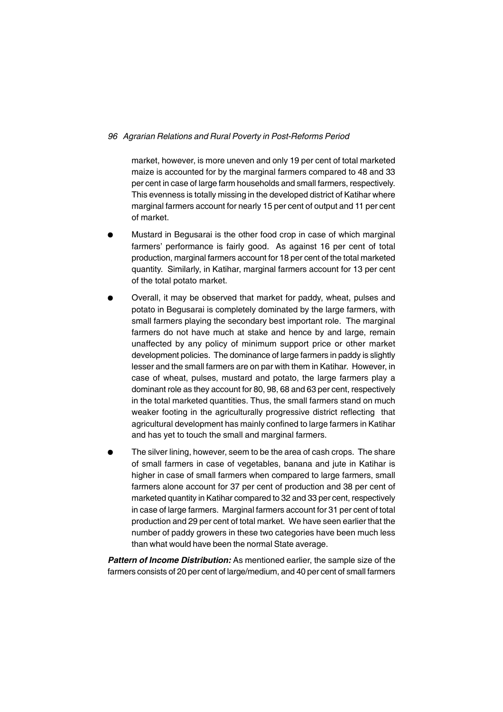market, however, is more uneven and only 19 per cent of total marketed maize is accounted for by the marginal farmers compared to 48 and 33 per cent in case of large farm households and small farmers, respectively. This evenness is totally missing in the developed district of Katihar where marginal farmers account for nearly 15 per cent of output and 11 per cent of market.

- <sup>l</sup> Mustard in Begusarai is the other food crop in case of which marginal farmers' performance is fairly good. As against 16 per cent of total production, marginal farmers account for 18 per cent of the total marketed quantity. Similarly, in Katihar, marginal farmers account for 13 per cent of the total potato market.
- Overall, it may be observed that market for paddy, wheat, pulses and potato in Begusarai is completely dominated by the large farmers, with small farmers playing the secondary best important role. The marginal farmers do not have much at stake and hence by and large, remain unaffected by any policy of minimum support price or other market development policies. The dominance of large farmers in paddy is slightly lesser and the small farmers are on par with them in Katihar. However, in case of wheat, pulses, mustard and potato, the large farmers play a dominant role as they account for 80, 98, 68 and 63 per cent, respectively in the total marketed quantities. Thus, the small farmers stand on much weaker footing in the agriculturally progressive district reflecting that agricultural development has mainly confined to large farmers in Katihar and has yet to touch the small and marginal farmers.
- The silver lining, however, seem to be the area of cash crops. The share of small farmers in case of vegetables, banana and jute in Katihar is higher in case of small farmers when compared to large farmers, small farmers alone account for 37 per cent of production and 38 per cent of marketed quantity in Katihar compared to 32 and 33 per cent, respectively in case of large farmers. Marginal farmers account for 31 per cent of total production and 29 per cent of total market. We have seen earlier that the number of paddy growers in these two categories have been much less than what would have been the normal State average.

*Pattern of Income Distribution:* As mentioned earlier, the sample size of the farmers consists of 20 per cent of large/medium, and 40 per cent of small farmers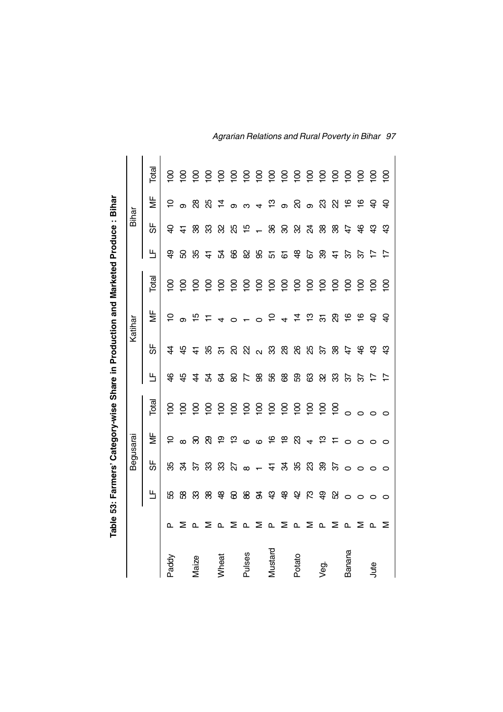|          |              |                            |          |                                                                                                                              |                         |                |                 |                                | Table 53: Farmers' Category-wise Share in Production and Marketed Produce: Bihar |                |                |                      |                 |
|----------|--------------|----------------------------|----------|------------------------------------------------------------------------------------------------------------------------------|-------------------------|----------------|-----------------|--------------------------------|----------------------------------------------------------------------------------|----------------|----------------|----------------------|-----------------|
|          |              |                            |          | Begusarai                                                                                                                    |                         |                |                 | Katihar                        |                                                                                  |                | Bihar          |                      |                 |
|          |              | Ь                          | ပ္တ      | ξ                                                                                                                            | Total                   | Ь              | ₩               | ₹                              | Total                                                                            | Ш              | ჭ              | ₹                    | Total           |
| Paddy    | ൨            | 55                         | ్య       | $\overline{C}$                                                                                                               | $\overline{8}$          | $\frac{1}{2}$  | $\ddot{A}$      | $\overline{a}$                 | $\overline{8}$                                                                   | අ              | ੩              | ₽                    | $\overline{8}$  |
|          | Σ            | 8                          | æ        | $\infty$                                                                                                                     | $\overline{\mathsf{S}}$ | $\overline{a}$ |                 | $\infty$                       | $\overline{8}$                                                                   | ន              | $\frac{4}{7}$  | $\infty$             |                 |
| Maize    | <b>L</b>     | జ                          | $\omega$ | ର                                                                                                                            | $\overline{5}$          | $\overline{4}$ | <i>਼</i> ਮ ਦੇ ਲ | $\frac{5}{1}$                  | $\overline{5}$                                                                   | 85             | 88             | ని                   |                 |
|          | ≅            | ⊗                          | ೫        | ලි                                                                                                                           |                         | Ŀ              |                 | $\overline{r}$                 | $\overline{\mathsf{S}}$                                                          | $\ddot{+}$     | සි             | සි                   |                 |
| Wheat    | $\mathbf{L}$ | $\frac{8}{3}$              | ఞ        | ္ဟား ဗု                                                                                                                      | 888                     | ୟ              |                 | 4                              | <u>୍ର</u>                                                                        | R              | ୠ              | $\frac{4}{7}$ ອ      | 888888888888888 |
|          | Σ            | 8                          | S.       |                                                                                                                              |                         | ළ              |                 | $\circ$                        | $\overline{5}$                                                                   | 8              | 85             |                      |                 |
| Pulses   | $\mathbf{a}$ | 88                         | $\infty$ | $\circ$ $\circ$                                                                                                              |                         | $\overline{K}$ |                 |                                | $\overline{5}$                                                                   | 8              | $\frac{15}{2}$ | ო                    |                 |
|          | ⋝            | $\mathfrak{F}$             | $-5$     |                                                                                                                              |                         | 8              |                 | $ \circ$ $\frac{\circ}{\circ}$ | $\overline{5}$                                                                   | 99             | $\overline{a}$ | ್ನ <sup>ದ</sup> ಾ ನಿ |                 |
| Vlustard | $\mathbf{a}$ | $\boldsymbol{\mathcal{L}}$ |          |                                                                                                                              |                         | 8              |                 |                                | $\overline{5}$                                                                   | 57             | 8              |                      |                 |
|          | ⋝            |                            | रू       |                                                                                                                              |                         | 8              |                 |                                | $\overline{5}$                                                                   | ভ              | ୡ              |                      |                 |
| Potato   | $\mathbf{r}$ | <b>\$ 3</b>                | ఘ్ర      | $\overleftarrow{e}$ $\overrightarrow{e}$ $\overrightarrow{0}$ $\overrightarrow{d}$ $\overrightarrow{c}$ $\overrightarrow{c}$ | 888888                  | සි             |                 | $4\frac{1}{4}$                 | $\overline{5}$                                                                   | ஆ              | ଅ              |                      |                 |
|          | Σ            |                            | ಔ        |                                                                                                                              |                         | ශී             |                 | ဗ္                             | $\overline{5}$                                                                   | 67             | S4             | ග බී                 |                 |
| yeg.     | ൨            | R & &                      | ஜ        |                                                                                                                              | 58                      | ೫              | ನಿ ಸಿ           | ত্ৰ                            | $\overline{5}$                                                                   | ஜ              | 88             |                      |                 |
|          | Σ            |                            | তি       |                                                                                                                              |                         | ఞ              |                 | ଅ                              | $\overline{5}$                                                                   | $\pm$          | 88             | ୍ଷ                   |                 |
| Banana   | ൨            | $\circ$                    | $\circ$  | $\circ$                                                                                                                      | $\circ$                 | $\mathfrak{S}$ | 49              | $\frac{1}{2}$                  | $\overline{5}$                                                                   | ર્જિ           | 47             | $\frac{6}{5}$        |                 |
|          | Σ            | $\circ$                    | $\circ$  | $\circ$                                                                                                                      | $\circ$                 | $\mathcal{E}$  |                 | $\frac{6}{5}$                  | $\overline{8}$                                                                   | $\approx$      | $\frac{6}{5}$  | $\frac{6}{1}$        |                 |
| Jute     | ൨            | $\circ$                    | $\circ$  | $\circ$                                                                                                                      | $\circ$                 | $\overline{z}$ | ञ्च             | $\Theta$                       | $\overline{8}$                                                                   | ₽              | ၛ              | $\Theta$             |                 |
|          | ⋝            | $\circ$                    | $\circ$  | $\circ$                                                                                                                      |                         | $\overline{r}$ | $\mathfrak{P}$  | $\Theta$                       | $\overline{8}$                                                                   | $\overline{1}$ | ၛ              | $\Theta$             | $\overline{8}$  |

*Agrarian Relations and Rural Poverty in Bihar 97*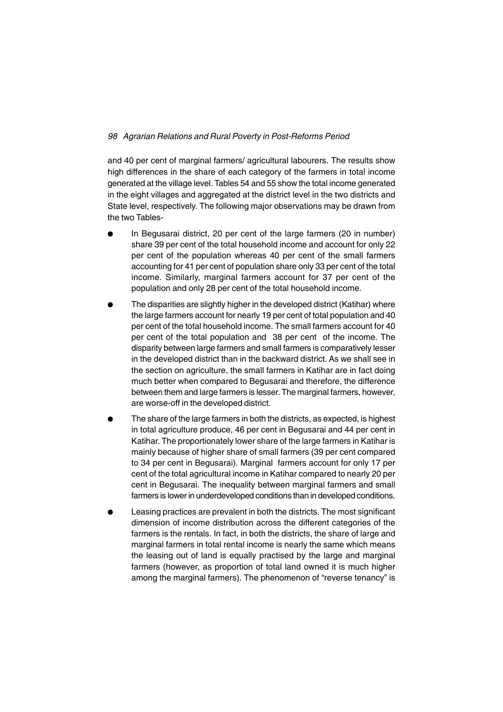and 40 per cent of marginal farmers/ agricultural labourers. The results show high differences in the share of each category of the farmers in total income generated at the village level. Tables 54 and 55 show the total income generated in the eight villages and aggregated at the district level in the two districts and State level, respectively. The following major observations may be drawn from the two Tables-

- In Begusarai district, 20 per cent of the large farmers (20 in number) share 39 per cent of the total household income and account for only 22 per cent of the population whereas 40 per cent of the small farmers accounting for 41 per cent of population share only 33 per cent of the total income. Similarly, marginal farmers account for 37 per cent of the population and only 28 per cent of the total household income.
- The disparities are slightly higher in the developed district (Katihar) where the large farmers account for nearly 19 per cent of total population and 40 per cent of the total household income. The small farmers account for 40 per cent of the total population and 38 per cent of the income. The disparity between large farmers and small farmers is comparatively lesser in the developed district than in the backward district. As we shall see in the section on agriculture, the small farmers in Katihar are in fact doing much better when compared to Begusarai and therefore, the difference between them and large farmers is lesser. The marginal farmers, however, are worse-off in the developed district.
- The share of the large farmers in both the districts, as expected, is highest in total agriculture produce, 46 per cent in Begusarai and 44 per cent in Katihar. The proportionately lower share of the large farmers in Katihar is mainly because of higher share of small farmers (39 per cent compared to 34 per cent in Begusarai). Marginal farmers account for only 17 per cent of the total agricultural income in Katihar compared to nearly 20 per cent in Begusarai. The inequality between marginal farmers and small farmers is lower in underdeveloped conditions than in developed conditions.
- <sup>l</sup> Leasing practices are prevalent in both the districts. The most significant dimension of income distribution across the different categories of the farmers is the rentals. In fact, in both the districts, the share of large and marginal farmers in total rental income is nearly the same which means the leasing out of land is equally practised by the large and marginal farmers (however, as proportion of total land owned it is much higher among the marginal farmers). The phenomenon of "reverse tenancy" is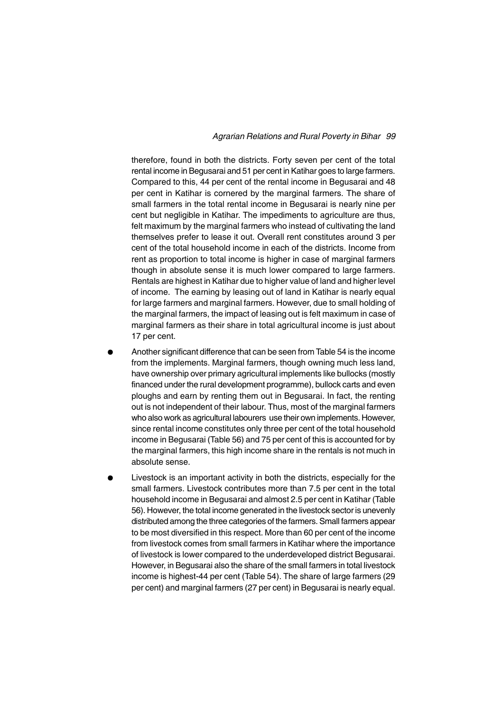### *Agrarian Relations and Rural Poverty in Bihar 99*

therefore, found in both the districts. Forty seven per cent of the total rental income in Begusarai and 51 per cent in Katihar goes to large farmers. Compared to this, 44 per cent of the rental income in Begusarai and 48 per cent in Katihar is cornered by the marginal farmers. The share of small farmers in the total rental income in Begusarai is nearly nine per cent but negligible in Katihar. The impediments to agriculture are thus, felt maximum by the marginal farmers who instead of cultivating the land themselves prefer to lease it out. Overall rent constitutes around 3 per cent of the total household income in each of the districts. Income from rent as proportion to total income is higher in case of marginal farmers though in absolute sense it is much lower compared to large farmers. Rentals are highest in Katihar due to higher value of land and higher level of income. The earning by leasing out of land in Katihar is nearly equal for large farmers and marginal farmers. However, due to small holding of the marginal farmers, the impact of leasing out is felt maximum in case of marginal farmers as their share in total agricultural income is just about 17 per cent.

- Another significant difference that can be seen from Table 54 is the income from the implements. Marginal farmers, though owning much less land, have ownership over primary agricultural implements like bullocks (mostly financed under the rural development programme), bullock carts and even ploughs and earn by renting them out in Begusarai. In fact, the renting out is not independent of their labour. Thus, most of the marginal farmers who also work as agricultural labourers use their own implements. However, since rental income constitutes only three per cent of the total household income in Begusarai (Table 56) and 75 per cent of this is accounted for by the marginal farmers, this high income share in the rentals is not much in absolute sense.
- Livestock is an important activity in both the districts, especially for the small farmers. Livestock contributes more than 7.5 per cent in the total household income in Begusarai and almost 2.5 per cent in Katihar (Table 56). However, the total income generated in the livestock sector is unevenly distributed among the three categories of the farmers. Small farmers appear to be most diversified in this respect. More than 60 per cent of the income from livestock comes from small farmers in Katihar where the importance of livestock is lower compared to the underdeveloped district Begusarai. However, in Begusarai also the share of the small farmers in total livestock income is highest-44 per cent (Table 54). The share of large farmers (29 per cent) and marginal farmers (27 per cent) in Begusarai is nearly equal.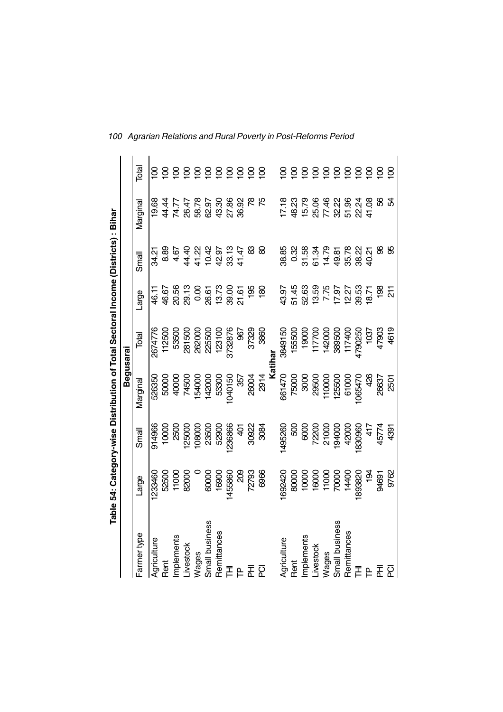|                |                            |                                    | Table 54: Category-wise Distribution of Total Sectoral Income (Districts) : Bihar |                                         |                                                             |                                   |          |                         |
|----------------|----------------------------|------------------------------------|-----------------------------------------------------------------------------------|-----------------------------------------|-------------------------------------------------------------|-----------------------------------|----------|-------------------------|
|                |                            |                                    | Begusarai                                                                         |                                         |                                                             |                                   |          |                         |
| Farmer type    | Large                      | Small                              | Marginal                                                                          | Total                                   | arge                                                        | Small                             | Marginal | <b>Total</b>            |
| Agriculture    | 1233460                    | 914966                             | 526350                                                                            | 2674776                                 | 46.1                                                        | 34.21                             | 19.68    |                         |
| Rent           |                            | 10000                              | 50000                                                                             | 112500                                  | 46.67                                                       | 8.89                              | 44.44    |                         |
| Implements     | 52500<br>11000<br>82000    | 2500                               |                                                                                   | 53500                                   |                                                             |                                   | 74.77    | 8                       |
| Livestock      |                            |                                    | 40000<br>74500                                                                    | 281500                                  |                                                             |                                   | 26.47    | $\overline{8}$          |
| Wages          |                            | 125000<br>108000<br>23500<br>52900 | 154000                                                                            |                                         | ន្លក្ខុ<br>១១ ១ ១ ភូមិ ១ ១<br>១ ១ ១ ១ ១ ភូមិ<br>ភូមិ ១ ភូមិ |                                   | 58.78    | $\overline{8}$          |
| Small business |                            |                                    |                                                                                   | 262000<br>225500<br>123100              |                                                             |                                   | 62.97    |                         |
| Remittances    | 00000<br>16900             |                                    | 142000<br>53300                                                                   |                                         |                                                             |                                   | 43.30    | $rac{8}{5}$             |
| 舌              | 1455860                    | 1236866                            | 040150                                                                            | 3732876                                 |                                                             |                                   | 27.86    | $\overline{8}$          |
|                | $\frac{8}{3}$              | $rac{1}{4}$                        | 357                                                                               | 967                                     |                                                             |                                   | 36.92    | $\overline{8}$          |
| 롮              | 72793<br>6966              | 30922<br>3084                      | 26004                                                                             | 37329                                   | $\frac{95}{5}$                                              |                                   |          | $\overline{8}$          |
| ត្ថ            |                            |                                    | 2914                                                                              | 3860                                    | $\frac{8}{2}$                                               | 8                                 |          | $\overline{100}$        |
|                |                            |                                    |                                                                                   |                                         |                                                             |                                   |          |                         |
| Agriculture    | 1692420                    | 1495260                            |                                                                                   | 3849150                                 |                                                             |                                   | 17.18    | <u>ទ</u>                |
| Rent           | 90000<br>10000             | 500                                | 661470<br>75000                                                                   | 155500                                  | 43.97<br>57.48<br>52.63                                     | 38.85<br>0.32                     | 48.23    | $\overline{8}$          |
| Implements     |                            |                                    | 3000                                                                              |                                         |                                                             | 31.58                             | 15.79    | $\overline{8}$          |
| Livestock      |                            |                                    | 29500                                                                             |                                         |                                                             |                                   | 25.06    | $\overline{8}$          |
| Wages          | 16000<br>11000<br>10000011 | 6000<br>72200<br>71000<br>194000   | 110000<br>125500<br>61000                                                         | 0004211<br>0006588<br>0006541<br>000611 | 13.59<br>7.7.97<br>12.93.71<br>18.12                        | 3<br>2 3 3 3 3 3 4<br>3 4 9 8 9 9 | 77.46    | $rac{8}{5}$             |
| Small business |                            |                                    |                                                                                   |                                         |                                                             |                                   | 32.22    |                         |
| Remittances    |                            | 42000                              |                                                                                   |                                         |                                                             |                                   | 51.96    |                         |
| 크 록            | 1893820                    | 1830960                            | 1065470                                                                           | 4790250                                 |                                                             |                                   | 22.24    | 558                     |
|                | $\frac{5}{2}$              | $rac{1}{4}$                        | 426                                                                               | 1037                                    |                                                             |                                   | 41.08    |                         |
| 좂              | 94691                      | 45774                              | 26637                                                                             | 47903                                   | $\frac{8}{3}$                                               | 8                                 | 8        | $\overline{\mathsf{S}}$ |
| 준              | 9762                       | 4391                               | 2501                                                                              | 4619                                    | $\frac{1}{2}$                                               | 99                                | Ŕ        | $\overline{8}$          |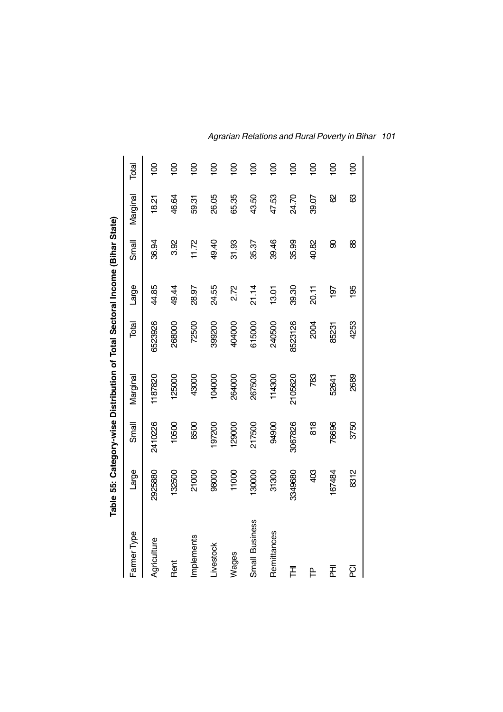|                       |         |         | Table 55: Category-wise Distribution of Total Sectoral Income (Bihar State) |         |       |       |         |                |
|-----------------------|---------|---------|-----------------------------------------------------------------------------|---------|-------|-------|---------|----------------|
| Farmer Type           | Large   | Small   | Marginal                                                                    | Total   | Large | Small | Margina | Total          |
| Agriculture           | 2925880 | 2410226 | 1187820                                                                     | 6523926 | 44.85 | 36.94 | 18.21   | $\overline{5}$ |
| <b>Rent</b>           | 132500  | 10500   | 125000                                                                      | 268000  | 49.44 | 3.92  | 46.64   | $\overline{0}$ |
| Implements            | 21000   | 8500    | 43000                                                                       | 72500   | 28.97 | 11.72 | 59.31   | $\overline{5}$ |
| Livestock             | 98000   | 197200  | 104000                                                                      | 399200  | 24.55 | 49.40 | 26.05   | $\overline{5}$ |
| Wages                 | 11000   | 129000  | 264000                                                                      | 404000  | 2.72  | 31.93 | 65.35   | $\overline{5}$ |
| <b>Small Business</b> | 130000  | 217500  | 267500                                                                      | 615000  | 21.14 | 35.37 | 43.50   | $\overline{5}$ |
| Remittances           | 31300   | 94900   | 114300                                                                      | 240500  | 13.01 | 39.46 | 47.53   | $\overline{5}$ |
| 舌                     | 3349680 | 3067826 | 2105620                                                                     | 8523126 | 39.30 | 35.99 | 24.70   | $\overline{5}$ |
| ₽                     | 403     | 818     | 783                                                                         | 2004    | 20.11 | 40.82 | 39.07   | $\overline{5}$ |
| 盂                     | 167484  | 76696   | 52641                                                                       | 85231   | 197   | 8     | 8       | $\overline{5}$ |
| <u>ፍ</u>              | 8312    | 3750    | 2689                                                                        | 4253    | 195   | 88    | ශී      | $\overline{0}$ |

*Agrarian Relations and Rural Poverty in Bihar 101*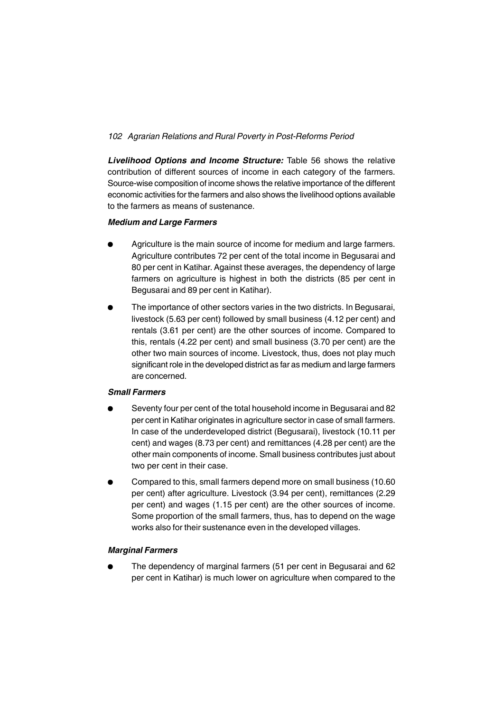*Livelihood Options and Income Structure:* Table 56 shows the relative contribution of different sources of income in each category of the farmers. Source-wise composition of income shows the relative importance of the different economic activities for the farmers and also shows the livelihood options available to the farmers as means of sustenance.

## *Medium and Large Farmers*

- Agriculture is the main source of income for medium and large farmers. Agriculture contributes 72 per cent of the total income in Begusarai and 80 per cent in Katihar. Against these averages, the dependency of large farmers on agriculture is highest in both the districts (85 per cent in Begusarai and 89 per cent in Katihar).
- The importance of other sectors varies in the two districts. In Begusarai, livestock (5.63 per cent) followed by small business (4.12 per cent) and rentals (3.61 per cent) are the other sources of income. Compared to this, rentals (4.22 per cent) and small business (3.70 per cent) are the other two main sources of income. Livestock, thus, does not play much significant role in the developed district as far as medium and large farmers are concerned.

### *Small Farmers*

- <sup>l</sup> Seventy four per cent of the total household income in Begusarai and 82 per cent in Katihar originates in agriculture sector in case of small farmers. In case of the underdeveloped district (Begusarai), livestock (10.11 per cent) and wages (8.73 per cent) and remittances (4.28 per cent) are the other main components of income. Small business contributes just about two per cent in their case.
- Compared to this, small farmers depend more on small business (10.60 per cent) after agriculture. Livestock (3.94 per cent), remittances (2.29 per cent) and wages (1.15 per cent) are the other sources of income. Some proportion of the small farmers, thus, has to depend on the wage works also for their sustenance even in the developed villages.

### *Marginal Farmers*

The dependency of marginal farmers (51 per cent in Begusarai and 62 per cent in Katihar) is much lower on agriculture when compared to the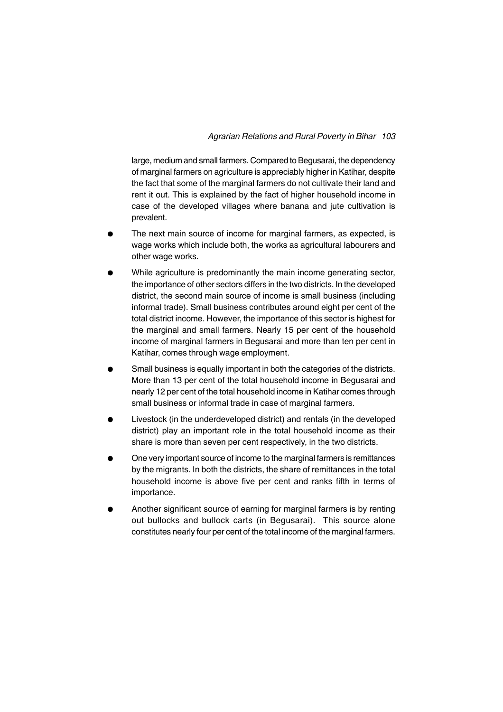large, medium and small farmers. Compared to Begusarai, the dependency of marginal farmers on agriculture is appreciably higher in Katihar, despite the fact that some of the marginal farmers do not cultivate their land and rent it out. This is explained by the fact of higher household income in case of the developed villages where banana and jute cultivation is prevalent.

- The next main source of income for marginal farmers, as expected, is wage works which include both, the works as agricultural labourers and other wage works.
- While agriculture is predominantly the main income generating sector, the importance of other sectors differs in the two districts. In the developed district, the second main source of income is small business (including informal trade). Small business contributes around eight per cent of the total district income. However, the importance of this sector is highest for the marginal and small farmers. Nearly 15 per cent of the household income of marginal farmers in Begusarai and more than ten per cent in Katihar, comes through wage employment.
- Small business is equally important in both the categories of the districts. More than 13 per cent of the total household income in Begusarai and nearly 12 per cent of the total household income in Katihar comes through small business or informal trade in case of marginal farmers.
- Livestock (in the underdeveloped district) and rentals (in the developed district) play an important role in the total household income as their share is more than seven per cent respectively, in the two districts.
- One very important source of income to the marginal farmers is remittances by the migrants. In both the districts, the share of remittances in the total household income is above five per cent and ranks fifth in terms of importance.
- Another significant source of earning for marginal farmers is by renting out bullocks and bullock carts (in Begusarai). This source alone constitutes nearly four per cent of the total income of the marginal farmers.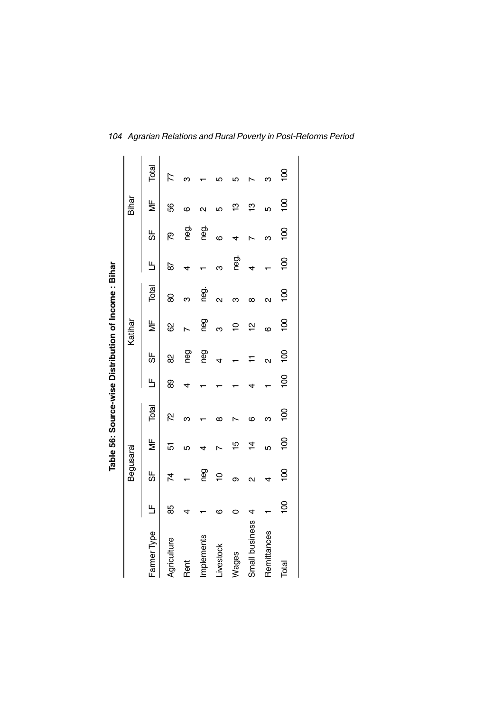|                |                |                   |                | Table 56: Source-wise Distribution of Income: Bihar |                |                         |                |                         |                |                |                |                |
|----------------|----------------|-------------------|----------------|-----------------------------------------------------|----------------|-------------------------|----------------|-------------------------|----------------|----------------|----------------|----------------|
|                |                | Begusarai         |                |                                                     |                |                         | Katihar        |                         |                |                | Bihar          |                |
| Farmer Type    | Щ              | 5                 | ξ              | Total                                               | Щ              | 5                       | ξ              | Total                   | Щ              | 5              | ξ              | Total          |
| Agriculture    | 89             | 74                | 5              | <b>Z</b>                                            | 8              | 8                       | ଌ              | 8                       | 6              | ల్గ            | 89             | Z              |
| Rent           |                |                   | 5              | ო                                                   |                | <b>Gou</b>              |                | ო                       | 4              | neg.           | ဖ              | ო              |
| Implements     |                | ceu               |                |                                                     |                | <b>Deu</b>              | ced<br>G       | ල<br>ප                  |                | neg.           |                |                |
| Livestock      | ဖ              | Ş                 |                | ന                                                   |                | 4                       | ო              | $\overline{\mathsf{C}}$ | ო              | ဖ              | ю              |                |
| Wages          |                | თ                 | 10             |                                                     |                |                         | ₽              | ო                       | neg.           |                | ဇ္             | ഥ              |
| Small business |                | $\mathbf{\Omega}$ | $\vec{4}$      | ဖ                                                   |                | $\mp$                   | 얻              | $\infty$                | 4              |                | ဇ္             |                |
| Remittances    |                | 4                 | LŊ             | ო                                                   |                | $\overline{\mathsf{C}}$ | o              | $\mathbf{\alpha}$       |                | ო              | LŊ             | ო              |
| Total          | $\overline{0}$ | $\overline{5}$    | $\overline{5}$ | $\overline{5}$                                      | $\overline{5}$ | $\overline{5}$          | $\overline{5}$ | $\overline{5}$          | $\overline{5}$ | $\overline{5}$ | $\overline{5}$ | $\overline{5}$ |
|                |                |                   |                |                                                     |                |                         |                |                         |                |                |                |                |

*104 Agrarian Relations and Rural Poverty in Post-Reforms Period*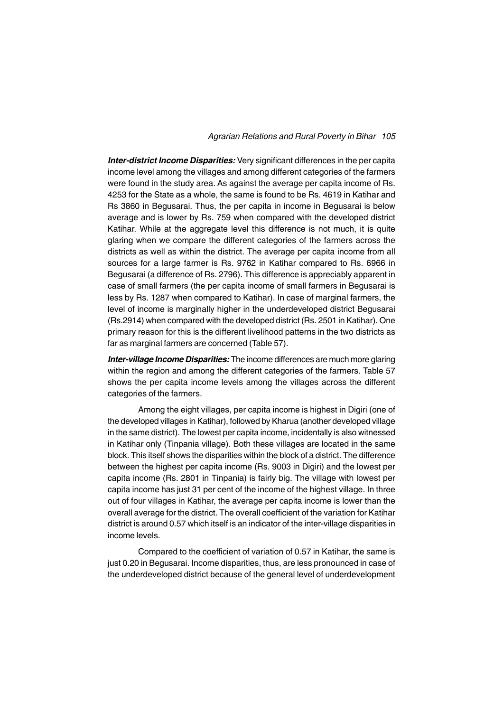### *Agrarian Relations and Rural Poverty in Bihar 105*

*Inter-district Income Disparities:* Very significant differences in the per capita income level among the villages and among different categories of the farmers were found in the study area. As against the average per capita income of Rs. 4253 for the State as a whole, the same is found to be Rs. 4619 in Katihar and Rs 3860 in Begusarai. Thus, the per capita in income in Begusarai is below average and is lower by Rs. 759 when compared with the developed district Katihar. While at the aggregate level this difference is not much, it is quite glaring when we compare the different categories of the farmers across the districts as well as within the district. The average per capita income from all sources for a large farmer is Rs. 9762 in Katihar compared to Rs. 6966 in Begusarai (a difference of Rs. 2796). This difference is appreciably apparent in case of small farmers (the per capita income of small farmers in Begusarai is less by Rs. 1287 when compared to Katihar). In case of marginal farmers, the level of income is marginally higher in the underdeveloped district Begusarai (Rs.2914) when compared with the developed district (Rs. 2501 in Katihar). One primary reason for this is the different livelihood patterns in the two districts as far as marginal farmers are concerned (Table 57).

*Inter-village Income Disparities:* The income differences are much more glaring within the region and among the different categories of the farmers. Table 57 shows the per capita income levels among the villages across the different categories of the farmers.

Among the eight villages, per capita income is highest in Digiri (one of the developed villages in Katihar), followed by Kharua (another developed village in the same district). The lowest per capita income, incidentally is also witnessed in Katihar only (Tinpania village). Both these villages are located in the same block. This itself shows the disparities within the block of a district. The difference between the highest per capita income (Rs. 9003 in Digiri) and the lowest per capita income (Rs. 2801 in Tinpania) is fairly big. The village with lowest per capita income has just 31 per cent of the income of the highest village. In three out of four villages in Katihar, the average per capita income is lower than the overall average for the district. The overall coefficient of the variation for Katihar district is around 0.57 which itself is an indicator of the inter-village disparities in income levels.

Compared to the coefficient of variation of 0.57 in Katihar, the same is just 0.20 in Begusarai. Income disparities, thus, are less pronounced in case of the underdeveloped district because of the general level of underdevelopment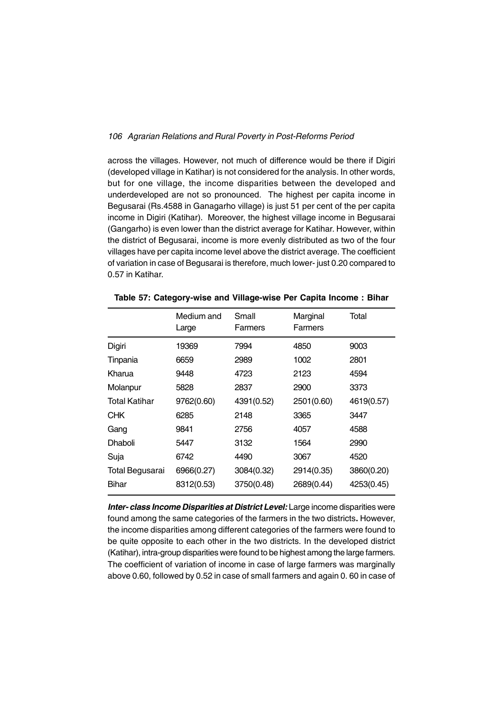across the villages. However, not much of difference would be there if Digiri (developed village in Katihar) is not considered for the analysis. In other words, but for one village, the income disparities between the developed and underdeveloped are not so pronounced. The highest per capita income in Begusarai (Rs.4588 in Ganagarho village) is just 51 per cent of the per capita income in Digiri (Katihar). Moreover, the highest village income in Begusarai (Gangarho) is even lower than the district average for Katihar. However, within the district of Begusarai, income is more evenly distributed as two of the four villages have per capita income level above the district average. The coefficient of variation in case of Begusarai is therefore, much lower- just 0.20 compared to 0.57 in Katihar.

|                 | Medium and<br>Large | Small<br>Farmers | Marginal<br>Farmers | Total      |
|-----------------|---------------------|------------------|---------------------|------------|
| Digiri          | 19369               | 7994             | 4850                | 9003       |
| Tinpania        | 6659                | 2989             | 1002                | 2801       |
| Kharua          | 9448                | 4723             | 2123                | 4594       |
| Molanpur        | 5828                | 2837             | 2900                | 3373       |
| Total Katihar   | 9762(0.60)          | 4391(0.52)       | 2501(0.60)          | 4619(0.57) |
| <b>CHK</b>      | 6285                | 2148             | 3365                | 3447       |
| Gang            | 9841                | 2756             | 4057                | 4588       |
| Dhaboli         | 5447                | 3132             | 1564                | 2990       |
| Suja            | 6742                | 4490             | 3067                | 4520       |
| Total Begusarai | 6966(0.27)          | 3084(0.32)       | 2914(0.35)          | 3860(0.20) |
| Bihar           | 8312(0.53)          | 3750(0.48)       | 2689(0.44)          | 4253(0.45) |

**Table 57: Category-wise and Village-wise Per Capita Income : Bihar**

*Inter- class Income Disparities at District Level: Large income disparities were* found among the same categories of the farmers in the two districts**.** However, the income disparities among different categories of the farmers were found to be quite opposite to each other in the two districts. In the developed district (Katihar), intra-group disparities were found to be highest among the large farmers. The coefficient of variation of income in case of large farmers was marginally above 0.60, followed by 0.52 in case of small farmers and again 0. 60 in case of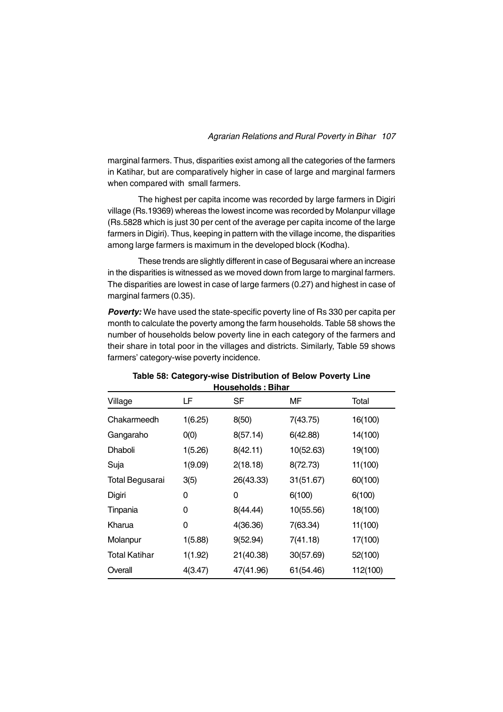marginal farmers. Thus, disparities exist among all the categories of the farmers in Katihar, but are comparatively higher in case of large and marginal farmers when compared with small farmers.

The highest per capita income was recorded by large farmers in Digiri village (Rs.19369) whereas the lowest income was recorded by Molanpur village (Rs.5828 which is just 30 per cent of the average per capita income of the large farmers in Digiri). Thus, keeping in pattern with the village income, the disparities among large farmers is maximum in the developed block (Kodha).

These trends are slightly different in case of Begusarai where an increase in the disparities is witnessed as we moved down from large to marginal farmers. The disparities are lowest in case of large farmers (0.27) and highest in case of marginal farmers (0.35).

*Poverty:* We have used the state-specific poverty line of Rs 330 per capita per month to calculate the poverty among the farm households. Table 58 shows the number of households below poverty line in each category of the farmers and their share in total poor in the villages and districts. Similarly, Table 59 shows farmers' category-wise poverty incidence.

| Village                | LF      | SF        | МF        | Total    |
|------------------------|---------|-----------|-----------|----------|
| Chakarmeedh            | 1(6.25) | 8(50)     | 7(43.75)  | 16(100)  |
| Gangaraho              | O(0)    | 8(57.14)  | 6(42.88)  | 14(100)  |
| <b>Dhaboli</b>         | 1(5.26) | 8(42.11)  | 10(52.63) | 19(100)  |
| Suja                   | 1(9.09) | 2(18.18)  | 8(72.73)  | 11(100)  |
| <b>Total Begusarai</b> | 3(5)    | 26(43.33) | 31(51.67) | 60(100)  |
| Digiri                 | 0       | 0         | 6(100)    | 6(100)   |
| Tinpania               | 0       | 8(44.44)  | 10(55.56) | 18(100)  |
| Kharua                 | 0       | 4(36.36)  | 7(63.34)  | 11(100)  |
| Molanpur               | 1(5.88) | 9(52.94)  | 7(41.18)  | 17(100)  |
| <b>Total Katihar</b>   | 1(1.92) | 21(40.38) | 30(57.69) | 52(100)  |
| Overall                | 4(3.47) | 47(41.96) | 61(54.46) | 112(100) |

### **Table 58: Category-wise Distribution of Below Poverty Line Households : Bihar**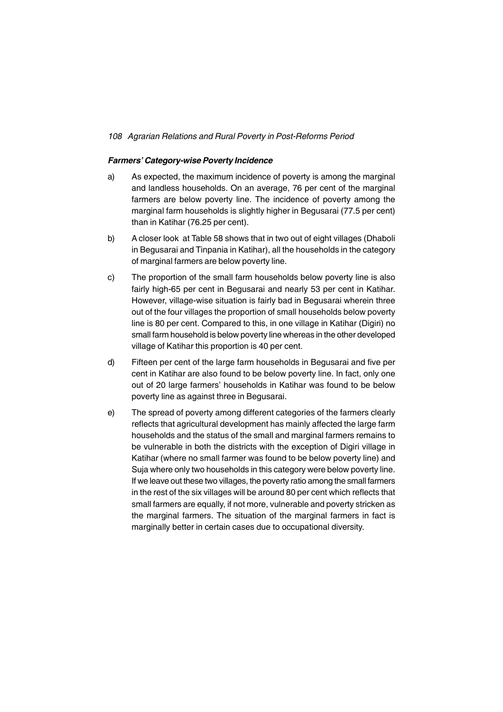### *Farmers' Category-wise Poverty Incidence*

- a) As expected, the maximum incidence of poverty is among the marginal and landless households. On an average, 76 per cent of the marginal farmers are below poverty line. The incidence of poverty among the marginal farm households is slightly higher in Begusarai (77.5 per cent) than in Katihar (76.25 per cent).
- b) A closer look at Table 58 shows that in two out of eight villages (Dhaboli in Begusarai and Tinpania in Katihar), all the households in the category of marginal farmers are below poverty line.
- c) The proportion of the small farm households below poverty line is also fairly high-65 per cent in Begusarai and nearly 53 per cent in Katihar. However, village-wise situation is fairly bad in Begusarai wherein three out of the four villages the proportion of small households below poverty line is 80 per cent. Compared to this, in one village in Katihar (Digiri) no small farm household is below poverty line whereas in the other developed village of Katihar this proportion is 40 per cent.
- d) Fifteen per cent of the large farm households in Begusarai and five per cent in Katihar are also found to be below poverty line. In fact, only one out of 20 large farmers' households in Katihar was found to be below poverty line as against three in Begusarai.
- e) The spread of poverty among different categories of the farmers clearly reflects that agricultural development has mainly affected the large farm households and the status of the small and marginal farmers remains to be vulnerable in both the districts with the exception of Digiri village in Katihar (where no small farmer was found to be below poverty line) and Suja where only two households in this category were below poverty line. If we leave out these two villages, the poverty ratio among the small farmers in the rest of the six villages will be around 80 per cent which reflects that small farmers are equally, if not more, vulnerable and poverty stricken as the marginal farmers. The situation of the marginal farmers in fact is marginally better in certain cases due to occupational diversity.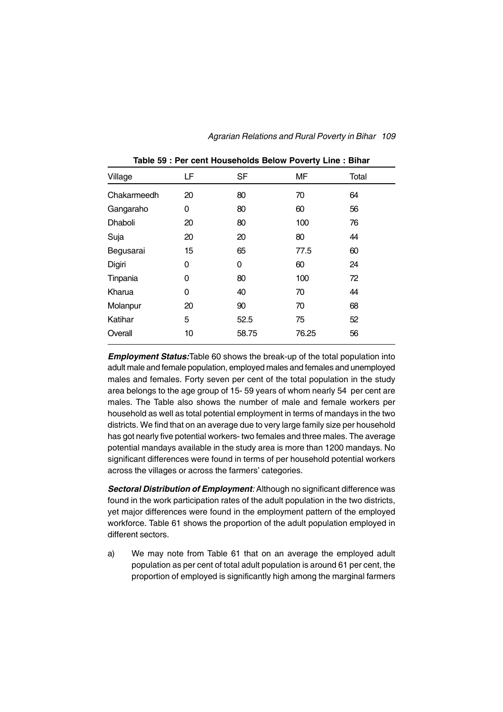| Village        | LF | <b>SF</b> | <b>MF</b> | Total |  |
|----------------|----|-----------|-----------|-------|--|
| Chakarmeedh    | 20 | 80        | 70        | 64    |  |
| Gangaraho      | 0  | 80        | 60        | 56    |  |
| <b>Dhaboli</b> | 20 | 80        | 100       | 76    |  |
| Suja           | 20 | 20        | 80        | 44    |  |
| Begusarai      | 15 | 65        | 77.5      | 60    |  |
| Digiri         | 0  | 0         | 60        | 24    |  |
| Tinpania       | 0  | 80        | 100       | 72    |  |
| Kharua         | 0  | 40        | 70        | 44    |  |
| Molanpur       | 20 | 90        | 70        | 68    |  |
| Katihar        | 5  | 52.5      | 75        | 52    |  |
| Overall        | 10 | 58.75     | 76.25     | 56    |  |
|                |    |           |           |       |  |

**Table 59 : Per cent Households Below Poverty Line : Bihar**

*Employment Status:*Table 60 shows the break-up of the total population into adult male and female population, employed males and females and unemployed males and females. Forty seven per cent of the total population in the study area belongs to the age group of 15- 59 years of whom nearly 54 per cent are males. The Table also shows the number of male and female workers per household as well as total potential employment in terms of mandays in the two districts. We find that on an average due to very large family size per household has got nearly five potential workers- two females and three males. The average potential mandays available in the study area is more than 1200 mandays. No significant differences were found in terms of per household potential workers across the villages or across the farmers' categories.

*Sectoral Distribution of Employment:* Although no significant difference was found in the work participation rates of the adult population in the two districts, yet major differences were found in the employment pattern of the employed workforce. Table 61 shows the proportion of the adult population employed in different sectors.

a) We may note from Table 61 that on an average the employed adult population as per cent of total adult population is around 61 per cent, the proportion of employed is significantly high among the marginal farmers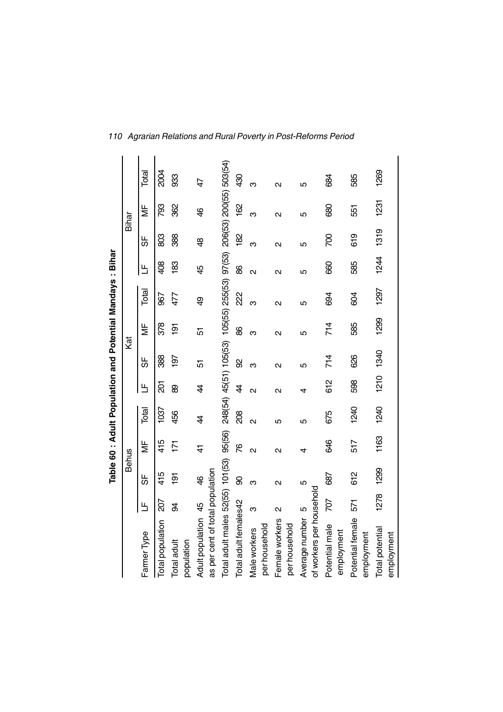|                                  |                   |                |                   | Table 60 : Adult Population and Potential Mandays : Bihar |                   |                                               |                   |                   |                   |                   |                   |                         |
|----------------------------------|-------------------|----------------|-------------------|-----------------------------------------------------------|-------------------|-----------------------------------------------|-------------------|-------------------|-------------------|-------------------|-------------------|-------------------------|
|                                  |                   | <b>Behus</b>   |                   |                                                           |                   | Kat                                           |                   |                   |                   | Bihar             |                   |                         |
| Farmer Type                      | Ь                 | 56             | ξ                 | Total                                                     | Щ                 | 56                                            |                   | Total             | Е                 | 56                | ξ                 | Total                   |
| Total population                 | 207               | 415            | 415               | 1037                                                      | 20                | 388                                           | 378               | 967               | 408               | 803               | 793               | <b>2004</b>             |
| Total adult<br>population        | क्ष               | $\overline{9}$ | 171               | 456                                                       | 8                 | 197                                           | $\frac{5}{2}$     | 477               | $\frac{83}{2}$    | 388               | 362               | 33                      |
| Adult population 45              |                   | \$             | 4                 | 4                                                         | 4                 | 5                                             | 5                 | \$                | 45                | \$                | \$                | 47                      |
| as per cent of total population  |                   |                |                   |                                                           |                   |                                               |                   |                   |                   |                   |                   |                         |
| Total adult males 52(55) 101(53) |                   |                | 95(56)            |                                                           |                   | 248(54) 45(51) 105(53) 105(55) 255(53) 97(53) |                   |                   |                   |                   |                   | 206(53) 200(55) 503(54) |
| Total adult females42            |                   | 8              | ۲Ģ                | 208                                                       | 4                 | 8                                             | 88                | 22                | 88                | $\frac{82}{5}$    | 162               | 430                     |
| per household<br>Male workers    | ო                 | ო              | $\mathbf{\Omega}$ | $\overline{\mathsf{C}}$                                   | $\mathbf{\Omega}$ | ო                                             | ო                 | ო                 | $\mathbf{\Omega}$ | ო                 | ო                 | ო                       |
| Female workers<br>per household  | $\mathbf{\Omega}$ | Ν              | $\mathbf{\Omega}$ | 5                                                         | $\mathbf{\Omega}$ | $\mathbf{\Omega}$                             | $\mathbf{\Omega}$ | $\mathbf{\Omega}$ | Ν                 | $\mathbf{\Omega}$ | $\mathbf{\Omega}$ | $\mathbf{\Omega}$       |
| Average number                   | LO                | 5              | 4                 | Ю                                                         | 4                 | 5                                             | 5                 | 5                 | 5                 | 5                 | 5                 | 5                       |
| of workers per household         |                   |                |                   |                                                           |                   |                                               |                   |                   |                   |                   |                   |                         |
| Potential male<br>employment     | <b>20Z</b>        | 687            | 846               | 675                                                       | 612               | 714                                           | 714               | 694               | 660               | 200               | 680               | 88                      |
| Potential female                 | 571               | 612            | 517               | 1240                                                      | 598               | 626                                           | 585               | 804               | 585               | 619               | 551               | 585                     |
| employment                       |                   |                |                   |                                                           |                   |                                               |                   |                   |                   |                   |                   |                         |
| Total potential<br>employment    | 1278              | 1299           | 1163              | 1240                                                      | 1210              | 1340                                          | 1299              | 1297              | 1244              | 1319              | 1231              | 1269                    |

*110 Agrarian Relations and Rural Poverty in Post-Reforms Period*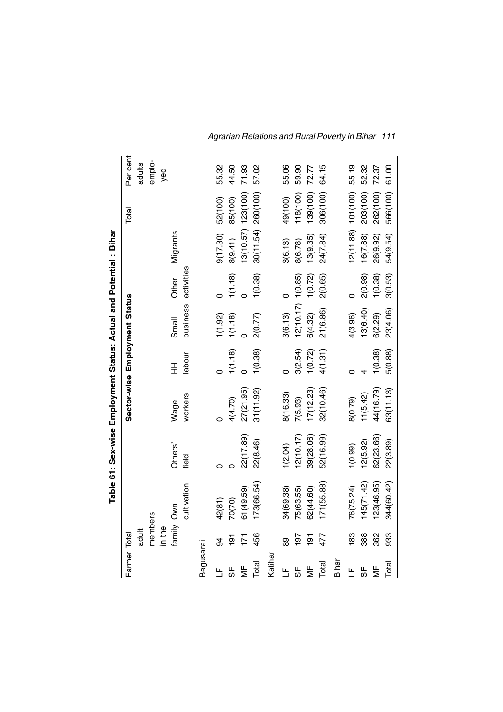|               |                |             |                  | Table 61: Sex-wise Employment Status: Actual and Potential: Bihar |             |                       |                     |                        |          |          |
|---------------|----------------|-------------|------------------|-------------------------------------------------------------------|-------------|-----------------------|---------------------|------------------------|----------|----------|
| Farmer Total  |                |             |                  | Sector-wise Employment Status                                     |             |                       |                     |                        | Total    | Per cent |
|               | adult          |             |                  |                                                                   |             |                       |                     |                        |          | adults   |
|               | members        |             |                  |                                                                   |             |                       |                     |                        |          | emplo-   |
|               | in the         |             |                  |                                                                   |             |                       |                     |                        |          | yed      |
|               | family Own     | cultivation | Others'<br>field | workers<br>Wage                                                   | labour<br>王 | business<br>Small     | activities<br>Other | Migrants               |          |          |
|               |                |             |                  |                                                                   |             |                       |                     |                        |          |          |
| Begusarai     |                |             |                  |                                                                   |             |                       |                     |                        |          |          |
| Щ             | 34             | 42(81)      |                  |                                                                   |             | 1(1.92)               |                     | 9(17.30)               | 52(100)  | 55.32    |
| 56            | $\overline{5}$ | 70(70)      |                  | 4(4.70)                                                           | 1(1.18)     | 1(1.18)               | 1(1.18)             | 8(9.41)                | 85(100)  | 44.50    |
| ₩             | 즈              | 61(49.59)   | 22(17.89)        | 27(21.95)                                                         |             |                       |                     | $13(10.57)$ $123(100)$ |          | 71.93    |
| Total         | 456            | 173(66.54)  | 22(8.46)         | 31(11.92)                                                         | 1(0.38)     | 2(0.77)               | 1(0.38)             | 30(11.54) 260(100)     |          | 57.02    |
| Katiha        |                |             |                  |                                                                   |             |                       |                     |                        |          |          |
| ╚             | 89             | 34(69.38)   | 1(2.04)          | 8(16.33)                                                          |             | 3(6.13)               |                     | 3(6.13)                | 49(100)  | 55.06    |
| 59            | $\overline{9}$ | 75(63.55)   | 12(10.17)        | 7(5.93)                                                           | 3(2.54)     | $12(10.17)$ $1(0.85)$ |                     | 8(6.78)                | 118(100) | 59.90    |
| ξ             | $\overline{5}$ | 62(44.60)   | 39(28.06)        | 17(12.23)                                                         | 1(0.72)     | 6(4.32)               | 1(0.72)             | 13(9.35)               | 139(100) | 72.77    |
| Total         | 477            | 171 (55.88) | 52(16.99)        | 32(10.46)                                                         | 4(1.31)     | 21(6.86)              | 2(0.65)             | 24(7.84)               | 306(100) | 64.15    |
| Bihar         |                |             |                  |                                                                   |             |                       |                     |                        |          |          |
| Щ             | 83             | 76(75.24)   | (0.99)           | 8(0.79)                                                           |             | 4(3.96)               | C                   | 12(11.88) 101(100)     |          | 55.19    |
| 56            | 388            | 145(71.42)  | 2(5.92)          | 11(5.42)                                                          |             | 13(6.40)              | 2(0.98)             | 16(7.88)               | 203(100) | 52.32    |
| $\frac{1}{2}$ | 362            | 123(46.95)  | 62(23.66)        | 44(16.79)                                                         | 1(0.38)     | 6(2.29)               | 1(0.38)             | 26(9.92)               | 262(100) | 72.37    |
| Total         | 933            | 344(60.42)  | 22(3.89)         | 63(11.13)                                                         | 5(0.88)     | 23(4.06)              | 3(0.53)             | 54(9.54)               | 566(100) | 61.00    |

 $\overline{1}$ J.  $\blacksquare$ - ö  $\frac{1}{2}$ J, - 4  $\epsilon$ 

*Agrarian Relations and Rural Poverty in Bihar 111*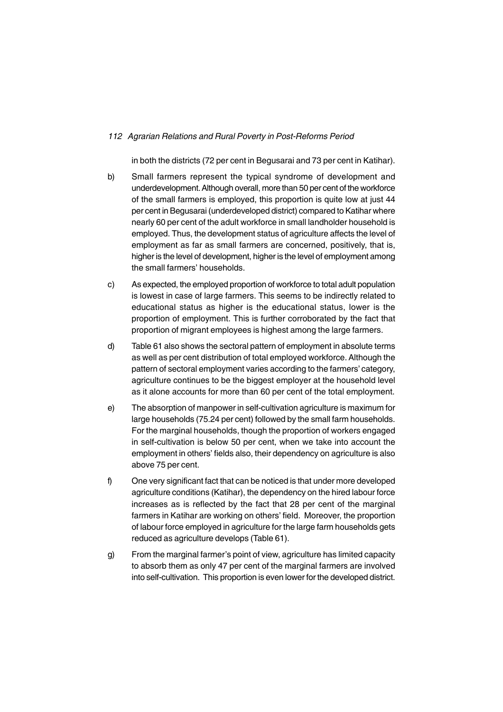in both the districts (72 per cent in Begusarai and 73 per cent in Katihar).

- b) Small farmers represent the typical syndrome of development and underdevelopment. Although overall, more than 50 per cent of the workforce of the small farmers is employed, this proportion is quite low at just 44 per cent in Begusarai (underdeveloped district) compared to Katihar where nearly 60 per cent of the adult workforce in small landholder household is employed. Thus, the development status of agriculture affects the level of employment as far as small farmers are concerned, positively, that is, higher is the level of development, higher is the level of employment among the small farmers' households.
- c) As expected, the employed proportion of workforce to total adult population is lowest in case of large farmers. This seems to be indirectly related to educational status as higher is the educational status, lower is the proportion of employment. This is further corroborated by the fact that proportion of migrant employees is highest among the large farmers.
- d) Table 61 also shows the sectoral pattern of employment in absolute terms as well as per cent distribution of total employed workforce. Although the pattern of sectoral employment varies according to the farmers' category, agriculture continues to be the biggest employer at the household level as it alone accounts for more than 60 per cent of the total employment.
- e) The absorption of manpower in self-cultivation agriculture is maximum for large households (75.24 per cent) followed by the small farm households. For the marginal households, though the proportion of workers engaged in self-cultivation is below 50 per cent, when we take into account the employment in others' fields also, their dependency on agriculture is also above 75 per cent.
- f) One very significant fact that can be noticed is that under more developed agriculture conditions (Katihar), the dependency on the hired labour force increases as is reflected by the fact that 28 per cent of the marginal farmers in Katihar are working on others' field. Moreover, the proportion of labour force employed in agriculture for the large farm households gets reduced as agriculture develops (Table 61).
- g) From the marginal farmer's point of view, agriculture has limited capacity to absorb them as only 47 per cent of the marginal farmers are involved into self-cultivation. This proportion is even lower for the developed district.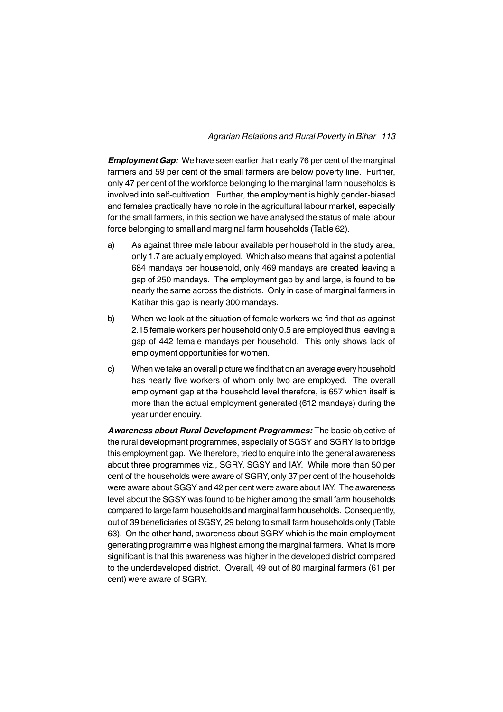#### *Agrarian Relations and Rural Poverty in Bihar 113*

*Employment Gap:* We have seen earlier that nearly 76 per cent of the marginal farmers and 59 per cent of the small farmers are below poverty line. Further, only 47 per cent of the workforce belonging to the marginal farm households is involved into self-cultivation. Further, the employment is highly gender-biased and females practically have no role in the agricultural labour market, especially for the small farmers, in this section we have analysed the status of male labour force belonging to small and marginal farm households (Table 62).

- a) As against three male labour available per household in the study area, only 1.7 are actually employed. Which also means that against a potential 684 mandays per household, only 469 mandays are created leaving a gap of 250 mandays. The employment gap by and large, is found to be nearly the same across the districts. Only in case of marginal farmers in Katihar this gap is nearly 300 mandays.
- b) When we look at the situation of female workers we find that as against 2.15 female workers per household only 0.5 are employed thus leaving a gap of 442 female mandays per household. This only shows lack of employment opportunities for women.
- c) When we take an overall picture we find that on an average every household has nearly five workers of whom only two are employed. The overall employment gap at the household level therefore, is 657 which itself is more than the actual employment generated (612 mandays) during the year under enquiry.

*Awareness about Rural Development Programmes:* The basic objective of the rural development programmes, especially of SGSY and SGRY is to bridge this employment gap. We therefore, tried to enquire into the general awareness about three programmes viz., SGRY, SGSY and IAY. While more than 50 per cent of the households were aware of SGRY, only 37 per cent of the households were aware about SGSY and 42 per cent were aware about IAY. The awareness level about the SGSY was found to be higher among the small farm households compared to large farm households and marginal farm households. Consequently, out of 39 beneficiaries of SGSY, 29 belong to small farm households only (Table 63). On the other hand, awareness about SGRY which is the main employment generating programme was highest among the marginal farmers. What is more significant is that this awareness was higher in the developed district compared to the underdeveloped district. Overall, 49 out of 80 marginal farmers (61 per cent) were aware of SGRY.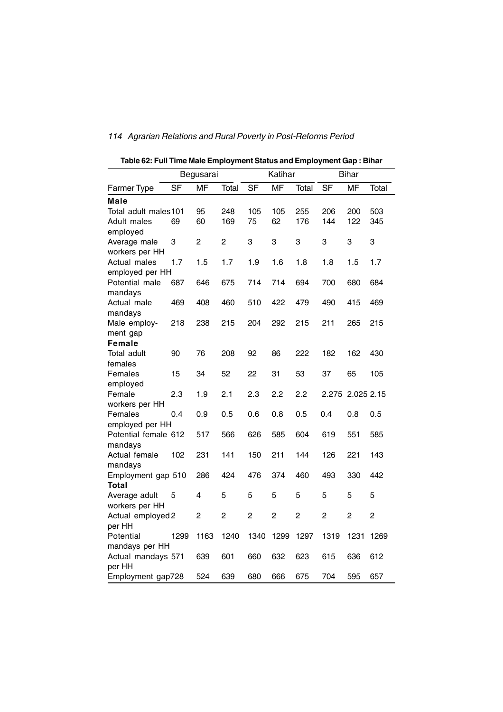|                             |      | Begusarai |                |      | Katihar   |                |                  | <b>Bihar</b> |       |
|-----------------------------|------|-----------|----------------|------|-----------|----------------|------------------|--------------|-------|
| <b>Farmer Type</b>          | SF   | <b>MF</b> | Total          | SF   | <b>MF</b> | Total          | SF               | <b>MF</b>    | Total |
| Male                        |      |           |                |      |           |                |                  |              |       |
| Total adult males 101       |      | 95        | 248            | 105  | 105       | 255            | 206              | 200          | 503   |
| Adult males                 | 69   | 60        | 169            | 75   | 62        | 176            | 144              | 122          | 345   |
| employed                    |      |           |                |      |           |                |                  |              |       |
| Average male                | 3    | 2         | $\overline{c}$ | 3    | 3         | 3              | 3                | 3            | 3     |
| workers per HH              |      |           |                |      |           |                |                  |              |       |
| Actual males                | 1.7  | 1.5       | 1.7            | 1.9  | 1.6       | 1.8            | 1.8              | 1.5          | 1.7   |
| employed per HH             |      |           |                |      |           |                |                  |              |       |
| Potential male<br>mandays   | 687  | 646       | 675            | 714  | 714       | 694            | 700              | 680          | 684   |
| Actual male                 | 469  | 408       | 460            | 510  | 422       | 479            | 490              | 415          | 469   |
| mandays                     |      |           |                |      |           |                |                  |              |       |
| Male employ-                | 218  | 238       | 215            | 204  | 292       | 215            | 211              | 265          | 215   |
| ment gap                    |      |           |                |      |           |                |                  |              |       |
| <b>Female</b>               |      |           |                |      |           |                |                  |              |       |
| Total adult                 | 90   | 76        | 208            | 92   | 86        | 222            | 182              | 162          | 430   |
| females                     |      |           |                |      |           |                |                  |              |       |
| Females                     | 15   | 34        | 52             | 22   | 31        | 53             | 37               | 65           | 105   |
| employed                    |      |           |                |      |           |                |                  |              |       |
| Female                      | 2.3  | 1.9       | 2.1            | 2.3  | 2.2       | 2.2            | 2.275 2.025 2.15 |              |       |
| workers per HH              |      |           |                |      |           |                |                  |              |       |
| Females                     | 0.4  | 0.9       | 0.5            | 0.6  | 0.8       | 0.5            | 0.4              | 0.8          | 0.5   |
| employed per HH             |      |           |                |      |           |                |                  |              |       |
| Potential female 612        |      | 517       | 566            | 626  | 585       | 604            | 619              | 551          | 585   |
| mandays                     |      |           |                |      |           |                |                  |              |       |
| Actual female               | 102  | 231       | 141            | 150  | 211       | 144            | 126              | 221          | 143   |
| mandays                     |      |           |                |      |           |                |                  |              |       |
| Employment gap 510          |      | 286       | 424            | 476  | 374       | 460            | 493              | 330          | 442   |
| Total                       |      |           |                |      |           |                |                  |              |       |
| Average adult               | 5    | 4         | 5              | 5    | 5         | 5              | 5                | 5            | 5     |
| workers per HH              |      |           |                |      |           | $\overline{2}$ |                  |              |       |
| Actual employed 2<br>per HH |      | 2         | 2              | 2    | 2         |                | 2                | 2            | 2     |
| Potential                   | 1299 | 1163      | 1240           | 1340 | 1299      | 1297           | 1319             | 1231         | 1269  |
| mandays per HH              |      |           |                |      |           |                |                  |              |       |
| Actual mandays 571          |      | 639       | 601            | 660  | 632       | 623            | 615              | 636          | 612   |
| per HH                      |      |           |                |      |           |                |                  |              |       |
| Employment gap728           |      | 524       | 639            | 680  | 666       | 675            | 704              | 595          | 657   |

**Table 62: Full Time Male Employment Status and Employment Gap : Bihar**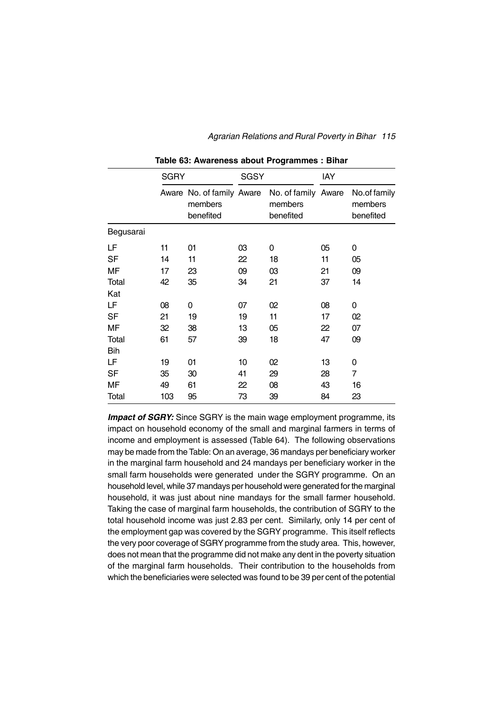|            | <b>SGRY</b> |                                                   | <b>SGSY</b> |                                             | IAY |                                      |
|------------|-------------|---------------------------------------------------|-------------|---------------------------------------------|-----|--------------------------------------|
|            |             | Aware No. of family Aware<br>members<br>benefited |             | No. of family Aware<br>members<br>benefited |     | No.of family<br>members<br>benefited |
| Begusarai  |             |                                                   |             |                                             |     |                                      |
| LF         | 11          | 01                                                | 03          | 0                                           | 05  | 0                                    |
| <b>SF</b>  | 14          | 11                                                | 22          | 18                                          | 11  | 05                                   |
| MF         | 17          | 23                                                | 09          | 03                                          | 21  | 09                                   |
| Total      | 42          | 35                                                | 34          | 21                                          | 37  | 14                                   |
| Kat        |             |                                                   |             |                                             |     |                                      |
| LF         | 08          | 0                                                 | 07          | 02                                          | 08  | 0                                    |
| <b>SF</b>  | 21          | 19                                                | 19          | 11                                          | 17  | 02                                   |
| MF         | 32          | 38                                                | 13          | 05                                          | 22  | 07                                   |
| Total      | 61          | 57                                                | 39          | 18                                          | 47  | 09                                   |
| <b>Bih</b> |             |                                                   |             |                                             |     |                                      |
| LF         | 19          | 01                                                | 10          | 02                                          | 13  | 0                                    |
| SF         | 35          | 30                                                | 41          | 29                                          | 28  | $\overline{7}$                       |
| MF         | 49          | 61                                                | 22          | 08                                          | 43  | 16                                   |
| Total      | 103         | 95                                                | 73          | 39                                          | 84  | 23                                   |

**Table 63: Awareness about Programmes : Bihar**

#### *Agrarian Relations and Rural Poverty in Bihar 115*

**Impact of SGRY:** Since SGRY is the main wage employment programme, its impact on household economy of the small and marginal farmers in terms of income and employment is assessed (Table 64). The following observations may be made from the Table: On an average, 36 mandays per beneficiary worker in the marginal farm household and 24 mandays per beneficiary worker in the small farm households were generated under the SGRY programme. On an household level, while 37 mandays per household were generated for the marginal household, it was just about nine mandays for the small farmer household. Taking the case of marginal farm households, the contribution of SGRY to the total household income was just 2.83 per cent. Similarly, only 14 per cent of the employment gap was covered by the SGRY programme. This itself reflects the very poor coverage of SGRY programme from the study area. This, however, does not mean that the programme did not make any dent in the poverty situation of the marginal farm households. Their contribution to the households from which the beneficiaries were selected was found to be 39 per cent of the potential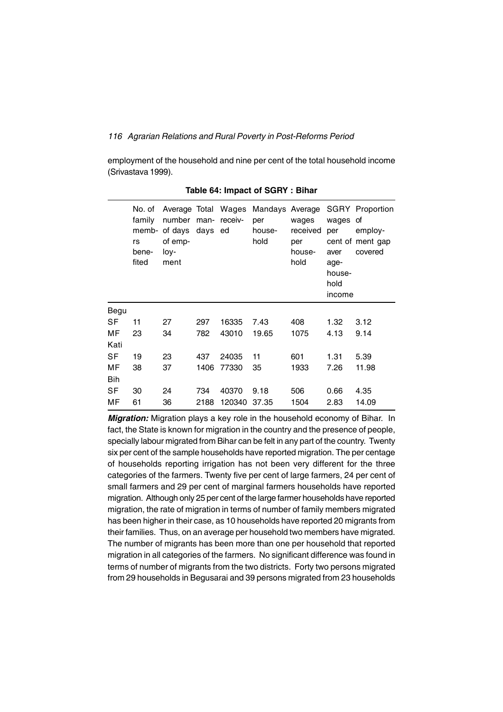employment of the household and nine per cent of the total household income (Srivastava 1999).

|            | No. of<br>family<br>memb-<br>rs<br>bene-<br>fited | Average Total Wages<br>number<br>of days<br>of emp-<br>loy-<br>ment | man-<br>days ed | receiv- | Mandays Average<br>per<br>house-<br>hold | wages<br>received<br>per<br>house-<br>hold | wages<br>per<br>aver<br>age-<br>house-<br>hold<br>income | <b>SGRY Proportion</b><br>оf<br>employ-<br>cent of ment gap<br>covered |
|------------|---------------------------------------------------|---------------------------------------------------------------------|-----------------|---------|------------------------------------------|--------------------------------------------|----------------------------------------------------------|------------------------------------------------------------------------|
| Begu       |                                                   |                                                                     |                 |         |                                          |                                            |                                                          |                                                                        |
| SF         | 11                                                | 27                                                                  | 297             | 16335   | 7.43                                     | 408                                        | 1.32                                                     | 3.12                                                                   |
| МF         | 23                                                | 34                                                                  | 782             | 43010   | 19.65                                    | 1075                                       | 4.13                                                     | 9.14                                                                   |
| Kati       |                                                   |                                                                     |                 |         |                                          |                                            |                                                          |                                                                        |
| SF         | 19                                                | 23                                                                  | 437             | 24035   | 11                                       | 601                                        | 1.31                                                     | 5.39                                                                   |
| МF         | 38                                                | 37                                                                  | 1406            | 77330   | 35                                       | 1933                                       | 7.26                                                     | 11.98                                                                  |
| <b>Bih</b> |                                                   |                                                                     |                 |         |                                          |                                            |                                                          |                                                                        |
| SF         | 30                                                | 24                                                                  | 734             | 40370   | 9.18                                     | 506                                        | 0.66                                                     | 4.35                                                                   |
| МF         | 61                                                | 36                                                                  | 2188            | 120340  | 37.35                                    | 1504                                       | 2.83                                                     | 14.09                                                                  |

**Table 64: Impact of SGRY : Bihar**

*Migration:* Migration plays a key role in the household economy of Bihar. In fact, the State is known for migration in the country and the presence of people, specially labour migrated from Bihar can be felt in any part of the country. Twenty six per cent of the sample households have reported migration. The per centage of households reporting irrigation has not been very different for the three categories of the farmers. Twenty five per cent of large farmers, 24 per cent of small farmers and 29 per cent of marginal farmers households have reported migration. Although only 25 per cent of the large farmer households have reported migration, the rate of migration in terms of number of family members migrated has been higher in their case, as 10 households have reported 20 migrants from their families. Thus, on an average per household two members have migrated. The number of migrants has been more than one per household that reported migration in all categories of the farmers. No significant difference was found in terms of number of migrants from the two districts. Forty two persons migrated from 29 households in Begusarai and 39 persons migrated from 23 households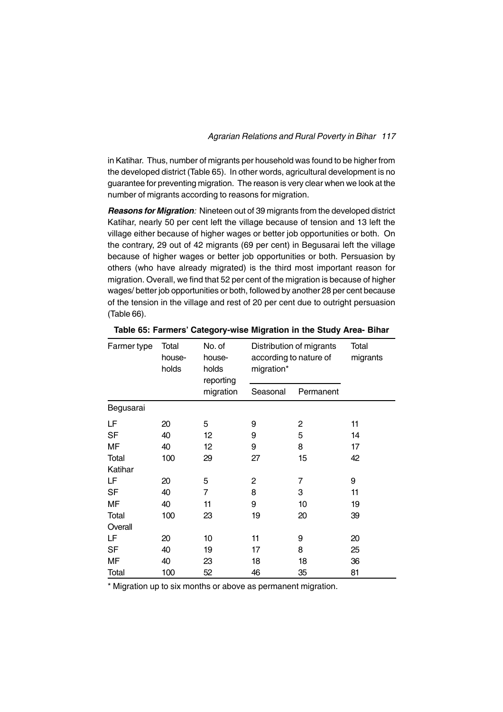in Katihar. Thus, number of migrants per household was found to be higher from the developed district (Table 65). In other words, agricultural development is no guarantee for preventing migration. The reason is very clear when we look at the number of migrants according to reasons for migration.

*Reasons for Migration:* Nineteen out of 39 migrants from the developed district Katihar, nearly 50 per cent left the village because of tension and 13 left the village either because of higher wages or better job opportunities or both. On the contrary, 29 out of 42 migrants (69 per cent) in Begusarai left the village because of higher wages or better job opportunities or both. Persuasion by others (who have already migrated) is the third most important reason for migration. Overall, we find that 52 per cent of the migration is because of higher wages/ better job opportunities or both, followed by another 28 per cent because of the tension in the village and rest of 20 per cent due to outright persuasion (Table 66).

| Farmer type | Total<br>house-<br>holds | No. of<br>house-<br>holds<br>reporting | Distribution of migrants<br>according to nature of<br>migration* |           | Total<br>migrants |
|-------------|--------------------------|----------------------------------------|------------------------------------------------------------------|-----------|-------------------|
|             |                          | migration                              | Seasonal                                                         | Permanent |                   |
| Begusarai   |                          |                                        |                                                                  |           |                   |
| LF          | 20                       | 5                                      | 9                                                                | 2         | 11                |
| SF          | 40                       | 12                                     | 9                                                                | 5         | 14                |
| MF          | 40                       | 12                                     | 9                                                                | 8         | 17                |
| Total       | 100                      | 29                                     | 27                                                               | 15        | 42                |
| Katihar     |                          |                                        |                                                                  |           |                   |
| LF          | 20                       | 5                                      | 2                                                                | 7         | 9                 |
| SF          | 40                       | 7                                      | 8                                                                | 3         | 11                |
| MF          | 40                       | 11                                     | 9                                                                | 10        | 19                |
| Total       | 100                      | 23                                     | 19                                                               | 20        | 39                |
| Overall     |                          |                                        |                                                                  |           |                   |
| LF          | 20                       | 10                                     | 11                                                               | 9         | 20                |
| <b>SF</b>   | 40                       | 19                                     | 17                                                               | 8         | 25                |
| MF          | 40                       | 23                                     | 18                                                               | 18        | 36                |
| Total       | 100                      | 52                                     | 46                                                               | 35        | 81                |

**Table 65: Farmers' Category-wise Migration in the Study Area- Bihar**

\* Migration up to six months or above as permanent migration.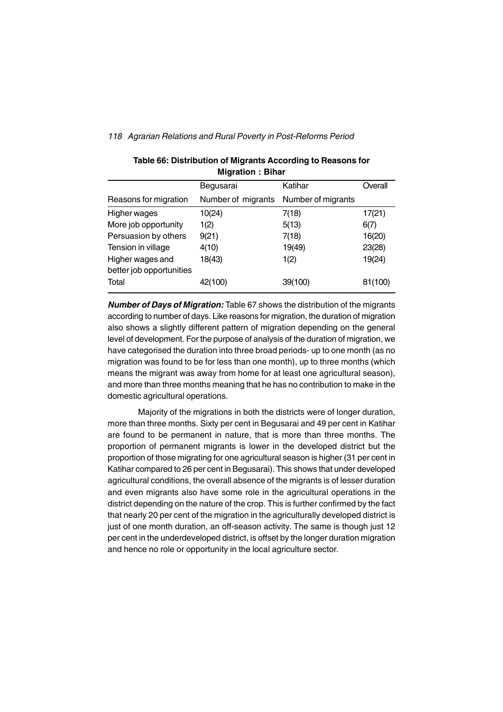|                                              | MIYIAUVII . DIIIAI |                    |         |
|----------------------------------------------|--------------------|--------------------|---------|
|                                              | Begusarai          | Katihar            | Overall |
| Reasons for migration                        | Number of migrants | Number of migrants |         |
| Higher wages                                 | 10(24)             | 7(18)              | 17(21)  |
| More job opportunity                         | 1(2)               | 5(13)              | 6(7)    |
| Persuasion by others                         | 9(21)              | 7(18)              | 16(20)  |
| Tension in village                           | 4(10)              | 19(49)             | 23(28)  |
| Higher wages and<br>better job opportunities | 18(43)             | 1(2)               | 19(24)  |
| Total                                        | 42(100)            | 39(100)            | 81(100) |

## **Table 66: Distribution of Migrants According to Reasons for Migration : Bihar**

*Number of Days of Migration:* Table 67 shows the distribution of the migrants according to number of days. Like reasons for migration, the duration of migration also shows a slightly different pattern of migration depending on the general level of development. For the purpose of analysis of the duration of migration, we have categorised the duration into three broad periods- up to one month (as no migration was found to be for less than one month), up to three months (which means the migrant was away from home for at least one agricultural season), and more than three months meaning that he has no contribution to make in the domestic agricultural operations.

Majority of the migrations in both the districts were of longer duration, more than three months. Sixty per cent in Begusarai and 49 per cent in Katihar are found to be permanent in nature, that is more than three months. The proportion of permanent migrants is lower in the developed district but the proportion of those migrating for one agricultural season is higher (31 per cent in Katihar compared to 26 per cent in Begusarai). This shows that under developed agricultural conditions, the overall absence of the migrants is of lesser duration and even migrants also have some role in the agricultural operations in the district depending on the nature of the crop. This is further confirmed by the fact that nearly 20 per cent of the migration in the agriculturally developed district is just of one month duration, an off-season activity. The same is though just 12 per cent in the underdeveloped district, is offset by the longer duration migration and hence no role or opportunity in the local agriculture sector.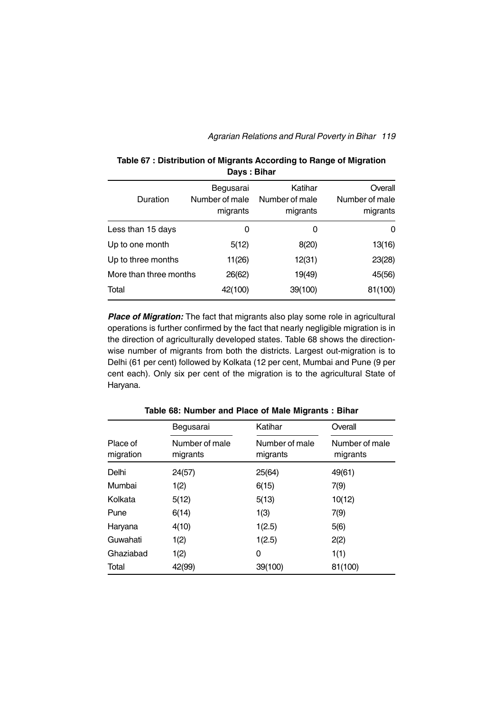| Duration               | Begusarai<br>Number of male<br>migrants | Katihar<br>Number of male<br>migrants | Overall<br>Number of male<br>migrants |
|------------------------|-----------------------------------------|---------------------------------------|---------------------------------------|
| Less than 15 days      | 0                                       | 0                                     | 0                                     |
| Up to one month        | 5(12)                                   | 8(20)                                 | 13(16)                                |
| Up to three months     | 11(26)                                  | 12(31)                                | 23(28)                                |
| More than three months | 26(62)                                  | 19(49)                                | 45(56)                                |
| Total                  | 42(100)                                 | 39(100)                               | 81(100)                               |

**Table 67 : Distribution of Migrants According to Range of Migration Days : Bihar**

**Place of Migration:** The fact that migrants also play some role in agricultural operations is further confirmed by the fact that nearly negligible migration is in the direction of agriculturally developed states. Table 68 shows the directionwise number of migrants from both the districts. Largest out-migration is to Delhi (61 per cent) followed by Kolkata (12 per cent, Mumbai and Pune (9 per cent each). Only six per cent of the migration is to the agricultural State of Haryana.

|                       | Begusarai                  | Katihar                    | Overall                    |
|-----------------------|----------------------------|----------------------------|----------------------------|
| Place of<br>migration | Number of male<br>migrants | Number of male<br>migrants | Number of male<br>migrants |
| Delhi                 | 24(57)                     | 25(64)                     | 49(61)                     |
| Mumbai                | 1(2)                       | 6(15)                      | 7(9)                       |
| Kolkata               | 5(12)                      | 5(13)                      | 10(12)                     |
| Pune                  | 6(14)                      | 1(3)                       | 7(9)                       |
| Haryana               | 4(10)                      | 1(2.5)                     | 5(6)                       |
| Guwahati              | 1(2)                       | 1(2.5)                     | 2(2)                       |
| Ghaziabad             | 1(2)                       | 0                          | 1(1)                       |
| Total                 | 42(99)                     | 39(100)                    | 81(100)                    |

**Table 68: Number and Place of Male Migrants : Bihar**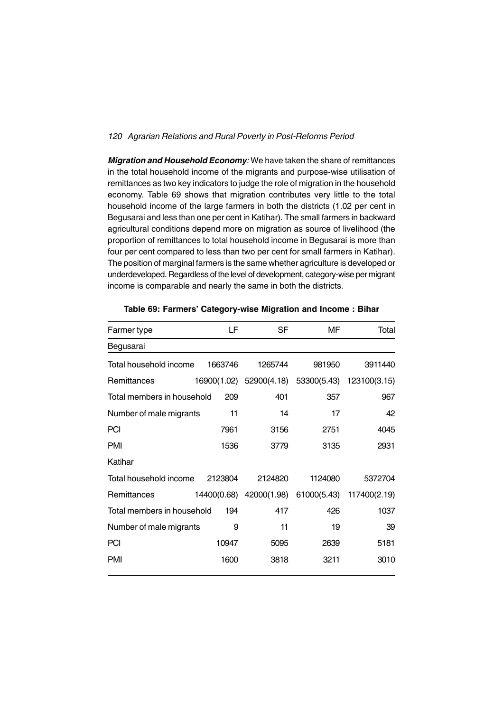*Migration and Household Economy:* We have taken the share of remittances in the total household income of the migrants and purpose-wise utilisation of remittances as two key indicators to judge the role of migration in the household economy. Table 69 shows that migration contributes very little to the total household income of the large farmers in both the districts (1.02 per cent in Begusarai and less than one per cent in Katihar). The small farmers in backward agricultural conditions depend more on migration as source of livelihood (the proportion of remittances to total household income in Begusarai is more than four per cent compared to less than two per cent for small farmers in Katihar). The position of marginal farmers is the same whether agriculture is developed or underdeveloped. Regardless of the level of development, category-wise per migrant income is comparable and nearly the same in both the districts.

| Farmer type                | LF          | SF      | МF                      | Total        |
|----------------------------|-------------|---------|-------------------------|--------------|
| Begusarai                  |             |         |                         |              |
| Total household income     | 1663746     | 1265744 | 981950                  | 3911440      |
| Remittances                | 16900(1.02) |         | 52900(4.18) 53300(5.43) | 123100(3.15) |
| Total members in household | 209         | 401     | 357                     | 967          |
| Number of male migrants    | 11          | 14      | 17                      | 42           |
| <b>PCI</b>                 | 7961        | 3156    | 2751                    | 4045         |
| <b>PMI</b>                 | 1536        | 3779    | 3135                    | 2931         |
| Katihar                    |             |         |                         |              |
| Total household income     | 2123804     | 2124820 | 1124080                 | 5372704      |
| Remittances                | 14400(0.68) |         | 42000(1.98) 61000(5.43) | 117400(2.19) |
| Total members in household | 194         | 417     | 426                     | 1037         |
| Number of male migrants    | 9           | 11      | 19                      | 39           |
| <b>PCI</b>                 | 10947       | 5095    | 2639                    | 5181         |
| <b>PMI</b>                 | 1600        | 3818    | 3211                    | 3010         |
|                            |             |         |                         |              |

**Table 69: Farmers' Category-wise Migration and Income : Bihar**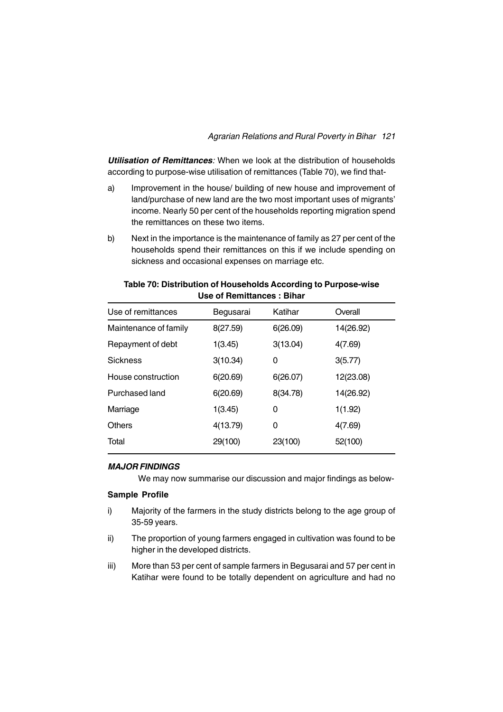## *Agrarian Relations and Rural Poverty in Bihar 121*

*Utilisation of Remittances:* When we look at the distribution of households according to purpose-wise utilisation of remittances (Table 70), we find that-

- a) Improvement in the house/ building of new house and improvement of land/purchase of new land are the two most important uses of migrants' income. Nearly 50 per cent of the households reporting migration spend the remittances on these two items.
- b) Next in the importance is the maintenance of family as 27 per cent of the households spend their remittances on this if we include spending on sickness and occasional expenses on marriage etc.

| Use of remittances    | Begusarai | Katihar  | Overall   |
|-----------------------|-----------|----------|-----------|
| Maintenance of family | 8(27.59)  | 6(26.09) | 14(26.92) |
| Repayment of debt     | 1(3.45)   | 3(13.04) | 4(7.69)   |
| <b>Sickness</b>       | 3(10.34)  | 0        | 3(5.77)   |
| House construction    | 6(20.69)  | 6(26.07) | 12(23.08) |
| Purchased land        | 6(20.69)  | 8(34.78) | 14(26.92) |
| Marriage              | 1(3.45)   | 0        | 1(1.92)   |
| <b>Others</b>         | 4(13.79)  | 0        | 4(7.69)   |
| Total                 | 29(100)   | 23(100)  | 52(100)   |
|                       |           |          |           |

#### **Table 70: Distribution of Households According to Purpose-wise Use of Remittances : Bihar**

## *MAJOR FINDINGS*

We may now summarise our discussion and major findings as below-

## **Sample Profile**

- i) Majority of the farmers in the study districts belong to the age group of 35-59 years.
- ii) The proportion of young farmers engaged in cultivation was found to be higher in the developed districts.
- iii) More than 53 per cent of sample farmers in Begusarai and 57 per cent in Katihar were found to be totally dependent on agriculture and had no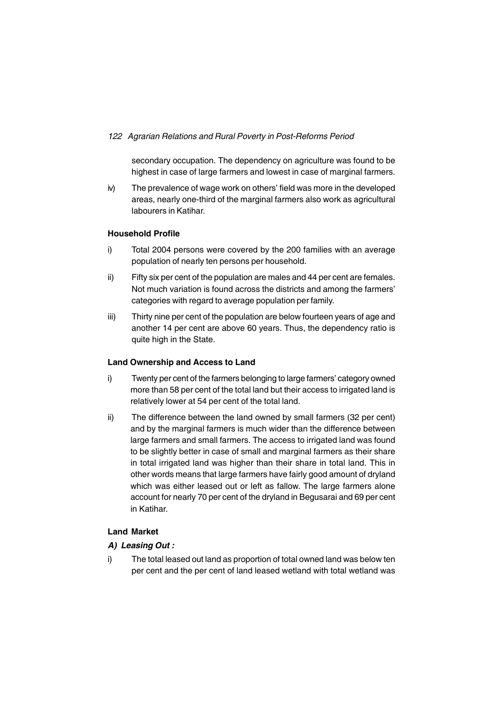secondary occupation. The dependency on agriculture was found to be highest in case of large farmers and lowest in case of marginal farmers.

iv) The prevalence of wage work on others' field was more in the developed areas, nearly one-third of the marginal farmers also work as agricultural labourers in Katihar.

## **Household Profile**

- i) Total 2004 persons were covered by the 200 families with an average population of nearly ten persons per household.
- ii) Fifty six per cent of the population are males and 44 per cent are females. Not much variation is found across the districts and among the farmers' categories with regard to average population per family.
- iii) Thirty nine per cent of the population are below fourteen years of age and another 14 per cent are above 60 years. Thus, the dependency ratio is quite high in the State.

## **Land Ownership and Access to Land**

- i) Twenty per cent of the farmers belonging to large farmers' category owned more than 58 per cent of the total land but their access to irrigated land is relatively lower at 54 per cent of the total land.
- ii) The difference between the land owned by small farmers (32 per cent) and by the marginal farmers is much wider than the difference between large farmers and small farmers. The access to irrigated land was found to be slightly better in case of small and marginal farmers as their share in total irrigated land was higher than their share in total land. This in other words means that large farmers have fairly good amount of dryland which was either leased out or left as fallow. The large farmers alone account for nearly 70 per cent of the dryland in Begusarai and 69 per cent in Katihar.

## **Land Market**

## *A) Leasing Out :*

i) The total leased out land as proportion of total owned land was below ten per cent and the per cent of land leased wetland with total wetland was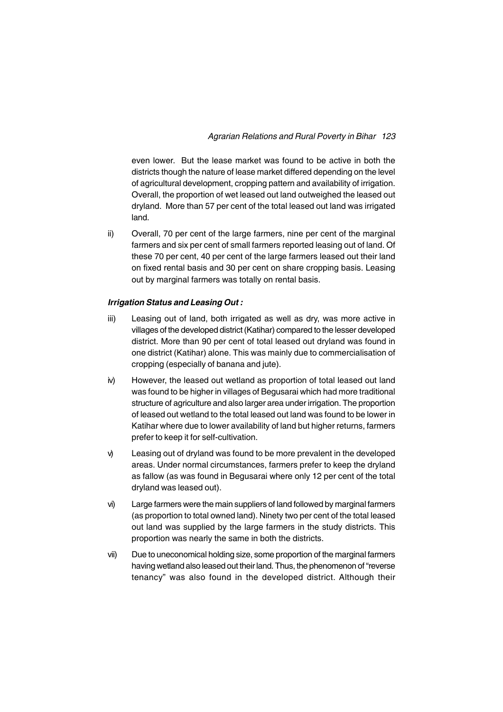even lower. But the lease market was found to be active in both the districts though the nature of lease market differed depending on the level of agricultural development, cropping pattern and availability of irrigation. Overall, the proportion of wet leased out land outweighed the leased out dryland. More than 57 per cent of the total leased out land was irrigated land.

ii) Overall, 70 per cent of the large farmers, nine per cent of the marginal farmers and six per cent of small farmers reported leasing out of land. Of these 70 per cent, 40 per cent of the large farmers leased out their land on fixed rental basis and 30 per cent on share cropping basis. Leasing out by marginal farmers was totally on rental basis.

#### *Irrigation Status and Leasing Out :*

- iii) Leasing out of land, both irrigated as well as dry, was more active in villages of the developed district (Katihar) compared to the lesser developed district. More than 90 per cent of total leased out dryland was found in one district (Katihar) alone. This was mainly due to commercialisation of cropping (especially of banana and jute).
- iv) However, the leased out wetland as proportion of total leased out land was found to be higher in villages of Begusarai which had more traditional structure of agriculture and also larger area under irrigation. The proportion of leased out wetland to the total leased out land was found to be lower in Katihar where due to lower availability of land but higher returns, farmers prefer to keep it for self-cultivation.
- v) Leasing out of dryland was found to be more prevalent in the developed areas. Under normal circumstances, farmers prefer to keep the dryland as fallow (as was found in Begusarai where only 12 per cent of the total dryland was leased out).
- vi) Large farmers were the main suppliers of land followed by marginal farmers (as proportion to total owned land). Ninety two per cent of the total leased out land was supplied by the large farmers in the study districts. This proportion was nearly the same in both the districts.
- vii) Due to uneconomical holding size, some proportion of the marginal farmers having wetland also leased out their land. Thus, the phenomenon of "reverse tenancy" was also found in the developed district. Although their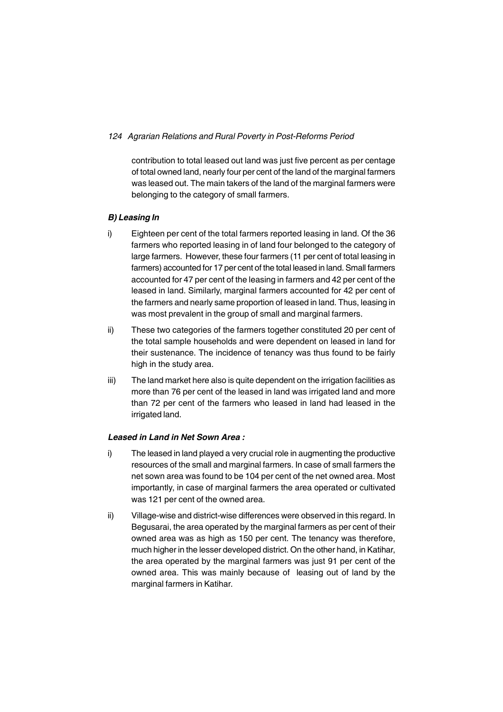contribution to total leased out land was just five percent as per centage of total owned land, nearly four per cent of the land of the marginal farmers was leased out. The main takers of the land of the marginal farmers were belonging to the category of small farmers.

## *B) Leasing In*

- i) Eighteen per cent of the total farmers reported leasing in land. Of the 36 farmers who reported leasing in of land four belonged to the category of large farmers. However, these four farmers (11 per cent of total leasing in farmers) accounted for 17 per cent of the total leased in land. Small farmers accounted for 47 per cent of the leasing in farmers and 42 per cent of the leased in land. Similarly, marginal farmers accounted for 42 per cent of the farmers and nearly same proportion of leased in land. Thus, leasing in was most prevalent in the group of small and marginal farmers.
- ii) These two categories of the farmers together constituted 20 per cent of the total sample households and were dependent on leased in land for their sustenance. The incidence of tenancy was thus found to be fairly high in the study area.
- iii) The land market here also is quite dependent on the irrigation facilities as more than 76 per cent of the leased in land was irrigated land and more than 72 per cent of the farmers who leased in land had leased in the irrigated land.

## *Leased in Land in Net Sown Area :*

- i) The leased in land played a very crucial role in augmenting the productive resources of the small and marginal farmers. In case of small farmers the net sown area was found to be 104 per cent of the net owned area. Most importantly, in case of marginal farmers the area operated or cultivated was 121 per cent of the owned area.
- ii) Village-wise and district-wise differences were observed in this regard. In Begusarai, the area operated by the marginal farmers as per cent of their owned area was as high as 150 per cent. The tenancy was therefore, much higher in the lesser developed district. On the other hand, in Katihar, the area operated by the marginal farmers was just 91 per cent of the owned area. This was mainly because of leasing out of land by the marginal farmers in Katihar.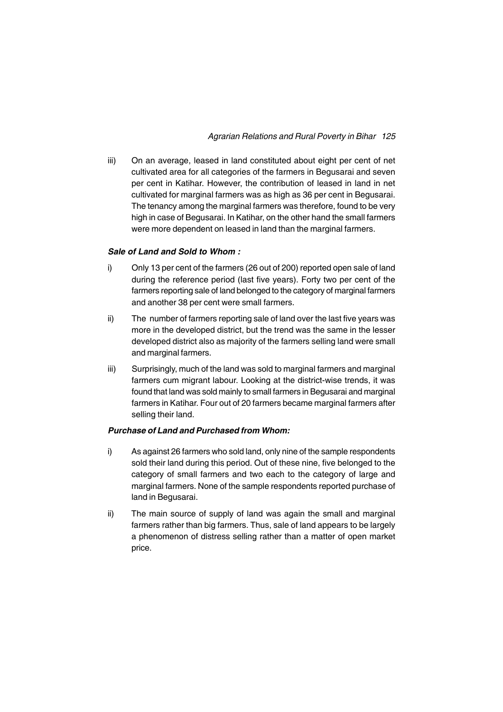iii) On an average, leased in land constituted about eight per cent of net cultivated area for all categories of the farmers in Begusarai and seven per cent in Katihar. However, the contribution of leased in land in net cultivated for marginal farmers was as high as 36 per cent in Begusarai. The tenancy among the marginal farmers was therefore, found to be very high in case of Begusarai. In Katihar, on the other hand the small farmers were more dependent on leased in land than the marginal farmers.

#### *Sale of Land and Sold to Whom :*

- i) Only 13 per cent of the farmers (26 out of 200) reported open sale of land during the reference period (last five years). Forty two per cent of the farmers reporting sale of land belonged to the category of marginal farmers and another 38 per cent were small farmers.
- ii) The number of farmers reporting sale of land over the last five years was more in the developed district, but the trend was the same in the lesser developed district also as majority of the farmers selling land were small and marginal farmers.
- iii) Surprisingly, much of the land was sold to marginal farmers and marginal farmers cum migrant labour. Looking at the district-wise trends, it was found that land was sold mainly to small farmers in Begusarai and marginal farmers in Katihar. Four out of 20 farmers became marginal farmers after selling their land.

## *Purchase of Land and Purchased from Whom:*

- i) As against 26 farmers who sold land, only nine of the sample respondents sold their land during this period. Out of these nine, five belonged to the category of small farmers and two each to the category of large and marginal farmers. None of the sample respondents reported purchase of land in Begusarai.
- ii) The main source of supply of land was again the small and marginal farmers rather than big farmers. Thus, sale of land appears to be largely a phenomenon of distress selling rather than a matter of open market price.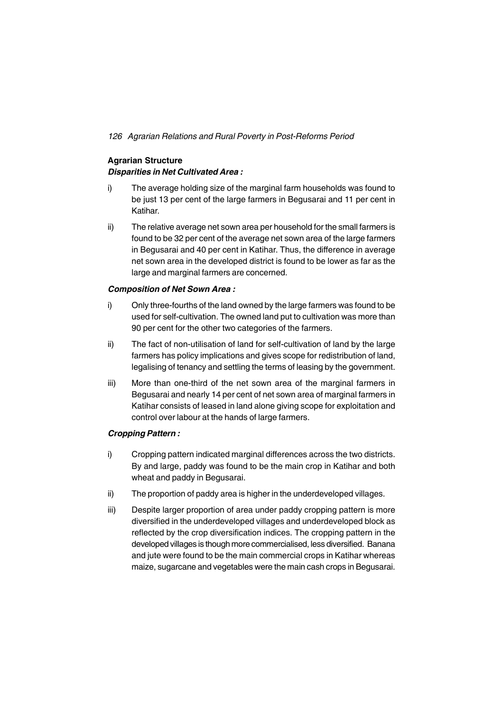## **Agrarian Structure** *Disparities in Net Cultivated Area :*

- i) The average holding size of the marginal farm households was found to be just 13 per cent of the large farmers in Begusarai and 11 per cent in Katihar.
- ii) The relative average net sown area per household for the small farmers is found to be 32 per cent of the average net sown area of the large farmers in Begusarai and 40 per cent in Katihar. Thus, the difference in average net sown area in the developed district is found to be lower as far as the large and marginal farmers are concerned.

## *Composition of Net Sown Area :*

- i) Only three-fourths of the land owned by the large farmers was found to be used for self-cultivation. The owned land put to cultivation was more than 90 per cent for the other two categories of the farmers.
- ii) The fact of non-utilisation of land for self-cultivation of land by the large farmers has policy implications and gives scope for redistribution of land, legalising of tenancy and settling the terms of leasing by the government.
- iii) More than one-third of the net sown area of the marginal farmers in Begusarai and nearly 14 per cent of net sown area of marginal farmers in Katihar consists of leased in land alone giving scope for exploitation and control over labour at the hands of large farmers.

#### *Cropping Pattern :*

- i) Cropping pattern indicated marginal differences across the two districts. By and large, paddy was found to be the main crop in Katihar and both wheat and paddy in Begusarai.
- ii) The proportion of paddy area is higher in the underdeveloped villages.
- iii) Despite larger proportion of area under paddy cropping pattern is more diversified in the underdeveloped villages and underdeveloped block as reflected by the crop diversification indices. The cropping pattern in the developed villages is though more commercialised, less diversified. Banana and jute were found to be the main commercial crops in Katihar whereas maize, sugarcane and vegetables were the main cash crops in Begusarai.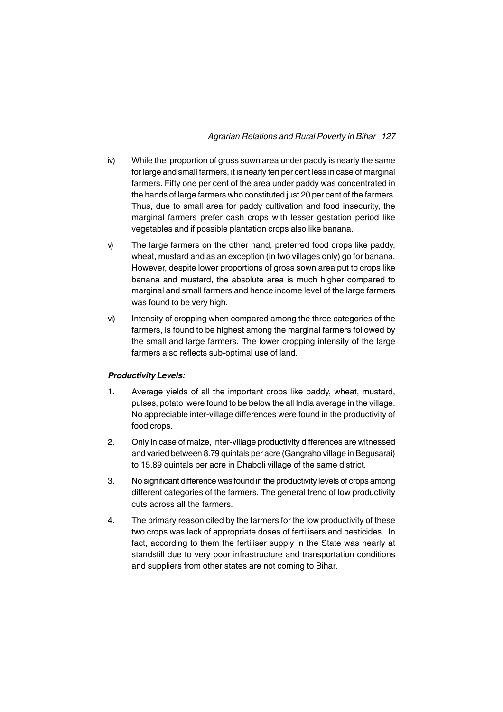## *Agrarian Relations and Rural Poverty in Bihar 127*

- iv) While the proportion of gross sown area under paddy is nearly the same for large and small farmers, it is nearly ten per cent less in case of marginal farmers. Fifty one per cent of the area under paddy was concentrated in the hands of large farmers who constituted just 20 per cent of the farmers. Thus, due to small area for paddy cultivation and food insecurity, the marginal farmers prefer cash crops with lesser gestation period like vegetables and if possible plantation crops also like banana.
- v) The large farmers on the other hand, preferred food crops like paddy, wheat, mustard and as an exception (in two villages only) go for banana. However, despite lower proportions of gross sown area put to crops like banana and mustard, the absolute area is much higher compared to marginal and small farmers and hence income level of the large farmers was found to be very high.
- vi) Intensity of cropping when compared among the three categories of the farmers, is found to be highest among the marginal farmers followed by the small and large farmers. The lower cropping intensity of the large farmers also reflects sub-optimal use of land.

#### *Productivity Levels:*

- 1. Average yields of all the important crops like paddy, wheat, mustard, pulses, potato were found to be below the all India average in the village. No appreciable inter-village differences were found in the productivity of food crops.
- 2. Only in case of maize, inter-village productivity differences are witnessed and varied between 8.79 quintals per acre (Gangraho village in Begusarai) to 15.89 quintals per acre in Dhaboli village of the same district.
- 3. No significant difference was found in the productivity levels of crops among different categories of the farmers. The general trend of low productivity cuts across all the farmers.
- 4. The primary reason cited by the farmers for the low productivity of these two crops was lack of appropriate doses of fertilisers and pesticides. In fact, according to them the fertiliser supply in the State was nearly at standstill due to very poor infrastructure and transportation conditions and suppliers from other states are not coming to Bihar.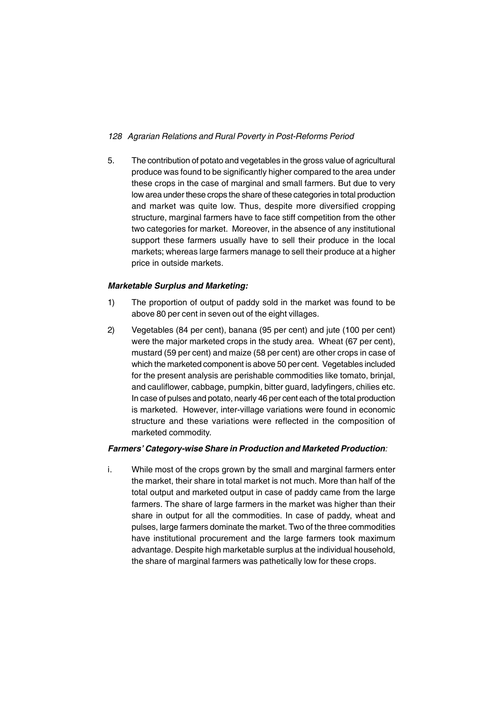5. The contribution of potato and vegetables in the gross value of agricultural produce was found to be significantly higher compared to the area under these crops in the case of marginal and small farmers. But due to very low area under these crops the share of these categories in total production and market was quite low. Thus, despite more diversified cropping structure, marginal farmers have to face stiff competition from the other two categories for market. Moreover, in the absence of any institutional support these farmers usually have to sell their produce in the local markets; whereas large farmers manage to sell their produce at a higher price in outside markets.

## *Marketable Surplus and Marketing:*

- 1) The proportion of output of paddy sold in the market was found to be above 80 per cent in seven out of the eight villages.
- 2) Vegetables (84 per cent), banana (95 per cent) and jute (100 per cent) were the major marketed crops in the study area. Wheat (67 per cent), mustard (59 per cent) and maize (58 per cent) are other crops in case of which the marketed component is above 50 per cent. Vegetables included for the present analysis are perishable commodities like tomato, brinjal, and cauliflower, cabbage, pumpkin, bitter guard, ladyfingers, chilies etc. In case of pulses and potato, nearly 46 per cent each of the total production is marketed. However, inter-village variations were found in economic structure and these variations were reflected in the composition of marketed commodity.

## *Farmers' Category-wise Share in Production and Marketed Production:*

i. While most of the crops grown by the small and marginal farmers enter the market, their share in total market is not much. More than half of the total output and marketed output in case of paddy came from the large farmers. The share of large farmers in the market was higher than their share in output for all the commodities. In case of paddy, wheat and pulses, large farmers dominate the market. Two of the three commodities have institutional procurement and the large farmers took maximum advantage. Despite high marketable surplus at the individual household, the share of marginal farmers was pathetically low for these crops.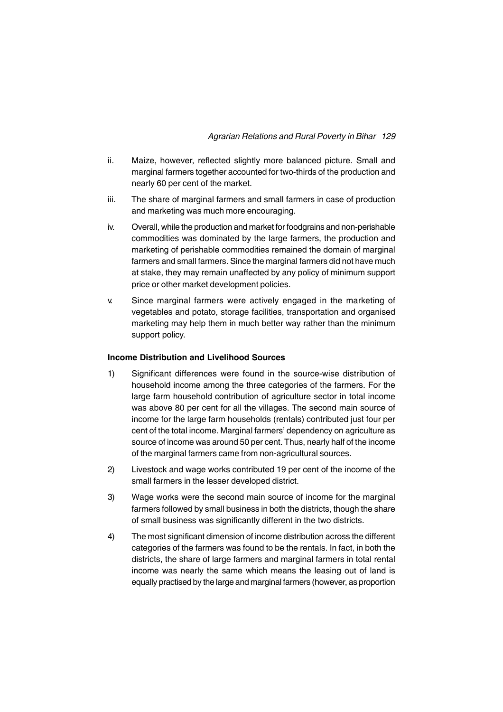- ii. Maize, however, reflected slightly more balanced picture. Small and marginal farmers together accounted for two-thirds of the production and nearly 60 per cent of the market.
- iii. The share of marginal farmers and small farmers in case of production and marketing was much more encouraging.
- iv. Overall, while the production and market for foodgrains and non-perishable commodities was dominated by the large farmers, the production and marketing of perishable commodities remained the domain of marginal farmers and small farmers. Since the marginal farmers did not have much at stake, they may remain unaffected by any policy of minimum support price or other market development policies.
- v. Since marginal farmers were actively engaged in the marketing of vegetables and potato, storage facilities, transportation and organised marketing may help them in much better way rather than the minimum support policy.

#### **Income Distribution and Livelihood Sources**

- 1) Significant differences were found in the source-wise distribution of household income among the three categories of the farmers. For the large farm household contribution of agriculture sector in total income was above 80 per cent for all the villages. The second main source of income for the large farm households (rentals) contributed just four per cent of the total income. Marginal farmers' dependency on agriculture as source of income was around 50 per cent. Thus, nearly half of the income of the marginal farmers came from non-agricultural sources.
- 2) Livestock and wage works contributed 19 per cent of the income of the small farmers in the lesser developed district.
- 3) Wage works were the second main source of income for the marginal farmers followed by small business in both the districts, though the share of small business was significantly different in the two districts.
- 4) The most significant dimension of income distribution across the different categories of the farmers was found to be the rentals. In fact, in both the districts, the share of large farmers and marginal farmers in total rental income was nearly the same which means the leasing out of land is equally practised by the large and marginal farmers (however, as proportion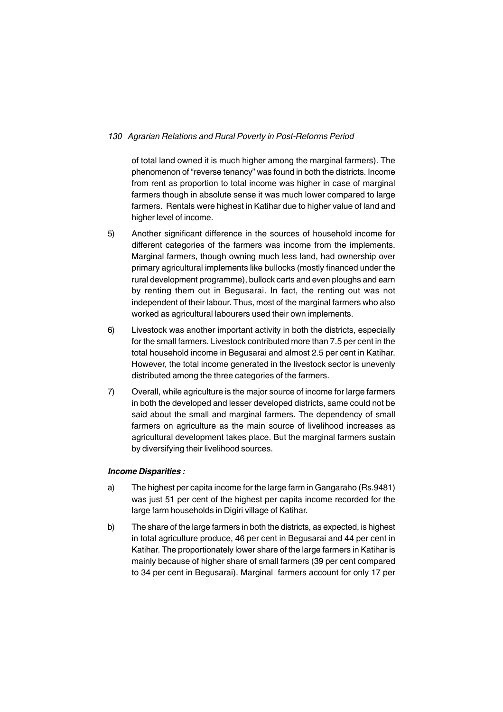of total land owned it is much higher among the marginal farmers). The phenomenon of "reverse tenancy" was found in both the districts. Income from rent as proportion to total income was higher in case of marginal farmers though in absolute sense it was much lower compared to large farmers. Rentals were highest in Katihar due to higher value of land and higher level of income.

- 5) Another significant difference in the sources of household income for different categories of the farmers was income from the implements. Marginal farmers, though owning much less land, had ownership over primary agricultural implements like bullocks (mostly financed under the rural development programme), bullock carts and even ploughs and earn by renting them out in Begusarai. In fact, the renting out was not independent of their labour. Thus, most of the marginal farmers who also worked as agricultural labourers used their own implements.
- 6) Livestock was another important activity in both the districts, especially for the small farmers. Livestock contributed more than 7.5 per cent in the total household income in Begusarai and almost 2.5 per cent in Katihar. However, the total income generated in the livestock sector is unevenly distributed among the three categories of the farmers.
- 7) Overall, while agriculture is the major source of income for large farmers in both the developed and lesser developed districts, same could not be said about the small and marginal farmers. The dependency of small farmers on agriculture as the main source of livelihood increases as agricultural development takes place. But the marginal farmers sustain by diversifying their livelihood sources.

## *Income Disparities :*

- a) The highest per capita income for the large farm in Gangaraho (Rs.9481) was just 51 per cent of the highest per capita income recorded for the large farm households in Digiri village of Katihar.
- b) The share of the large farmers in both the districts, as expected, is highest in total agriculture produce, 46 per cent in Begusarai and 44 per cent in Katihar. The proportionately lower share of the large farmers in Katihar is mainly because of higher share of small farmers (39 per cent compared to 34 per cent in Begusarai). Marginal farmers account for only 17 per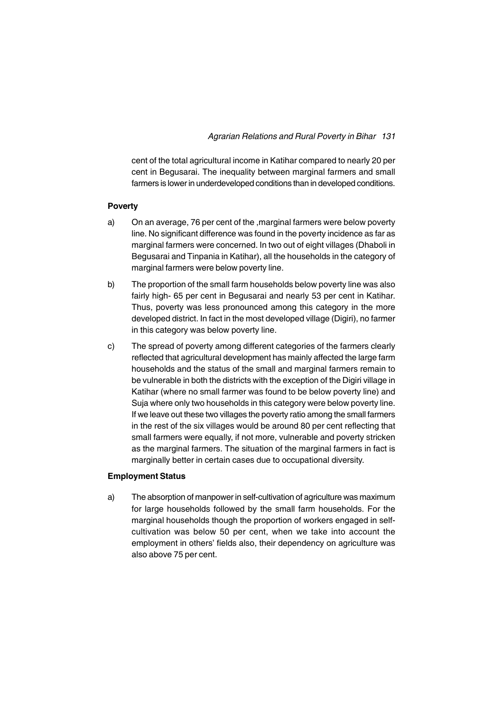cent of the total agricultural income in Katihar compared to nearly 20 per cent in Begusarai. The inequality between marginal farmers and small farmers is lower in underdeveloped conditions than in developed conditions.

#### **Poverty**

- a) On an average, 76 per cent of the ,marginal farmers were below poverty line. No significant difference was found in the poverty incidence as far as marginal farmers were concerned. In two out of eight villages (Dhaboli in Begusarai and Tinpania in Katihar), all the households in the category of marginal farmers were below poverty line.
- b) The proportion of the small farm households below poverty line was also fairly high- 65 per cent in Begusarai and nearly 53 per cent in Katihar. Thus, poverty was less pronounced among this category in the more developed district. In fact in the most developed village (Digiri), no farmer in this category was below poverty line.
- c) The spread of poverty among different categories of the farmers clearly reflected that agricultural development has mainly affected the large farm households and the status of the small and marginal farmers remain to be vulnerable in both the districts with the exception of the Digiri village in Katihar (where no small farmer was found to be below poverty line) and Suja where only two households in this category were below poverty line. If we leave out these two villages the poverty ratio among the small farmers in the rest of the six villages would be around 80 per cent reflecting that small farmers were equally, if not more, vulnerable and poverty stricken as the marginal farmers. The situation of the marginal farmers in fact is marginally better in certain cases due to occupational diversity.

#### **Employment Status**

a) The absorption of manpower in self-cultivation of agriculture was maximum for large households followed by the small farm households. For the marginal households though the proportion of workers engaged in selfcultivation was below 50 per cent, when we take into account the employment in others' fields also, their dependency on agriculture was also above 75 per cent.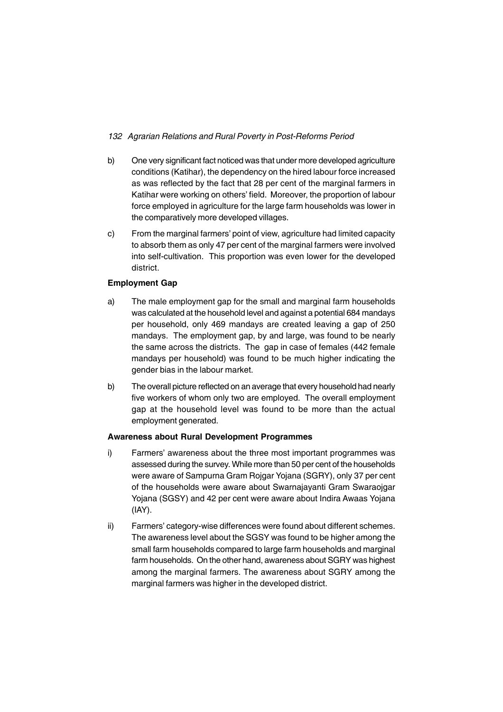- b) One very significant fact noticed was that under more developed agriculture conditions (Katihar), the dependency on the hired labour force increased as was reflected by the fact that 28 per cent of the marginal farmers in Katihar were working on others' field. Moreover, the proportion of labour force employed in agriculture for the large farm households was lower in the comparatively more developed villages.
- c) From the marginal farmers' point of view, agriculture had limited capacity to absorb them as only 47 per cent of the marginal farmers were involved into self-cultivation. This proportion was even lower for the developed district.

## **Employment Gap**

- a) The male employment gap for the small and marginal farm households was calculated at the household level and against a potential 684 mandays per household, only 469 mandays are created leaving a gap of 250 mandays. The employment gap, by and large, was found to be nearly the same across the districts. The gap in case of females (442 female mandays per household) was found to be much higher indicating the gender bias in the labour market.
- b) The overall picture reflected on an average that every household had nearly five workers of whom only two are employed. The overall employment gap at the household level was found to be more than the actual employment generated.

## **Awareness about Rural Development Programmes**

- i) Farmers' awareness about the three most important programmes was assessed during the survey. While more than 50 per cent of the households were aware of Sampurna Gram Rojgar Yojana (SGRY), only 37 per cent of the households were aware about Swarnajayanti Gram Swaraojgar Yojana (SGSY) and 42 per cent were aware about Indira Awaas Yojana (IAY).
- ii) Farmers' category-wise differences were found about different schemes. The awareness level about the SGSY was found to be higher among the small farm households compared to large farm households and marginal farm households. On the other hand, awareness about SGRY was highest among the marginal farmers. The awareness about SGRY among the marginal farmers was higher in the developed district.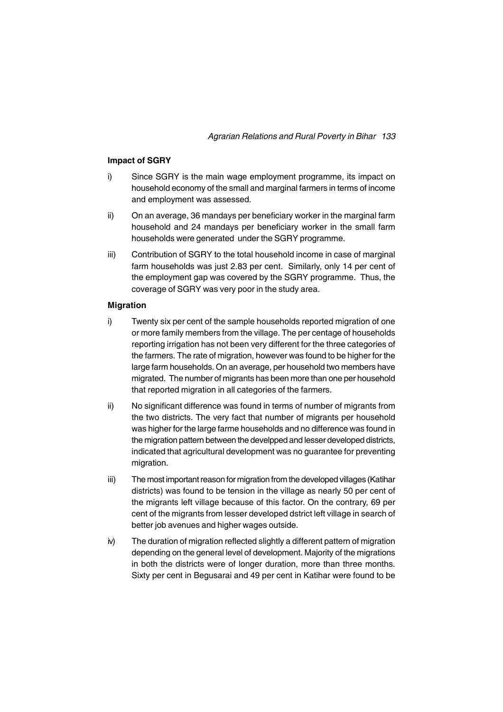#### **Impact of SGRY**

- i) Since SGRY is the main wage employment programme, its impact on household economy of the small and marginal farmers in terms of income and employment was assessed.
- ii) On an average, 36 mandays per beneficiary worker in the marginal farm household and 24 mandays per beneficiary worker in the small farm households were generated under the SGRY programme.
- iii) Contribution of SGRY to the total household income in case of marginal farm households was just 2.83 per cent. Similarly, only 14 per cent of the employment gap was covered by the SGRY programme. Thus, the coverage of SGRY was very poor in the study area.

#### **Migration**

- i) Twenty six per cent of the sample households reported migration of one or more family members from the village. The per centage of households reporting irrigation has not been very different for the three categories of the farmers. The rate of migration, however was found to be higher for the large farm households. On an average, per household two members have migrated. The number of migrants has been more than one per household that reported migration in all categories of the farmers.
- ii) No significant difference was found in terms of number of migrants from the two districts. The very fact that number of migrants per household was higher for the large farme households and no difference was found in the migration pattern between the develpped and lesser developed districts, indicated that agricultural development was no guarantee for preventing migration.
- iii) The most important reason for migration from the developed villages (Katihar districts) was found to be tension in the village as nearly 50 per cent of the migrants left village because of this factor. On the contrary, 69 per cent of the migrants from lesser developed dstrict left village in search of better job avenues and higher wages outside.
- iv) The duration of migration reflected slightly a different pattern of migration depending on the general level of development. Majority of the migrations in both the districts were of longer duration, more than three months. Sixty per cent in Begusarai and 49 per cent in Katihar were found to be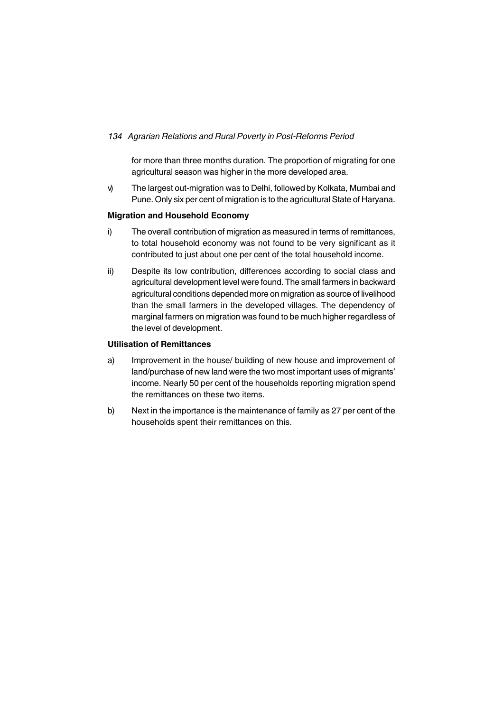for more than three months duration. The proportion of migrating for one agricultural season was higher in the more developed area.

v) The largest out-migration was to Delhi, followed by Kolkata, Mumbai and Pune. Only six per cent of migration is to the agricultural State of Haryana.

## **Migration and Household Economy**

- i) The overall contribution of migration as measured in terms of remittances, to total household economy was not found to be very significant as it contributed to just about one per cent of the total household income.
- ii) Despite its low contribution, differences according to social class and agricultural development level were found. The small farmers in backward agricultural conditions depended more on migration as source of livelihood than the small farmers in the developed villages. The dependency of marginal farmers on migration was found to be much higher regardless of the level of development.

#### **Utilisation of Remittances**

- a) Improvement in the house/ building of new house and improvement of land/purchase of new land were the two most important uses of migrants' income. Nearly 50 per cent of the households reporting migration spend the remittances on these two items.
- b) Next in the importance is the maintenance of family as 27 per cent of the households spent their remittances on this.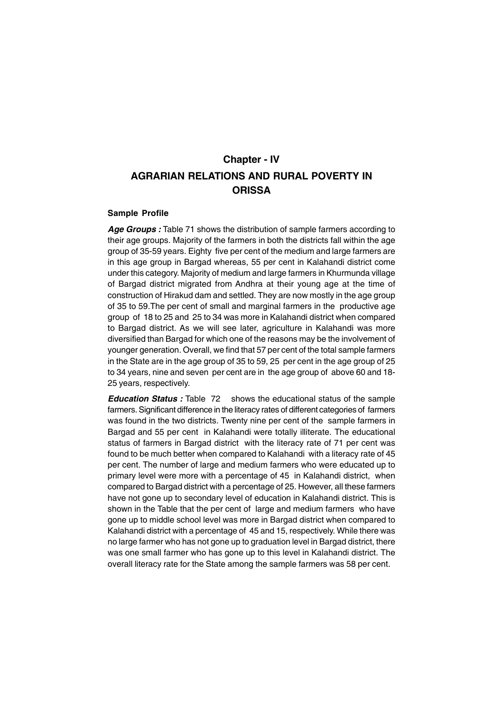# **AGRARIAN RELATIONS AND RURAL POVERTY IN ORISSA Chapter - IV**

#### **Sample Profile**

Age Groups : Table 71 shows the distribution of sample farmers according to their age groups. Majority of the farmers in both the districts fall within the age group of 35-59 years. Eighty five per cent of the medium and large farmers are in this age group in Bargad whereas, 55 per cent in Kalahandi district come under this category. Majority of medium and large farmers in Khurmunda village of Bargad district migrated from Andhra at their young age at the time of construction of Hirakud dam and settled. They are now mostly in the age group of 35 to 59.The per cent of small and marginal farmers in the productive age group of 18 to 25 and 25 to 34 was more in Kalahandi district when compared to Bargad district. As we will see later, agriculture in Kalahandi was more diversified than Bargad for which one of the reasons may be the involvement of younger generation. Overall, we find that 57 per cent of the total sample farmers in the State are in the age group of 35 to 59, 25 per cent in the age group of 25 to 34 years, nine and seven per cent are in the age group of above 60 and 18- 25 years, respectively.

*Education Status :* Table 72 shows the educational status of the sample farmers. Significant difference in the literacy rates of different categories of farmers was found in the two districts. Twenty nine per cent of the sample farmers in Bargad and 55 per cent in Kalahandi were totally illiterate. The educational status of farmers in Bargad district with the literacy rate of 71 per cent was found to be much better when compared to Kalahandi with a literacy rate of 45 per cent. The number of large and medium farmers who were educated up to primary level were more with a percentage of 45 in Kalahandi district, when compared to Bargad district with a percentage of 25. However, all these farmers have not gone up to secondary level of education in Kalahandi district. This is shown in the Table that the per cent of large and medium farmers who have gone up to middle school level was more in Bargad district when compared to Kalahandi district with a percentage of 45 and 15, respectively. While there was no large farmer who has not gone up to graduation level in Bargad district, there was one small farmer who has gone up to this level in Kalahandi district. The overall literacy rate for the State among the sample farmers was 58 per cent.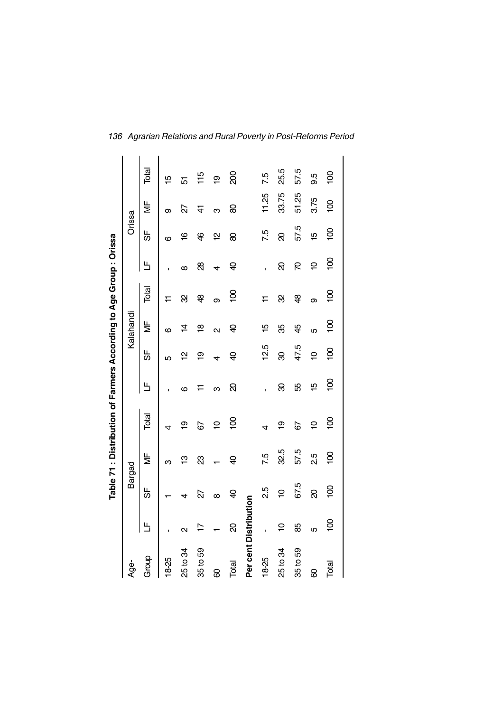|                       |                   |                |                           | Table 71 : Distribution of Farmers According to Age Group : Orissa |                |                |                         |                |            |                |                      |                |  |
|-----------------------|-------------------|----------------|---------------------------|--------------------------------------------------------------------|----------------|----------------|-------------------------|----------------|------------|----------------|----------------------|----------------|--|
| Age-                  |                   | Bargad         |                           |                                                                    |                |                | Kalahandi               |                |            | Orissa         |                      |                |  |
| Group                 | Ь                 | 5              | $\overline{\overline{z}}$ | Total                                                              | Щ              | ₩              | ¥                       | Total          | Ь          | 56             | $\frac{\mu}{\Sigma}$ | Total          |  |
| 18-25                 |                   |                | ო                         | 4                                                                  |                | LO             | ဖ                       |                |            | ဖ              | თ                    | ഥ              |  |
| 25 to 34              | $\mathbf{\Omega}$ | 4              | ဗ္                        | စ္                                                                 | ဖ              | 으              | $\overline{4}$          | 8              | $\infty$   | ڥ              | 22                   | 5              |  |
| 35 to 59              |                   | 22             | ಔ                         | 67                                                                 |                | စ္             | $\frac{\infty}{\infty}$ | क्ष            | 88         | कै             | 4                    | 115            |  |
| 8                     |                   | $\infty$       |                           | $\overline{a}$                                                     | ო              | 4              | $\mathbf{\Omega}$       | σ              | 4          | 얻              | ო                    | ō              |  |
| Total                 | ସ                 | ੩              | ੩                         | ဓ္ဌ                                                                | ର              | ੩              | ੩                       | $\overline{5}$ | ੩          | 8              | 8                    | 8              |  |
| Per cent Distribution |                   |                |                           |                                                                    |                |                |                         |                |            |                |                      |                |  |
| $18-25$               | ı                 | 2.5            | 7.5                       | 4                                                                  |                | 12.5           | $\overline{5}$          |                | ï          | 7.5            | 11.25                | 7.5            |  |
| 25 to 34              | $\overline{a}$    | $\overline{a}$ | 32.5                      | စ္                                                                 | ଌ              | 8              | ఘ్ర                     | 8              | ସ          | ସ              | 33.75                | 25.5           |  |
| 35 to 59              | 88                | 67.5           | 57.5                      | 67                                                                 | 55             | 47.5           | 45                      | क्ष            | 5          | 57.5           | 51.25                | 57.5           |  |
| 8                     | ယ                 | ୡ              | 2.5                       | $\overline{a}$                                                     | 10             | $\overline{a}$ | Ю                       | σ              | $\cong$    | 15             | 3.75                 | 9.5            |  |
| Total                 | <u>ទ</u>          | <u>s</u>       | $\overline{5}$            | $\overline{5}$                                                     | $\overline{5}$ | $\overline{5}$ | $\overline{5}$          | $\overline{5}$ | <u>ទ្ទ</u> | $\overline{5}$ | $\overline{5}$       | $\overline{0}$ |  |
|                       |                   |                |                           |                                                                    |                |                |                         |                |            |                |                      |                |  |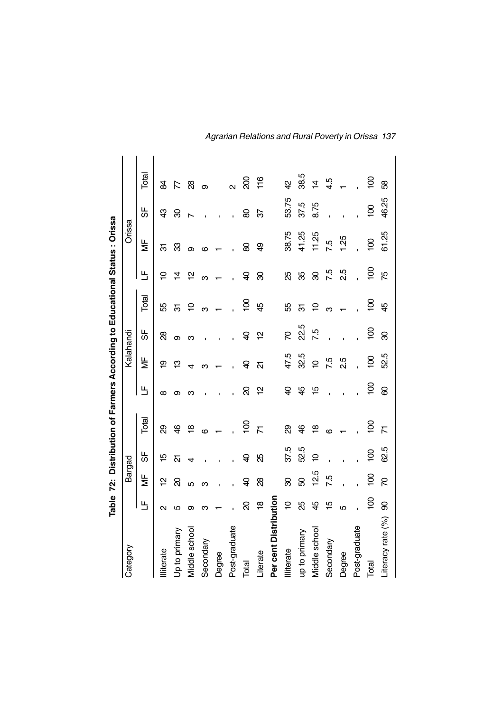|                       |                   |                |                | Table 72: Distribution of Farmers According to Educational Status: Orissa |                |                |            |                |                |                |                |                |
|-----------------------|-------------------|----------------|----------------|---------------------------------------------------------------------------|----------------|----------------|------------|----------------|----------------|----------------|----------------|----------------|
| Category              |                   | Bargad         |                |                                                                           |                | Kalahandi      |            |                |                | Orissa         |                |                |
|                       | Ш                 | ¥              | 56             | Total                                                                     | 出              | ¥              | 56         | Total          | Ь              | ₩              | 56             | Total          |
| <b>Illiterate</b>     | $\mathbf{\Omega}$ | 얻              | ഇ              | හි                                                                        | ∞              | $\overline{6}$ | 8          | 55             | ⊇              | స్             | අ              | æ              |
| Up to primary         | 5                 | ସ              | 21             | \$                                                                        | ග              | ഇ              | თ          | ल              | $\vec{4}$      | 83             | ଞ              | F              |
| Middle school         | თ                 | 5              |                | $\frac{\infty}{2}$                                                        |                |                | ო          | Ş              | $\overline{a}$ | ග              |                | 8              |
| Secondary             | ო                 | ო              |                | ဖ                                                                         |                | ന              |            | ო              | ო              | ဖ              |                | თ              |
| Degree                |                   |                |                |                                                                           |                |                |            |                |                |                |                |                |
| Post-graduate         |                   |                |                |                                                                           |                |                |            |                |                |                |                | $\mathsf{d}$   |
| Total                 | ସ                 | ੩              | ੩              | $\overline{5}$                                                            | ସ              | ੩              | ੩          | <u>ទ</u>       | ੩              | 8              | 8              | 8              |
| Literate              | ٩Ř                | 88             | æ              | N                                                                         | 얻              | ត              | 얻          | $\overline{4}$ | ඝ              | අ              | 92             | 116            |
| Per cent Distribution |                   |                |                |                                                                           |                |                |            |                |                |                |                |                |
| lliterate             | $\overline{a}$    | 8              | 37.5           | හි                                                                        | ੩              | 47.5           | R          | 55             | 8S             | 38.75          | 53.75          | 4              |
| up to primary         | 35                | 8              | 52.5           | कै                                                                        | 4              | 32.5           | 22.5       | ल              | ౪              | 41.25          | 37.5           | 38.5           |
| Middle school         | 49                | 12.5           | ₽              | ≌                                                                         | 15             | $\overline{a}$ | 7.5        | Ş              | ୡ              | 11.25          | 8.75           | $\overline{4}$ |
| Secondary             | 10                | 7.5            |                | ဖ                                                                         |                | 7.5            |            |                | 7.5            | 7.5            |                | 4.5            |
| Degree                | Ю                 |                |                |                                                                           |                | 2.5            |            |                | 2.5            | 1.25           |                |                |
| Post-graduate         |                   |                |                |                                                                           |                |                |            |                |                |                |                |                |
| Total                 | $\overline{5}$    | $\overline{5}$ | $\overline{0}$ | $\overline{8}$                                                            | $\overline{5}$ | <u>ខ</u>       | <u>ទ្ទ</u> | <u>ទ</u>       | <u>ទ</u>       | $\overline{5}$ | $\overline{5}$ | <u>ខ</u>       |
| Literacy rate (%)     | 8                 | R              | 62.5           | $\overline{\mathcal{N}}$                                                  | 8              | 52.5           | 8          | $\overline{4}$ | řб             | 61.25          | 46.25          | 8              |

*Agrarian Relations and Rural Poverty in Orissa 137*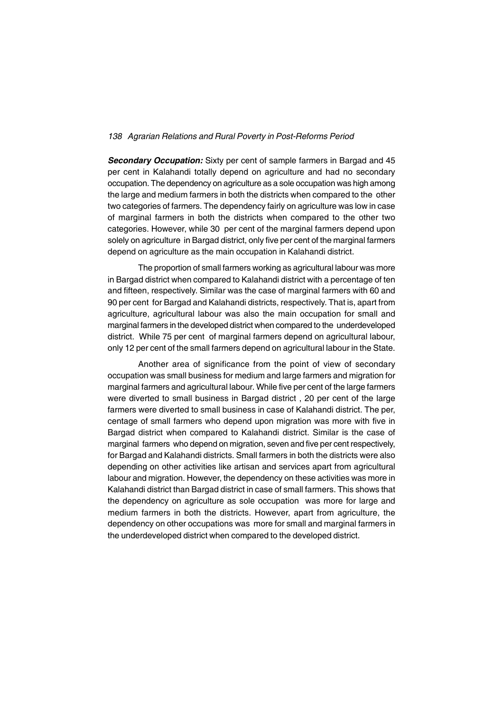*Secondary Occupation:* Sixty per cent of sample farmers in Bargad and 45 per cent in Kalahandi totally depend on agriculture and had no secondary occupation. The dependency on agriculture as a sole occupation was high among the large and medium farmers in both the districts when compared to the other two categories of farmers. The dependency fairly on agriculture was low in case of marginal farmers in both the districts when compared to the other two categories. However, while 30 per cent of the marginal farmers depend upon solely on agriculture in Bargad district, only five per cent of the marginal farmers depend on agriculture as the main occupation in Kalahandi district.

The proportion of small farmers working as agricultural labour was more in Bargad district when compared to Kalahandi district with a percentage of ten and fifteen, respectively. Similar was the case of marginal farmers with 60 and 90 per cent for Bargad and Kalahandi districts, respectively. That is, apart from agriculture, agricultural labour was also the main occupation for small and marginal farmers in the developed district when compared to the underdeveloped district. While 75 per cent of marginal farmers depend on agricultural labour, only 12 per cent of the small farmers depend on agricultural labour in the State.

Another area of significance from the point of view of secondary occupation was small business for medium and large farmers and migration for marginal farmers and agricultural labour. While five per cent of the large farmers were diverted to small business in Bargad district , 20 per cent of the large farmers were diverted to small business in case of Kalahandi district. The per, centage of small farmers who depend upon migration was more with five in Bargad district when compared to Kalahandi district. Similar is the case of marginal farmers who depend on migration, seven and five per cent respectively, for Bargad and Kalahandi districts. Small farmers in both the districts were also depending on other activities like artisan and services apart from agricultural labour and migration. However, the dependency on these activities was more in Kalahandi district than Bargad district in case of small farmers. This shows that the dependency on agriculture as sole occupation was more for large and medium farmers in both the districts. However, apart from agriculture, the dependency on other occupations was more for small and marginal farmers in the underdeveloped district when compared to the developed district.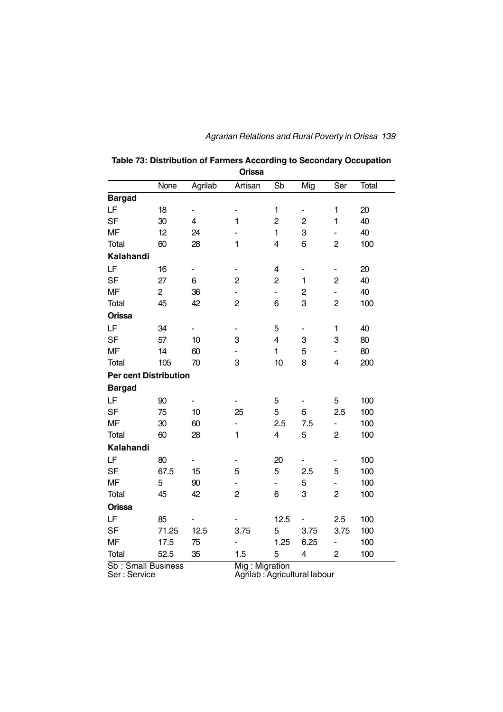## *Agrarian Relations and Rural Poverty in Orissa 139*

| Orissa                       |                |                         |                              |                         |                              |                |       |  |  |
|------------------------------|----------------|-------------------------|------------------------------|-------------------------|------------------------------|----------------|-------|--|--|
|                              | None           | Agrilab                 | Artisan                      | Sb                      | Mig                          | Ser            | Total |  |  |
| <b>Bargad</b>                |                |                         |                              |                         |                              |                |       |  |  |
| LF                           | 18             | -                       | -                            | $\mathbf{1}$            |                              | 1              | 20    |  |  |
| <b>SF</b>                    | 30             | $\overline{\mathbf{4}}$ | $\mathbf{1}$                 | $\overline{\mathbf{c}}$ | $\boldsymbol{2}$             | $\mathbf{1}$   | 40    |  |  |
| <b>MF</b>                    | 12             | 24                      |                              | $\mathbf{1}$            | 3                            | $\blacksquare$ | 40    |  |  |
| Total                        | 60             | 28                      | 1                            | 4                       | 5                            | $\overline{2}$ | 100   |  |  |
| Kalahandi                    |                |                         |                              |                         |                              |                |       |  |  |
| LF                           | 16             | ÷                       | $\frac{1}{2}$                | 4                       | $\qquad \qquad \blacksquare$ | $\blacksquare$ | 20    |  |  |
| <b>SF</b>                    | 27             | 6                       | $\overline{c}$               | $\overline{c}$          | $\mathbf{1}$                 | $\mathbf 2$    | 40    |  |  |
| <b>MF</b>                    | $\overline{c}$ | 36                      |                              | $\blacksquare$          | $\overline{\mathbf{c}}$      | -              | 40    |  |  |
| Total                        | 45             | 42                      | $\overline{c}$               | 6                       | 3                            | $\overline{c}$ | 100   |  |  |
| Orissa                       |                |                         |                              |                         |                              |                |       |  |  |
| LF                           | 34             | -                       | $\qquad \qquad \blacksquare$ | 5                       | ۰                            | $\mathbf{1}$   | 40    |  |  |
| <b>SF</b>                    | 57             | 10                      | 3                            | $\overline{\mathbf{4}}$ | $\ensuremath{\mathsf{3}}$    | 3              | 80    |  |  |
| <b>MF</b>                    | 14             | 60                      |                              | $\mathbf{1}$            | 5                            | ۰              | 80    |  |  |
| Total                        | 105            | 70                      | 3                            | 10                      | 8                            | 4              | 200   |  |  |
| <b>Per cent Distribution</b> |                |                         |                              |                         |                              |                |       |  |  |
| <b>Bargad</b>                |                |                         |                              |                         |                              |                |       |  |  |
| LF                           | 90             |                         |                              | 5                       |                              | 5              | 100   |  |  |
| <b>SF</b>                    | 75             | 10                      | 25                           | 5                       | 5                            | 2.5            | 100   |  |  |
| <b>MF</b>                    | 30             | 60                      | ä,                           | 2.5                     | 7.5                          | ۰              | 100   |  |  |
| Total                        | 60             | 28                      | $\mathbf{1}$                 | $\overline{\mathbf{4}}$ | 5                            | $\overline{c}$ | 100   |  |  |
| Kalahandi                    |                |                         |                              |                         |                              |                |       |  |  |
| LF                           | 80             |                         |                              | 20                      |                              |                | 100   |  |  |
| <b>SF</b>                    | 67.5           | 15                      | 5                            | 5                       | 2.5                          | 5              | 100   |  |  |
| <b>MF</b>                    | 5              | 90                      |                              | ٠                       | 5                            | $\blacksquare$ | 100   |  |  |
| Total                        | 45             | 42                      | $\overline{c}$               | 6                       | 3                            | $\overline{c}$ | 100   |  |  |
| Orissa                       |                |                         |                              |                         |                              |                |       |  |  |
| LF                           | 85             |                         |                              | 12.5                    |                              | 2.5            | 100   |  |  |
| <b>SF</b>                    | 71.25          | 12.5                    | 3.75                         | 5                       | 3.75                         | 3.75           | 100   |  |  |
| <b>MF</b>                    | 17.5           | 75                      |                              | 1.25                    | 6.25                         | ÷              | 100   |  |  |
| Total                        | 52.5           | 35                      | 1.5                          | 5                       | $\overline{\mathbf{4}}$      | $\overline{c}$ | 100   |  |  |

#### **Table 73: Distribution of Farmers According to Secondary Occupation Orissa**

Sb : Small Business<br>Ser : Service

Mig : Migration<br>Agrilab : Agricultural labour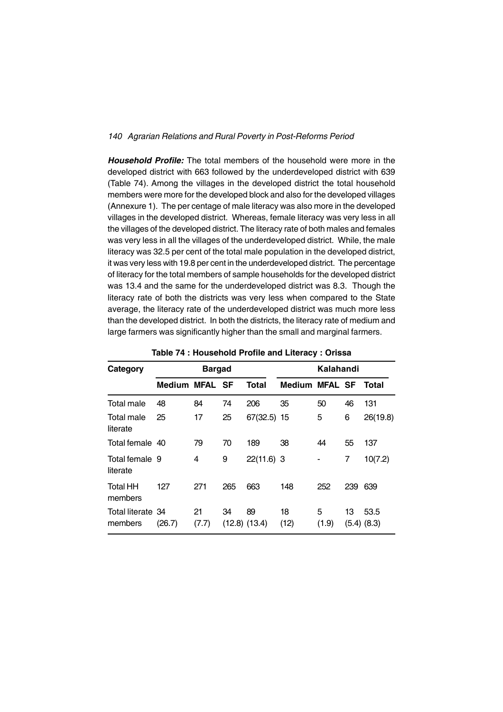*Household Profile:* The total members of the household were more in the developed district with 663 followed by the underdeveloped district with 639 (Table 74). Among the villages in the developed district the total household members were more for the developed block and also for the developed villages (Annexure 1). The per centage of male literacy was also more in the developed villages in the developed district. Whereas, female literacy was very less in all the villages of the developed district. The literacy rate of both males and females was very less in all the villages of the underdeveloped district. While, the male literacy was 32.5 per cent of the total male population in the developed district, it was very less with 19.8 per cent in the underdeveloped district. The percentage of literacy for the total members of sample households for the developed district was 13.4 and the same for the underdeveloped district was 8.3. Though the literacy rate of both the districts was very less when compared to the State average, the literacy rate of the underdeveloped district was much more less than the developed district. In both the districts, the literacy rate of medium and large farmers was significantly higher than the small and marginal farmers.

| Category                     |                | <b>Bargad</b> |     |                         | Kalahandi             |            |     |                         |  |
|------------------------------|----------------|---------------|-----|-------------------------|-----------------------|------------|-----|-------------------------|--|
|                              | Medium MFAL SF |               |     | <b>Total</b>            | <b>Medium MFAL SF</b> |            |     | Total                   |  |
| Total male                   | 48             | 84            | 74  | 206                     | 35                    | 50         | 46  | 131                     |  |
| Total male<br>literate       | 25             | 17            | 25  | 67(32.5)                | 15                    | 5          | 6   | 26(19.8)                |  |
| Total female 40              |                | 79            | 70  | 189                     | 38                    | 44         | 55  | 137                     |  |
| Total female 9<br>literate   |                | 4             | 9   | $22(11.6)$ 3            |                       |            | 7   | 10(7.2)                 |  |
| <b>Total HH</b><br>members   | 127            | 271           | 265 | 663                     | 148                   | 252        | 239 | 639                     |  |
| Total literate 34<br>members | (26.7)         | 21<br>(7.7)   | 34  | 89<br>$(12.8)$ $(13.4)$ | 18<br>(12)            | 5<br>(1.9) | 13  | 53.5<br>$(5.4)$ $(8.3)$ |  |

**Table 74 : Household Profile and Literacy : Orissa**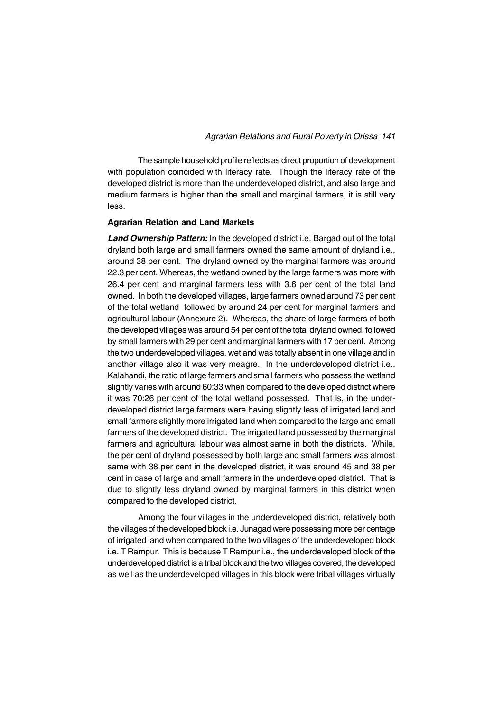The sample household profile reflects as direct proportion of development with population coincided with literacy rate. Though the literacy rate of the developed district is more than the underdeveloped district, and also large and medium farmers is higher than the small and marginal farmers, it is still very less.

#### **Agrarian Relation and Land Markets**

*Land Ownership Pattern:* In the developed district i.e. Bargad out of the total dryland both large and small farmers owned the same amount of dryland i.e., around 38 per cent. The dryland owned by the marginal farmers was around 22.3 per cent. Whereas, the wetland owned by the large farmers was more with 26.4 per cent and marginal farmers less with 3.6 per cent of the total land owned. In both the developed villages, large farmers owned around 73 per cent of the total wetland followed by around 24 per cent for marginal farmers and agricultural labour (Annexure 2). Whereas, the share of large farmers of both the developed villages was around 54 per cent of the total dryland owned, followed by small farmers with 29 per cent and marginal farmers with 17 per cent. Among the two underdeveloped villages, wetland was totally absent in one village and in another village also it was very meagre. In the underdeveloped district i.e., Kalahandi, the ratio of large farmers and small farmers who possess the wetland slightly varies with around 60:33 when compared to the developed district where it was 70:26 per cent of the total wetland possessed. That is, in the underdeveloped district large farmers were having slightly less of irrigated land and small farmers slightly more irrigated land when compared to the large and small farmers of the developed district. The irrigated land possessed by the marginal farmers and agricultural labour was almost same in both the districts. While, the per cent of dryland possessed by both large and small farmers was almost same with 38 per cent in the developed district, it was around 45 and 38 per cent in case of large and small farmers in the underdeveloped district. That is due to slightly less dryland owned by marginal farmers in this district when compared to the developed district.

Among the four villages in the underdeveloped district, relatively both the villages of the developed block i.e. Junagad were possessing more per centage of irrigated land when compared to the two villages of the underdeveloped block i.e. T Rampur. This is because T Rampur i.e., the underdeveloped block of the underdeveloped district is a tribal block and the two villages covered, the developed as well as the underdeveloped villages in this block were tribal villages virtually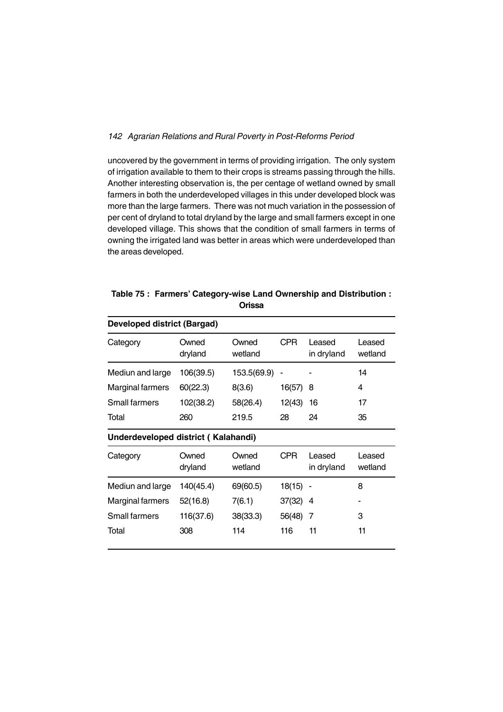uncovered by the government in terms of providing irrigation. The only system of irrigation available to them to their crops is streams passing through the hills. Another interesting observation is, the per centage of wetland owned by small farmers in both the underdeveloped villages in this under developed block was more than the large farmers. There was not much variation in the possession of per cent of dryland to total dryland by the large and small farmers except in one developed village. This shows that the condition of small farmers in terms of owning the irrigated land was better in areas which were underdeveloped than the areas developed.

| <b>Developed district (Bargad)</b>  |                  |                  |            |                      |                   |  |  |  |  |  |
|-------------------------------------|------------------|------------------|------------|----------------------|-------------------|--|--|--|--|--|
| Category                            | Owned<br>dryland | Owned<br>wetland | <b>CPR</b> | Leased<br>in dryland | Leased<br>wetland |  |  |  |  |  |
| Mediun and large                    | 106(39.5)        | 153.5(69.9)      |            |                      | 14                |  |  |  |  |  |
| Marginal farmers                    | 60(22.3)         | 8(3.6)           | 16(57)     | 8                    | 4                 |  |  |  |  |  |
| <b>Small farmers</b>                | 102(38.2)        | 58(26.4)         | 12(43)     | 16                   | 17                |  |  |  |  |  |
| Total                               | 260              | 219.5            | 28         | 24                   | 35                |  |  |  |  |  |
| Underdeveloped district (Kalahandi) |                  |                  |            |                      |                   |  |  |  |  |  |
| Category                            | Owned<br>dryland | Owned<br>wetland | <b>CPR</b> | Leased<br>in dryland | Leased<br>wetland |  |  |  |  |  |
| Mediun and large                    | 140(45.4)        | 69(60.5)         | 18(15)     |                      | 8                 |  |  |  |  |  |
| Marginal farmers                    | 52(16.8)         | 7(6.1)           | 37(32)     | 4                    |                   |  |  |  |  |  |
| Small farmers                       | 116(37.6)        | 38(33.3)         | 56(48)     | 7                    | 3                 |  |  |  |  |  |
| Total                               | 308              | 114              | 116        | 11                   | 11                |  |  |  |  |  |

**Table 75 : Farmers' Category-wise Land Ownership and Distribution : Orissa**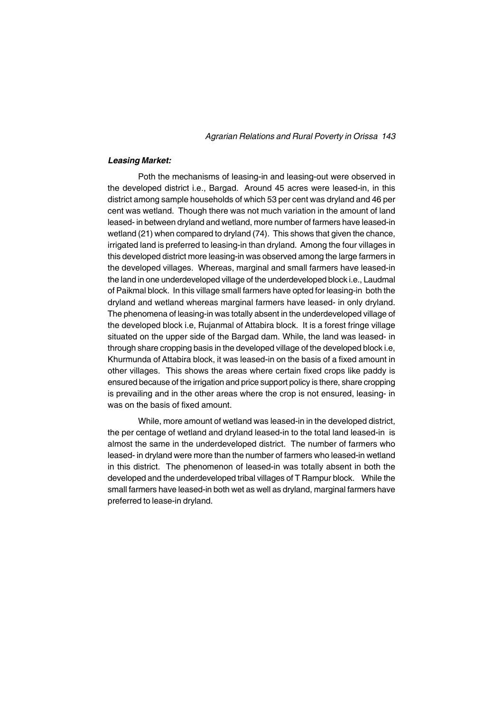*Agrarian Relations and Rural Poverty in Orissa 143*

#### *Leasing Market:*

Poth the mechanisms of leasing-in and leasing-out were observed in the developed district i.e., Bargad. Around 45 acres were leased-in, in this district among sample households of which 53 per cent was dryland and 46 per cent was wetland. Though there was not much variation in the amount of land leased- in between dryland and wetland, more number of farmers have leased-in wetland (21) when compared to dryland (74). This shows that given the chance, irrigated land is preferred to leasing-in than dryland. Among the four villages in this developed district more leasing-in was observed among the large farmers in the developed villages. Whereas, marginal and small farmers have leased-in the land in one underdeveloped village of the underdeveloped block i.e., Laudmal of Paikmal block. In this village small farmers have opted for leasing-in both the dryland and wetland whereas marginal farmers have leased- in only dryland. The phenomena of leasing-in was totally absent in the underdeveloped village of the developed block i.e, Rujanmal of Attabira block. It is a forest fringe village situated on the upper side of the Bargad dam. While, the land was leased- in through share cropping basis in the developed village of the developed block i.e, Khurmunda of Attabira block, it was leased-in on the basis of a fixed amount in other villages. This shows the areas where certain fixed crops like paddy is ensured because of the irrigation and price support policy is there, share cropping is prevailing and in the other areas where the crop is not ensured, leasing- in was on the basis of fixed amount.

While, more amount of wetland was leased-in in the developed district, the per centage of wetland and dryland leased-in to the total land leased-in is almost the same in the underdeveloped district. The number of farmers who leased- in dryland were more than the number of farmers who leased-in wetland in this district. The phenomenon of leased-in was totally absent in both the developed and the underdeveloped tribal villages of T Rampur block. While the small farmers have leased-in both wet as well as dryland, marginal farmers have preferred to lease-in dryland.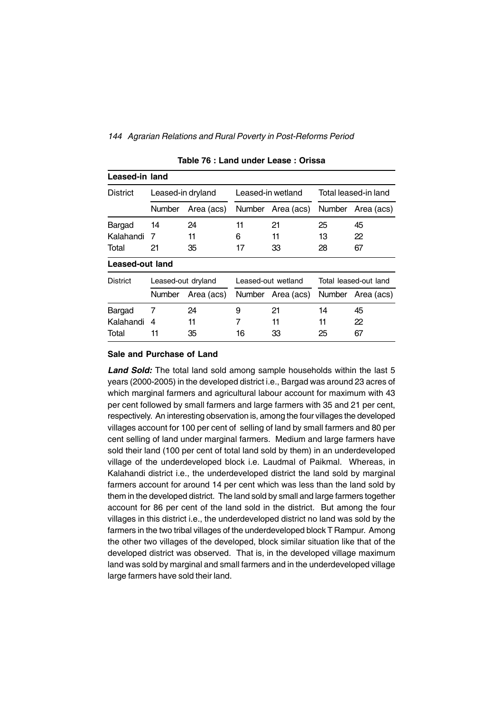| Leased-in land  |               |                    |               |                    |               |                       |  |
|-----------------|---------------|--------------------|---------------|--------------------|---------------|-----------------------|--|
| <b>District</b> |               | Leased-in dryland  |               | Leased-in wetland  |               | Total leased-in land  |  |
|                 | <b>Number</b> | Area (acs)         | <b>Number</b> | Area (acs)         | <b>Number</b> | Area (acs)            |  |
| Bargad          | 14            | 24                 | 11            | 21                 | 25            | 45                    |  |
| Kalahandi       | 7             | 11                 | 6             | 11                 | 13            | 22                    |  |
| Total           | 21            | 35                 | 17            | 33                 | 28            | 67                    |  |
| Leased-out land |               |                    |               |                    |               |                       |  |
| <b>District</b> |               | Leased-out dryland |               | Leased-out wetland |               | Total leased-out land |  |
|                 | Number        | Area (acs)         | Number        | Area (acs)         | <b>Number</b> | Area (acs)            |  |
| Bargad          | 7             | 24                 | 9             | 21                 | 14            | 45                    |  |
| Kalahandi       | 4             | 11                 | 7             | 11                 | 11            | 22                    |  |
| Total           | 11            | 35                 | 16            | 33                 | 25            | 67                    |  |

#### **Table 76 : Land under Lease : Orissa**

#### **Sale and Purchase of Land**

Land Sold: The total land sold among sample households within the last 5 years (2000-2005) in the developed district i.e., Bargad was around 23 acres of which marginal farmers and agricultural labour account for maximum with 43 per cent followed by small farmers and large farmers with 35 and 21 per cent, respectively. An interesting observation is, among the four villages the developed villages account for 100 per cent of selling of land by small farmers and 80 per cent selling of land under marginal farmers. Medium and large farmers have sold their land (100 per cent of total land sold by them) in an underdeveloped village of the underdeveloped block i.e. Laudmal of Paikmal. Whereas, in Kalahandi district i.e., the underdeveloped district the land sold by marginal farmers account for around 14 per cent which was less than the land sold by them in the developed district. The land sold by small and large farmers together account for 86 per cent of the land sold in the district. But among the four villages in this district i.e., the underdeveloped district no land was sold by the farmers in the two tribal villages of the underdeveloped block T Rampur. Among the other two villages of the developed, block similar situation like that of the developed district was observed. That is, in the developed village maximum land was sold by marginal and small farmers and in the underdeveloped village large farmers have sold their land.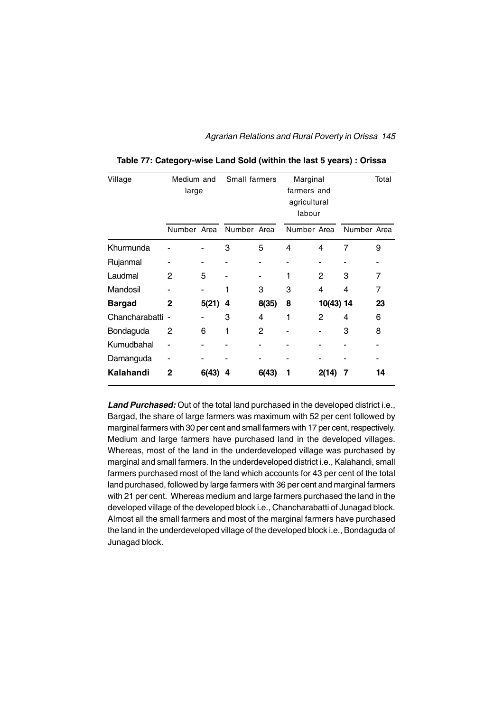*Agrarian Relations and Rural Poverty in Orissa 145*

| Village          | Medium and<br>large |       | Small farmers |               | Marginal<br>farmers and<br>agricultural<br>labour |               | Total       |    |
|------------------|---------------------|-------|---------------|---------------|---------------------------------------------------|---------------|-------------|----|
|                  | Number Area         |       | Number Area   |               | Number Area                                       |               | Number Area |    |
| Khurmunda        |                     |       | 3             | 5             | 4                                                 | 4             | 7           | 9  |
| Rujanmal         |                     |       |               |               |                                                   |               |             |    |
| Laudmal          | 2                   | 5     |               |               |                                                   | $\mathcal{P}$ | 3           | 7  |
| Mandosil         |                     |       | 1             | 3             | 3                                                 | 4             | 4           | 7  |
| <b>Bargad</b>    | 2                   | 5(21) | 4             | 8(35)         | 8                                                 | 10(43) 14     |             | 23 |
| Chancharabatti - |                     |       | 3             | 4             | 1                                                 | $\mathcal{P}$ | 4           | 6  |
| Bondaguda        | 2                   | 6     | 1             | $\mathcal{P}$ |                                                   |               | 3           | 8  |
| Kumudbahal       |                     |       |               |               |                                                   |               |             |    |
| Damanguda        |                     |       |               |               |                                                   |               |             |    |
| Kalahandi        | 2                   | 6(43) | 4             | 6(43)         |                                                   | 2(14)         | 7           | 14 |

**Table 77: Category-wise Land Sold (within the last 5 years) : Orissa**

*Land Purchased:* Out of the total land purchased in the developed district i.e., Bargad, the share of large farmers was maximum with 52 per cent followed by marginal farmers with 30 per cent and small farmers with 17 per cent, respectively. Medium and large farmers have purchased land in the developed villages. Whereas, most of the land in the underdeveloped village was purchased by marginal and small farmers. In the underdeveloped district i.e., Kalahandi, small farmers purchased most of the land which accounts for 43 per cent of the total land purchased, followed by large farmers with 36 per cent and marginal farmers with 21 per cent. Whereas medium and large farmers purchased the land in the developed village of the developed block i.e., Chancharabatti of Junagad block. Almost all the small farmers and most of the marginal farmers have purchased the land in the underdeveloped village of the developed block i.e., Bondaguda of Junagad block.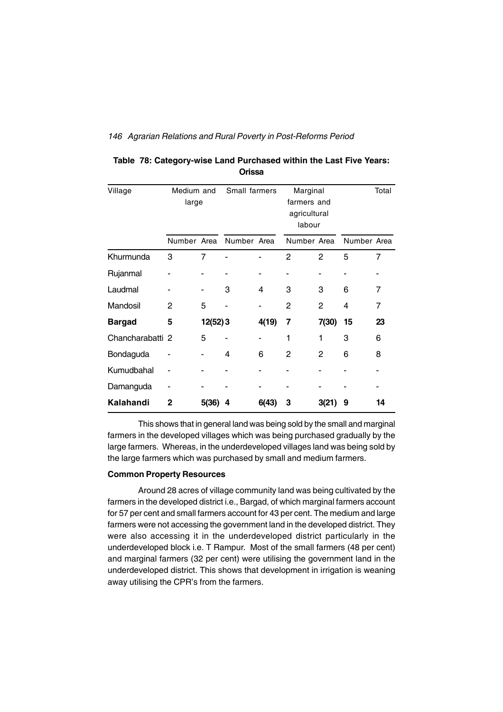| Village          | Medium and<br>large |          | Small farmers |       | Marginal<br>farmers and<br>agricultural<br>labour |                |             | Total |
|------------------|---------------------|----------|---------------|-------|---------------------------------------------------|----------------|-------------|-------|
|                  | Number Area         |          | Number Area   |       | Number Area                                       |                | Number Area |       |
| Khurmunda        | 3                   | 7        |               |       | $\mathfrak{p}$                                    | $\mathcal{P}$  | 5           | 7     |
| Rujanmal         |                     |          |               |       |                                                   |                |             |       |
| Laudmal          |                     |          | 3             | 4     | 3                                                 | 3              | 6           | 7     |
| Mandosil         | 2                   | 5        |               |       | $\mathcal{P}$                                     | $\mathcal{P}$  | 4           | 7     |
| <b>Bargad</b>    | 5                   | 12(52) 3 |               | 4(19) | 7                                                 | 7(30)          | 15          | 23    |
| Chancharabatti 2 |                     | 5        |               |       | 1                                                 | 1              | 3           | 6     |
| Bondaguda        |                     |          | 4             | 6     | 2                                                 | $\mathfrak{p}$ | 6           | 8     |
| Kumudbahal       |                     |          |               |       |                                                   |                |             |       |
| Damanguda        |                     |          |               |       |                                                   |                |             |       |
| Kalahandi        | $\mathbf{2}$        | 5(36)    | 4             | 6(43) | 3                                                 | 3(21)          | 9           | 14    |

| Table 78: Category-wise Land Purchased within the Last Five Years: |  |
|--------------------------------------------------------------------|--|
| Orissa                                                             |  |

This shows that in general land was being sold by the small and marginal farmers in the developed villages which was being purchased gradually by the large farmers. Whereas, in the underdeveloped villages land was being sold by the large farmers which was purchased by small and medium farmers.

### **Common Property Resources**

Around 28 acres of village community land was being cultivated by the farmers in the developed district i.e., Bargad, of which marginal farmers account for 57 per cent and small farmers account for 43 per cent. The medium and large farmers were not accessing the government land in the developed district. They were also accessing it in the underdeveloped district particularly in the underdeveloped block i.e. T Rampur. Most of the small farmers (48 per cent) and marginal farmers (32 per cent) were utilising the government land in the underdeveloped district. This shows that development in irrigation is weaning away utilising the CPR's from the farmers.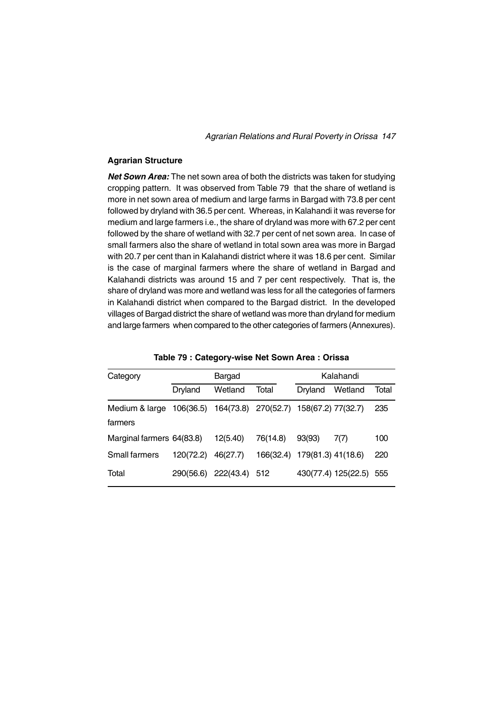### **Agrarian Structure**

*Net Sown Area:* The net sown area of both the districts was taken for studying cropping pattern. It was observed from Table 79 that the share of wetland is more in net sown area of medium and large farms in Bargad with 73.8 per cent followed by dryland with 36.5 per cent. Whereas, in Kalahandi it was reverse for medium and large farmers i.e., the share of dryland was more with 67.2 per cent followed by the share of wetland with 32.7 per cent of net sown area. In case of small farmers also the share of wetland in total sown area was more in Bargad with 20.7 per cent than in Kalahandi district where it was 18.6 per cent. Similar is the case of marginal farmers where the share of wetland in Bargad and Kalahandi districts was around 15 and 7 per cent respectively. That is, the share of dryland was more and wetland was less for all the categories of farmers in Kalahandi district when compared to the Bargad district. In the developed villages of Bargad district the share of wetland was more than dryland for medium and large farmers when compared to the other categories of farmers (Annexures).

| Category                  |           | Bargad    |                                        |                    | Kalahandi           |       |
|---------------------------|-----------|-----------|----------------------------------------|--------------------|---------------------|-------|
|                           | Dryland   | Wetland   | Total                                  | Dryland            | Wetland             | Total |
| Medium & large<br>farmers | 106(36.5) |           | 164(73.8) 270(52.7) 158(67.2) 77(32.7) |                    |                     | 235   |
| Marginal farmers 64(83.8) |           | 12(5.40)  | 76(14.8)                               | 93(93)             | 7(7)                | 100   |
| <b>Small farmers</b>      | 120(72.2) | 46(27.7)  | 166(32.4)                              | 179(81.3) 41(18.6) |                     | 220   |
| Total                     | 290(56.6) | 222(43.4) | 512                                    |                    | 430(77.4) 125(22.5) | 555   |

**Table 79 : Category-wise Net Sown Area : Orissa**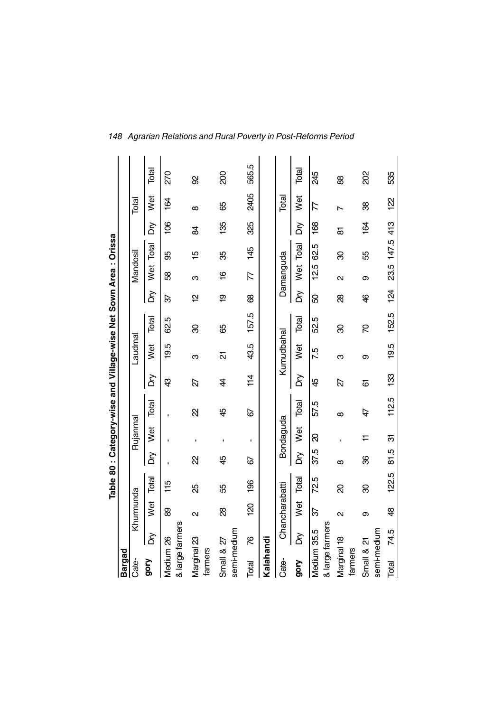|                                |      |                   |       |          |           | Table 80: Category-wise and Village-wise Net Sown Area: Orissa |     |            |       |           |                          |                |               |                          |       |
|--------------------------------|------|-------------------|-------|----------|-----------|----------------------------------------------------------------|-----|------------|-------|-----------|--------------------------|----------------|---------------|--------------------------|-------|
| Bargad                         |      |                   |       |          |           |                                                                |     |            |       |           |                          |                |               |                          |       |
| Cate-                          |      | Khurmunda         |       |          | Rujanmal  |                                                                |     | Laudma     |       |           | Mandosil                 |                |               | Total                    |       |
| <b>Qop</b>                     | Σά   | Wet               | Total | δ        | Wet       | Total                                                          | δ   | <b>Net</b> | Total | δ         | .<br>≶                   | Total          | δ             | <b>Wet</b>               | Total |
| & large farmers<br>Medium 26   |      | 8                 | 115   |          |           |                                                                | \$  | 19.5       | 62.5  | 92        | 8                        | 99             | $\frac{8}{3}$ | 164                      | 270   |
| Marginal 23<br>farmers         |      | $\mathbf{\Omega}$ | 25    | R        | ï         | R                                                              | 22  | ო          | 8     | 우         | ო                        | 15             | 8             | $\infty$                 | 8     |
| semi-medium<br>Small & 27      |      | 88                | 55    | 45       |           | 45                                                             | 4   | <u>ਨ</u>   | 89    | <u>စု</u> | $\frac{6}{5}$            | ఘ్ర            | 135           | 89                       | 200   |
| Total                          | ۲G   | <u>ମ୍ବ</u>        | 196   | 67       | f,        | 67                                                             | 114 | 43.5       | 157.5 | 8         | $\overline{\mathcal{L}}$ | $\frac{45}{5}$ | 325           | 2405                     | 565.5 |
| Kalahandi                      |      |                   |       |          |           |                                                                |     |            |       |           |                          |                |               |                          |       |
| Cate-                          |      | Chancharabatti    |       |          | Bondaguda |                                                                |     | Kumudbahal |       |           | Damanguda                |                |               | Total                    |       |
| <b>Aiob</b>                    | δ    | Wet               | Total | δň       | Wet       | Total                                                          | δ   | Wet        | Total | δğ        |                          | Wet Total      | δ             | Wet                      | Total |
| & large farmers<br>Medium 35.5 |      | ८                 | 72.5  | 37.5     | ର         | 57.5                                                           | 45  | 7.5        | 52.5  | 8         | 12.5                     | 62.5           | $\frac{8}{3}$ | $\overline{\mathcal{L}}$ | 245   |
| Marginal 18<br>farmers         |      | $\mathbf{\Omega}$ | g     | $\infty$ |           | $\infty$                                                       | 22  | ო          | 8     | 88        | $\mathbf{\Omega}$        | 8              | 5             | $\overline{ }$           | 88    |
| semi-medium<br>Small & 21      |      | თ                 | 8     | 8        | ≓         | 47                                                             | 6   | თ          | R     | \$        | თ                        | 55             | 164           | 88                       | 202   |
| Total                          | 74.5 | \$                | 122.5 | 81.5     | ᠪ         | 112.5                                                          | 133 | 19.5       | 152.5 | 124       |                          | 23.5 147.5 413 |               | <u>s</u>                 | 535   |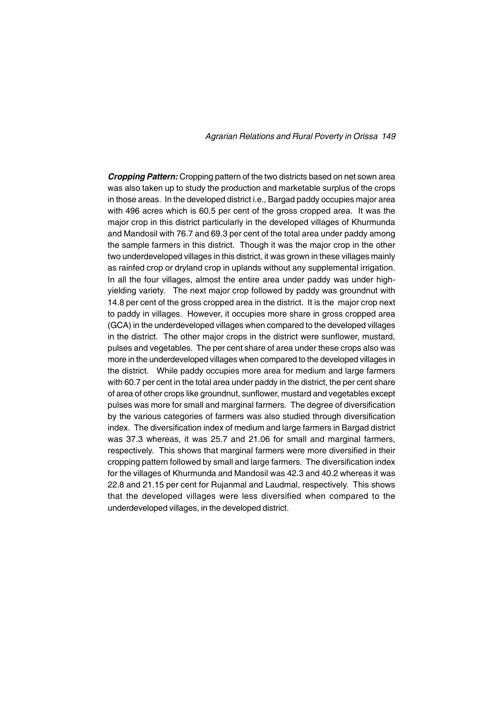*Cropping Pattern:* Cropping pattern of the two districts based on net sown area was also taken up to study the production and marketable surplus of the crops in those areas. In the developed district i.e., Bargad paddy occupies major area with 496 acres which is 60.5 per cent of the gross cropped area. It was the major crop in this district particularly in the developed villages of Khurmunda and Mandosil with 76.7 and 69.3 per cent of the total area under paddy among the sample farmers in this district. Though it was the major crop in the other two underdeveloped villages in this district, it was grown in these villages mainly as rainfed crop or dryland crop in uplands without any supplemental irrigation. In all the four villages, almost the entire area under paddy was under highyielding variety. The next major crop followed by paddy was groundnut with 14.8 per cent of the gross cropped area in the district. It is the major crop next to paddy in villages. However, it occupies more share in gross cropped area (GCA) in the underdeveloped villages when compared to the developed villages in the district. The other major crops in the district were sunflower, mustard, pulses and vegetables. The per cent share of area under these crops also was more in the underdeveloped villages when compared to the developed villages in the district. While paddy occupies more area for medium and large farmers with 60.7 per cent in the total area under paddy in the district, the per cent share of area of other crops like groundnut, sunflower, mustard and vegetables except pulses was more for small and marginal farmers. The degree of diversification by the various categories of farmers was also studied through diversification index. The diversification index of medium and large farmers in Bargad district was 37.3 whereas, it was 25.7 and 21.06 for small and marginal farmers, respectively. This shows that marginal farmers were more diversified in their cropping pattern followed by small and large farmers. The diversification index for the villages of Khurmunda and Mandosil was 42.3 and 40.2 whereas it was 22.8 and 21.15 per cent for Rujanmal and Laudmal, respectively. This shows that the developed villages were less diversified when compared to the underdeveloped villages, in the developed district.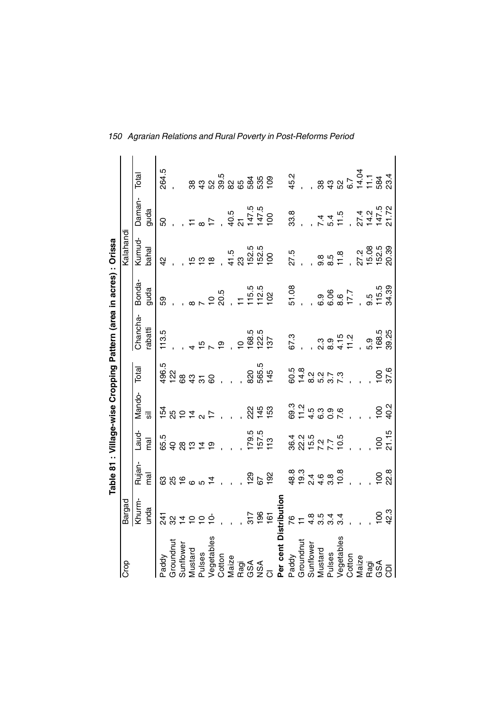|                       |                |                                       |                                  |                                         |                | Table 81 : Village-wise Cropping Pattern (area in acres) : Orissa |                       |                               |                                  |                         |
|-----------------------|----------------|---------------------------------------|----------------------------------|-----------------------------------------|----------------|-------------------------------------------------------------------|-----------------------|-------------------------------|----------------------------------|-------------------------|
| န္မြ                  | argad          |                                       |                                  |                                         |                |                                                                   |                       | Kalahandi                     |                                  |                         |
|                       | Khurn-         | Rujan-                                | Laud-                            | Mando-                                  | Total          | Chancha-                                                          | Bonda-                | Kumud-                        | Daman-                           | Total                   |
|                       | unda           | mal                                   | mal                              | $\overline{5}$                          |                | abatti                                                            | guda                  | bahal                         | guda                             |                         |
| Paddy                 | 241            |                                       | 65.5                             |                                         | 496.5          | 113.5                                                             | 89                    | $\frac{1}{2}$                 | 50                               | 264.5                   |
| Groundnut             | 32             |                                       |                                  |                                         | 122            |                                                                   |                       |                               |                                  |                         |
| Sunflower             | $\overline{4}$ |                                       | 98                               |                                         | 89             |                                                                   |                       |                               |                                  |                         |
| Mustard               | $\circ$        | 8800                                  |                                  | $\frac{1}{2}$ 20 $\frac{1}{2}$ 4        | $\frac{3}{4}$  |                                                                   |                       |                               |                                  |                         |
| Pulses                |                |                                       | $\frac{1}{\omega}$ $\frac{1}{4}$ |                                         | $\overline{5}$ |                                                                   |                       | 599                           |                                  | 8<br>3<br>4             |
| Vegetables            |                |                                       | ၜ                                |                                         | 8              |                                                                   |                       |                               |                                  |                         |
| Cotton                |                |                                       |                                  |                                         |                | $\overline{0}$                                                    | 20.5                  |                               |                                  | ន<br>សិក្ខិង<br>សិក្ខិង |
| Maize                 |                |                                       |                                  |                                         |                |                                                                   |                       | 41.5<br>23                    | 40.5<br>21                       |                         |
| Ragi                  |                |                                       |                                  |                                         |                | $\circ$                                                           |                       |                               |                                  |                         |
| GSA                   |                | 129                                   |                                  | 222                                     | 820            |                                                                   |                       |                               | 147.5<br>147.5<br>100            |                         |
| <b>ASN</b>            | 196            | 67                                    | 179.5<br>157.5                   | $145$<br>$153$                          | 565.5<br>145   | 168.5<br>127<br>137                                               |                       | 152.5<br>152.5<br>100         |                                  | 585<br>535<br>109       |
| $\overline{O}$        | $\overline{6}$ | 192                                   | 113                              |                                         |                |                                                                   | 115.5<br>112.5<br>102 |                               |                                  |                         |
| Per cent Distribution |                |                                       |                                  |                                         |                |                                                                   |                       |                               |                                  |                         |
| Paddy                 |                |                                       |                                  |                                         |                | 67.3                                                              | 51.08                 | 27.5                          | 33.8                             | 45.2<br>-               |
| Groundnut             | 79             | 8 9 9 4 6 8<br>8 9 4 6 8<br>8 9 4 6 8 |                                  | 8 1 1 5 9 0<br>8 1 5 9 9 0<br>8 1 9 9 0 | 60.5<br>14.8   |                                                                   |                       |                               |                                  |                         |
| Sunflower             |                |                                       |                                  |                                         |                |                                                                   |                       |                               |                                  |                         |
| Mustard               | $4.5$<br>3.5   |                                       |                                  |                                         |                |                                                                   |                       |                               |                                  |                         |
| Pulses                |                |                                       |                                  |                                         |                |                                                                   |                       |                               | 7 4<br>5 4                       | ន <del>ឧ</del> ន        |
| Vegetables            |                | 10.8                                  |                                  |                                         |                |                                                                   |                       | 9.5<br>8.5<br>11.8            | 11.5                             |                         |
| Cotton                |                |                                       |                                  |                                         |                |                                                                   |                       |                               |                                  | 6.7                     |
| Maize                 |                |                                       |                                  |                                         |                |                                                                   |                       |                               |                                  | 14.04                   |
| Ragi                  |                |                                       |                                  |                                         |                |                                                                   |                       |                               |                                  |                         |
| GSA                   | $\overline{0}$ |                                       | $\overline{0}$                   | $\overline{100}$                        | $\overline{0}$ | 5.9<br>168.5                                                      |                       |                               |                                  |                         |
| $\overline{\Theta}$   | 42.3           | $\frac{8}{2}$                         | 21.15                            | 40.2                                    | 37.6           | 39.25                                                             | 9.5<br>115.5<br>34.39 | 27.08<br>15.08.39<br>15.03.39 | 27.4<br>147.5<br>147.72<br>21.72 | $\frac{11.1}{584}$      |

*150 Agrarian Relations and Rural Poverty in Post-Reforms Period*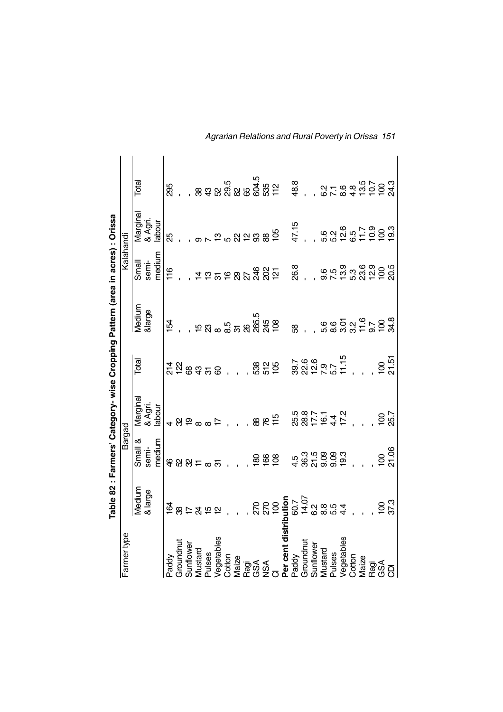|                                                                                                                                                           |         |                                                                                                                                                                                                                                                                                                                                                                                                                                                             | Table 82 : Farmers' Category- wise Cropping Pattern (area in acres) : Orissa |                        |                        |                                                     |                               |       |
|-----------------------------------------------------------------------------------------------------------------------------------------------------------|---------|-------------------------------------------------------------------------------------------------------------------------------------------------------------------------------------------------------------------------------------------------------------------------------------------------------------------------------------------------------------------------------------------------------------------------------------------------------------|------------------------------------------------------------------------------|------------------------|------------------------|-----------------------------------------------------|-------------------------------|-------|
| Farmer type                                                                                                                                               |         | Bargad                                                                                                                                                                                                                                                                                                                                                                                                                                                      |                                                                              |                        |                        | Kalahandi                                           |                               |       |
|                                                                                                                                                           | Medium  | Small &                                                                                                                                                                                                                                                                                                                                                                                                                                                     |                                                                              | $\sqrt{\frac{1}{100}}$ | Medium                 | Small                                               |                               | Total |
|                                                                                                                                                           | & large | semi-                                                                                                                                                                                                                                                                                                                                                                                                                                                       | Marginal<br>& Agri.<br>labour                                                |                        | <b>&amp;large</b>      | semi-                                               | Marginal<br>& Agri.<br>labour |       |
|                                                                                                                                                           |         | medium                                                                                                                                                                                                                                                                                                                                                                                                                                                      |                                                                              |                        |                        | medium                                              |                               |       |
| Paddy<br>Groundower<br>Groundower<br>Suntiard<br>Musical Search<br>Cotton<br>Cotton<br>Cotton<br>Cotton<br>Cotton<br>Cotton                               |         |                                                                                                                                                                                                                                                                                                                                                                                                                                                             |                                                                              |                        | 154                    | 116                                                 | 85                            | 295   |
|                                                                                                                                                           |         |                                                                                                                                                                                                                                                                                                                                                                                                                                                             |                                                                              |                        |                        |                                                     |                               |       |
|                                                                                                                                                           |         |                                                                                                                                                                                                                                                                                                                                                                                                                                                             |                                                                              |                        |                        |                                                     |                               |       |
|                                                                                                                                                           |         | $\begin{array}{c}\n\text{# B B} \\ \text{# C} \\ \text{# D} \\ \text{# D} \\ \text{# D} \\ \text{# D} \\ \text{# D} \\ \text{# D} \\ \text{# D} \\ \text{# D} \\ \text{# D} \\ \text{# D} \\ \text{# D} \\ \text{# D} \\ \text{# D} \\ \text{# D} \\ \text{# D} \\ \text{# D} \\ \text{# D} \\ \text{# D} \\ \text{# D} \\ \text{# D} \\ \text{# D} \\ \text{# D} \\ \text{# D} \\ \text{# D} \\ \text{# D} \\ \text{# D} \\ \text{# D} \\ \text{# D} \\ \$ |                                                                              |                        |                        | <b>#¤ួត</b> ្តុខ្លួន ម្លឹង                          |                               |       |
|                                                                                                                                                           |         |                                                                                                                                                                                                                                                                                                                                                                                                                                                             |                                                                              |                        |                        |                                                     |                               |       |
|                                                                                                                                                           |         |                                                                                                                                                                                                                                                                                                                                                                                                                                                             |                                                                              |                        |                        |                                                     |                               |       |
|                                                                                                                                                           |         |                                                                                                                                                                                                                                                                                                                                                                                                                                                             |                                                                              |                        |                        |                                                     |                               |       |
|                                                                                                                                                           |         |                                                                                                                                                                                                                                                                                                                                                                                                                                                             |                                                                              |                        |                        |                                                     |                               |       |
|                                                                                                                                                           |         |                                                                                                                                                                                                                                                                                                                                                                                                                                                             |                                                                              |                        |                        |                                                     |                               |       |
|                                                                                                                                                           |         | 888                                                                                                                                                                                                                                                                                                                                                                                                                                                         |                                                                              |                        |                        |                                                     |                               |       |
|                                                                                                                                                           |         |                                                                                                                                                                                                                                                                                                                                                                                                                                                             |                                                                              |                        |                        |                                                     |                               |       |
|                                                                                                                                                           |         |                                                                                                                                                                                                                                                                                                                                                                                                                                                             |                                                                              |                        |                        |                                                     |                               |       |
|                                                                                                                                                           |         |                                                                                                                                                                                                                                                                                                                                                                                                                                                             |                                                                              |                        |                        |                                                     |                               |       |
|                                                                                                                                                           |         |                                                                                                                                                                                                                                                                                                                                                                                                                                                             |                                                                              |                        |                        | 8.<br>ଅ                                             |                               |       |
|                                                                                                                                                           |         |                                                                                                                                                                                                                                                                                                                                                                                                                                                             |                                                                              |                        |                        |                                                     | 47.15                         |       |
|                                                                                                                                                           |         |                                                                                                                                                                                                                                                                                                                                                                                                                                                             |                                                                              |                        |                        |                                                     |                               |       |
|                                                                                                                                                           |         |                                                                                                                                                                                                                                                                                                                                                                                                                                                             |                                                                              |                        |                        |                                                     |                               |       |
|                                                                                                                                                           |         |                                                                                                                                                                                                                                                                                                                                                                                                                                                             |                                                                              |                        |                        |                                                     |                               |       |
|                                                                                                                                                           |         |                                                                                                                                                                                                                                                                                                                                                                                                                                                             |                                                                              |                        |                        |                                                     |                               |       |
|                                                                                                                                                           |         |                                                                                                                                                                                                                                                                                                                                                                                                                                                             |                                                                              |                        |                        |                                                     |                               |       |
|                                                                                                                                                           |         |                                                                                                                                                                                                                                                                                                                                                                                                                                                             |                                                                              |                        |                        |                                                     |                               |       |
|                                                                                                                                                           |         |                                                                                                                                                                                                                                                                                                                                                                                                                                                             |                                                                              |                        |                        |                                                     |                               |       |
|                                                                                                                                                           |         |                                                                                                                                                                                                                                                                                                                                                                                                                                                             |                                                                              |                        |                        |                                                     |                               |       |
| <b>Per cent district distributed to the central properties</b><br>Caroundower<br>Sunflower<br>Mustard<br>Megetables<br>Cotton<br>Cotton<br>Cotton<br>Colo |         | $\frac{100}{21.06}$                                                                                                                                                                                                                                                                                                                                                                                                                                         |                                                                              |                        | 665257688<br>666375768 | 9.5 9.8 9.9<br>9.5 9.9 9.9 9.9<br>9.7 1 9.9 9.9 9.9 |                               |       |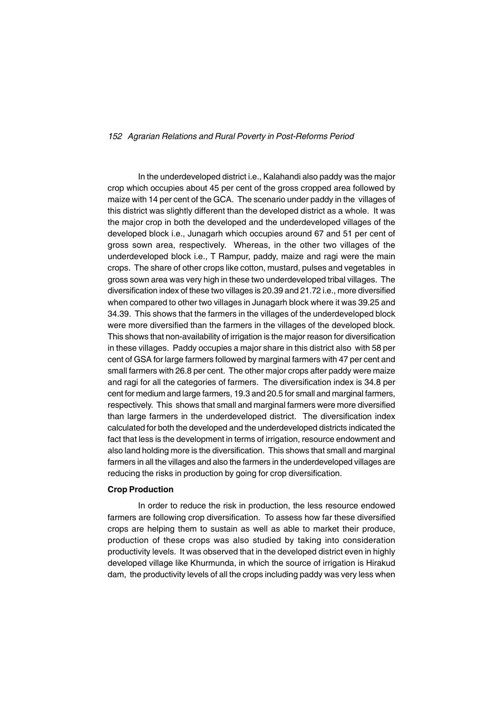In the underdeveloped district i.e., Kalahandi also paddy was the major crop which occupies about 45 per cent of the gross cropped area followed by maize with 14 per cent of the GCA. The scenario under paddy in the villages of this district was slightly different than the developed district as a whole. It was the major crop in both the developed and the underdeveloped villages of the developed block i.e., Junagarh which occupies around 67 and 51 per cent of gross sown area, respectively. Whereas, in the other two villages of the underdeveloped block i.e., T Rampur, paddy, maize and ragi were the main crops. The share of other crops like cotton, mustard, pulses and vegetables in gross sown area was very high in these two underdeveloped tribal villages. The diversification index of these two villages is 20.39 and 21.72 i.e., more diversified when compared to other two villages in Junagarh block where it was 39.25 and 34.39. This shows that the farmers in the villages of the underdeveloped block were more diversified than the farmers in the villages of the developed block. This shows that non-availability of irrigation is the major reason for diversification in these villages. Paddy occupies a major share in this district also with 58 per cent of GSA for large farmers followed by marginal farmers with 47 per cent and small farmers with 26.8 per cent. The other major crops after paddy were maize and ragi for all the categories of farmers. The diversification index is 34.8 per cent for medium and large farmers, 19.3 and 20.5 for small and marginal farmers, respectively. This shows that small and marginal farmers were more diversified than large farmers in the underdeveloped district. The diversification index calculated for both the developed and the underdeveloped districts indicated the fact that less is the development in terms of irrigation, resource endowment and also land holding more is the diversification. This shows that small and marginal farmers in all the villages and also the farmers in the underdeveloped villages are reducing the risks in production by going for crop diversification.

#### **Crop Production**

In order to reduce the risk in production, the less resource endowed farmers are following crop diversification. To assess how far these diversified crops are helping them to sustain as well as able to market their produce, production of these crops was also studied by taking into consideration productivity levels. It was observed that in the developed district even in highly developed village like Khurmunda, in which the source of irrigation is Hirakud dam, the productivity levels of all the crops including paddy was very less when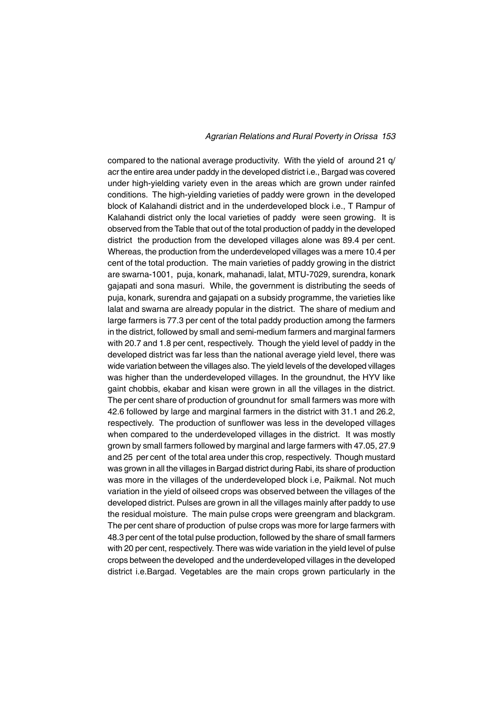compared to the national average productivity. With the yield of around 21 q/ acr the entire area under paddy in the developed district i.e., Bargad was covered under high-yielding variety even in the areas which are grown under rainfed conditions. The high-yielding varieties of paddy were grown in the developed block of Kalahandi district and in the underdeveloped block i.e., T Rampur of Kalahandi district only the local varieties of paddy were seen growing. It is observed from the Table that out of the total production of paddy in the developed district the production from the developed villages alone was 89.4 per cent. Whereas, the production from the underdeveloped villages was a mere 10.4 per cent of the total production. The main varieties of paddy growing in the district are swarna-1001, puja, konark, mahanadi, lalat, MTU-7029, surendra, konark gajapati and sona masuri. While, the government is distributing the seeds of puja, konark, surendra and gajapati on a subsidy programme, the varieties like lalat and swarna are already popular in the district. The share of medium and large farmers is 77.3 per cent of the total paddy production among the farmers in the district, followed by small and semi-medium farmers and marginal farmers with 20.7 and 1.8 per cent, respectively. Though the yield level of paddy in the developed district was far less than the national average yield level, there was wide variation between the villages also. The yield levels of the developed villages was higher than the underdeveloped villages. In the groundnut, the HYV like gaint chobbis, ekabar and kisan were grown in all the villages in the district. The per cent share of production of groundnut for small farmers was more with 42.6 followed by large and marginal farmers in the district with 31.1 and 26.2, respectively. The production of sunflower was less in the developed villages when compared to the underdeveloped villages in the district. It was mostly grown by small farmers followed by marginal and large farmers with 47.05, 27.9 and 25 per cent of the total area under this crop, respectively. Though mustard was grown in all the villages in Bargad district during Rabi, its share of production was more in the villages of the underdeveloped block i.e, Paikmal. Not much variation in the yield of oilseed crops was observed between the villages of the developed district. Pulses are grown in all the villages mainly after paddy to use the residual moisture. The main pulse crops were greengram and blackgram. The per cent share of production of pulse crops was more for large farmers with 48.3 per cent of the total pulse production, followed by the share of small farmers with 20 per cent, respectively. There was wide variation in the yield level of pulse crops between the developed and the underdeveloped villages in the developed district i.e.Bargad. Vegetables are the main crops grown particularly in the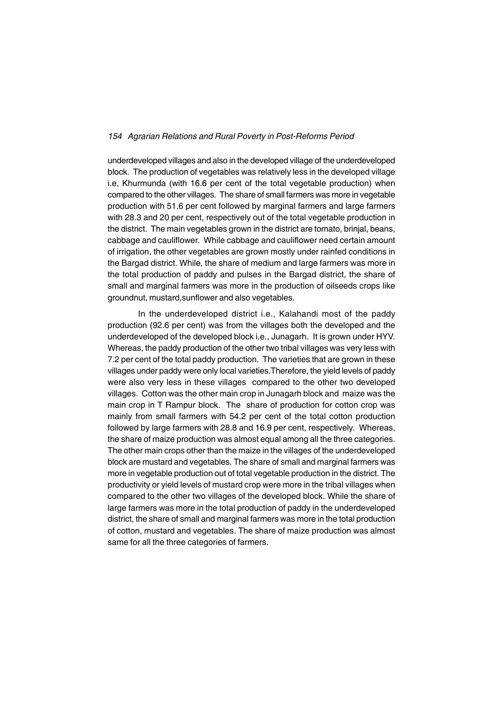underdeveloped villages and also in the developed village of the underdeveloped block. The production of vegetables was relatively less in the developed village i.e, Khurmunda (with 16.6 per cent of the total vegetable production) when compared to the other villages. The share of small farmers was more in vegetable production with 51.6 per cent followed by marginal farmers and large farmers with 28.3 and 20 per cent, respectively out of the total vegetable production in the district. The main vegetables grown in the district are tomato, brinjal, beans, cabbage and cauliflower. While cabbage and cauliflower need certain amount of irrigation, the other vegetables are grown mostly under rainfed conditions in the Bargad district. While, the share of medium and large farmers was more in the total production of paddy and pulses in the Bargad district, the share of small and marginal farmers was more in the production of oilseeds crops like groundnut, mustard,sunflower and also vegetables.

In the underdeveloped district i.e., Kalahandi most of the paddy production (92.6 per cent) was from the villages both the developed and the underdeveloped of the developed block i.e., Junagarh. It is grown under HYV. Whereas, the paddy production of the other two tribal villages was very less with 7.2 per cent of the total paddy production. The varieties that are grown in these villages under paddy were only local varieties.Therefore, the yield levels of paddy were also very less in these villages compared to the other two developed villages. Cotton was the other main crop in Junagarh block and maize was the main crop in T Rampur block. The share of production for cotton crop was mainly from small farmers with 54.2 per cent of the total cotton production followed by large farmers with 28.8 and 16.9 per cent, respectively. Whereas, the share of maize production was almost equal among all the three categories. The other main crops other than the maize in the villages of the underdeveloped block are mustard and vegetables. The share of small and marginal farmers was more in vegetable production out of total vegetable production in the district. The productivity or yield levels of mustard crop were more in the tribal villages when compared to the other two villages of the developed block. While the share of large farmers was more in the total production of paddy in the underdeveloped district, the share of small and marginal farmers was more in the total production of cotton, mustard and vegetables. The share of maize production was almost same for all the three categories of farmers.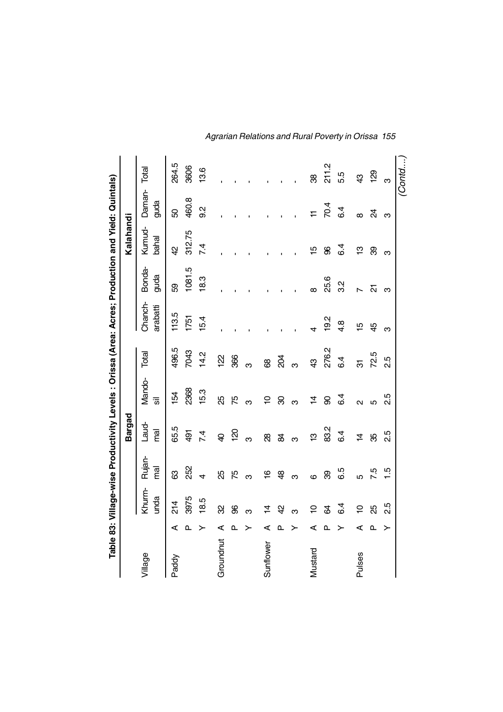|               |          |                 |                | <b>Bargad</b>    |                   |               | Table 83: Village-wise Productivity Levels : Orissa (Area: Acres; Production and Yield: Quintals) |                | Kalahandi       |                |               |
|---------------|----------|-----------------|----------------|------------------|-------------------|---------------|---------------------------------------------------------------------------------------------------|----------------|-----------------|----------------|---------------|
| Village       |          | Khurm-<br>unda  | Rujan-<br>mai  | Laud-<br>mal     | Mando-<br>क्र     | Total         | Chanch-<br>arabatti                                                                               | Bonda-<br>guda | Kumud-<br>bahal | Daman-<br>guda | Total         |
| Paddy         | ⋖        | $\frac{4}{3}$   | යි             | 65.5             | 154               | 496.5         | 113.5                                                                                             | 89             | $\overline{4}$  | 8              | 264.5         |
|               | Q,       | 3975            | 252            | 491              | 2368              | 7043          | 1751                                                                                              | 1081.5         | 312.75          | 460.8          | 3606          |
|               | ≻        | 18.5            | $\overline{4}$ | 7.4              | 15.3              | 14.2          | 15.4                                                                                              | 18.3           | 7.4             | 0.S            | 13.6          |
| Groundnut     | ⋖        | 8               | ξŚ             | $\overline{a}$   | 85                | $\frac{2}{2}$ |                                                                                                   |                |                 |                |               |
|               | ௳        | 8               | 75             | $\overline{120}$ | 75                | 366           |                                                                                                   |                |                 |                |               |
|               | ≻        | ო               | က              | ო                | ო                 | ო             |                                                                                                   |                |                 |                |               |
| Sunflower     | ⋖        | 4               | $\frac{6}{1}$  | 88               | 5                 | 8             |                                                                                                   |                |                 |                |               |
|               | ௳        | Ą               | $\frac{8}{3}$  | $\mathfrak{A}$   | 8                 | $\frac{8}{2}$ |                                                                                                   |                |                 |                |               |
|               | ≻        | ო               | ო              | ო                | က                 | ო             |                                                                                                   |                |                 |                |               |
| Mustard       | ⋖        | <u>۽</u>        | $\circ$        | ဗ္               | 4                 | \$            |                                                                                                   | $\infty$       | 15              | $\pm$          | 88            |
|               | ௳        | \$              | 8              | 83.2             | 8                 | 276.2         | 19.2                                                                                              | 25.6           | 8               | 70.4           | 211.2         |
|               | ≻        | $6\overline{4}$ | 6.5            | 6.4              | 6.4               | 6.4           | $4.\overline{8}$                                                                                  | 3.2            | 6.4             | 6.4            | 5.5           |
| <b>Pulses</b> | ⋖        | 5               | 5              | $\overline{4}$   | $\mathbf{\Omega}$ | रू            | $\overline{5}$                                                                                    | $\overline{ }$ | ဗ္              | $\infty$       | $\frac{3}{4}$ |
|               | <b>Q</b> | æ               | 7.5            | 8                | Ю                 | 72.5          | $\overline{4}$                                                                                    | 5              | 8               | শ্ৰ            | 129           |
|               | ≻        | 2.5             | $\frac{5}{1}$  | 2.5              | 2.5               | 2.5           | ო                                                                                                 | ო              | ო               | ო              | ო             |
|               |          |                 |                |                  |                   |               |                                                                                                   |                |                 |                | Contd         |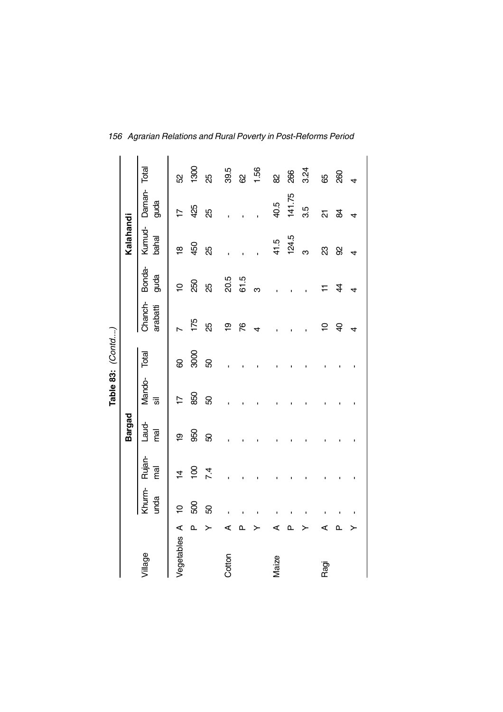|            |              |                |                |               |                          | Table 83: (Contd) |                     |                |                 |                     |      |
|------------|--------------|----------------|----------------|---------------|--------------------------|-------------------|---------------------|----------------|-----------------|---------------------|------|
|            |              |                |                | <b>Bargad</b> |                          |                   |                     |                | Kalahandi       |                     |      |
| Village    |              | Khurm-<br>unda | Rujan-<br>mai  | Laud-<br>mal  | Mando-<br>$\overline{5}$ | Total             | Chanch-<br>arabatti | Bonda-<br>guda | Kumud-<br>bahal | Daman-Total<br>guda |      |
| Vegetables | ⋖            | $\overline{a}$ | $\overline{4}$ | စ္            | $\overline{1}$           | 8                 |                     | $\tilde{a}$    | ₽               | $\overline{1}$      | 52   |
|            | $\mathbf{a}$ | 500            | $\overline{5}$ | 950           | 850                      | 3000              | 175                 | 250            | 450             | 425                 | 1300 |
|            |              | 8              | 74             | 8             | 8                        | 50                | 35                  | ЯŠ             | 8g              | 85                  | ξŚ   |
| Cotton     | ⋖            |                |                |               |                          |                   | စ္                  | 20.5           |                 |                     | 39.5 |
|            | <b></b>      |                |                |               |                          |                   | 87                  | 61.5           |                 |                     | ଧି   |
|            |              |                |                |               |                          |                   | 4                   | ო              |                 |                     | 1.56 |
| Maize      | ⋖            |                |                |               |                          |                   |                     |                | 41.5            | 40.5                | 8    |
|            | ≏            |                |                |               |                          |                   |                     |                | 124.5           | 141.75              | 266  |
|            |              |                |                |               |                          |                   |                     |                | ო               | 3.5                 | 3.24 |
| Ragi       | ⋖            |                |                |               |                          |                   | Ş                   | ∓              | 23              | ត                   | සි   |
|            | ௳            |                |                |               |                          |                   | $\overline{a}$      | 4              | 8               | æ                   | 260  |
|            |              |                |                |               |                          |                   | 4                   | 4              | 4               | 4                   |      |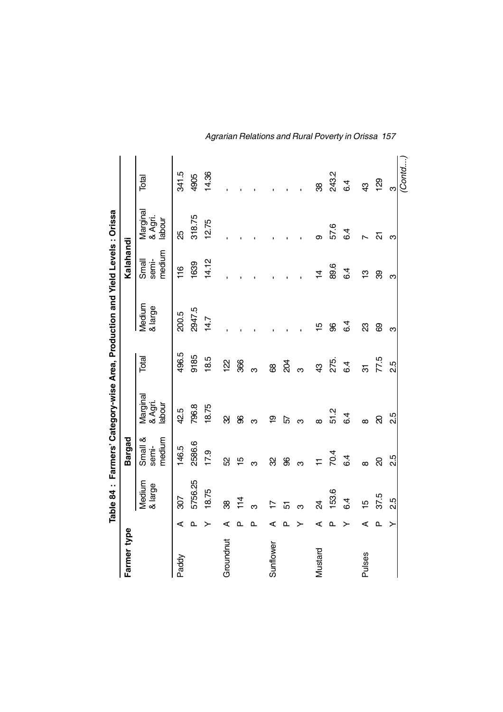|             |              |                   |                            |                               |                | Table 84: Farmers' Category-wise Area, Production and Yield Levels: Orissa |                          |                               |                |
|-------------|--------------|-------------------|----------------------------|-------------------------------|----------------|----------------------------------------------------------------------------|--------------------------|-------------------------------|----------------|
| Farmer type |              |                   | Bargad                     |                               |                |                                                                            | Kalahandi                |                               |                |
|             |              | Medium<br>& large | medium<br>Small &<br>semi- | Marginal<br>& Agri.<br>labour | Total          | Medium<br>& large                                                          | medium<br>Small<br>semi- | Marginal<br>& Agri.<br>labour | Total          |
| Paddy       | ⋖            | 307               | 146.5                      | 42.5                          | 496.5          | 200.5                                                                      | 16                       | 85                            | 341.5          |
|             | $\mathbf{a}$ | 5756.25           | 2586.6                     | 796.8                         | 9185           | 2947.5                                                                     | 1639                     | 318.75                        | 4905           |
|             | ≻            | 18.75             | 17.9                       | 18.75                         | 18.5           | 14.7                                                                       | 14.12                    | 12.75                         | 14.36          |
| Groundnut   | ⋖            | 88                | S <sub>2</sub>             | 8                             | <u>122</u>     |                                                                            |                          |                               |                |
|             | <b>Q</b>     | 114               | 15                         | 8                             | 366            |                                                                            |                          |                               |                |
|             | ௳            | ო                 | ო                          | ო                             | ო              |                                                                            |                          |                               |                |
| Sunflower   | ⋖            | ⊵                 | 8                          | စ္                            | 8              |                                                                            |                          |                               |                |
|             | ௳            | 5                 | 8                          | 5                             | 2Q4            |                                                                            |                          |                               |                |
|             | ≻            |                   | ო                          | ო                             | ო              |                                                                            |                          |                               |                |
| Mustard     | ⋖            | $\overline{a}$    | $\overline{r}$             | $\infty$                      | $\mathfrak{B}$ | 15                                                                         | $\overline{4}$           | თ                             | 88             |
|             | ൨            | 153.6             | 70.4                       | 51.2                          | 275.           | 8                                                                          | 89.6                     | 57.6                          | 243.2          |
|             | ≻            | 6.4               | 6.4                        | 6.4                           | 6.4            | 6.4                                                                        | 6.4                      | 6.4                           | 64             |
| Pulses      | ⋖            | 15                | $\infty$                   | $\infty$                      | ನ              | සි                                                                         | ဗ္                       | $\overline{ }$                | $\mathfrak{B}$ |
|             | <b>Q</b>     | 37.5              | ସ                          | ସ                             | 77.5           | 8                                                                          | 8                        | 21                            | 129            |
|             | ≻            | 2.5               | 2.5                        | 2.5                           | 2.5            | ო                                                                          | ო                        | က                             | ო              |
|             |              |                   |                            |                               |                |                                                                            |                          |                               | (Contd         |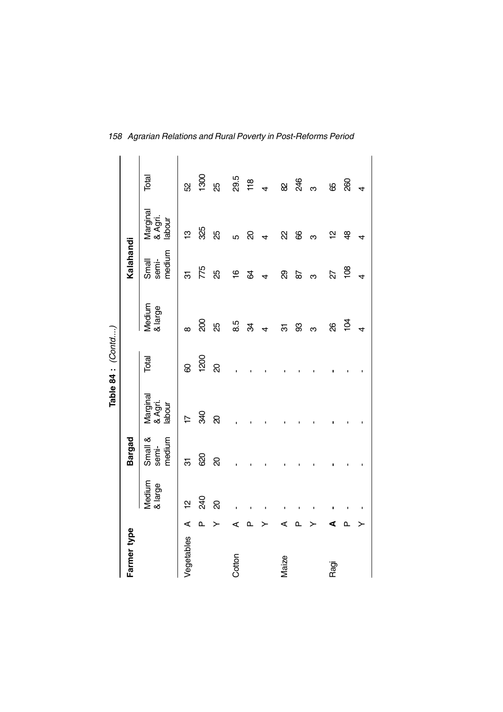|             |   |                   |                            |                               | Table 84 : (Contd) |                   |                          |                               |                |
|-------------|---|-------------------|----------------------------|-------------------------------|--------------------|-------------------|--------------------------|-------------------------------|----------------|
| Farmer type |   |                   | <b>Bargad</b>              |                               |                    |                   | Kalahandi                |                               |                |
|             |   | Medium<br>& large | Small &<br>medium<br>semi- | Marginal<br>& Agri.<br>labour | Total              | Medium<br>& large | medium<br>semi-<br>Small | Marginal<br>& Agri.<br>labour | Total          |
| Vegetables  | ⋖ | 얻                 | 5                          | $\overline{1}$                | 8                  | $\infty$          | ल                        | ဗ္                            | S.             |
|             | ൨ | 240               | 820                        | 340                           | 1200               | 200               | 775                      | 325                           | 1300           |
|             | ≻ | ର                 | ସ                          | ର                             | ସ                  | ЯŚ                | 35                       | 85                            | 85             |
| Cottor      | ⋖ |                   |                            |                               |                    | 8.5               | $\frac{6}{1}$            | ဖ                             | 29.5           |
|             | ௳ |                   |                            |                               |                    | æ                 | B                        | ସ                             | 118            |
|             |   |                   |                            |                               |                    | 4                 | $\overline{4}$           | $\overline{a}$                | $\overline{4}$ |
|             | ⋖ |                   |                            |                               |                    | 5                 | ଥି                       | R                             | <b>S</b>       |
|             | ≏ |                   |                            |                               |                    | 8                 | 59                       | 8                             | 246            |
|             |   |                   |                            |                               |                    | ო                 | ო                        | ო                             | ო              |
| Ragi        | ₫ |                   |                            |                               |                    | 8                 | 22                       | 으                             | 89             |
|             | ≏ |                   |                            |                               |                    | $\frac{1}{2}$     | $\frac{80}{2}$           | क्ष                           | 260            |
|             |   |                   |                            |                               |                    | $\overline{4}$    | 4                        | 4                             | $\overline{4}$ |

*158 Agrarian Relations and Rural Poverty in Post-Reforms Period*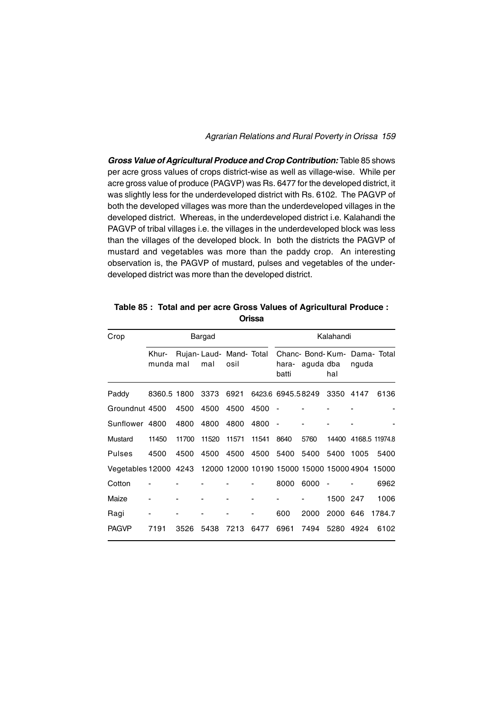*Gross Value of Agricultural Produce and Crop Contribution:* Table 85 shows per acre gross values of crops district-wise as well as village-wise. While per acre gross value of produce (PAGVP) was Rs. 6477 for the developed district, it was slightly less for the underdeveloped district with Rs. 6102. The PAGVP of both the developed villages was more than the underdeveloped villages in the developed district. Whereas, in the underdeveloped district i.e. Kalahandi the PAGVP of tribal villages i.e. the villages in the underdeveloped block was less than the villages of the developed block. In both the districts the PAGVP of mustard and vegetables was more than the paddy crop. An interesting observation is, the PAGVP of mustard, pulses and vegetables of the underdeveloped district was more than the developed district.

| Crop                                                                 |                    |       | Bargad                         |       |       |                   |                                           | Kalahandi |       |                      |
|----------------------------------------------------------------------|--------------------|-------|--------------------------------|-------|-------|-------------------|-------------------------------------------|-----------|-------|----------------------|
|                                                                      | Khur-<br>munda mal |       | Rujan-Laud- Mand- Total<br>mal | osil  |       | hara-<br>batti    | Chanc- Bond-Kum- Dama- Total<br>aguda dba | hal       | nguda |                      |
| Paddy                                                                | 8360.5 1800        |       | 3373                           | 6921  |       | 6423.6 6945.58249 |                                           | 3350 4147 |       | 6136                 |
| Groundnut 4500                                                       |                    | 4500  | 4500                           | 4500  | 4500  |                   |                                           |           |       |                      |
| Sunflower 4800                                                       |                    | 4800  | 4800                           | 4800  | 4800  | $\sim$            |                                           |           |       |                      |
| Mustard                                                              | 11450              | 11700 | 11520                          | 11571 | 11541 | 8640              | 5760                                      |           |       | 14400 4168.5 11974.8 |
| Pulses                                                               | 4500               | 4500  | 4500                           | 4500  | 4500  | 5400              | 5400                                      | 5400      | 1005  | 5400                 |
| Vegetables 12000 4243 12000 12000 10190 15000 15000 15000 4904 15000 |                    |       |                                |       |       |                   |                                           |           |       |                      |
| Cotton                                                               |                    |       |                                |       |       | 8000              | 6000                                      |           |       | 6962                 |
| Maize                                                                |                    |       |                                |       |       |                   |                                           | 1500 247  |       | 1006                 |
| Ragi                                                                 |                    |       |                                |       |       | 600               | 2000                                      | 2000 646  |       | 1784.7               |
| <b>PAGVP</b>                                                         | 7191               | 3526  | 5438                           | 7213  | 6477  | 6961              | 7494                                      | 5280      | 4924  | 6102                 |

**Table 85 : Total and per acre Gross Values of Agricultural Produce : Orissa**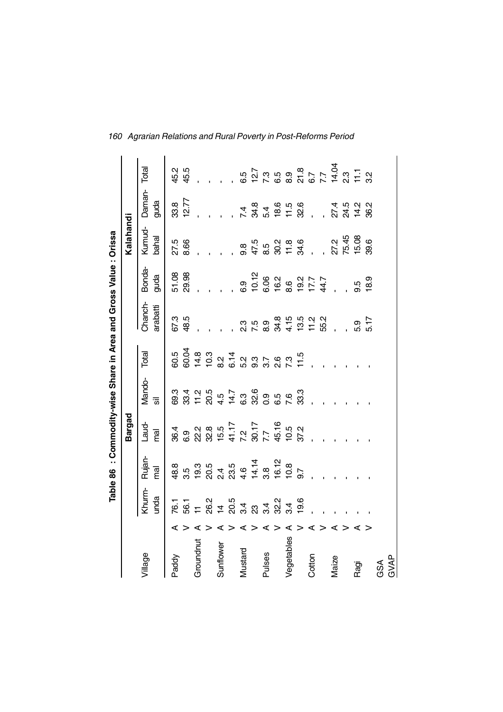|            |   |                |                                                                                                                                      |              |              |                                                      | Table 86 : Commodity-wise Share in Area and Gross Value : Orissa |                                                                                                                          |                        |                                                         |       |
|------------|---|----------------|--------------------------------------------------------------------------------------------------------------------------------------|--------------|--------------|------------------------------------------------------|------------------------------------------------------------------|--------------------------------------------------------------------------------------------------------------------------|------------------------|---------------------------------------------------------|-------|
|            |   |                |                                                                                                                                      | Bargad       |              |                                                      |                                                                  |                                                                                                                          | Kalahandi              |                                                         |       |
| Village    |   | Khurm-<br>unda | Rujan-<br>$\overline{P}$                                                                                                             | Laud-<br>mal | Mando-<br>ॱॹ | Total                                                | Chanch-<br>arabatti                                              | Bonda-<br>guda                                                                                                           | Kumud-<br>bahal        | Daman-<br>guda                                          | Total |
| Paddy      |   | 76.1           | 48.8                                                                                                                                 | 36.4         | 69.3         | 6.5                                                  | 67.3                                                             | 51.08                                                                                                                    | 27.5                   | 33.8                                                    | 45.2  |
| Groundnut  |   |                | 5.5<br>0.9.0.5 5<br>0.9.0.0.4 4 5 6 9 6 7<br>0.7 5 9 6 7 7 8 9 7 9 7 9 7 9 7 9 9 7 9 9 7 9 9 7 9 9 9 7 9 9 9 9 9 7 9 9 9 9 9 9 9 9 9 |              |              | 8 4 5 8 6 6 9 9 9 9 7 5<br>8 4 5 8 9 7 9 9 9 9 9 9 1 | 48.5                                                             | 29.98                                                                                                                    | 8.66                   | 12.77                                                   | 45.5  |
|            |   |                |                                                                                                                                      |              |              |                                                      |                                                                  |                                                                                                                          |                        |                                                         |       |
| Sunflower  |   |                |                                                                                                                                      |              |              |                                                      |                                                                  |                                                                                                                          |                        |                                                         |       |
|            |   |                |                                                                                                                                      |              |              |                                                      |                                                                  |                                                                                                                          |                        |                                                         |       |
| Mustard    |   |                |                                                                                                                                      |              |              |                                                      |                                                                  | 6.9                                                                                                                      |                        |                                                         |       |
|            |   |                |                                                                                                                                      |              |              |                                                      |                                                                  |                                                                                                                          |                        |                                                         |       |
| Pulses     | ⋖ |                |                                                                                                                                      |              |              |                                                      |                                                                  | $\begin{array}{cccc}\n10.72 & 0.08 & 0.07 & 0.07 \\ 0.06 & 0.00 & 0.07 & 0.07 \\ 0.00 & 0.00 & 0.07 & 0.07\n\end{array}$ |                        | $7.34$<br>$7.34$<br>$6.56$<br>$7.36$<br>$7.56$<br>$7.6$ |       |
|            |   |                |                                                                                                                                      |              |              |                                                      |                                                                  |                                                                                                                          |                        |                                                         |       |
| Vegetables |   |                |                                                                                                                                      |              |              |                                                      |                                                                  |                                                                                                                          |                        |                                                         |       |
|            |   |                |                                                                                                                                      |              |              |                                                      |                                                                  |                                                                                                                          |                        |                                                         |       |
| Cotton     |   |                |                                                                                                                                      |              |              |                                                      |                                                                  |                                                                                                                          |                        | $\frac{1}{2}$                                           |       |
|            |   |                |                                                                                                                                      |              |              |                                                      |                                                                  |                                                                                                                          |                        |                                                         |       |
| Maize      | ⋖ |                |                                                                                                                                      |              |              |                                                      |                                                                  |                                                                                                                          |                        |                                                         |       |
|            |   |                |                                                                                                                                      |              |              |                                                      |                                                                  |                                                                                                                          | 27.2<br>75.45<br>15.08 | , 21 5<br>21 5<br>21 7<br>2                             |       |
| Ragi       | ⋖ |                |                                                                                                                                      |              |              |                                                      | 5.9                                                              | $9.5$<br>18.9                                                                                                            |                        |                                                         |       |
|            |   |                |                                                                                                                                      |              |              |                                                      | 5.17                                                             |                                                                                                                          | 39.6                   | 36.2                                                    |       |
| GSA        |   |                |                                                                                                                                      |              |              |                                                      |                                                                  |                                                                                                                          |                        |                                                         |       |
| GVAP       |   |                |                                                                                                                                      |              |              |                                                      |                                                                  |                                                                                                                          |                        |                                                         |       |

*160 Agrarian Relations and Rural Poverty in Post-Reforms Period*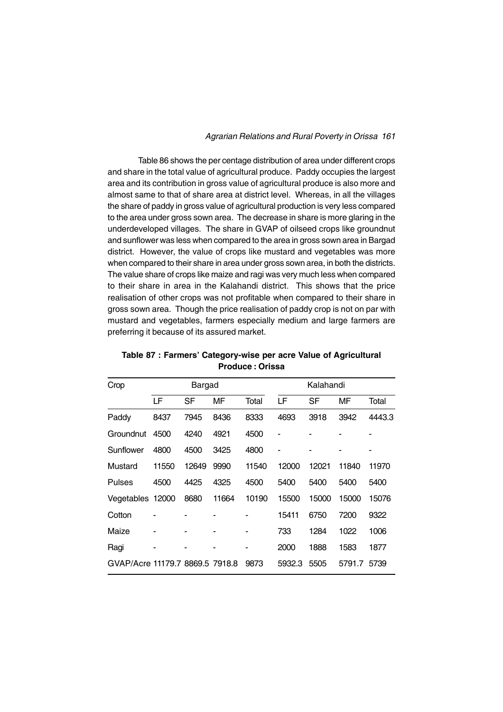Table 86 shows the per centage distribution of area under different crops and share in the total value of agricultural produce. Paddy occupies the largest area and its contribution in gross value of agricultural produce is also more and almost same to that of share area at district level. Whereas, in all the villages the share of paddy in gross value of agricultural production is very less compared to the area under gross sown area. The decrease in share is more glaring in the underdeveloped villages. The share in GVAP of oilseed crops like groundnut and sunflower was less when compared to the area in gross sown area in Bargad district. However, the value of crops like mustard and vegetables was more when compared to their share in area under gross sown area, in both the districts. The value share of crops like maize and ragi was very much less when compared to their share in area in the Kalahandi district. This shows that the price realisation of other crops was not profitable when compared to their share in gross sown area. Though the price realisation of paddy crop is not on par with mustard and vegetables, farmers especially medium and large farmers are preferring it because of its assured market.

| Crop                            |       | <b>Bargad</b> |       |       |        | Kalahandi |        |        |
|---------------------------------|-------|---------------|-------|-------|--------|-----------|--------|--------|
|                                 | LF    | SF            | MF    | Total | LF     | SF        | MF     | Total  |
| Paddy                           | 8437  | 7945          | 8436  | 8333  | 4693   | 3918      | 3942   | 4443.3 |
| Groundnut                       | 4500  | 4240          | 4921  | 4500  |        |           |        |        |
| Sunflower                       | 4800  | 4500          | 3425  | 4800  |        |           |        |        |
| Mustard                         | 11550 | 12649         | 9990  | 11540 | 12000  | 12021     | 11840  | 11970  |
| <b>Pulses</b>                   | 4500  | 4425          | 4325  | 4500  | 5400   | 5400      | 5400   | 5400   |
| Vegetables 12000                |       | 8680          | 11664 | 10190 | 15500  | 15000     | 15000  | 15076  |
| Cotton                          |       |               |       |       | 15411  | 6750      | 7200   | 9322   |
| Maize                           |       |               |       |       | 733    | 1284      | 1022   | 1006   |
| Ragi                            |       |               |       |       | 2000   | 1888      | 1583   | 1877   |
| GVAP/Acre 11179.7 8869.5 7918.8 |       |               |       | 9873  | 5932.3 | 5505      | 5791.7 | 5739   |

**Table 87 : Farmers' Category-wise per acre Value of Agricultural Produce : Orissa**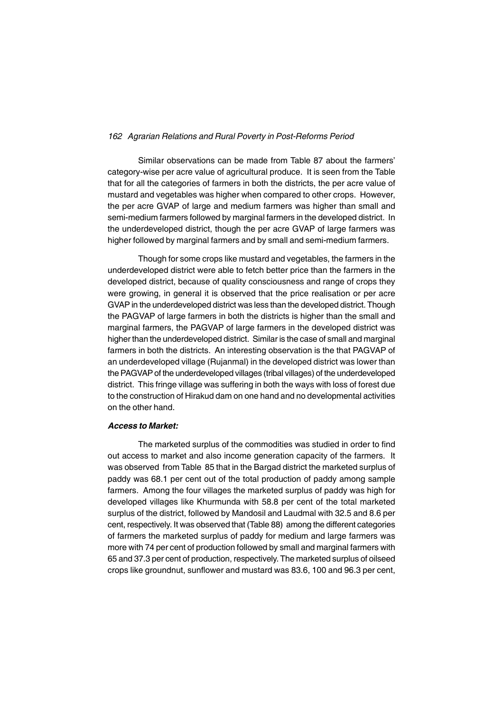Similar observations can be made from Table 87 about the farmers' category-wise per acre value of agricultural produce. It is seen from the Table that for all the categories of farmers in both the districts, the per acre value of mustard and vegetables was higher when compared to other crops. However, the per acre GVAP of large and medium farmers was higher than small and semi-medium farmers followed by marginal farmers in the developed district. In the underdeveloped district, though the per acre GVAP of large farmers was higher followed by marginal farmers and by small and semi-medium farmers.

Though for some crops like mustard and vegetables, the farmers in the underdeveloped district were able to fetch better price than the farmers in the developed district, because of quality consciousness and range of crops they were growing, in general it is observed that the price realisation or per acre GVAP in the underdeveloped district was less than the developed district. Though the PAGVAP of large farmers in both the districts is higher than the small and marginal farmers, the PAGVAP of large farmers in the developed district was higher than the underdeveloped district. Similar is the case of small and marginal farmers in both the districts. An interesting observation is the that PAGVAP of an underdeveloped village (Rujanmal) in the developed district was lower than the PAGVAP of the underdeveloped villages (tribal villages) of the underdeveloped district. This fringe village was suffering in both the ways with loss of forest due to the construction of Hirakud dam on one hand and no developmental activities on the other hand.

#### *Access to Market:*

The marketed surplus of the commodities was studied in order to find out access to market and also income generation capacity of the farmers. It was observed from Table 85 that in the Bargad district the marketed surplus of paddy was 68.1 per cent out of the total production of paddy among sample farmers. Among the four villages the marketed surplus of paddy was high for developed villages like Khurmunda with 58.8 per cent of the total marketed surplus of the district, followed by Mandosil and Laudmal with 32.5 and 8.6 per cent, respectively. It was observed that (Table 88) among the different categories of farmers the marketed surplus of paddy for medium and large farmers was more with 74 per cent of production followed by small and marginal farmers with 65 and 37.3 per cent of production, respectively. The marketed surplus of oilseed crops like groundnut, sunflower and mustard was 83.6, 100 and 96.3 per cent,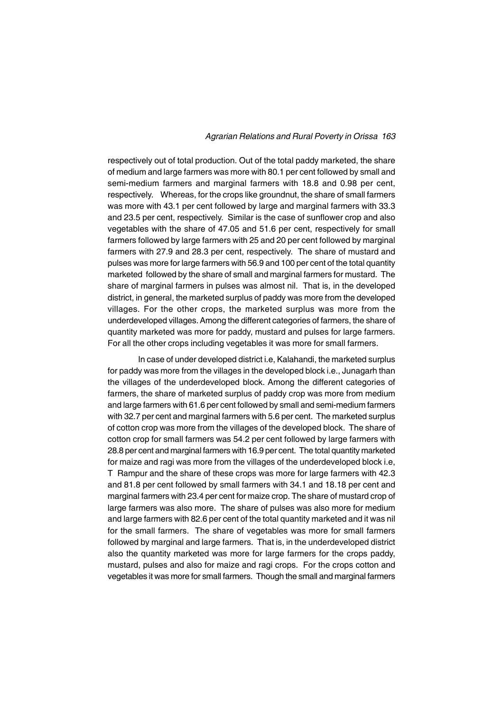respectively out of total production. Out of the total paddy marketed, the share of medium and large farmers was more with 80.1 per cent followed by small and semi-medium farmers and marginal farmers with 18.8 and 0.98 per cent, respectively. Whereas, for the crops like groundnut, the share of small farmers was more with 43.1 per cent followed by large and marginal farmers with 33.3 and 23.5 per cent, respectively. Similar is the case of sunflower crop and also vegetables with the share of 47.05 and 51.6 per cent, respectively for small farmers followed by large farmers with 25 and 20 per cent followed by marginal farmers with 27.9 and 28.3 per cent, respectively. The share of mustard and pulses was more for large farmers with 56.9 and 100 per cent of the total quantity marketed followed by the share of small and marginal farmers for mustard. The share of marginal farmers in pulses was almost nil. That is, in the developed district, in general, the marketed surplus of paddy was more from the developed villages. For the other crops, the marketed surplus was more from the underdeveloped villages. Among the different categories of farmers, the share of quantity marketed was more for paddy, mustard and pulses for large farmers. For all the other crops including vegetables it was more for small farmers.

In case of under developed district i.e, Kalahandi, the marketed surplus for paddy was more from the villages in the developed block i.e., Junagarh than the villages of the underdeveloped block. Among the different categories of farmers, the share of marketed surplus of paddy crop was more from medium and large farmers with 61.6 per cent followed by small and semi-medium farmers with 32.7 per cent and marginal farmers with 5.6 per cent. The marketed surplus of cotton crop was more from the villages of the developed block. The share of cotton crop for small farmers was 54.2 per cent followed by large farmers with 28.8 per cent and marginal farmers with 16.9 per cent. The total quantity marketed for maize and ragi was more from the villages of the underdeveloped block i.e, T Rampur and the share of these crops was more for large farmers with 42.3 and 81.8 per cent followed by small farmers with 34.1 and 18.18 per cent and marginal farmers with 23.4 per cent for maize crop. The share of mustard crop of large farmers was also more. The share of pulses was also more for medium and large farmers with 82.6 per cent of the total quantity marketed and it was nil for the small farmers. The share of vegetables was more for small farmers followed by marginal and large farmers. That is, in the underdeveloped district also the quantity marketed was more for large farmers for the crops paddy, mustard, pulses and also for maize and ragi crops. For the crops cotton and vegetables it was more for small farmers. Though the small and marginal farmers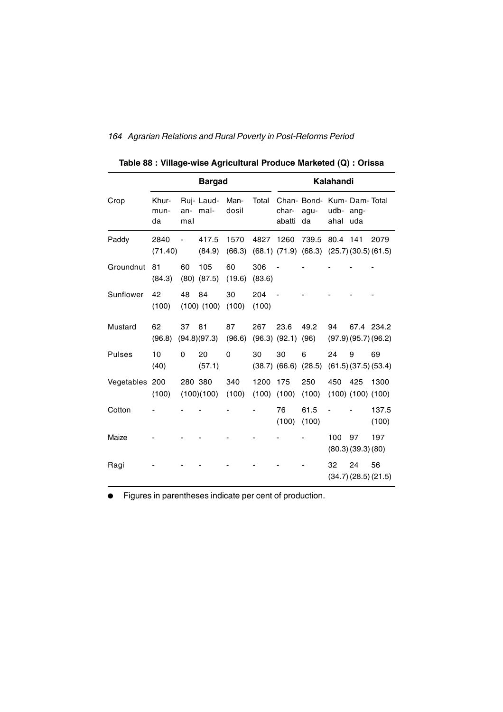|                |                     |            | <b>Bargad</b>          |                |               |                       |                                                                | Kalahandi         |                                |                                  |
|----------------|---------------------|------------|------------------------|----------------|---------------|-----------------------|----------------------------------------------------------------|-------------------|--------------------------------|----------------------------------|
| Crop           | Khur-<br>mun-<br>da | an-<br>mal | Ruj-Laud-<br>mal-      | Man-<br>dosil  | Total         | char-<br>abatti       | Chan- Bond- Kum- Dam- Total<br>agu-<br>da                      | udb- ang-<br>ahal | uda                            |                                  |
| Paddy          | 2840<br>(71.40)     |            | 417.5<br>(84.9)        | 1570<br>(66.3) | 4827          | 1260                  | 739.5<br>$(68.1)$ $(71.9)$ $(68.3)$ $(25.7)$ $(30.5)$ $(61.5)$ | 80.4 141          |                                | 2079                             |
| Groundnut      | 81<br>(84.3)        | 60         | 105<br>$(80)$ $(87.5)$ | 60<br>(19.6)   | 306<br>(83.6) |                       |                                                                |                   |                                |                                  |
| Sunflower      | 42<br>(100)         | 48         | 84<br>$(100)$ $(100)$  | 30<br>(100)    | 204<br>(100)  |                       |                                                                |                   |                                |                                  |
| Mustard        | 62<br>(96.8)        | 37         | 81<br>(94.8)(97.3)     | 87<br>(96.6)   | 267           | 23.6<br>(96.3) (92.1) | 49.2<br>(96)                                                   | 94                |                                | 67.4 234.2<br>(97.9)(95.7)(96.2) |
| <b>Pulses</b>  | 10<br>(40)          | $\Omega$   | 20<br>(57.1)           | $\mathbf 0$    | 30            | 30                    | 6<br>$(38.7)$ $(66.6)$ $(28.5)$                                | 24                | 9                              | 69<br>(61.5)(37.5)(53.4)         |
| Vegetables 200 | (100)               |            | 280 380<br>(100)(100)  | 340<br>(100)   | 1200<br>(100) | 175<br>(100)          | 250<br>(100)                                                   | 450               | 425<br>$(100)$ $(100)$ $(100)$ | 1300                             |
| Cotton         |                     |            |                        |                |               | 76<br>(100)           | 61.5<br>(100)                                                  |                   |                                | 137.5<br>(100)                   |
| Maize          |                     |            |                        |                |               |                       |                                                                | 100               | 97<br>(80.3)(39.3)(80)         | 197                              |
| Ragi           |                     |            |                        |                |               |                       |                                                                | 32                | 24                             | 56<br>(34.7)(28.5)(21.5)         |

**Table 88 : Village-wise Agricultural Produce Marketed (Q) : Orissa**

**•** Figures in parentheses indicate per cent of production.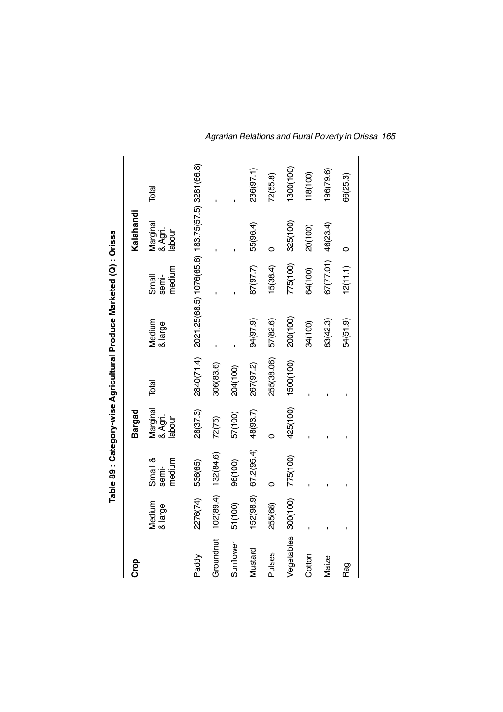|               |                   |                            |                               |            | Table 89 : Category-wise Agricultural Produce Marketed (Q) : Orissa |                          |                               |           |
|---------------|-------------------|----------------------------|-------------------------------|------------|---------------------------------------------------------------------|--------------------------|-------------------------------|-----------|
| Crop          |                   |                            | Bargad                        |            |                                                                     |                          | Kalahandi                     |           |
|               | Medium<br>& large | medium<br>Small &<br>semi- | Marginal<br>& Agri.<br>labour | Total      | Medium<br>& large                                                   | medium<br>semi-<br>Small | Marginal<br>& Agri.<br>labour | Total     |
| Paddy         | 2276(74)          | 536(65)                    | 28(37.3)                      |            | 2840(71.4) 2021.25(68.5) 1076(65.6) 183.75(57.5) 3281(66.8)         |                          |                               |           |
| Groundnut     | 102(89.4)         | 132(84.6)                  | 72(75)                        | 306(83.6)  |                                                                     |                          |                               |           |
| Sunflower     | 51(100)           | 96(100)                    | 57(100)                       | 204(100)   |                                                                     |                          |                               |           |
| Mustard       | 152(98.9)         | 67.2(95.4)                 | 48(93.7)                      | 267(97.2)  | 94(97.9)                                                            | 87(97.7)                 | 55(96.4)                      | 236(97.1) |
| <b>Pulses</b> | 255(68)           |                            |                               | 255(38.06) | 57(82.6)                                                            | 15(38.4)                 |                               | 72(55.8)  |
| Vegetables    | 300(100)          | 775(100)                   | 425(100)                      | 1500(100)  | 200(100)                                                            | 775(100)                 | 325(100)                      | 1300(100) |
| Cotton        |                   |                            |                               |            | 34(100)                                                             | 64(100)                  | 20(100)                       | 118(100)  |
| Maize         |                   |                            |                               |            | 83(42.3)                                                            | 67(77.01)                | 46(23.4)                      | 196(79.6) |
| Ragi          |                   |                            |                               |            | 54(51.9)                                                            | 12(11.1)                 | 0                             | 66(25.3)  |
|               |                   |                            |                               |            |                                                                     |                          |                               |           |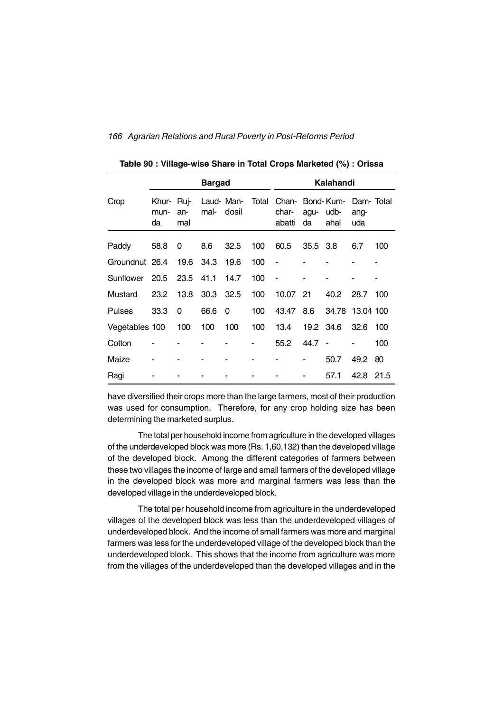|                |                     |                    | <b>Bargad</b> |                     |       |                                   |            | Kalahandi    |                          |     |
|----------------|---------------------|--------------------|---------------|---------------------|-------|-----------------------------------|------------|--------------|--------------------------|-----|
| Crop           | Khur-<br>mun-<br>da | Ruj-<br>an-<br>mal | mal-          | Laud- Man-<br>dosil | Total | Chan-Bond-Kum-<br>char-<br>abatti | agu-<br>da | udb-<br>ahal | Dam-Total<br>ang-<br>uda |     |
| Paddy          | 58.8                | 0                  | 8.6           | 32.5                | 100   | 60.5                              | 35.5 3.8   |              | 6.7                      | 100 |
| Groundnut 26.4 |                     | 19.6               | - 34.3        | 19.6                | 100   | ä,                                |            |              |                          |     |
| Sunflower      | 20.5                | 23.5               | 41.1          | 14.7                | 100   | $\blacksquare$                    |            |              |                          |     |
| Mustard        | 23.2                | 13.8               | 30.3          | 32.5                | 100   | 10.07                             | 21         | 40.2         | 28.7                     | 100 |
| <b>Pulses</b>  | 33.3                | 0                  | 66.6          | 0                   | 100   | 43.47                             | 8.6        | 34.78        | 13.04 100                |     |
| Vegetables 100 |                     | 100                | 100           | 100                 | 100   | 13.4                              | 19.2 34.6  |              | 32.6                     | 100 |
| Cotton         |                     |                    |               |                     |       | 55.2                              | $44.7 -$   |              |                          | 100 |
| Maize          |                     |                    |               |                     |       |                                   |            | 50.7         | 49.2                     | 80  |
| Ragi           |                     |                    |               |                     |       |                                   |            | 57.1         | 42.8 21.5                |     |

**Table 90 : Village-wise Share in Total Crops Marketed (%) : Orissa**

have diversified their crops more than the large farmers, most of their production was used for consumption. Therefore, for any crop holding size has been determining the marketed surplus.

The total per household income from agriculture in the developed villages of the underdeveloped block was more (Rs. 1,60,132) than the developed village of the developed block. Among the different categories of farmers between these two villages the income of large and small farmers of the developed village in the developed block was more and marginal farmers was less than the developed village in the underdeveloped block.

The total per household income from agriculture in the underdeveloped villages of the developed block was less than the underdeveloped villages of underdeveloped block. And the income of small farmers was more and marginal farmers was less for the underdeveloped village of the developed block than the underdeveloped block. This shows that the income from agriculture was more from the villages of the underdeveloped than the developed villages and in the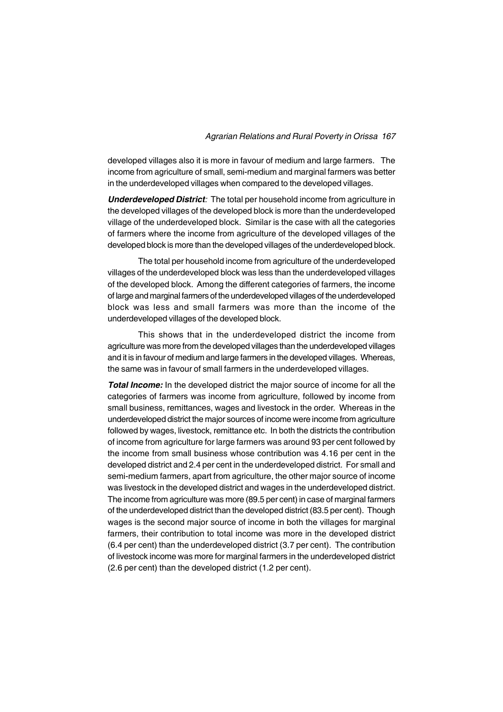developed villages also it is more in favour of medium and large farmers. The income from agriculture of small, semi-medium and marginal farmers was better in the underdeveloped villages when compared to the developed villages.

*Underdeveloped District:* The total per household income from agriculture in the developed villages of the developed block is more than the underdeveloped village of the underdeveloped block. Similar is the case with all the categories of farmers where the income from agriculture of the developed villages of the developed block is more than the developed villages of the underdeveloped block.

The total per household income from agriculture of the underdeveloped villages of the underdeveloped block was less than the underdeveloped villages of the developed block. Among the different categories of farmers, the income of large and marginal farmers of the underdeveloped villages of the underdeveloped block was less and small farmers was more than the income of the underdeveloped villages of the developed block.

This shows that in the underdeveloped district the income from agriculture was more from the developed villages than the underdeveloped villages and it is in favour of medium and large farmers in the developed villages. Whereas, the same was in favour of small farmers in the underdeveloped villages.

*Total Income:* In the developed district the major source of income for all the categories of farmers was income from agriculture, followed by income from small business, remittances, wages and livestock in the order. Whereas in the underdeveloped district the major sources of income were income from agriculture followed by wages, livestock, remittance etc. In both the districts the contribution of income from agriculture for large farmers was around 93 per cent followed by the income from small business whose contribution was 4.16 per cent in the developed district and 2.4 per cent in the underdeveloped district. For small and semi-medium farmers, apart from agriculture, the other major source of income was livestock in the developed district and wages in the underdeveloped district. The income from agriculture was more (89.5 per cent) in case of marginal farmers of the underdeveloped district than the developed district (83.5 per cent). Though wages is the second major source of income in both the villages for marginal farmers, their contribution to total income was more in the developed district (6.4 per cent) than the underdeveloped district (3.7 per cent). The contribution of livestock income was more for marginal farmers in the underdeveloped district (2.6 per cent) than the developed district (1.2 per cent).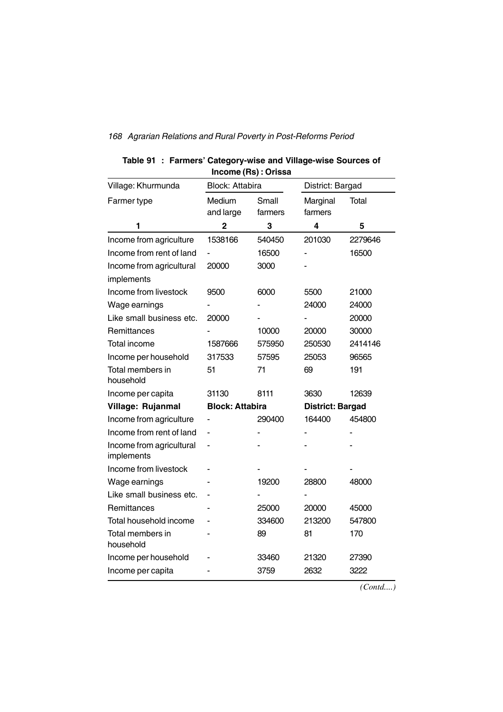|                                        | Income (Rs) : Orissa   |         |                         |         |
|----------------------------------------|------------------------|---------|-------------------------|---------|
| Village: Khurmunda                     | <b>Block: Attabira</b> |         | District: Bargad        |         |
| Farmer type                            | Medium                 | Small   | Marginal                | Total   |
|                                        | and large              | farmers | farmers                 |         |
| 1                                      | 2                      | 3       | 4                       | 5       |
| Income from agriculture                | 1538166                | 540450  | 201030                  | 2279646 |
| Income from rent of land               |                        | 16500   |                         | 16500   |
| Income from agricultural               | 20000                  | 3000    |                         |         |
| implements                             |                        |         |                         |         |
| Income from livestock                  | 9500                   | 6000    | 5500                    | 21000   |
| Wage earnings                          |                        |         | 24000                   | 24000   |
| Like small business etc.               | 20000                  |         |                         | 20000   |
| <b>Remittances</b>                     |                        | 10000   | 20000                   | 30000   |
| Total income                           | 1587666                | 575950  | 250530                  | 2414146 |
| Income per household                   | 317533                 | 57595   | 25053                   | 96565   |
| Total members in<br>household          | 51                     | 71      | 69                      | 191     |
| Income per capita                      | 31130                  | 8111    | 3630                    | 12639   |
| Village: Rujanmal                      | <b>Block: Attabira</b> |         | <b>District: Bargad</b> |         |
| Income from agriculture                |                        | 290400  | 164400                  | 454800  |
| Income from rent of land               |                        |         |                         |         |
| Income from agricultural<br>implements | ٠                      |         |                         |         |
| Income from livestock                  |                        |         |                         |         |
| Wage earnings                          |                        | 19200   | 28800                   | 48000   |
| Like small business etc.               |                        |         |                         |         |
| Remittances                            |                        | 25000   | 20000                   | 45000   |
| Total household income                 |                        | 334600  | 213200                  | 547800  |
| Total members in<br>household          |                        | 89      | 81                      | 170     |
| Income per household                   |                        | 33460   | 21320                   | 27390   |
| Income per capita                      |                        | 3759    | 2632                    | 3222    |

## **Table 91 : Farmers' Category-wise and Village-wise Sources of Income (Rs) : Orissa**

*(Contd....)*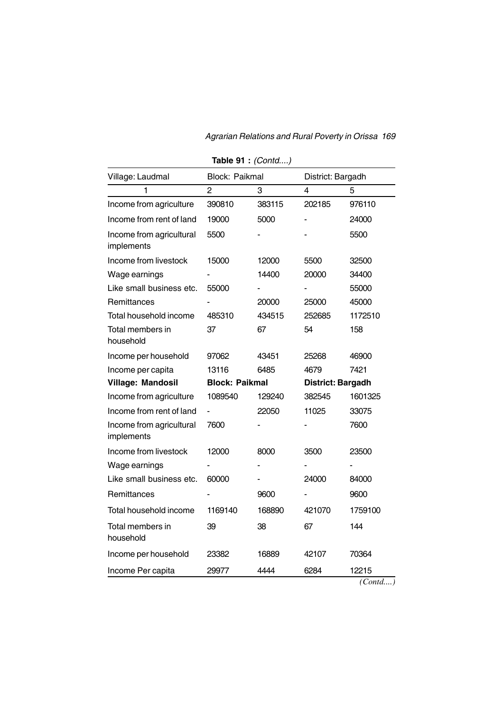| Village: Laudmal                       | Block: Paikmal        |        | District: Bargadh |         |
|----------------------------------------|-----------------------|--------|-------------------|---------|
| 1                                      | $\overline{2}$        | 3      | $\overline{4}$    | 5       |
| Income from agriculture                | 390810                | 383115 | 202185            | 976110  |
| Income from rent of land               | 19000                 | 5000   |                   | 24000   |
| Income from agricultural<br>implements | 5500                  |        |                   | 5500    |
| Income from livestock                  | 15000                 | 12000  | 5500              | 32500   |
| Wage earnings                          |                       | 14400  | 20000             | 34400   |
| Like small business etc.               | 55000                 |        |                   | 55000   |
| Remittances                            |                       | 20000  | 25000             | 45000   |
| Total household income                 | 485310                | 434515 | 252685            | 1172510 |
| Total members in<br>household          | 37                    | 67     | 54                | 158     |
| Income per household                   | 97062                 | 43451  | 25268             | 46900   |
| Income per capita                      | 13116                 | 6485   | 4679              | 7421    |
| Village: Mandosil                      | <b>Block: Paikmal</b> |        | District: Bargadh |         |
| Income from agriculture                | 1089540               | 129240 | 382545            | 1601325 |
| Income from rent of land               |                       | 22050  | 11025             | 33075   |
| Income from agricultural<br>implements | 7600                  |        |                   | 7600    |
| Income from livestock                  | 12000                 | 8000   | 3500              | 23500   |
| Wage earnings                          |                       |        |                   |         |
| Like small business etc.               | 60000                 |        | 24000             | 84000   |
| Remittances                            |                       | 9600   |                   | 9600    |
| Total household income                 | 1169140               | 168890 | 421070            | 1759100 |
| Total members in<br>household          | 39                    | 38     | 67                | 144     |
| Income per household                   | 23382                 | 16889  | 42107             | 70364   |
| Income Per capita                      | 29977                 | 4444   | 6284              | 12215   |

**Table 91 :** *(Contd....)*

*(Contd....)*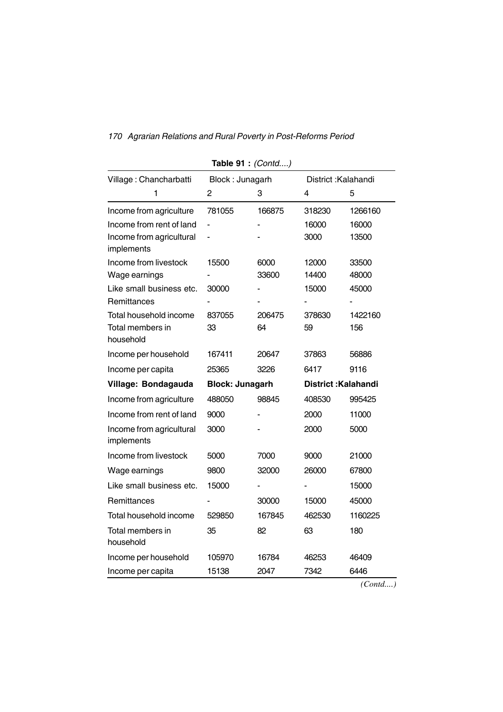| Village: Chancharbatti                 | Block: Junagarh        |        |        | District: Kalahandi        |
|----------------------------------------|------------------------|--------|--------|----------------------------|
| 1                                      | 2                      | 3      | 4      | 5                          |
| Income from agriculture                | 781055                 | 166875 | 318230 | 1266160                    |
| Income from rent of land               | ÷,                     |        | 16000  | 16000                      |
| Income from agricultural<br>implements |                        |        | 3000   | 13500                      |
| Income from livestock                  | 15500                  | 6000   | 12000  | 33500                      |
| Wage earnings                          |                        | 33600  | 14400  | 48000                      |
| Like small business etc.               | 30000                  |        | 15000  | 45000                      |
| Remittances                            |                        |        |        |                            |
| Total household income                 | 837055                 | 206475 | 378630 | 1422160                    |
| Total members in<br>household          | 33                     | 64     | 59     | 156                        |
| Income per household                   | 167411                 | 20647  | 37863  | 56886                      |
| Income per capita                      | 25365                  | 3226   | 6417   | 9116                       |
| Village: Bondagauda                    | <b>Block: Junagarh</b> |        |        | <b>District: Kalahandi</b> |
| Income from agriculture                | 488050                 | 98845  | 408530 | 995425                     |
| Income from rent of land               | 9000                   |        | 2000   | 11000                      |
| Income from agricultural<br>implements | 3000                   |        | 2000   | 5000                       |
| Income from livestock                  | 5000                   | 7000   | 9000   | 21000                      |
| Wage earnings                          | 9800                   | 32000  | 26000  | 67800                      |
| Like small business etc.               | 15000                  |        |        | 15000                      |
| Remittances                            |                        | 30000  | 15000  | 45000                      |
| Total household income                 | 529850                 | 167845 | 462530 | 1160225                    |
| Total members in<br>household          | 35                     | 82     | 63     | 180                        |
| Income per household                   | 105970                 | 16784  | 46253  | 46409                      |
| Income per capita                      | 15138                  | 2047   | 7342   | 6446                       |

**Table 91 :** *(Contd....)*

*(Contd....)*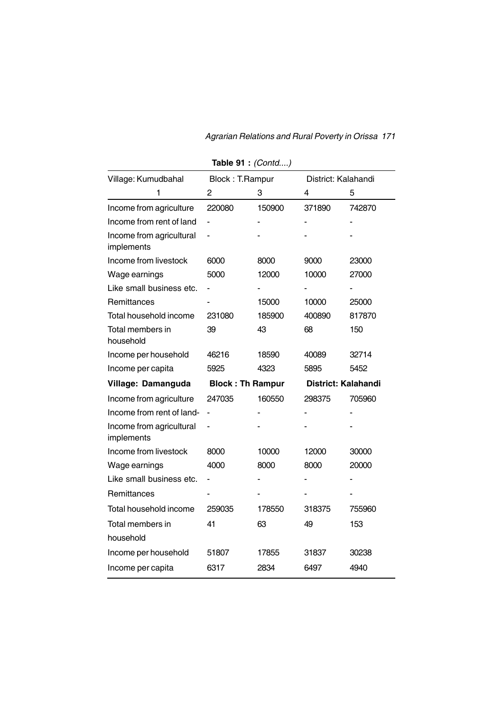| Village: Kumudbahal                    | Block: T.Rampur         |        | District: Kalahandi |        |
|----------------------------------------|-------------------------|--------|---------------------|--------|
| 1                                      | 2                       | 3      | 4                   | 5      |
| Income from agriculture                | 220080                  | 150900 | 371890              | 742870 |
| Income from rent of land               |                         |        |                     |        |
| Income from agricultural<br>implements |                         |        |                     |        |
| Income from livestock                  | 6000                    | 8000   | 9000                | 23000  |
| Wage earnings                          | 5000                    | 12000  | 10000               | 27000  |
| Like small business etc.               |                         |        |                     |        |
| Remittances                            |                         | 15000  | 10000               | 25000  |
| Total household income                 | 231080                  | 185900 | 400890              | 817870 |
| Total members in<br>household          | 39                      | 43     | 68                  | 150    |
| Income per household                   | 46216                   | 18590  | 40089               | 32714  |
| Income per capita                      | 5925                    | 4323   | 5895                | 5452   |
| Village: Damanguda                     | <b>Block: Th Rampur</b> |        | District: Kalahandi |        |
| Income from agriculture                | 247035                  | 160550 | 298375              | 705960 |
| Income from rent of land-              |                         |        |                     |        |
| Income from agricultural<br>implements |                         |        |                     |        |
| Income from livestock                  | 8000                    | 10000  | 12000               | 30000  |
| Wage earnings                          | 4000                    | 8000   | 8000                | 20000  |
| Like small business etc.               |                         |        |                     |        |
| Remittances                            |                         |        |                     |        |
| Total household income                 | 259035                  | 178550 | 318375              | 755960 |
| Total members in<br>household          | 41                      | 63     | 49                  | 153    |
| Income per household                   | 51807                   | 17855  | 31837               | 30238  |
| Income per capita                      | 6317                    | 2834   | 6497                | 4940   |

**Table 91 :** *(Contd....)*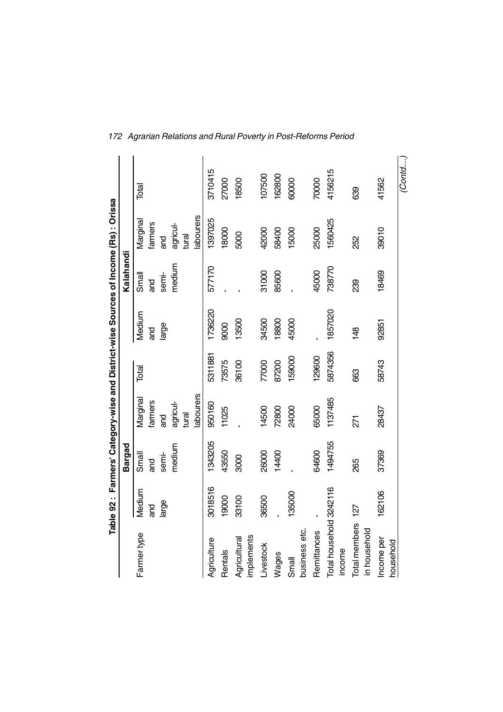|                                   |          |         |                 |         |                |           | Table 92 : Farmers' Category-wise and District-wise Sources of Income (Rs) : Orissa |         |
|-----------------------------------|----------|---------|-----------------|---------|----------------|-----------|-------------------------------------------------------------------------------------|---------|
|                                   |          | Bargad  |                 |         |                | Kalahandi |                                                                                     |         |
| Farmer type                       | Medium   | Small   | Marginal        | Total   | Medium         | Small     | Marginal                                                                            | Total   |
|                                   | ಗಿದ<br>ಹ | and     | farmers         |         | and            | ang       | farmers                                                                             |         |
|                                   | large    | semi-   | ng<br>G         |         | large          | semi-     | <u>ក្ត</u>                                                                          |         |
|                                   |          | medium  | agricul-        |         |                | medium    | agricul-                                                                            |         |
|                                   |          |         | tural           |         |                |           | tural                                                                               |         |
|                                   |          |         | abourers        |         |                |           | labourers                                                                           |         |
| Agriculture                       | 3018516  | 343205  | 950160          | 5311881 | 1736220        | 577170    | 1397025                                                                             | 3710415 |
| Rentals                           | 19000    | 43550   | 11025           | 73575   | 9000           |           | 18000                                                                               | 27000   |
| Agricultural                      | 33100    | 3000    |                 | 36100   | 13500          |           | 5000                                                                                | 18500   |
| implements                        |          |         |                 |         |                |           |                                                                                     |         |
| Livestock                         | 36500    | 26000   | 14500           | 77000   | 34500          | 31000     | 42000                                                                               | 107500  |
| Wages                             |          | 14400   | 72800           | 87200   | 18800          | 85600     | 58400                                                                               | 162800  |
| Small                             | 135000   |         | 24000           | 159000  | 45000          |           | 15000                                                                               | 60000   |
| business etc.                     |          |         |                 |         |                |           |                                                                                     |         |
| Remittances                       |          | 64600   | 65000           | 129600  |                | 45000     | 25000                                                                               | 70000   |
| Total household 3242116<br>income |          | 1494755 | 1137485         | 5874356 | 1857020        | 738770    | 1560425                                                                             | 4156215 |
| Total members<br>in household     | 127      | 265     | $\overline{27}$ | 663     | $\frac{48}{5}$ | 239       | 252                                                                                 | 639     |
| Income per<br>household           | 162106   | 37369   | 28437           | 58743   | 92851          | 18469     | 39010                                                                               | 41562   |
|                                   |          |         |                 |         |                |           |                                                                                     | (Contd  |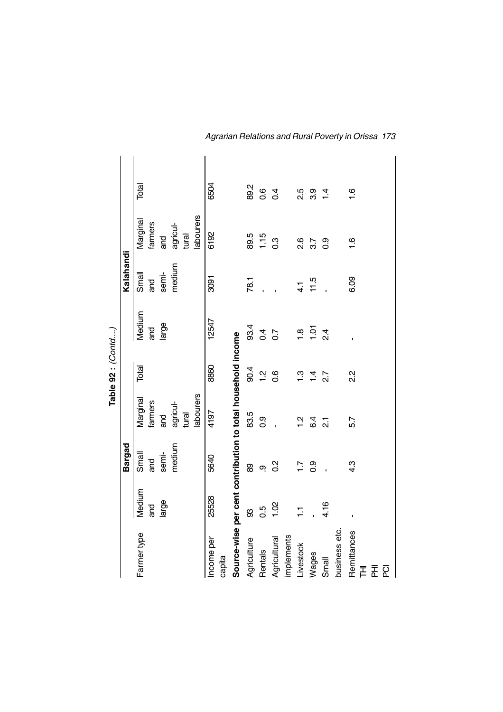|                                                             |                |                  |                | Table 92 : (Contd) |                  |               |                  |                |
|-------------------------------------------------------------|----------------|------------------|----------------|--------------------|------------------|---------------|------------------|----------------|
|                                                             |                | <b>Bargad</b>    |                |                    |                  | Kalahandi     |                  |                |
| Farmer type                                                 | Medium         | Small            | Marginal       | Total              | Medium           | Small         | Marginal         | Total          |
|                                                             | ang            | ang              | farmers        |                    | and              | and           | farmers          |                |
|                                                             | large          | semi-            | ng<br>G        |                    | large            | semi-         | and              |                |
|                                                             |                | medium           | agricul-       |                    |                  | medium        | agricul-         |                |
|                                                             |                |                  | tural          |                    |                  |               | tural            |                |
|                                                             |                |                  | labourers      |                    |                  |               | labourers        |                |
| Income per                                                  | 25528          | 5640             | 4197           | 8860               | 12547            | 3091          | 6192             | 6504           |
| capita                                                      |                |                  |                |                    |                  |               |                  |                |
| Source-wise per cent contribution to total household income |                |                  |                |                    |                  |               |                  |                |
| Agriculture                                                 | 8              | 8                | 83.5           | 90.4               | 93.4             | 78.1          | 89.5             | 89.2           |
| <b>Rentals</b>                                              | 0.5            | <u>ဇ</u>         | 0.9            | $\frac{1}{2}$      | $\overline{0.4}$ |               | 1.15             | 0.6            |
| Agricultural                                                | 1.02           | $\frac{2}{5}$    |                | 0.6                | $\overline{0}$   |               | $0.\overline{3}$ | $\overline{0}$ |
| implements                                                  |                |                  |                |                    |                  |               |                  |                |
| Livestock                                                   | $\overline{L}$ | $\overline{11}$  | $\frac{2}{1}$  | <u>ო</u>           | $\frac{8}{1}$    | $\frac{1}{4}$ | $\frac{8}{2}$    | 2.5            |
| Wages                                                       |                | 0.9              | 6.4            | $\overline{4}$     | 1.01             | 11.5          | 3.7              | 3.9            |
| Small                                                       | 4.16           |                  | $\overline{2}$ | $\overline{2.7}$   | $\frac{4}{2}$    |               | 0.9              | $\frac{4}{1}$  |
| business etc.                                               |                |                  |                |                    |                  |               |                  |                |
| Remittances<br>СQ<br>홊<br>舌                                 |                | $4.\overline{3}$ | 5.7            | 23                 |                  | 6.09          | $\frac{6}{1}$    | $\frac{6}{1}$  |

*Agrarian Relations and Rural Poverty in Orissa 173*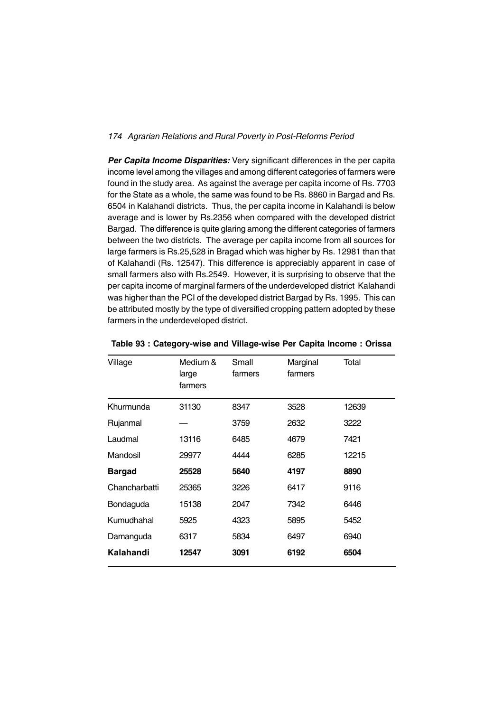*Per Capita Income Disparities:* Very significant differences in the per capita income level among the villages and among different categories of farmers were found in the study area. As against the average per capita income of Rs. 7703 for the State as a whole, the same was found to be Rs. 8860 in Bargad and Rs. 6504 in Kalahandi districts. Thus, the per capita income in Kalahandi is below average and is lower by Rs.2356 when compared with the developed district Bargad. The difference is quite glaring among the different categories of farmers between the two districts. The average per capita income from all sources for large farmers is Rs.25,528 in Bragad which was higher by Rs. 12981 than that of Kalahandi (Rs. 12547). This difference is appreciably apparent in case of small farmers also with Rs.2549. However, it is surprising to observe that the per capita income of marginal farmers of the underdeveloped district Kalahandi was higher than the PCI of the developed district Bargad by Rs. 1995. This can be attributed mostly by the type of diversified cropping pattern adopted by these farmers in the underdeveloped district.

| Village       | Medium &<br>large<br>farmers | Small<br>farmers | Marginal<br>farmers | Total |
|---------------|------------------------------|------------------|---------------------|-------|
| Khurmunda     | 31130                        | 8347             | 3528                | 12639 |
| Rujanmal      |                              | 3759             | 2632                | 3222  |
| Laudmal       | 13116                        | 6485             | 4679                | 7421  |
| Mandosil      | 29977                        | 4444             | 6285                | 12215 |
| <b>Bargad</b> | 25528                        | 5640             | 4197                | 8890  |
| Chancharbatti | 25365                        | 3226             | 6417                | 9116  |
| Bondaguda     | 15138                        | 2047             | 7342                | 6446  |
| Kumudhahal    | 5925                         | 4323             | 5895                | 5452  |
| Damanguda     | 6317                         | 5834             | 6497                | 6940  |
| Kalahandi     | 12547                        | 3091             | 6192                | 6504  |

**Table 93 : Category-wise and Village-wise Per Capita Income : Orissa**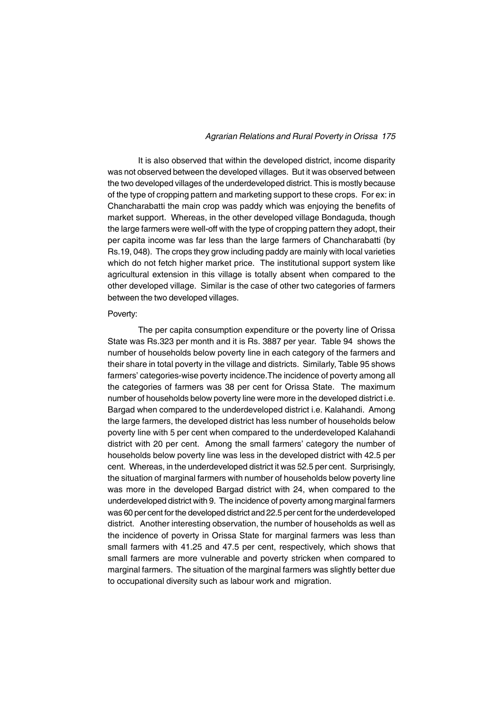It is also observed that within the developed district, income disparity was not observed between the developed villages. But it was observed between the two developed villages of the underdeveloped district. This is mostly because of the type of cropping pattern and marketing support to these crops. For ex: in Chancharabatti the main crop was paddy which was enjoying the benefits of market support. Whereas, in the other developed village Bondaguda, though the large farmers were well-off with the type of cropping pattern they adopt, their per capita income was far less than the large farmers of Chancharabatti (by Rs.19, 048). The crops they grow including paddy are mainly with local varieties which do not fetch higher market price. The institutional support system like agricultural extension in this village is totally absent when compared to the other developed village. Similar is the case of other two categories of farmers between the two developed villages.

#### Poverty:

The per capita consumption expenditure or the poverty line of Orissa State was Rs.323 per month and it is Rs. 3887 per year. Table 94 shows the number of households below poverty line in each category of the farmers and their share in total poverty in the village and districts. Similarly, Table 95 shows farmers' categories-wise poverty incidence.The incidence of poverty among all the categories of farmers was 38 per cent for Orissa State. The maximum number of households below poverty line were more in the developed district i.e. Bargad when compared to the underdeveloped district i.e. Kalahandi. Among the large farmers, the developed district has less number of households below poverty line with 5 per cent when compared to the underdeveloped Kalahandi district with 20 per cent. Among the small farmers' category the number of households below poverty line was less in the developed district with 42.5 per cent. Whereas, in the underdeveloped district it was 52.5 per cent. Surprisingly, the situation of marginal farmers with number of households below poverty line was more in the developed Bargad district with 24, when compared to the underdeveloped district with 9. The incidence of poverty among marginal farmers was 60 per cent for the developed district and 22.5 per cent for the underdeveloped district. Another interesting observation, the number of households as well as the incidence of poverty in Orissa State for marginal farmers was less than small farmers with 41.25 and 47.5 per cent, respectively, which shows that small farmers are more vulnerable and poverty stricken when compared to marginal farmers. The situation of the marginal farmers was slightly better due to occupational diversity such as labour work and migration.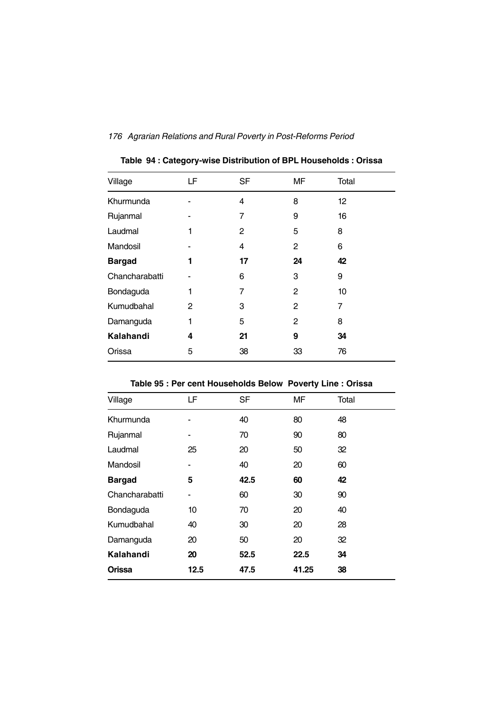| Village        | LF | <b>SF</b> | MF | Total |
|----------------|----|-----------|----|-------|
| Khurmunda      |    | 4         | 8  | 12    |
| Rujanmal       |    | 7         | 9  | 16    |
| Laudmal        | 1  | 2         | 5  | 8     |
| Mandosil       |    | 4         | 2  | 6     |
| <b>Bargad</b>  | 1  | 17        | 24 | 42    |
| Chancharabatti |    | 6         | 3  | 9     |
| Bondaguda      | 1  | 7         | 2  | 10    |
| Kumudbahal     | 2  | 3         | 2  | 7     |
| Damanguda      | 1  | 5         | 2  | 8     |
| Kalahandi      | 4  | 21        | 9  | 34    |
| Orissa         | 5  | 38        | 33 | 76    |
|                |    |           |    |       |

**Table 94 : Category-wise Distribution of BPL Households : Orissa**

| Table 35 . Fel cent Housenolus Below Poverty Line . Orissa |      |      |       |       |
|------------------------------------------------------------|------|------|-------|-------|
| Village                                                    | LF   | SF   | ΜF    | Total |
| Khurmunda                                                  |      | 40   | 80    | 48    |
| Rujanmal                                                   |      | 70   | 90    | 80    |
| Laudmal                                                    | 25   | 20   | 50    | 32    |
| Mandosil                                                   |      | 40   | 20    | 60    |
| <b>Bargad</b>                                              | 5    | 42.5 | 60    | 42    |
| Chancharabatti                                             |      | 60   | 30    | 90    |
| Bondaguda                                                  | 10   | 70   | 20    | 40    |
| Kumudbahal                                                 | 40   | 30   | 20    | 28    |
| Damanguda                                                  | 20   | 50   | 20    | 32    |
| Kalahandi                                                  | 20   | 52.5 | 22.5  | 34    |
| <b>Orissa</b>                                              | 12.5 | 47.5 | 41.25 | 38    |

**Table 95 : Per cent Households Below Poverty Line : Orissa**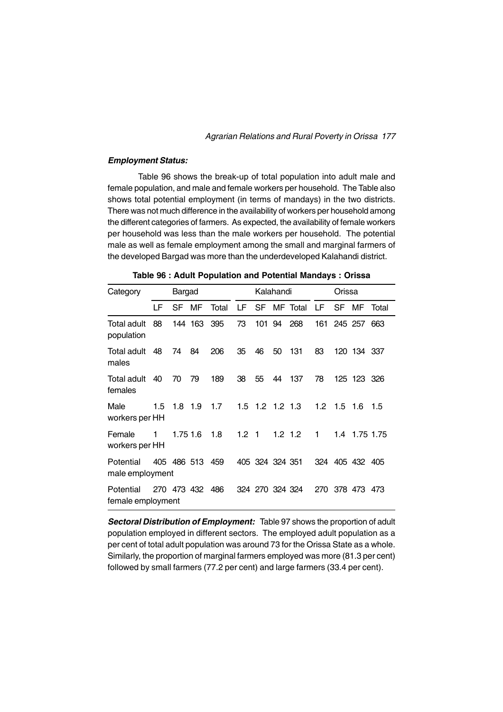### *Employment Status:*

Table 96 shows the break-up of total population into adult male and female population, and male and female workers per household. The Table also shows total potential employment (in terms of mandays) in the two districts. There was not much difference in the availability of workers per household among the different categories of farmers. As expected, the availability of female workers per household was less than the male workers per household. The potential male as well as female employment among the small and marginal farmers of the developed Bargad was more than the underdeveloped Kalahandi district.

| Bargad<br>Category<br>LF<br>MF<br>SF<br>88<br>144 163<br>Total adult<br>population<br>48<br>74<br>84<br>Total adult<br>males<br>79<br>40<br>70<br>Total adult<br>females<br>Male<br>$1.8$ 1.9<br>1.5 |   |          |                 | Kalahandi |                  |                 |           |          | Orissa |                 |                 |       |
|------------------------------------------------------------------------------------------------------------------------------------------------------------------------------------------------------|---|----------|-----------------|-----------|------------------|-----------------|-----------|----------|--------|-----------------|-----------------|-------|
|                                                                                                                                                                                                      |   |          |                 | Total     | LF               | <b>SF</b>       |           | MF Total | LF .   | SF              | MF              | Total |
|                                                                                                                                                                                                      |   |          |                 | 395       | 73               | 101 94          |           | 268      | 161    |                 | 245 257         | 663   |
|                                                                                                                                                                                                      |   |          |                 | 206       | 35               | 46              | 50        | 131      | 83     |                 | 120 134 337     |       |
|                                                                                                                                                                                                      |   |          |                 | 189       | 38               | 55              |           | 44 137   | 78     |                 | 125 123 326     |       |
| workers per HH                                                                                                                                                                                       |   |          |                 | 1.7       |                  | 1.5 1.2 1.2 1.3 |           |          |        | $1.2 \quad 1.5$ | 1.6             | 1.5   |
| Female<br>workers per HH                                                                                                                                                                             | 1 | 1.75 1.6 |                 | 1.8       | 1.2 <sub>1</sub> |                 | $1.2$ 1.2 |          | 1      |                 | 1.4 1.75 1.75   |       |
| Potential<br>male employment                                                                                                                                                                         |   |          | 405 486 513 459 |           |                  | 405 324 324 351 |           |          |        |                 | 324 405 432 405 |       |
| Potential<br>female employment                                                                                                                                                                       |   |          | 270 473 432 486 |           |                  | 324 270 324 324 |           |          |        |                 | 270 378 473 473 |       |

**Table 96 : Adult Population and Potential Mandays : Orissa**

*Sectoral Distribution of Employment:* Table 97 shows the proportion of adult population employed in different sectors. The employed adult population as a per cent of total adult population was around 73 for the Orissa State as a whole. Similarly, the proportion of marginal farmers employed was more (81.3 per cent) followed by small farmers (77.2 per cent) and large farmers (33.4 per cent).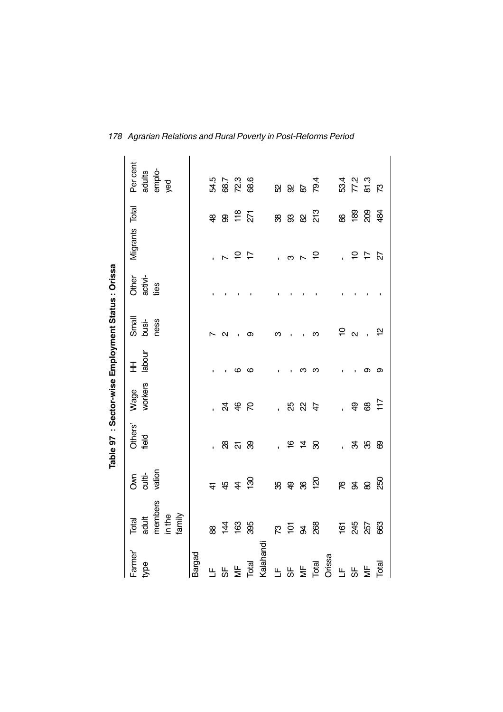|                      |                                               |                              | Table 97 : Sector-wise Employment Status : Orissa |                 |             |                          |                          |                          |                 |                                     |
|----------------------|-----------------------------------------------|------------------------------|---------------------------------------------------|-----------------|-------------|--------------------------|--------------------------|--------------------------|-----------------|-------------------------------------|
| Farmer'<br>type      | members<br>in the<br>family<br>adult<br>Total | vation<br>culti-<br><b>S</b> | Others'<br>field                                  | workers<br>Wage | labour<br>Ŧ | Small<br>ness<br>busi-   | activi-<br>Other<br>ties | Migrants Total           |                 | Per cent<br>emplo-<br>yed<br>adults |
| Bargad               |                                               |                              |                                                   |                 |             |                          |                          |                          |                 |                                     |
| Ь                    | 88                                            | $\frac{4}{5}$                |                                                   |                 |             |                          |                          |                          | \$              | 54.5                                |
| ჭ                    | $rac{1}{4}$ @                                 | 44                           |                                                   |                 |             | $\scriptstyle\mathtt{N}$ |                          | $\overline{\phantom{0}}$ | இ               |                                     |
| $\frac{1}{2}$        |                                               |                              | <u> ಜ</u>                                         |                 | ဖ           |                          |                          | 55                       | $\frac{18}{27}$ | 68.7<br>72.3                        |
| Total                | 395                                           | $\frac{8}{3}$                | ஜ                                                 |                 | ဖ           | თ                        |                          |                          |                 | 68.6                                |
| Kalahandi            |                                               |                              |                                                   |                 |             |                          |                          |                          |                 |                                     |
| Ц                    |                                               |                              |                                                   | i.              |             | ო                        |                          |                          |                 |                                     |
| မှာ                  | $\kappa$ $\geq$ $\alpha$                      | 89                           | ' e 4                                             |                 |             |                          |                          | ო                        | ន ន             | 885                                 |
| $\frac{\mu}{\sigma}$ |                                               | $\pmb{\mathcal{S}}$          |                                                   | <b>2825</b>     | ო           |                          |                          | $\overline{\phantom{a}}$ | 8               |                                     |
| Total                | 268                                           | <u>ମ୍</u>                    | ஜ                                                 |                 | ო           | ო                        |                          | <u>۽</u>                 | 213             | 79.4                                |
| Orissa               |                                               |                              |                                                   |                 |             |                          |                          |                          |                 |                                     |
| Щ                    |                                               |                              | $\mathbf{r}$                                      |                 |             | $P_{\alpha}$             |                          |                          |                 |                                     |
| 5                    | ie 35                                         | 6 %                          |                                                   | අ               |             |                          |                          | $\overline{\phantom{0}}$ | 8 8 8 8 4       | 53 7 8<br>53 7 9<br>53 7 9          |
| $M = \frac{1}{100}$  | 257                                           | $\pmb{\otimes}$              | <b>3 % &amp;</b>                                  | 8               | თ           |                          |                          | $\overline{r}$           |                 |                                     |
|                      | සි                                            | 250                          |                                                   | $\ddot{1}$      | တ           | $\tilde{\mathbf{r}}$     |                          | Z7                       |                 |                                     |

*178 Agrarian Relations and Rural Poverty in Post-Reforms Period*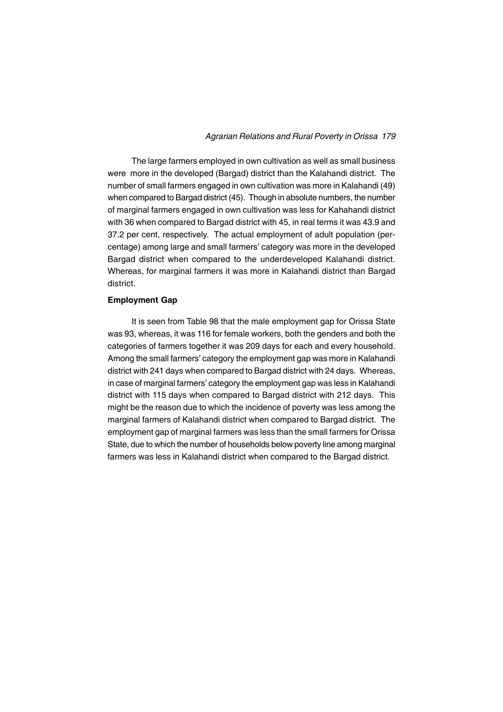The large farmers employed in own cultivation as well as small business were more in the developed (Bargad) district than the Kalahandi district. The number of small farmers engaged in own cultivation was more in Kalahandi (49) when compared to Bargad district (45). Though in absolute numbers, the number of marginal farmers engaged in own cultivation was less for Kahahandi district with 36 when compared to Bargad district with 45, in real terms it was 43.9 and 37.2 per cent, respectively. The actual employment of adult population (percentage) among large and small farmers' category was more in the developed Bargad district when compared to the underdeveloped Kalahandi district. Whereas, for marginal farmers it was more in Kalahandi district than Bargad district.

## **Employment Gap**

It is seen from Table 98 that the male employment gap for Orissa State was 93, whereas, it was 116 for female workers, both the genders and both the categories of farmers together it was 209 days for each and every household. Among the small farmers' category the employment gap was more in Kalahandi district with 241 days when compared to Bargad district with 24 days. Whereas, in case of marginal farmers' category the employment gap was less in Kalahandi district with 115 days when compared to Bargad district with 212 days. This might be the reason due to which the incidence of poverty was less among the marginal farmers of Kalahandi district when compared to Bargad district. The employment gap of marginal farmers was less than the small farmers for Orissa State, due to which the number of households below poverty line among marginal farmers was less in Kalahandi district when compared to the Bargad district.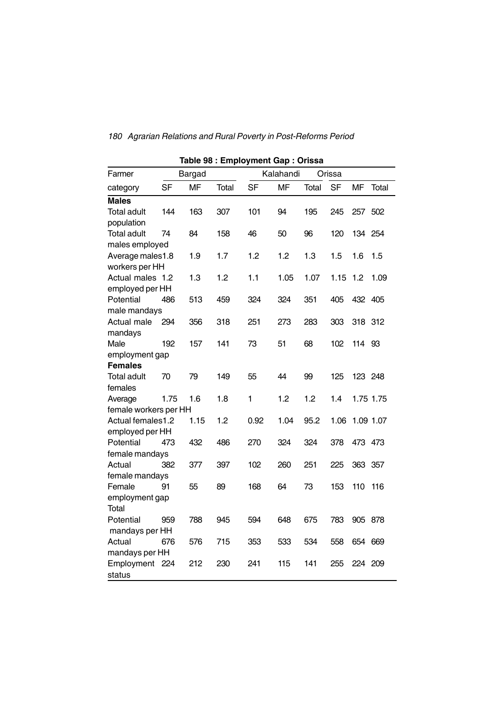|                       |           |           | Table 98 : Employment Gap : Orissa |           |           |       |           |           |           |
|-----------------------|-----------|-----------|------------------------------------|-----------|-----------|-------|-----------|-----------|-----------|
| Farmer                |           | Bargad    |                                    |           | Kalahandi |       | Orissa    |           |           |
| category              | <b>SF</b> | <b>MF</b> | Total                              | <b>SF</b> | <b>MF</b> | Total | <b>SF</b> | <b>MF</b> | Total     |
| <b>Males</b>          |           |           |                                    |           |           |       |           |           |           |
| <b>Total adult</b>    | 144       | 163       | 307                                | 101       | 94        | 195   | 245       | 257 502   |           |
| population            |           |           |                                    |           |           |       |           |           |           |
| <b>Total adult</b>    | 74        | 84        | 158                                | 46        | 50        | 96    | 120       | 134 254   |           |
| males employed        |           |           |                                    |           |           |       |           |           |           |
| Average males1.8      |           | 1.9       | 1.7                                | 1.2       | 1.2       | 1.3   | 1.5       | 1.6       | $1.5\,$   |
| workers per HH        |           |           |                                    |           |           |       |           |           |           |
| Actual males 1.2      |           | 1.3       | 1.2                                | 1.1       | 1.05      | 1.07  | 1.15      | 1.2       | 1.09      |
| employed per HH       |           |           |                                    |           |           |       |           |           |           |
| Potential             | 486       | 513       | 459                                | 324       | 324       | 351   | 405       | 432 405   |           |
| male mandays          |           |           |                                    |           |           |       |           |           |           |
| Actual male           | 294       | 356       | 318                                | 251       | 273       | 283   | 303       | 318 312   |           |
| mandays               |           |           |                                    |           |           |       |           |           |           |
| Male                  | 192       | 157       | 141                                | 73        | 51        | 68    | 102       | 114 93    |           |
| employment gap        |           |           |                                    |           |           |       |           |           |           |
| <b>Females</b>        |           |           |                                    |           |           |       |           |           |           |
| <b>Total adult</b>    | 70        | 79        | 149                                | 55        | 44        | 99    | 125       | 123 248   |           |
| females               |           |           |                                    |           |           |       |           |           |           |
| Average               | 1.75      | 1.6       | 1.8                                | 1         | 1.2       | 1.2   | 1.4       |           | 1.75 1.75 |
| female workers per HH |           |           |                                    |           |           |       |           |           |           |
| Actual females1.2     |           | 1.15      | 1.2                                | 0.92      | 1.04      | 95.2  | 1.06      |           | 1.09 1.07 |
| employed per HH       |           |           |                                    |           |           |       |           |           |           |
| Potential             | 473       | 432       | 486                                | 270       | 324       | 324   | 378       | 473 473   |           |
| female mandays        |           |           |                                    |           |           |       |           |           |           |
| Actual                | 382       | 377       | 397                                | 102       | 260       | 251   | 225       | 363 357   |           |
| female mandays        |           |           |                                    |           |           |       |           |           |           |
| Female                | 91        | 55        | 89                                 | 168       | 64        | 73    | 153       | 110       | 116       |
| employment gap        |           |           |                                    |           |           |       |           |           |           |
| <b>Total</b>          |           |           |                                    |           |           |       |           |           |           |
| Potential             | 959       | 788       | 945                                | 594       | 648       | 675   | 783       | 905 878   |           |
| mandays per HH        |           |           |                                    |           |           |       |           |           |           |
| Actual                | 676       | 576       | 715                                | 353       | 533       | 534   | 558       | 654 669   |           |
| mandays per HH        |           |           |                                    |           |           |       |           |           |           |
| Employment            | 224       | 212       | 230                                | 241       | 115       | 141   | 255       | 224       | 209       |
| status                |           |           |                                    |           |           |       |           |           |           |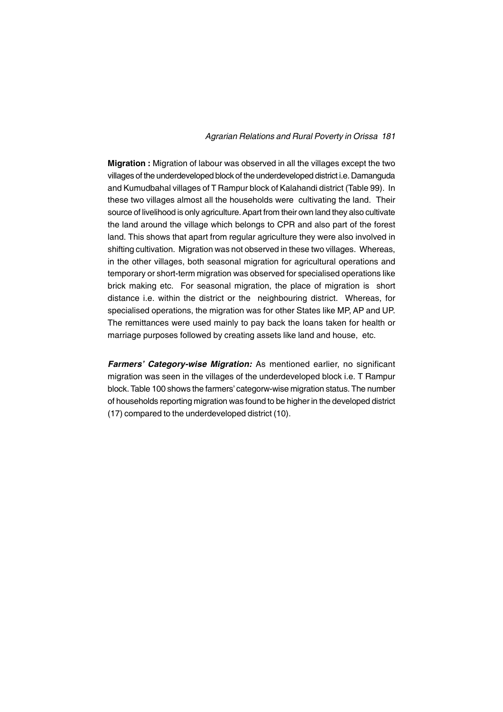**Migration :** Migration of labour was observed in all the villages except the two villages of the underdeveloped block of the underdeveloped district i.e. Damanguda and Kumudbahal villages of T Rampur block of Kalahandi district (Table 99). In these two villages almost all the households were cultivating the land. Their source of livelihood is only agriculture. Apart from their own land they also cultivate the land around the village which belongs to CPR and also part of the forest land. This shows that apart from regular agriculture they were also involved in shifting cultivation. Migration was not observed in these two villages. Whereas, in the other villages, both seasonal migration for agricultural operations and temporary or short-term migration was observed for specialised operations like brick making etc. For seasonal migration, the place of migration is short distance i.e. within the district or the neighbouring district. Whereas, for specialised operations, the migration was for other States like MP, AP and UP. The remittances were used mainly to pay back the loans taken for health or marriage purposes followed by creating assets like land and house, etc.

*Farmers' Category-wise Migration:* As mentioned earlier, no significant migration was seen in the villages of the underdeveloped block i.e. T Rampur block. Table 100 shows the farmers' categorw-wise migration status. The number of households reporting migration was found to be higher in the developed district (17) compared to the underdeveloped district (10).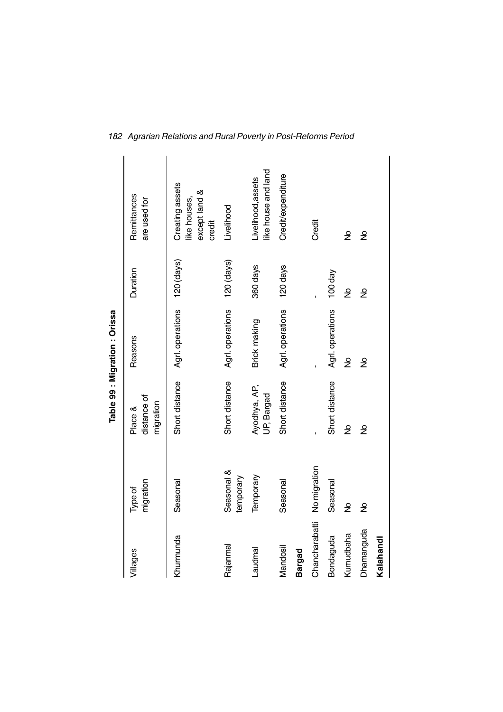|                |                         |                                     | Table 99 : Migration : Orissa |               |                                                            |  |
|----------------|-------------------------|-------------------------------------|-------------------------------|---------------|------------------------------------------------------------|--|
| Villages       | migration<br>Type of    | distance of<br>migration<br>Place & | Reasons                       | Duration      | Remittances<br>are used for                                |  |
| Khumunda       | Seasonal                | Short distance                      | Agrl. operations              | 120 (days)    | Creating assets<br>except land &<br>like houses,<br>credit |  |
| Rajanmal       | Seasonal &<br>temporary | Short distance                      | Agrl. operations              | $120$ (days)  | Livelihood                                                 |  |
| Laudmal        | Temporary               | Ayodhya, AP,<br>UP, Bargad          | Brick making                  | 360 days      | like house and land<br>Livelihood, assets                  |  |
| Mandosil       | Seasonal                | Short distance                      | Agrl. operations              | 120 days      | Credit/expenditure                                         |  |
| Bargad         |                         |                                     |                               |               |                                                            |  |
| Chancharabatti | No migration            |                                     |                               |               | Credit                                                     |  |
| Bondaguda      | Seasonal                | Short distance                      | Agrl. operations              | 100 day       |                                                            |  |
| Kumudbaha      | $\frac{1}{2}$           | ş                                   | ş                             | $\frac{1}{2}$ | ş                                                          |  |
| Dhamanguda     | $\tilde{z}$             | ş                                   | ş                             | ş             | ş                                                          |  |
| Kalahandi      |                         |                                     |                               |               |                                                            |  |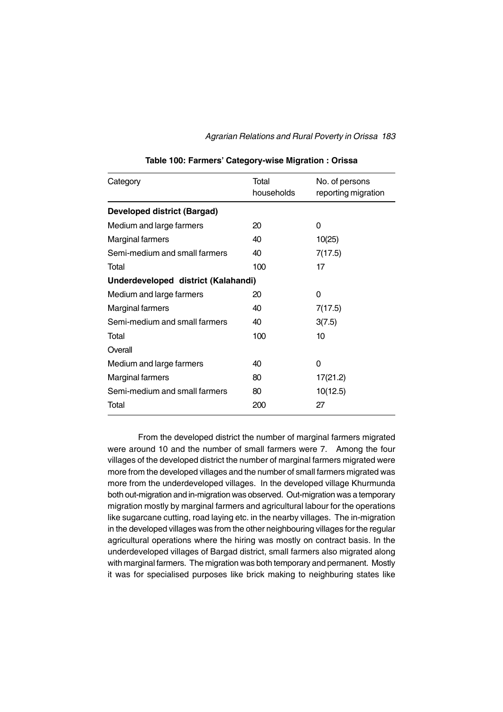| Category                            | Total<br>households | No. of persons<br>reporting migration |
|-------------------------------------|---------------------|---------------------------------------|
| <b>Developed district (Bargad)</b>  |                     |                                       |
| Medium and large farmers            | 20                  | 0                                     |
| <b>Marginal farmers</b>             | 40                  | 10(25)                                |
| Semi-medium and small farmers       | 40                  | 7(17.5)                               |
| Total                               | 100                 | 17                                    |
| Underdeveloped district (Kalahandi) |                     |                                       |
| Medium and large farmers            | 20                  | 0                                     |
| <b>Marginal farmers</b>             | 40                  | 7(17.5)                               |
| Semi-medium and small farmers       | 40                  | 3(7.5)                                |
| Total                               | 100                 | 10                                    |
| Overall                             |                     |                                       |
| Medium and large farmers            | 40                  | 0                                     |
| <b>Marginal farmers</b>             | 80                  | 17(21.2)                              |
| Semi-medium and small farmers       | 80                  | 10(12.5)                              |
| Total                               | 200                 | 27                                    |
|                                     |                     |                                       |

### **Table 100: Farmers' Category-wise Migration : Orissa**

From the developed district the number of marginal farmers migrated were around 10 and the number of small farmers were 7. Among the four villages of the developed district the number of marginal farmers migrated were more from the developed villages and the number of small farmers migrated was more from the underdeveloped villages. In the developed village Khurmunda both out-migration and in-migration was observed. Out-migration was a temporary migration mostly by marginal farmers and agricultural labour for the operations like sugarcane cutting, road laying etc. in the nearby villages. The in-migration in the developed villages was from the other neighbouring villages for the regular agricultural operations where the hiring was mostly on contract basis. In the underdeveloped villages of Bargad district, small farmers also migrated along with marginal farmers. The migration was both temporary and permanent. Mostly it was for specialised purposes like brick making to neighburing states like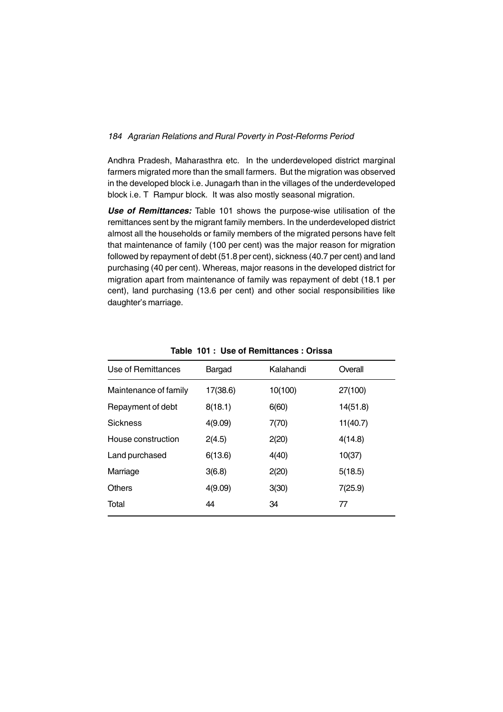Andhra Pradesh, Maharasthra etc. In the underdeveloped district marginal farmers migrated more than the small farmers. But the migration was observed in the developed block i.e. Junagarh than in the villages of the underdeveloped block i.e. T Rampur block. It was also mostly seasonal migration.

*Use of Remittances:* Table 101 shows the purpose-wise utilisation of the remittances sent by the migrant family members. In the underdeveloped district almost all the households or family members of the migrated persons have felt that maintenance of family (100 per cent) was the major reason for migration followed by repayment of debt (51.8 per cent), sickness (40.7 per cent) and land purchasing (40 per cent). Whereas, major reasons in the developed district for migration apart from maintenance of family was repayment of debt (18.1 per cent), land purchasing (13.6 per cent) and other social responsibilities like daughter's marriage.

| Use of Remittances    | Bargad   | Kalahandi | Overall  |
|-----------------------|----------|-----------|----------|
| Maintenance of family | 17(38.6) | 10(100)   | 27(100)  |
| Repayment of debt     | 8(18.1)  | 6(60)     | 14(51.8) |
| <b>Sickness</b>       | 4(9.09)  | 7(70)     | 11(40.7) |
| House construction    | 2(4.5)   | 2(20)     | 4(14.8)  |
| Land purchased        | 6(13.6)  | 4(40)     | 10(37)   |
| Marriage              | 3(6.8)   | 2(20)     | 5(18.5)  |
| <b>Others</b>         | 4(9.09)  | 3(30)     | 7(25.9)  |
| Total                 | 44       | 34        | 77       |

**Table 101 : Use of Remittances : Orissa**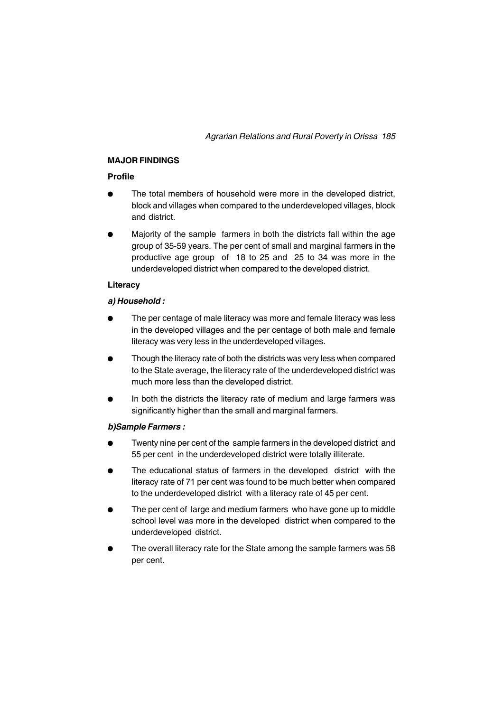# **MAJOR FINDINGS**

# **Profile**

- The total members of household were more in the developed district, block and villages when compared to the underdeveloped villages, block and district.
- <sup>l</sup> Majority of the sample farmers in both the districts fall within the age group of 35-59 years. The per cent of small and marginal farmers in the productive age group of 18 to 25 and 25 to 34 was more in the underdeveloped district when compared to the developed district.

# **Literacy**

# *a) Household :*

- The per centage of male literacy was more and female literacy was less in the developed villages and the per centage of both male and female literacy was very less in the underdeveloped villages.
- Though the literacy rate of both the districts was very less when compared to the State average, the literacy rate of the underdeveloped district was much more less than the developed district.
- In both the districts the literacy rate of medium and large farmers was significantly higher than the small and marginal farmers.

# *b)Sample Farmers :*

- Twenty nine per cent of the sample farmers in the developed district and 55 per cent in the underdeveloped district were totally illiterate.
- The educational status of farmers in the developed district with the literacy rate of 71 per cent was found to be much better when compared to the underdeveloped district with a literacy rate of 45 per cent.
- The per cent of large and medium farmers who have gone up to middle school level was more in the developed district when compared to the underdeveloped district.
- The overall literacy rate for the State among the sample farmers was 58 per cent.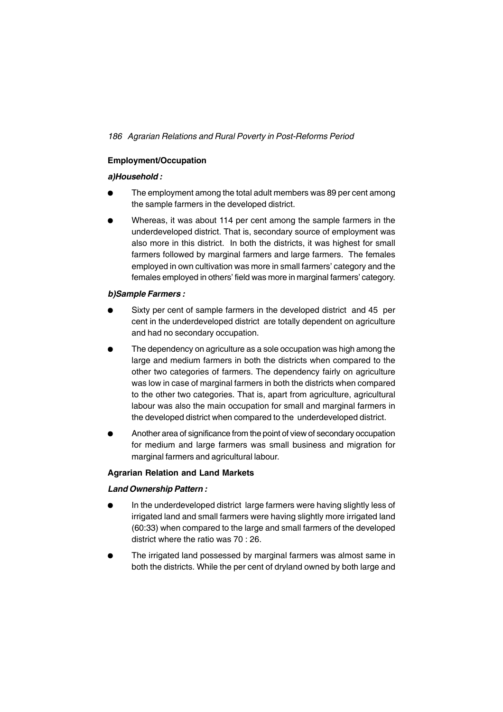# **Employment/Occupation**

# *a)Household :*

- The employment among the total adult members was 89 per cent among the sample farmers in the developed district.
- Whereas, it was about 114 per cent among the sample farmers in the underdeveloped district. That is, secondary source of employment was also more in this district. In both the districts, it was highest for small farmers followed by marginal farmers and large farmers. The females employed in own cultivation was more in small farmers' category and the females employed in others' field was more in marginal farmers' category.

# *b)Sample Farmers :*

- Sixty per cent of sample farmers in the developed district and 45 per cent in the underdeveloped district are totally dependent on agriculture and had no secondary occupation.
- The dependency on agriculture as a sole occupation was high among the large and medium farmers in both the districts when compared to the other two categories of farmers. The dependency fairly on agriculture was low in case of marginal farmers in both the districts when compared to the other two categories. That is, apart from agriculture, agricultural labour was also the main occupation for small and marginal farmers in the developed district when compared to the underdeveloped district.
- Another area of significance from the point of view of secondary occupation for medium and large farmers was small business and migration for marginal farmers and agricultural labour.

# **Agrarian Relation and Land Markets**

### *Land Ownership Pattern :*

- In the underdeveloped district large farmers were having slightly less of irrigated land and small farmers were having slightly more irrigated land (60:33) when compared to the large and small farmers of the developed district where the ratio was 70 : 26.
- The irrigated land possessed by marginal farmers was almost same in both the districts. While the per cent of dryland owned by both large and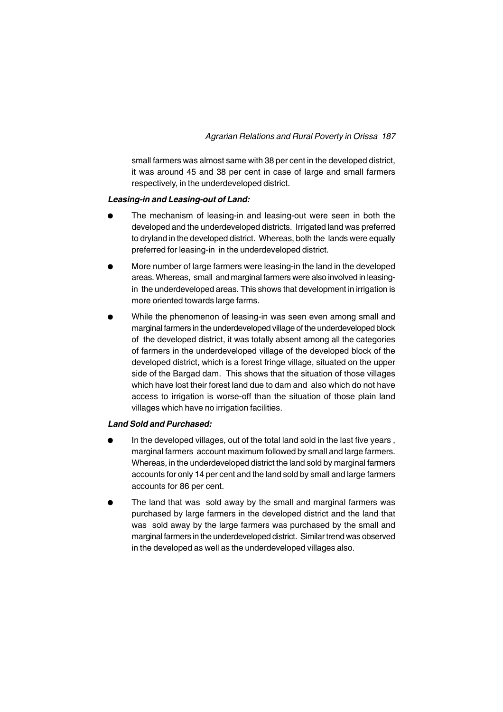small farmers was almost same with 38 per cent in the developed district, it was around 45 and 38 per cent in case of large and small farmers respectively, in the underdeveloped district.

# *Leasing-in and Leasing-out of Land:*

- The mechanism of leasing-in and leasing-out were seen in both the developed and the underdeveloped districts. Irrigated land was preferred to dryland in the developed district. Whereas, both the lands were equally preferred for leasing-in in the underdeveloped district.
- <sup>l</sup> More number of large farmers were leasing-in the land in the developed areas. Whereas, small and marginal farmers were also involved in leasingin the underdeveloped areas. This shows that development in irrigation is more oriented towards large farms.
- <sup>l</sup> While the phenomenon of leasing-in was seen even among small and marginal farmers in the underdeveloped village of the underdeveloped block of the developed district, it was totally absent among all the categories of farmers in the underdeveloped village of the developed block of the developed district, which is a forest fringe village, situated on the upper side of the Bargad dam. This shows that the situation of those villages which have lost their forest land due to dam and also which do not have access to irrigation is worse-off than the situation of those plain land villages which have no irrigation facilities.

### *Land Sold and Purchased:*

- In the developed villages, out of the total land sold in the last five years, marginal farmers account maximum followed by small and large farmers. Whereas, in the underdeveloped district the land sold by marginal farmers accounts for only 14 per cent and the land sold by small and large farmers accounts for 86 per cent.
- The land that was sold away by the small and marginal farmers was purchased by large farmers in the developed district and the land that was sold away by the large farmers was purchased by the small and marginal farmers in the underdeveloped district. Similar trend was observed in the developed as well as the underdeveloped villages also.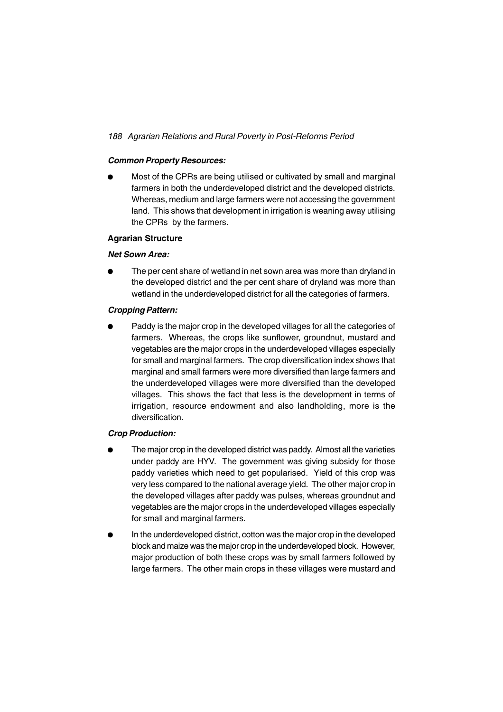# *Common Property Resources:*

<sup>l</sup> Most of the CPRs are being utilised or cultivated by small and marginal farmers in both the underdeveloped district and the developed districts. Whereas, medium and large farmers were not accessing the government land. This shows that development in irrigation is weaning away utilising the CPRs by the farmers.

# **Agrarian Structure**

# *Net Sown Area:*

The per cent share of wetland in net sown area was more than dryland in the developed district and the per cent share of dryland was more than wetland in the underdeveloped district for all the categories of farmers.

# *Cropping Pattern:*

Paddy is the major crop in the developed villages for all the categories of farmers. Whereas, the crops like sunflower, groundnut, mustard and vegetables are the major crops in the underdeveloped villages especially for small and marginal farmers. The crop diversification index shows that marginal and small farmers were more diversified than large farmers and the underdeveloped villages were more diversified than the developed villages. This shows the fact that less is the development in terms of irrigation, resource endowment and also landholding, more is the diversification.

### *Crop Production:*

- The major crop in the developed district was paddy. Almost all the varieties under paddy are HYV. The government was giving subsidy for those paddy varieties which need to get popularised. Yield of this crop was very less compared to the national average yield. The other major crop in the developed villages after paddy was pulses, whereas groundnut and vegetables are the major crops in the underdeveloped villages especially for small and marginal farmers.
- In the underdeveloped district, cotton was the major crop in the developed block and maize was the major crop in the underdeveloped block. However, major production of both these crops was by small farmers followed by large farmers. The other main crops in these villages were mustard and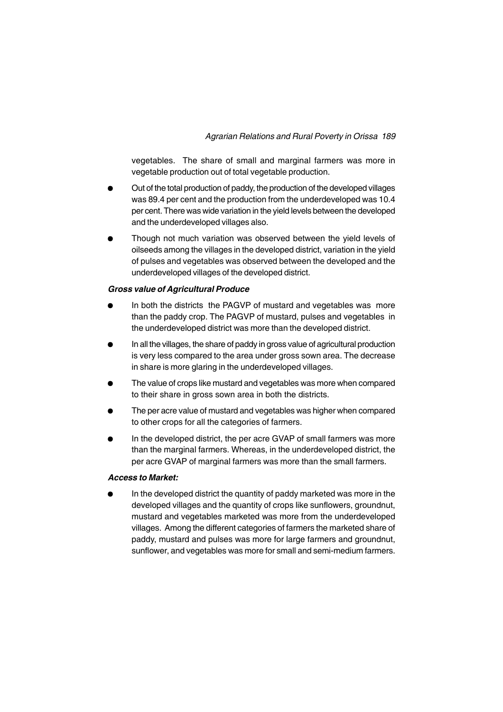vegetables. The share of small and marginal farmers was more in vegetable production out of total vegetable production.

- Out of the total production of paddy, the production of the developed villages was 89.4 per cent and the production from the underdeveloped was 10.4 per cent. There was wide variation in the yield levels between the developed and the underdeveloped villages also.
- Though not much variation was observed between the yield levels of oilseeds among the villages in the developed district, variation in the yield of pulses and vegetables was observed between the developed and the underdeveloped villages of the developed district.

# *Gross value of Agricultural Produce*

- In both the districts the PAGVP of mustard and vegetables was more than the paddy crop. The PAGVP of mustard, pulses and vegetables in the underdeveloped district was more than the developed district.
- In all the villages, the share of paddy in gross value of agricultural production is very less compared to the area under gross sown area. The decrease in share is more glaring in the underdeveloped villages.
- The value of crops like mustard and vegetables was more when compared to their share in gross sown area in both the districts.
- The per acre value of mustard and vegetables was higher when compared to other crops for all the categories of farmers.
- In the developed district, the per acre GVAP of small farmers was more than the marginal farmers. Whereas, in the underdeveloped district, the per acre GVAP of marginal farmers was more than the small farmers.

### *Access to Market:*

In the developed district the quantity of paddy marketed was more in the developed villages and the quantity of crops like sunflowers, groundnut, mustard and vegetables marketed was more from the underdeveloped villages. Among the different categories of farmers the marketed share of paddy, mustard and pulses was more for large farmers and groundnut, sunflower, and vegetables was more for small and semi-medium farmers.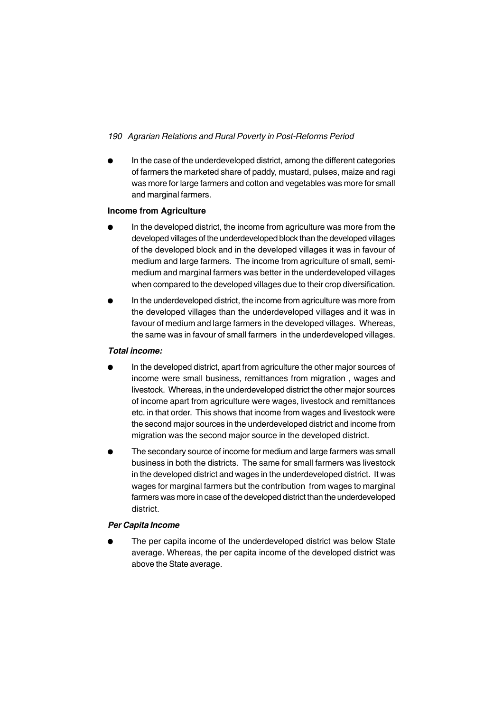In the case of the underdeveloped district, among the different categories of farmers the marketed share of paddy, mustard, pulses, maize and ragi was more for large farmers and cotton and vegetables was more for small and marginal farmers.

# **Income from Agriculture**

- In the developed district, the income from agriculture was more from the developed villages of the underdeveloped block than the developed villages of the developed block and in the developed villages it was in favour of medium and large farmers. The income from agriculture of small, semimedium and marginal farmers was better in the underdeveloped villages when compared to the developed villages due to their crop diversification.
- In the underdeveloped district, the income from agriculture was more from the developed villages than the underdeveloped villages and it was in favour of medium and large farmers in the developed villages. Whereas, the same was in favour of small farmers in the underdeveloped villages.

# *Total income:*

- In the developed district, apart from agriculture the other major sources of income were small business, remittances from migration , wages and livestock. Whereas, in the underdeveloped district the other major sources of income apart from agriculture were wages, livestock and remittances etc. in that order. This shows that income from wages and livestock were the second major sources in the underdeveloped district and income from migration was the second major source in the developed district.
- The secondary source of income for medium and large farmers was small business in both the districts. The same for small farmers was livestock in the developed district and wages in the underdeveloped district. It was wages for marginal farmers but the contribution from wages to marginal farmers was more in case of the developed district than the underdeveloped district.

# *Per Capita Income*

The per capita income of the underdeveloped district was below State average. Whereas, the per capita income of the developed district was above the State average.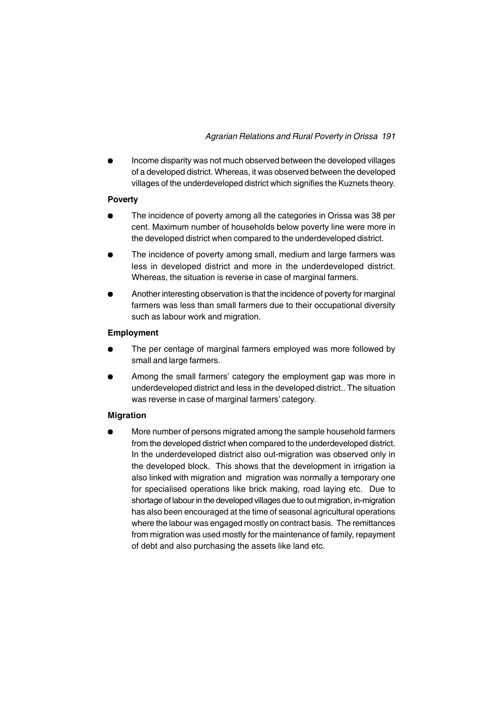<sup>l</sup> Income disparity was not much observed between the developed villages of a developed district. Whereas, it was observed between the developed villages of the underdeveloped district which signifies the Kuznets theory.

# **Poverty**

- The incidence of poverty among all the categories in Orissa was 38 per cent. Maximum number of households below poverty line were more in the developed district when compared to the underdeveloped district.
- The incidence of poverty among small, medium and large farmers was less in developed district and more in the underdeveloped district. Whereas, the situation is reverse in case of marginal farmers.
- <sup>l</sup> Another interesting observation is that the incidence of poverty for marginal farmers was less than small farmers due to their occupational diversity such as labour work and migration.

# **Employment**

- The per centage of marginal farmers employed was more followed by small and large farmers.
- Among the small farmers' category the employment gap was more in underdeveloped district and less in the developed district.. The situation was reverse in case of marginal farmers' category.

# **Migration**

<sup>l</sup> More number of persons migrated among the sample household farmers from the developed district when compared to the underdeveloped district. In the underdeveloped district also out-migration was observed only in the developed block. This shows that the development in irrigation ia also linked with migration and migration was normally a temporary one for specialised operations like brick making, road laying etc. Due to shortage of labour in the developed villages due to out migration, in-migration has also been encouraged at the time of seasonal agricultural operations where the labour was engaged mostly on contract basis. The remittances from migration was used mostly for the maintenance of family, repayment of debt and also purchasing the assets like land etc.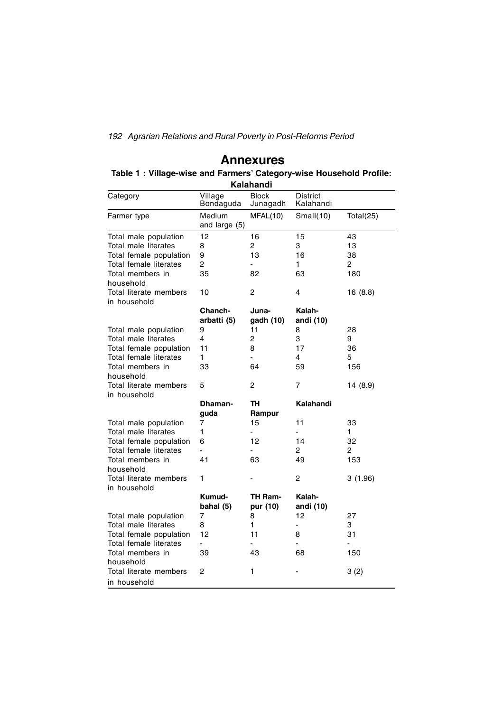# **Annexures**

|          | Table 1: Village-wise and Farmers' Category-wise Household Profile: | Kalahandi    |                 |  |
|----------|---------------------------------------------------------------------|--------------|-----------------|--|
| Category | anelliV                                                             | <b>Rlock</b> | <b>District</b> |  |

| Category                               | Village<br>Bondaguda    | <b>Block</b><br>Junagadh | <b>District</b><br>Kalahandi |           |
|----------------------------------------|-------------------------|--------------------------|------------------------------|-----------|
| Farmer type                            | Medium<br>and large (5) | MFAL(10)                 | Small $(10)$                 | Total(25) |
| Total male population                  | 12                      | 16                       | 15                           | 43        |
| Total male literates                   | 8                       | $\overline{c}$           | 3                            | 13        |
| Total female population                | 9                       | 13                       | 16                           | 38        |
| Total female literates                 | 2                       |                          | 1                            | 2         |
| Total members in<br>household          | 35                      | 82                       | 63                           | 180       |
| Total literate members<br>in household | 10                      | 2                        | 4                            | 16 (8.8)  |
|                                        | Chanch-                 | Juna-                    | Kalah-                       |           |
|                                        | arbatti (5)             | gadh (10)                | andi (10)                    |           |
| Total male population                  | 9                       | 11                       | 8                            | 28        |
| Total male literates                   | 4                       | $\overline{c}$           | 3                            | 9         |
| Total female population                | 11                      | 8                        | 17                           | 36        |
| Total female literates                 | 1                       |                          | 4                            | 5         |
| Total members in<br>household          | 33                      | 64                       | 59                           | 156       |
| Total literate members<br>in household | 5                       | 2                        | 7                            | 14 (8.9)  |
|                                        | Dhaman-                 | TH                       | Kalahandi                    |           |
|                                        | guda                    | Rampur                   |                              |           |
| Total male population                  | 7                       | 15                       | 11                           | 33        |
| Total male literates                   | 1                       |                          |                              | 1         |
| Total female population                | 6                       | 12                       | 14                           | 32        |
| Total female literates                 |                         |                          | 2                            | 2         |
| Total members in<br>household          | 41                      | 63                       | 49                           | 153       |
| Total literate members<br>in household | 1                       |                          | 2                            | 3(1.96)   |
|                                        | Kumud-<br>bahal (5)     | TH Ram-<br>pur (10)      | Kalah-<br>andi (10)          |           |
| Total male population                  | 7                       | 8                        | 12                           | 27        |
| Total male literates                   | 8                       | 1                        |                              | 3         |
| Total female population                | 12                      | 11                       | 8                            | 31        |
| Total female literates                 |                         |                          | $\blacksquare$               |           |
| Total members in<br>household          | 39                      | 43                       | 68                           | 150       |
| Total literate members<br>in household | 2                       | 1                        |                              | 3(2)      |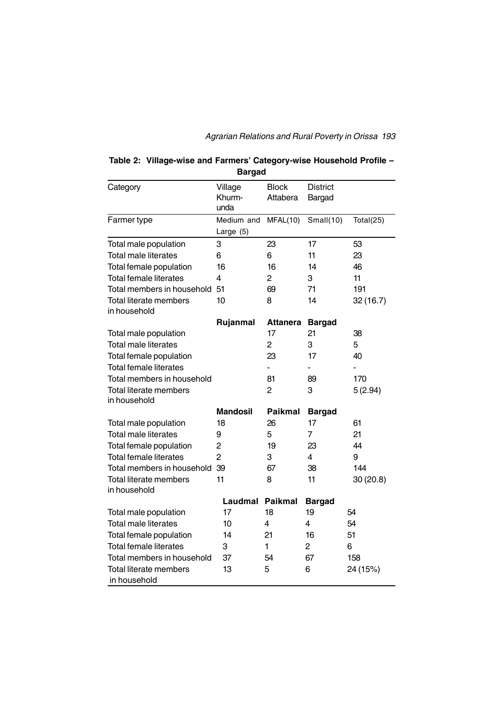|                                               | <b>Bargad</b>             |                          |                           |              |
|-----------------------------------------------|---------------------------|--------------------------|---------------------------|--------------|
| Category                                      | Village<br>Khurm-<br>unda | <b>Block</b><br>Attabera | <b>District</b><br>Bargad |              |
| Farmer type                                   | Medium and<br>Large $(5)$ | MFAL(10)                 | Small $(10)$              | Total $(25)$ |
| Total male population                         | 3                         | 23                       | 17                        | 53           |
| <b>Total male literates</b>                   | 6                         | 6                        | 11                        | 23           |
| Total female population                       | 16                        | 16                       | 14                        | 46           |
| <b>Total female literates</b>                 | 4                         | $\overline{c}$           | 3                         | 11           |
| Total members in household 51                 |                           | 69                       | 71                        | 191          |
| <b>Total literate members</b><br>in household | 10                        | 8                        | 14                        | 32(16.7)     |
|                                               | Rujanmal                  | <b>Attanera</b>          | <b>Bargad</b>             |              |
| Total male population                         |                           | 17                       | 21                        | 38           |
| Total male literates                          |                           | $\overline{c}$           | 3                         | 5            |
| Total female population                       |                           | 23                       | 17                        | 40           |
| <b>Total female literates</b>                 |                           |                          |                           |              |
| Total members in household                    |                           | 81                       | 89                        | 170          |
| Total literate members                        |                           | $\overline{2}$           | 3                         | 5(2.94)      |
| in household                                  |                           |                          |                           |              |
|                                               | <b>Mandosil</b>           | <b>Paikmal</b>           | <b>Bargad</b>             |              |
| Total male population                         | 18                        | 26                       | 17                        | 61           |
| <b>Total male literates</b>                   | 9                         | 5                        | 7                         | 21           |
| Total female population                       | $\overline{c}$            | 19                       | 23                        | 44           |
| Total female literates                        | $\overline{2}$            | 3                        | 4                         | 9            |
| Total members in household 39                 |                           | 67                       | 38                        | 144          |
| <b>Total literate members</b><br>in household | 11                        | 8                        | 11                        | 30(20.8)     |
|                                               | Laudmal                   | <b>Paikmal</b>           | <b>Bargad</b>             |              |
| Total male population                         | 17                        | 18                       | 19                        | 54           |
| <b>Total male literates</b>                   | 10                        | 4                        | 4                         | 54           |
| Total female population                       | 14                        | 21                       | 16                        | 51           |
| <b>Total female literates</b>                 | 3                         | 1                        | $\overline{2}$            | 6            |
| Total members in household                    | 37                        | 54                       | 67                        | 158          |
| <b>Total literate members</b><br>in household | 13                        | 5                        | 6                         | 24 (15%)     |

# **Table 2: Village-wise and Farmers' Category-wise Household Profile –**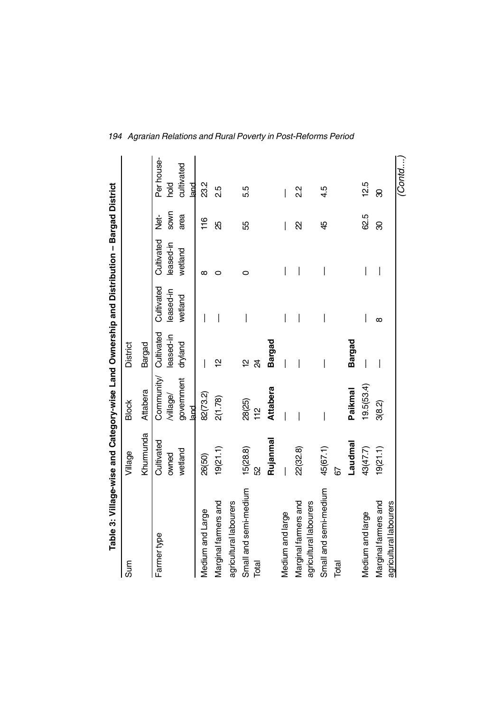| Table 3: Village-wise and Category-wise Land Ownership and Distribution - Bargad District |            |                            |                 |            |            |             |                    |
|-------------------------------------------------------------------------------------------|------------|----------------------------|-----------------|------------|------------|-------------|--------------------|
| Sum                                                                                       | Village    | <b>Block</b>               | <b>District</b> |            |            |             |                    |
|                                                                                           | Khurmunda  | Attabera                   | <b>Bargad</b>   |            |            |             |                    |
| Farmer type                                                                               | Cultivated | Community/                 | Cultivated      | Cultivated | Cultivated | Net-        | Per house-         |
|                                                                                           | owned      | /village/                  | leased-in       | leased-in  | leased-in  | <b>SOWN</b> | bod<br>Po          |
|                                                                                           | wetland    | government<br>$_{\rm had}$ | dryland         | wetland    | wetland    | area        | cultivated<br>land |
| Medium and Large                                                                          | 26(50)     | 82(73.2)                   | I               |            | ∞          | 116         | 23.2               |
|                                                                                           |            |                            |                 |            |            |             |                    |
| Marginal farmers and                                                                      | 19(21.1)   | 2(1.78)                    | 얻               |            | 0          | ЯŠ          | 2.5                |
| agricultural labourers                                                                    |            |                            |                 |            |            |             |                    |
| Small and semi-medium                                                                     | 15(28.8)   | 28(25)                     | 얻               |            | 0          | 55          | 5.5                |
| Total                                                                                     | S2         | $\frac{1}{2}$              | 24              |            |            |             |                    |
|                                                                                           | Rujanmal   | <b>Attabera</b>            | Bargad          |            |            |             |                    |
| Medium and large                                                                          |            |                            |                 |            | I          | I           | I                  |
| Marginal farmers and                                                                      | 22(32.8)   |                            |                 | I          | I          | R           | 23                 |
| agricultural labourers                                                                    |            |                            |                 |            |            |             |                    |
| Small and semi-medium                                                                     | 45(67.1)   |                            |                 | I          |            | 45          | 4.5                |
| Total                                                                                     | 67         |                            |                 |            |            |             |                    |
|                                                                                           | Laudnna I  | Paikmal                    | <b>Bargad</b>   |            |            |             |                    |
| Medium and large                                                                          | 43(47.7)   | 19.5(53.4)                 |                 |            |            | 62.5        | 12.5               |
| Marginal farmers and                                                                      | 19(21.1)   | 3(8.2)                     |                 | $\infty$   |            | 8           | 8                  |
| agricultural labourers                                                                    |            |                            |                 |            |            |             |                    |
|                                                                                           |            |                            |                 |            |            |             | (Contd             |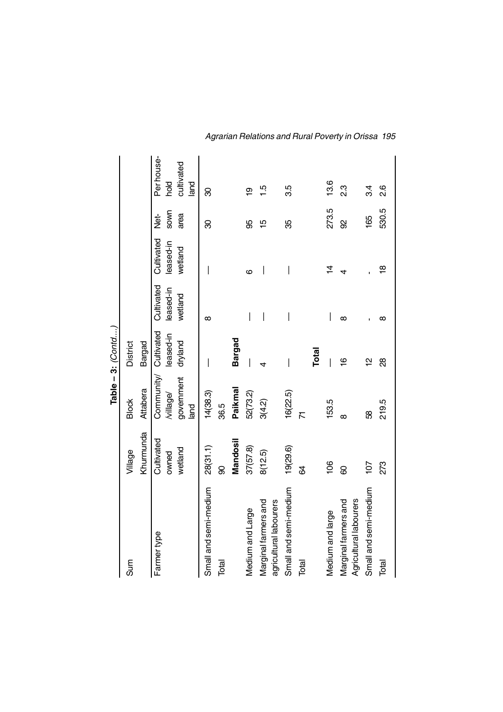|                        |                  |                          | Table $-3$ : $Conid$     |                          |                          |                     |                    |
|------------------------|------------------|--------------------------|--------------------------|--------------------------|--------------------------|---------------------|--------------------|
| Sum                    | Village          | <b>Block</b>             | <b>District</b>          |                          |                          |                     |                    |
|                        | Khumunda         | Attabera                 | <b>Bargad</b>            |                          |                          |                     |                    |
| Farmer type            | Cultivated       | Community/               | Cultivated               | Cultivated               | Cultivated               | Net-                | Per house-         |
|                        | wetland<br>owned | government<br>/village/  | leased-in<br>dryland     | leased-in<br>wetland     | leased-in<br>wetland     | <b>SOWN</b><br>area | cultivated<br>bold |
|                        |                  | land                     |                          |                          |                          |                     | land               |
| Small and semi-medium  | 28(31.1)         | 14(38.3)                 |                          | $\infty$                 |                          | ౚ                   | 8                  |
| Total                  | 8                | 36.5                     |                          |                          |                          |                     |                    |
|                        | Mandosil         | Paikmal                  | Bargad                   |                          |                          |                     |                    |
| Medium and Large       | 37(57.8)         | 52 (73.2)                | $\overline{\phantom{a}}$ | I                        | ဖ                        | க                   | စ္                 |
| Marginal farmers and   | 8(12.5)          | 3(4.2)                   |                          | $\overline{\phantom{a}}$ | $\overline{\phantom{a}}$ | 10                  | يـا                |
| agricultural labourers |                  |                          |                          |                          |                          |                     |                    |
| Small and semi-medium  | 19(29.6)         | 16(22.5)                 |                          |                          |                          | ఘ్ర                 | 3.5                |
| Total                  | \$               | $\overline{\mathcal{K}}$ |                          |                          |                          |                     |                    |
|                        |                  |                          | Total                    |                          |                          |                     |                    |
| Medium and large       | $\frac{8}{3}$    | 153.5                    |                          | I                        | $\overline{4}$           | 273.5               | 13.6               |
| Marginal farmers and   | 8                | $\infty$                 | 9                        | $\infty$                 | 4                        | 8                   | ვ<br>2             |
| Agricultural labourers |                  |                          |                          |                          |                          |                     |                    |
| Small and semi-medium  | 107              | 89                       | $\overline{a}$           |                          |                          | 165                 | 3.4                |
| Total                  | 273              | 219.5                    | 8                        | ∞                        | $\frac{\infty}{\infty}$  | 530.5               | $\frac{8}{2}$      |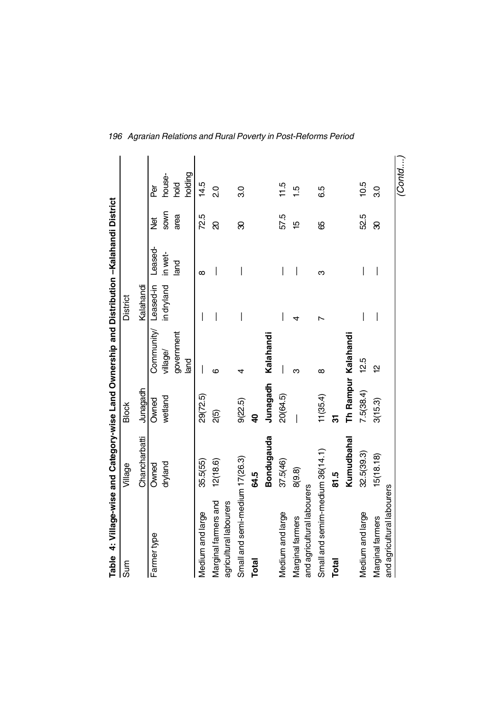| Table   4: Village-wise and Category-wise Land Ownership and Distribution –Kalahandi District |               |              |                      |                    |          |                |         |
|-----------------------------------------------------------------------------------------------|---------------|--------------|----------------------|--------------------|----------|----------------|---------|
| Sum                                                                                           | Village       | <b>Block</b> |                      | <b>District</b>    |          |                |         |
|                                                                                               | Chancharbatti | Junagadh     |                      | Kalahandi          |          |                |         |
| Farmer type                                                                                   | Owned         | Owned        | Community/ Leased-in |                    | Leased-  | $\frac{1}{2}$  | ቅ<br>በ  |
|                                                                                               | dryland       | wetland      | village/             | in dryland in wet- |          | SOWN           | house-  |
|                                                                                               |               |              | government           |                    | land     | area           | bold    |
|                                                                                               |               |              | land                 |                    |          |                | holding |
| Medium and large                                                                              | 35.5(55)      | 29(72.5)     |                      |                    | $\infty$ | 72.5           | 14.5    |
| Marginal farmers and                                                                          | 12(18.6)      | 2(5)         | ဖ                    |                    |          | ର              | Ο.      |
| agricultural labourers                                                                        |               |              |                      |                    |          |                |         |
| Small and semi-medium 17(26.3)                                                                |               | 9(22.5)      | 4                    |                    |          | 8              | 3.0     |
| Total                                                                                         | 64.5          | ੩            |                      |                    |          |                |         |
|                                                                                               | Bondugauda    | Junagadh     | Kalahandi            |                    |          |                |         |
| Medium and large                                                                              | 37.5(46)      | 20(64.5)     |                      |                    |          | 57.5           | 11.5    |
| Marginal farmers                                                                              | 8(9.8)        |              | ო                    | 4                  |          | $\frac{10}{2}$ | 1.5     |
| and agricultural labourers                                                                    |               |              |                      |                    |          |                |         |
| Small and semim-medium 36(14.1)                                                               |               | 11(35.4)     | $\infty$             |                    | ო        | 89             | 6.5     |
| Total                                                                                         | 81.5          | స్           |                      |                    |          |                |         |
|                                                                                               | Kumudbahal    |              | Th Rampur Kalahandi  |                    |          |                |         |
| Medium and large                                                                              | 32.5(39.3)    | 7.5(38.4)    | 12.5                 |                    |          | 52.5           | 10.5    |
| Marginal farmers                                                                              | 15(18.18)     | 3(15.3)      | $\overline{a}$       |                    |          | 8              | ვე      |
| and agricultural labourers                                                                    |               |              |                      |                    |          |                |         |
|                                                                                               |               |              |                      |                    |          |                | (Contd  |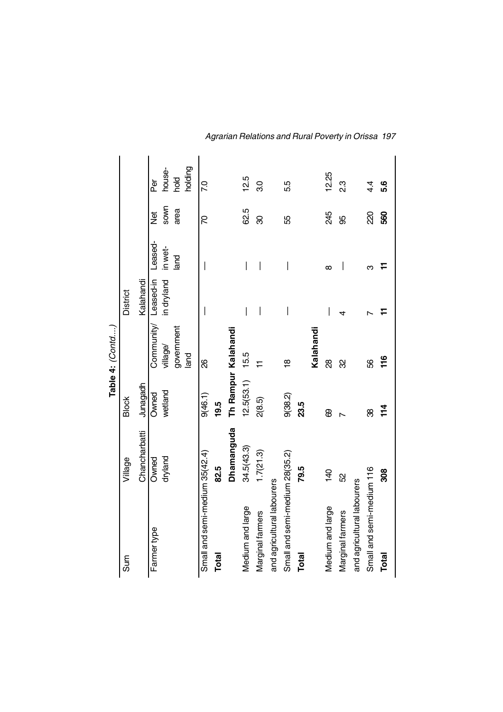|                                |                |                     | Table 4: (Contd)     |                 |          |          |                 |
|--------------------------------|----------------|---------------------|----------------------|-----------------|----------|----------|-----------------|
| Sum                            | Village        | <b>Block</b>        |                      | <b>District</b> |          |          |                 |
|                                | Chancharbatti  | Junagadh            |                      | Kalahandi       |          |          |                 |
| Farmer type                    | Owned          | Owned               | Community/ Leased-in |                 | Leased-  | े<br>वि  | ð<br>P          |
|                                | dryland        | wetland             | village/             | in dryland      | in wet-  | SOWN     | house-          |
|                                |                |                     | government           |                 | land     | area     | blod            |
|                                |                |                     | land                 |                 |          |          | holding         |
| Small and semi-medium 35(42.4) |                | 9(46.1)             | 8                    |                 |          | R        | $\overline{70}$ |
| Total                          | 82.5           | 19.5                |                      |                 |          |          |                 |
|                                | Dhamanguda     | Th Rampur Kalahandi |                      |                 |          |          |                 |
| Medium and large               | 34.5(43.3)     | 12.5(53.1)          | 15.5                 |                 |          | 62.5     | 12.5            |
| Marginal farmers               | 1.7(21.3)      | 2(8.5)              |                      | I               | I        | 80       | 3.0             |
| and agricultural labourers     |                |                     |                      |                 |          |          |                 |
| Small and semi-medium 28(35.2) |                | 9(38.2)             | 18                   |                 |          | 55       | 5.5             |
| Total                          | 79.5           | 23.5                |                      |                 |          |          |                 |
|                                |                |                     | Kalahandi            |                 |          |          |                 |
| Medium and large               | $\frac{40}{5}$ | 8                   | 8                    |                 | $\infty$ | 245      | 12.25           |
| Marginal farmers               | SS             |                     | 8                    |                 |          | 95       | 23              |
| and agricultural labourers     |                |                     |                      |                 |          |          |                 |
| Small and semi-medium 116      |                | ૹ                   | 56                   |                 | ო        | <u>ର</u> | $4\overline{4}$ |
| Total                          | 308            | 114                 | 116                  |                 |          | 560      | 5.6             |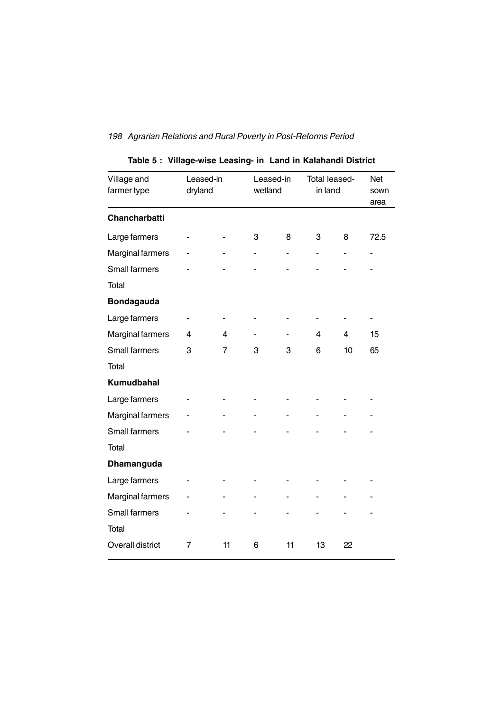| Village and<br>farmer type | Leased-in<br>dryland |                | wetland | Leased-in | Total leased-<br>in land |    | <b>Net</b><br>sown<br>area |
|----------------------------|----------------------|----------------|---------|-----------|--------------------------|----|----------------------------|
| <b>Chancharbatti</b>       |                      |                |         |           |                          |    |                            |
| Large farmers              |                      |                | 3       | 8         | 3                        | 8  | 72.5                       |
| <b>Marginal farmers</b>    |                      |                |         |           |                          |    |                            |
| <b>Small farmers</b>       |                      |                |         |           |                          |    |                            |
| Total                      |                      |                |         |           |                          |    |                            |
| <b>Bondagauda</b>          |                      |                |         |           |                          |    |                            |
| Large farmers              |                      |                |         |           |                          |    |                            |
| Marginal farmers           | 4                    | 4              |         |           | 4                        | 4  | 15                         |
| <b>Small farmers</b>       | 3                    | $\overline{7}$ | 3       | 3         | 6                        | 10 | 65                         |
| Total                      |                      |                |         |           |                          |    |                            |
| Kumudbahal                 |                      |                |         |           |                          |    |                            |
| Large farmers              |                      |                |         |           |                          |    |                            |
| Marginal farmers           |                      |                |         |           |                          |    |                            |
| Small farmers              |                      |                |         |           |                          |    |                            |
| Total                      |                      |                |         |           |                          |    |                            |
| Dhamanguda                 |                      |                |         |           |                          |    |                            |
| Large farmers              |                      |                |         |           |                          |    |                            |
| <b>Marginal farmers</b>    |                      |                |         |           |                          |    |                            |
| <b>Small farmers</b>       |                      |                |         |           |                          |    |                            |
| Total                      |                      |                |         |           |                          |    |                            |
| <b>Overall district</b>    | 7                    | 11             | 6       | 11        | 13                       | 22 |                            |

# **Table 5 : Village-wise Leasing- in Land in Kalahandi District**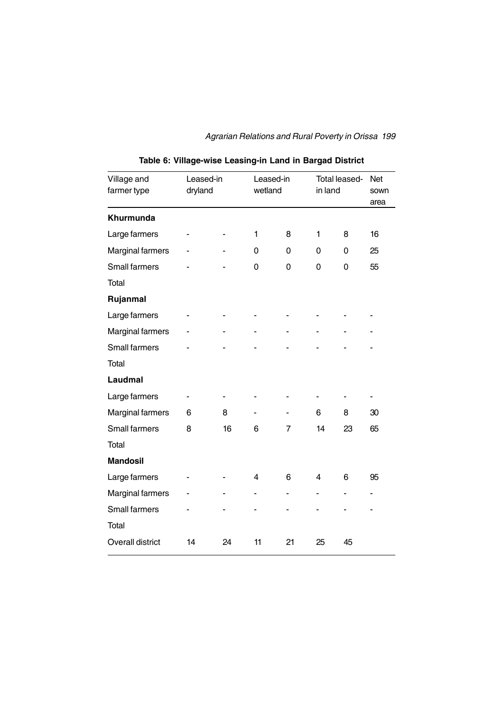| Village and<br>farmer type | Leased-in<br>dryland |    | Leased-in<br>wetland |                | Total leased-<br>in land |    | Net<br>sown<br>area |
|----------------------------|----------------------|----|----------------------|----------------|--------------------------|----|---------------------|
| Khurmunda                  |                      |    |                      |                |                          |    |                     |
| Large farmers              |                      |    | 1                    | 8              | 1                        | 8  | 16                  |
| <b>Marginal farmers</b>    |                      |    | 0                    | 0              | 0                        | 0  | 25                  |
| <b>Small farmers</b>       |                      |    | 0                    | 0              | 0                        | 0  | 55                  |
| Total                      |                      |    |                      |                |                          |    |                     |
| Rujanmal                   |                      |    |                      |                |                          |    |                     |
| Large farmers              |                      |    |                      |                |                          |    |                     |
| <b>Marginal farmers</b>    |                      |    |                      |                |                          |    |                     |
| Small farmers              |                      |    |                      |                |                          |    |                     |
| Total                      |                      |    |                      |                |                          |    |                     |
| Laudmal                    |                      |    |                      |                |                          |    |                     |
| Large farmers              |                      |    |                      |                |                          |    |                     |
| Marginal farmers           | 6                    | 8  |                      |                | 6                        | 8  | 30                  |
| Small farmers              | 8                    | 16 | 6                    | $\overline{7}$ | 14                       | 23 | 65                  |
| Total                      |                      |    |                      |                |                          |    |                     |
| <b>Mandosil</b>            |                      |    |                      |                |                          |    |                     |
| Large farmers              |                      |    | 4                    | 6              | $\overline{\mathbf{4}}$  | 6  | 95                  |
| <b>Marginal farmers</b>    |                      |    |                      |                |                          | ۰  |                     |
| <b>Small farmers</b>       |                      |    |                      |                |                          |    |                     |
| Total                      |                      |    |                      |                |                          |    |                     |
| <b>Overall district</b>    | 14                   | 24 | 11                   | 21             | 25                       | 45 |                     |

**Table 6: Village-wise Leasing-in Land in Bargad District**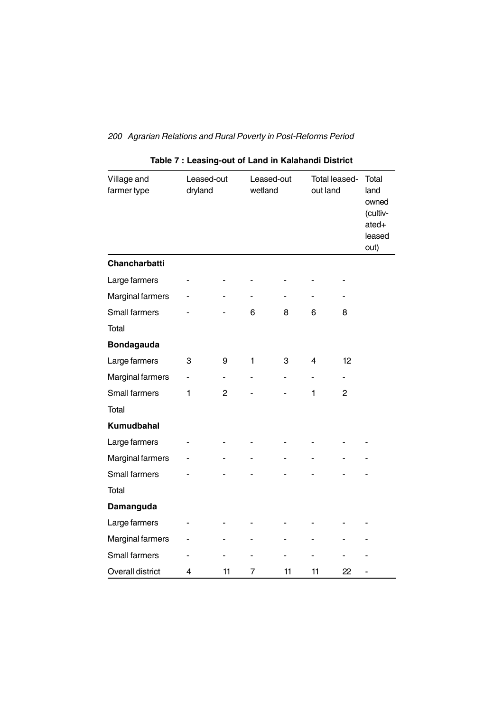| Village and<br>farmer type | Leased-out<br>dryland |                | Leased-out<br>wetland |    | Total leased-<br>out land |                | Total<br>land<br>owned<br>(cultiv-<br>ated+<br>leased<br>out) |
|----------------------------|-----------------------|----------------|-----------------------|----|---------------------------|----------------|---------------------------------------------------------------|
| Chancharbatti              |                       |                |                       |    |                           |                |                                                               |
| Large farmers              |                       |                |                       |    |                           |                |                                                               |
| Marginal farmers           |                       |                |                       |    |                           |                |                                                               |
| Small farmers              |                       |                | 6                     | 8  | 6                         | 8              |                                                               |
| Total                      |                       |                |                       |    |                           |                |                                                               |
| <b>Bondagauda</b>          |                       |                |                       |    |                           |                |                                                               |
| Large farmers              | 3                     | 9              | 1                     | 3  | 4                         | 12             |                                                               |
| <b>Marginal farmers</b>    | -                     | $\blacksquare$ | ٠                     | ۰  | ä,                        | $\blacksquare$ |                                                               |
| Small farmers              | 1                     | 2              |                       |    | 1                         | 2              |                                                               |
| <b>Total</b>               |                       |                |                       |    |                           |                |                                                               |
| Kumudbahal                 |                       |                |                       |    |                           |                |                                                               |
| Large farmers              |                       |                |                       |    |                           |                |                                                               |
| Marginal farmers           |                       |                |                       |    |                           |                |                                                               |
| <b>Small farmers</b>       |                       |                |                       |    |                           |                |                                                               |
| <b>Total</b>               |                       |                |                       |    |                           |                |                                                               |
| Damanguda                  |                       |                |                       |    |                           |                |                                                               |
| Large farmers              |                       |                |                       |    |                           |                |                                                               |
| <b>Marginal farmers</b>    |                       |                |                       |    |                           |                |                                                               |
| Small farmers              |                       |                |                       |    |                           |                |                                                               |
| Overall district           | 4                     | 11             | 7                     | 11 | 11                        | 22             |                                                               |

|  | Table 7 : Leasing-out of Land in Kalahandi District |  |  |  |
|--|-----------------------------------------------------|--|--|--|
|--|-----------------------------------------------------|--|--|--|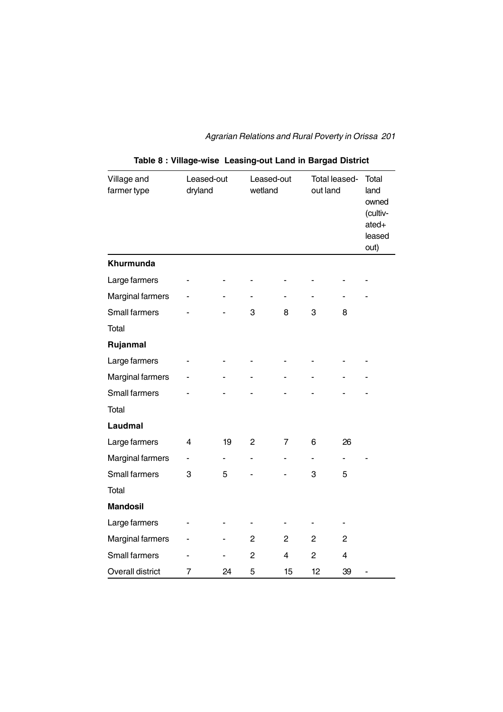| Village and<br>farmer type |   | Total leased-<br>Leased-out<br>Leased-out<br>dryland<br>wetland<br>out land |                |                | Total<br>land<br>owned<br>(cultiv-<br>ated+<br>leased<br>out) |                |  |
|----------------------------|---|-----------------------------------------------------------------------------|----------------|----------------|---------------------------------------------------------------|----------------|--|
| Khurmunda                  |   |                                                                             |                |                |                                                               |                |  |
| Large farmers              |   |                                                                             |                |                |                                                               |                |  |
| <b>Marginal farmers</b>    |   |                                                                             |                |                |                                                               |                |  |
| Small farmers              |   |                                                                             | 3              | 8              | 3                                                             | 8              |  |
| Total                      |   |                                                                             |                |                |                                                               |                |  |
| Rujanmal                   |   |                                                                             |                |                |                                                               |                |  |
| Large farmers              |   |                                                                             |                |                |                                                               |                |  |
| Marginal farmers           |   |                                                                             |                |                |                                                               |                |  |
| Small farmers              |   |                                                                             |                |                |                                                               |                |  |
| <b>Total</b>               |   |                                                                             |                |                |                                                               |                |  |
| Laudmal                    |   |                                                                             |                |                |                                                               |                |  |
| Large farmers              | 4 | 19                                                                          | $\overline{c}$ | $\overline{7}$ | 6                                                             | 26             |  |
| Marginal farmers           |   | $\blacksquare$                                                              | $\blacksquare$ |                | ۰                                                             | $\blacksquare$ |  |
| <b>Small farmers</b>       | 3 | 5                                                                           |                |                | 3                                                             | 5              |  |
| Total                      |   |                                                                             |                |                |                                                               |                |  |
| <b>Mandosil</b>            |   |                                                                             |                |                |                                                               |                |  |
| Large farmers              |   |                                                                             |                |                |                                                               |                |  |
| Marginal farmers           |   |                                                                             | $\overline{2}$ | $\overline{2}$ | $\overline{2}$                                                | $\overline{c}$ |  |
| Small farmers              |   |                                                                             | $\overline{c}$ | 4              | $\overline{2}$                                                | 4              |  |
| Overall district           | 7 | 24                                                                          | 5              | 15             | 12                                                            | 39             |  |

# **Table 8 : Village-wise Leasing-out Land in Bargad District**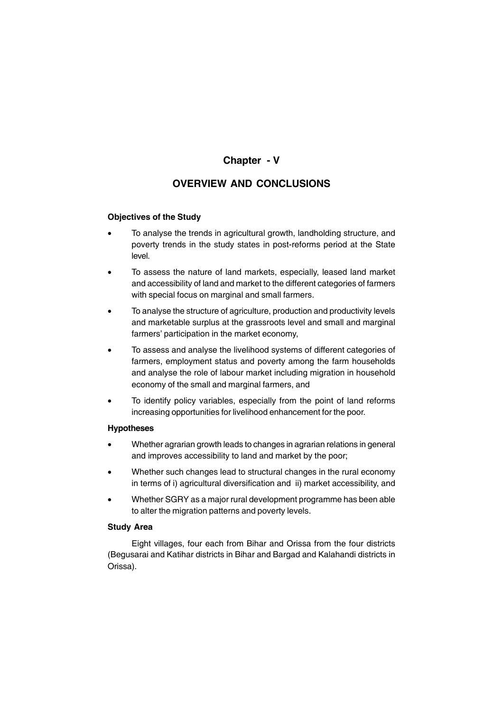# **Chapter - V**

# **OVERVIEW AND CONCLUSIONS**

# **Objectives of the Study**

- To analyse the trends in agricultural growth, landholding structure, and poverty trends in the study states in post-reforms period at the State level.
- To assess the nature of land markets, especially, leased land market and accessibility of land and market to the different categories of farmers with special focus on marginal and small farmers.
- To analyse the structure of agriculture, production and productivity levels and marketable surplus at the grassroots level and small and marginal farmers' participation in the market economy,
- To assess and analyse the livelihood systems of different categories of farmers, employment status and poverty among the farm households and analyse the role of labour market including migration in household economy of the small and marginal farmers, and
- To identify policy variables, especially from the point of land reforms increasing opportunities for livelihood enhancement for the poor.

### **Hypotheses**

- Whether agrarian growth leads to changes in agrarian relations in general and improves accessibility to land and market by the poor;
- Whether such changes lead to structural changes in the rural economy in terms of i) agricultural diversification and ii) market accessibility, and
- Whether SGRY as a major rural development programme has been able to alter the migration patterns and poverty levels.

### **Study Area**

Eight villages, four each from Bihar and Orissa from the four districts (Begusarai and Katihar districts in Bihar and Bargad and Kalahandi districts in Orissa).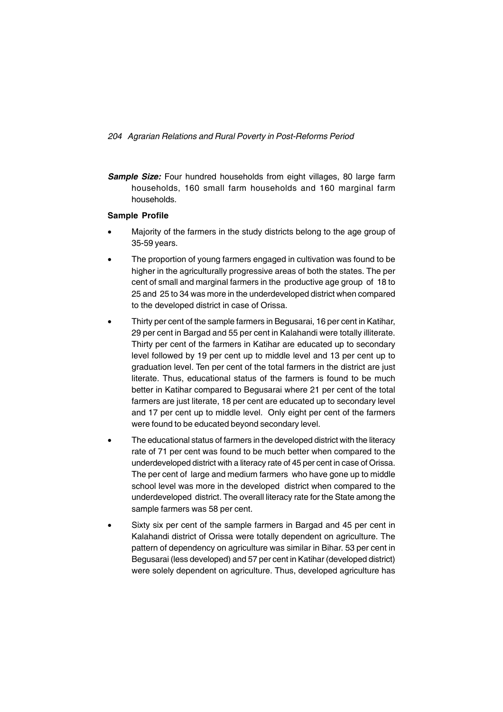**Sample Size:** Four hundred households from eight villages, 80 large farm households, 160 small farm households and 160 marginal farm households.

# **Sample Profile**

- Majority of the farmers in the study districts belong to the age group of 35-59 years.
- The proportion of young farmers engaged in cultivation was found to be higher in the agriculturally progressive areas of both the states. The per cent of small and marginal farmers in the productive age group of 18 to 25 and 25 to 34 was more in the underdeveloped district when compared to the developed district in case of Orissa.
- Thirty per cent of the sample farmers in Begusarai, 16 per cent in Katihar, 29 per cent in Bargad and 55 per cent in Kalahandi were totally illiterate. Thirty per cent of the farmers in Katihar are educated up to secondary level followed by 19 per cent up to middle level and 13 per cent up to graduation level. Ten per cent of the total farmers in the district are just literate. Thus, educational status of the farmers is found to be much better in Katihar compared to Begusarai where 21 per cent of the total farmers are just literate, 18 per cent are educated up to secondary level and 17 per cent up to middle level. Only eight per cent of the farmers were found to be educated beyond secondary level.
- The educational status of farmers in the developed district with the literacy rate of 71 per cent was found to be much better when compared to the underdeveloped district with a literacy rate of 45 per cent in case of Orissa. The per cent of large and medium farmers who have gone up to middle school level was more in the developed district when compared to the underdeveloped district. The overall literacy rate for the State among the sample farmers was 58 per cent.
- Sixty six per cent of the sample farmers in Bargad and 45 per cent in Kalahandi district of Orissa were totally dependent on agriculture. The pattern of dependency on agriculture was similar in Bihar. 53 per cent in Begusarai (less developed) and 57 per cent in Katihar (developed district) were solely dependent on agriculture. Thus, developed agriculture has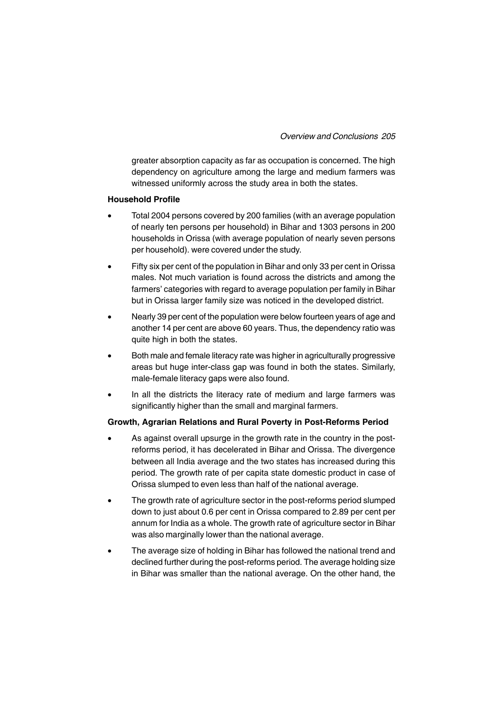greater absorption capacity as far as occupation is concerned. The high dependency on agriculture among the large and medium farmers was witnessed uniformly across the study area in both the states.

#### **Household Profile**

- Total 2004 persons covered by 200 families (with an average population of nearly ten persons per household) in Bihar and 1303 persons in 200 households in Orissa (with average population of nearly seven persons per household). were covered under the study.
- Fifty six per cent of the population in Bihar and only 33 per cent in Orissa males. Not much variation is found across the districts and among the farmers' categories with regard to average population per family in Bihar but in Orissa larger family size was noticed in the developed district.
- Nearly 39 per cent of the population were below fourteen years of age and another 14 per cent are above 60 years. Thus, the dependency ratio was quite high in both the states.
- Both male and female literacy rate was higher in agriculturally progressive areas but huge inter-class gap was found in both the states. Similarly, male-female literacy gaps were also found.
- In all the districts the literacy rate of medium and large farmers was significantly higher than the small and marginal farmers.

### **Growth, Agrarian Relations and Rural Poverty in Post-Reforms Period**

- As against overall upsurge in the growth rate in the country in the postreforms period, it has decelerated in Bihar and Orissa. The divergence between all India average and the two states has increased during this period. The growth rate of per capita state domestic product in case of Orissa slumped to even less than half of the national average.
- The growth rate of agriculture sector in the post-reforms period slumped down to just about 0.6 per cent in Orissa compared to 2.89 per cent per annum for India as a whole. The growth rate of agriculture sector in Bihar was also marginally lower than the national average.
- The average size of holding in Bihar has followed the national trend and declined further during the post-reforms period. The average holding size in Bihar was smaller than the national average. On the other hand, the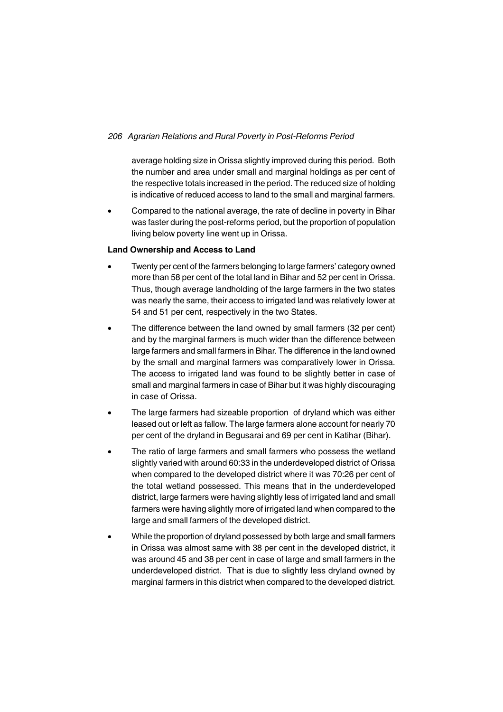average holding size in Orissa slightly improved during this period. Both the number and area under small and marginal holdings as per cent of the respective totals increased in the period. The reduced size of holding is indicative of reduced access to land to the small and marginal farmers.

• Compared to the national average, the rate of decline in poverty in Bihar was faster during the post-reforms period, but the proportion of population living below poverty line went up in Orissa.

# **Land Ownership and Access to Land**

- Twenty per cent of the farmers belonging to large farmers' category owned more than 58 per cent of the total land in Bihar and 52 per cent in Orissa. Thus, though average landholding of the large farmers in the two states was nearly the same, their access to irrigated land was relatively lower at 54 and 51 per cent, respectively in the two States.
- The difference between the land owned by small farmers (32 per cent) and by the marginal farmers is much wider than the difference between large farmers and small farmers in Bihar. The difference in the land owned by the small and marginal farmers was comparatively lower in Orissa. The access to irrigated land was found to be slightly better in case of small and marginal farmers in case of Bihar but it was highly discouraging in case of Orissa.
- The large farmers had sizeable proportion of dryland which was either leased out or left as fallow. The large farmers alone account for nearly 70 per cent of the dryland in Begusarai and 69 per cent in Katihar (Bihar).
- The ratio of large farmers and small farmers who possess the wetland slightly varied with around 60:33 in the underdeveloped district of Orissa when compared to the developed district where it was 70:26 per cent of the total wetland possessed. This means that in the underdeveloped district, large farmers were having slightly less of irrigated land and small farmers were having slightly more of irrigated land when compared to the large and small farmers of the developed district.
- While the proportion of dryland possessed by both large and small farmers in Orissa was almost same with 38 per cent in the developed district, it was around 45 and 38 per cent in case of large and small farmers in the underdeveloped district. That is due to slightly less dryland owned by marginal farmers in this district when compared to the developed district.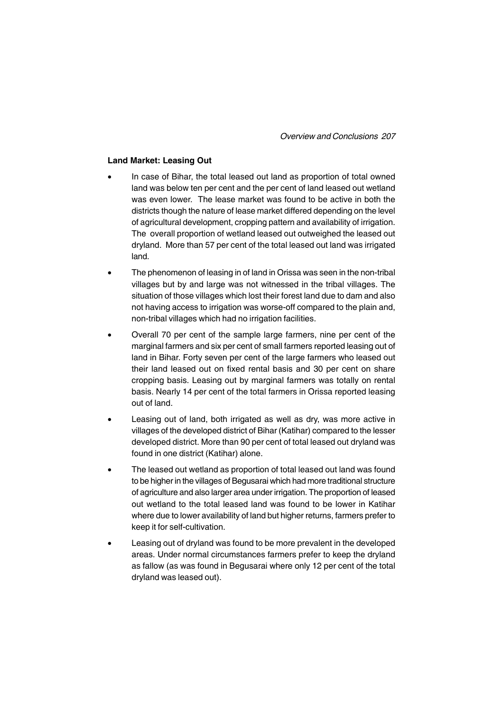*Overview and Conclusions 207*

### **Land Market: Leasing Out**

- In case of Bihar, the total leased out land as proportion of total owned land was below ten per cent and the per cent of land leased out wetland was even lower. The lease market was found to be active in both the districts though the nature of lease market differed depending on the level of agricultural development, cropping pattern and availability of irrigation. The overall proportion of wetland leased out outweighed the leased out dryland. More than 57 per cent of the total leased out land was irrigated land.
- The phenomenon of leasing in of land in Orissa was seen in the non-tribal villages but by and large was not witnessed in the tribal villages. The situation of those villages which lost their forest land due to dam and also not having access to irrigation was worse-off compared to the plain and, non-tribal villages which had no irrigation facilities.
- Overall 70 per cent of the sample large farmers, nine per cent of the marginal farmers and six per cent of small farmers reported leasing out of land in Bihar. Forty seven per cent of the large farmers who leased out their land leased out on fixed rental basis and 30 per cent on share cropping basis. Leasing out by marginal farmers was totally on rental basis. Nearly 14 per cent of the total farmers in Orissa reported leasing out of land.
- Leasing out of land, both irrigated as well as dry, was more active in villages of the developed district of Bihar (Katihar) compared to the lesser developed district. More than 90 per cent of total leased out dryland was found in one district (Katihar) alone.
- The leased out wetland as proportion of total leased out land was found to be higher in the villages of Begusarai which had more traditional structure of agriculture and also larger area under irrigation. The proportion of leased out wetland to the total leased land was found to be lower in Katihar where due to lower availability of land but higher returns, farmers prefer to keep it for self-cultivation.
- Leasing out of dryland was found to be more prevalent in the developed areas. Under normal circumstances farmers prefer to keep the dryland as fallow (as was found in Begusarai where only 12 per cent of the total dryland was leased out).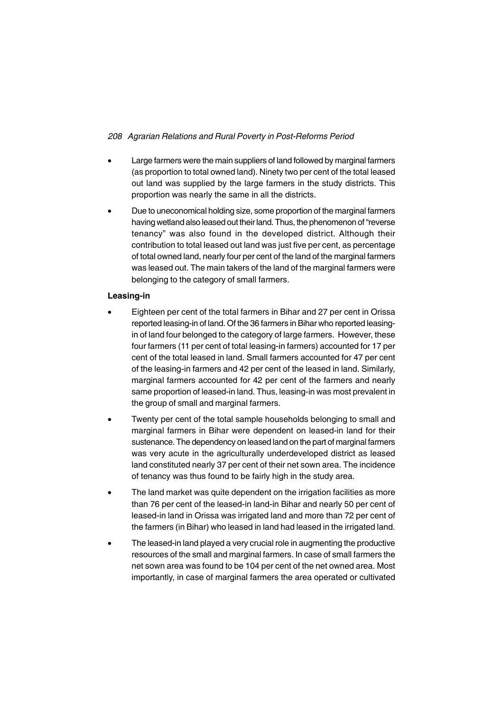- Large farmers were the main suppliers of land followed by marginal farmers (as proportion to total owned land). Ninety two per cent of the total leased out land was supplied by the large farmers in the study districts. This proportion was nearly the same in all the districts.
- Due to uneconomical holding size, some proportion of the marginal farmers having wetland also leased out their land. Thus, the phenomenon of "reverse tenancy" was also found in the developed district. Although their contribution to total leased out land was just five per cent, as percentage of total owned land, nearly four per cent of the land of the marginal farmers was leased out. The main takers of the land of the marginal farmers were belonging to the category of small farmers.

# **Leasing-in**

- Eighteen per cent of the total farmers in Bihar and 27 per cent in Orissa reported leasing-in of land. Of the 36 farmers in Bihar who reported leasingin of land four belonged to the category of large farmers. However, these four farmers (11 per cent of total leasing-in farmers) accounted for 17 per cent of the total leased in land. Small farmers accounted for 47 per cent of the leasing-in farmers and 42 per cent of the leased in land. Similarly, marginal farmers accounted for 42 per cent of the farmers and nearly same proportion of leased-in land. Thus, leasing-in was most prevalent in the group of small and marginal farmers.
- Twenty per cent of the total sample households belonging to small and marginal farmers in Bihar were dependent on leased-in land for their sustenance. The dependency on leased land on the part of marginal farmers was very acute in the agriculturally underdeveloped district as leased land constituted nearly 37 per cent of their net sown area. The incidence of tenancy was thus found to be fairly high in the study area.
- The land market was quite dependent on the irrigation facilities as more than 76 per cent of the leased-in land-in Bihar and nearly 50 per cent of leased-in land in Orissa was irrigated land and more than 72 per cent of the farmers (in Bihar) who leased in land had leased in the irrigated land.
- The leased-in land played a very crucial role in augmenting the productive resources of the small and marginal farmers. In case of small farmers the net sown area was found to be 104 per cent of the net owned area. Most importantly, in case of marginal farmers the area operated or cultivated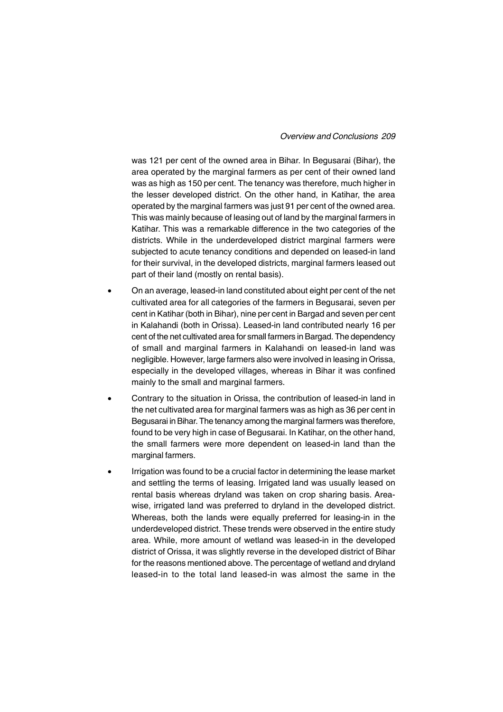### *Overview and Conclusions 209*

was 121 per cent of the owned area in Bihar. In Begusarai (Bihar), the area operated by the marginal farmers as per cent of their owned land was as high as 150 per cent. The tenancy was therefore, much higher in the lesser developed district. On the other hand, in Katihar, the area operated by the marginal farmers was just 91 per cent of the owned area. This was mainly because of leasing out of land by the marginal farmers in Katihar. This was a remarkable difference in the two categories of the districts. While in the underdeveloped district marginal farmers were subjected to acute tenancy conditions and depended on leased-in land for their survival, in the developed districts, marginal farmers leased out part of their land (mostly on rental basis).

- On an average, leased-in land constituted about eight per cent of the net cultivated area for all categories of the farmers in Begusarai, seven per cent in Katihar (both in Bihar), nine per cent in Bargad and seven per cent in Kalahandi (both in Orissa). Leased-in land contributed nearly 16 per cent of the net cultivated area for small farmers in Bargad. The dependency of small and marginal farmers in Kalahandi on leased-in land was negligible. However, large farmers also were involved in leasing in Orissa, especially in the developed villages, whereas in Bihar it was confined mainly to the small and marginal farmers.
- Contrary to the situation in Orissa, the contribution of leased-in land in the net cultivated area for marginal farmers was as high as 36 per cent in Begusarai in Bihar. The tenancy among the marginal farmers was therefore, found to be very high in case of Begusarai. In Katihar, on the other hand, the small farmers were more dependent on leased-in land than the marginal farmers.
- Irrigation was found to be a crucial factor in determining the lease market and settling the terms of leasing. Irrigated land was usually leased on rental basis whereas dryland was taken on crop sharing basis. Areawise, irrigated land was preferred to dryland in the developed district. Whereas, both the lands were equally preferred for leasing-in in the underdeveloped district. These trends were observed in the entire study area. While, more amount of wetland was leased-in in the developed district of Orissa, it was slightly reverse in the developed district of Bihar for the reasons mentioned above. The percentage of wetland and dryland leased-in to the total land leased-in was almost the same in the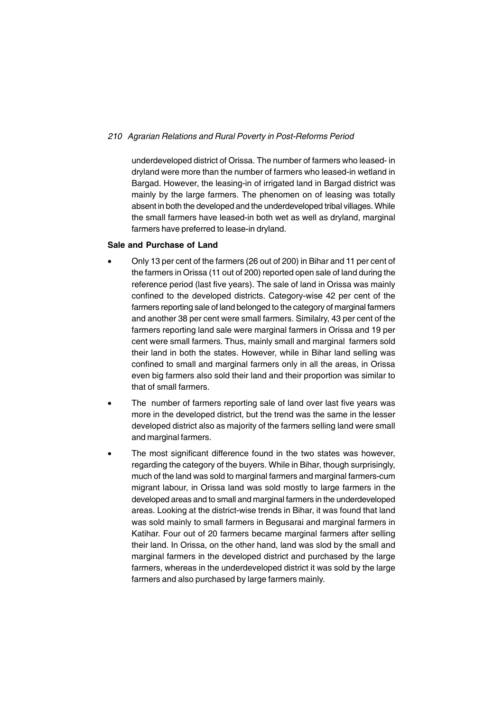underdeveloped district of Orissa. The number of farmers who leased- in dryland were more than the number of farmers who leased-in wetland in Bargad. However, the leasing-in of irrigated land in Bargad district was mainly by the large farmers. The phenomen on of leasing was totally absent in both the developed and the underdeveloped tribal villages. While the small farmers have leased-in both wet as well as dryland, marginal farmers have preferred to lease-in dryland.

### **Sale and Purchase of Land**

- Only 13 per cent of the farmers (26 out of 200) in Bihar and 11 per cent of the farmers in Orissa (11 out of 200) reported open sale of land during the reference period (last five years). The sale of land in Orissa was mainly confined to the developed districts. Category-wise 42 per cent of the farmers reporting sale of land belonged to the category of marginal farmers and another 38 per cent were small farmers. Similalry, 43 per cent of the farmers reporting land sale were marginal farmers in Orissa and 19 per cent were small farmers. Thus, mainly small and marginal farmers sold their land in both the states. However, while in Bihar land selling was confined to small and marginal farmers only in all the areas, in Orissa even big farmers also sold their land and their proportion was similar to that of small farmers.
- The number of farmers reporting sale of land over last five years was more in the developed district, but the trend was the same in the lesser developed district also as majority of the farmers selling land were small and marginal farmers.
- The most significant difference found in the two states was however, regarding the category of the buyers. While in Bihar, though surprisingly, much of the land was sold to marginal farmers and marginal farmers-cum migrant labour, in Orissa land was sold mostly to large farmers in the developed areas and to small and marginal farmers in the underdeveloped areas. Looking at the district-wise trends in Bihar, it was found that land was sold mainly to small farmers in Begusarai and marginal farmers in Katihar. Four out of 20 farmers became marginal farmers after selling their land. In Orissa, on the other hand, land was slod by the small and marginal farmers in the developed district and purchased by the large farmers, whereas in the underdeveloped district it was sold by the large farmers and also purchased by large farmers mainly.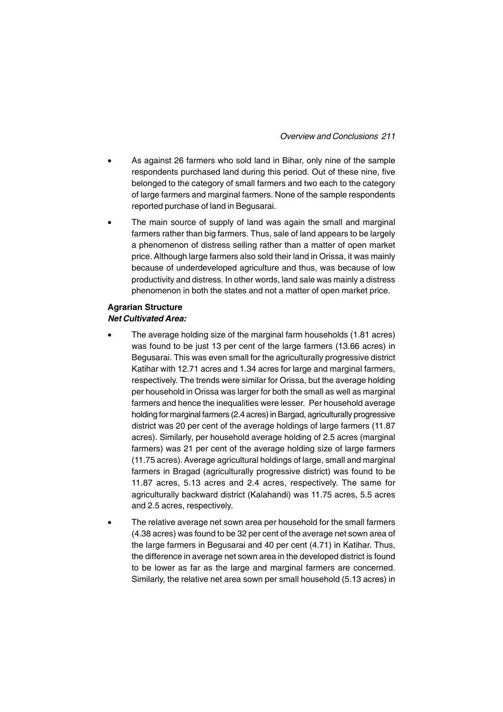- As against 26 farmers who sold land in Bihar, only nine of the sample respondents purchased land during this period. Out of these nine, five belonged to the category of small farmers and two each to the category of large farmers and marginal farmers. None of the sample respondents reported purchase of land in Begusarai.
- The main source of supply of land was again the small and marginal farmers rather than big farmers. Thus, sale of land appears to be largely a phenomenon of distress selling rather than a matter of open market price. Although large farmers also sold their land in Orissa, it was mainly because of underdeveloped agriculture and thus, was because of low productivity and distress. In other words, land sale was mainly a distress phenomenon in both the states and not a matter of open market price.

# **Agrarian Structure** *Net Cultivated Area:*

- The average holding size of the marginal farm households (1.81 acres) was found to be just 13 per cent of the large farmers (13.66 acres) in Begusarai. This was even small for the agriculturally progressive district Katihar with 12.71 acres and 1.34 acres for large and marginal farmers, respectively. The trends were similar for Orissa, but the average holding per household in Orissa was larger for both the small as well as marginal farmers and hence the inequalities were lesser. Per household average holding for marginal farmers (2.4 acres) in Bargad, agriculturally progressive district was 20 per cent of the average holdings of large farmers (11.87 acres). Similarly, per household average holding of 2.5 acres (marginal farmers) was 21 per cent of the average holding size of large farmers (11.75 acres). Average agricultural holdings of large, small and marginal farmers in Bragad (agriculturally progressive district) was found to be 11.87 acres, 5.13 acres and 2.4 acres, respectively. The same for agriculturally backward district (Kalahandi) was 11.75 acres, 5.5 acres and 2.5 acres, respectively.
- The relative average net sown area per household for the small farmers (4.38 acres) was found to be 32 per cent of the average net sown area of the large farmers in Begusarai and 40 per cent (4.71) in Katihar. Thus, the difference in average net sown area in the developed district is found to be lower as far as the large and marginal farmers are concerned. Similarly, the relative net area sown per small household (5.13 acres) in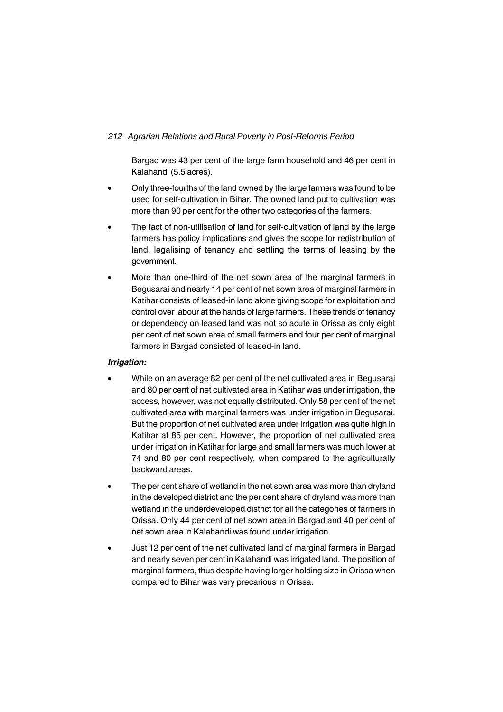Bargad was 43 per cent of the large farm household and 46 per cent in Kalahandi (5.5 acres).

- Only three-fourths of the land owned by the large farmers was found to be used for self-cultivation in Bihar. The owned land put to cultivation was more than 90 per cent for the other two categories of the farmers.
- The fact of non-utilisation of land for self-cultivation of land by the large farmers has policy implications and gives the scope for redistribution of land, legalising of tenancy and settling the terms of leasing by the government.
- More than one-third of the net sown area of the marginal farmers in Begusarai and nearly 14 per cent of net sown area of marginal farmers in Katihar consists of leased-in land alone giving scope for exploitation and control over labour at the hands of large farmers. These trends of tenancy or dependency on leased land was not so acute in Orissa as only eight per cent of net sown area of small farmers and four per cent of marginal farmers in Bargad consisted of leased-in land.

# *Irrigation:*

- While on an average 82 per cent of the net cultivated area in Begusarai and 80 per cent of net cultivated area in Katihar was under irrigation, the access, however, was not equally distributed. Only 58 per cent of the net cultivated area with marginal farmers was under irrigation in Begusarai. But the proportion of net cultivated area under irrigation was quite high in Katihar at 85 per cent. However, the proportion of net cultivated area under irrigation in Katihar for large and small farmers was much lower at 74 and 80 per cent respectively, when compared to the agriculturally backward areas.
- The per cent share of wetland in the net sown area was more than dryland in the developed district and the per cent share of dryland was more than wetland in the underdeveloped district for all the categories of farmers in Orissa. Only 44 per cent of net sown area in Bargad and 40 per cent of net sown area in Kalahandi was found under irrigation.
- Just 12 per cent of the net cultivated land of marginal farmers in Bargad and nearly seven per cent in Kalahandi was irrigated land. The position of marginal farmers, thus despite having larger holding size in Orissa when compared to Bihar was very precarious in Orissa.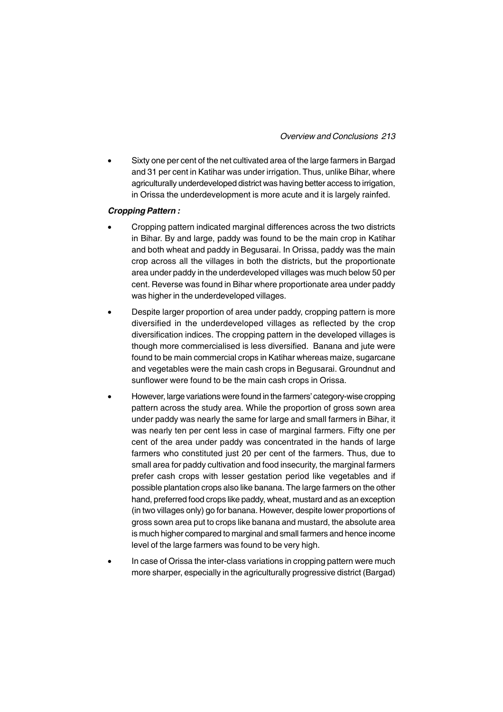• Sixty one per cent of the net cultivated area of the large farmers in Bargad and 31 per cent in Katihar was under irrigation. Thus, unlike Bihar, where agriculturally underdeveloped district was having better access to irrigation, in Orissa the underdevelopment is more acute and it is largely rainfed.

# *Cropping Pattern :*

- Cropping pattern indicated marginal differences across the two districts in Bihar. By and large, paddy was found to be the main crop in Katihar and both wheat and paddy in Begusarai. In Orissa, paddy was the main crop across all the villages in both the districts, but the proportionate area under paddy in the underdeveloped villages was much below 50 per cent. Reverse was found in Bihar where proportionate area under paddy was higher in the underdeveloped villages.
- Despite larger proportion of area under paddy, cropping pattern is more diversified in the underdeveloped villages as reflected by the crop diversification indices. The cropping pattern in the developed villages is though more commercialised is less diversified. Banana and jute were found to be main commercial crops in Katihar whereas maize, sugarcane and vegetables were the main cash crops in Begusarai. Groundnut and sunflower were found to be the main cash crops in Orissa.
- However, large variations were found in the farmers' category-wise cropping pattern across the study area. While the proportion of gross sown area under paddy was nearly the same for large and small farmers in Bihar, it was nearly ten per cent less in case of marginal farmers. Fifty one per cent of the area under paddy was concentrated in the hands of large farmers who constituted just 20 per cent of the farmers. Thus, due to small area for paddy cultivation and food insecurity, the marginal farmers prefer cash crops with lesser gestation period like vegetables and if possible plantation crops also like banana. The large farmers on the other hand, preferred food crops like paddy, wheat, mustard and as an exception (in two villages only) go for banana. However, despite lower proportions of gross sown area put to crops like banana and mustard, the absolute area is much higher compared to marginal and small farmers and hence income level of the large farmers was found to be very high.
- In case of Orissa the inter-class variations in cropping pattern were much more sharper, especially in the agriculturally progressive district (Bargad)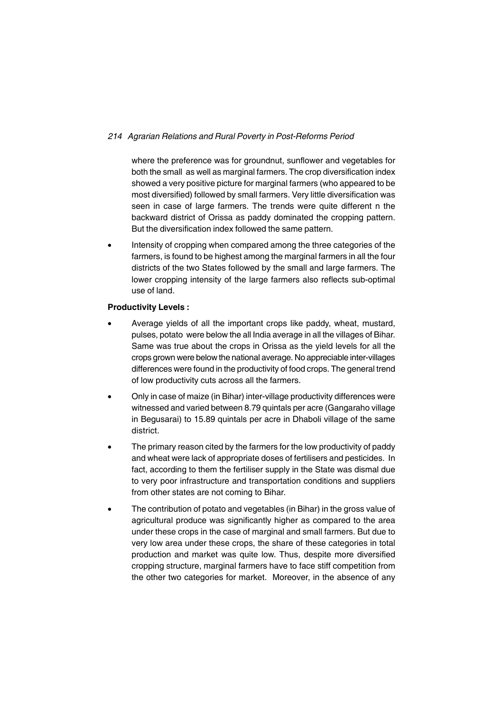where the preference was for groundnut, sunflower and vegetables for both the small as well as marginal farmers. The crop diversification index showed a very positive picture for marginal farmers (who appeared to be most diversified) followed by small farmers. Very little diversification was seen in case of large farmers. The trends were quite different n the backward district of Orissa as paddy dominated the cropping pattern. But the diversification index followed the same pattern.

• Intensity of cropping when compared among the three categories of the farmers, is found to be highest among the marginal farmers in all the four districts of the two States followed by the small and large farmers. The lower cropping intensity of the large farmers also reflects sub-optimal use of land.

# **Productivity Levels :**

- Average yields of all the important crops like paddy, wheat, mustard, pulses, potato were below the all India average in all the villages of Bihar. Same was true about the crops in Orissa as the yield levels for all the crops grown were below the national average. No appreciable inter-villages differences were found in the productivity of food crops. The general trend of low productivity cuts across all the farmers.
- Only in case of maize (in Bihar) inter-village productivity differences were witnessed and varied between 8.79 quintals per acre (Gangaraho village in Begusarai) to 15.89 quintals per acre in Dhaboli village of the same district.
- The primary reason cited by the farmers for the low productivity of paddy and wheat were lack of appropriate doses of fertilisers and pesticides. In fact, according to them the fertiliser supply in the State was dismal due to very poor infrastructure and transportation conditions and suppliers from other states are not coming to Bihar.
- The contribution of potato and vegetables (in Bihar) in the gross value of agricultural produce was significantly higher as compared to the area under these crops in the case of marginal and small farmers. But due to very low area under these crops, the share of these categories in total production and market was quite low. Thus, despite more diversified cropping structure, marginal farmers have to face stiff competition from the other two categories for market. Moreover, in the absence of any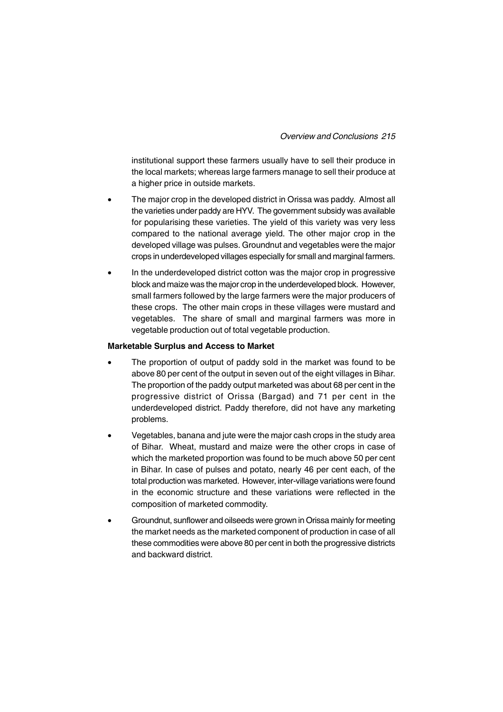institutional support these farmers usually have to sell their produce in the local markets; whereas large farmers manage to sell their produce at a higher price in outside markets.

- The major crop in the developed district in Orissa was paddy. Almost all the varieties under paddy are HYV. The government subsidy was available for popularising these varieties. The yield of this variety was very less compared to the national average yield. The other major crop in the developed village was pulses. Groundnut and vegetables were the major crops in underdeveloped villages especially for small and marginal farmers.
- In the underdeveloped district cotton was the major crop in progressive block and maize was the major crop in the underdeveloped block. However, small farmers followed by the large farmers were the major producers of these crops. The other main crops in these villages were mustard and vegetables. The share of small and marginal farmers was more in vegetable production out of total vegetable production.

#### **Marketable Surplus and Access to Market**

- The proportion of output of paddy sold in the market was found to be above 80 per cent of the output in seven out of the eight villages in Bihar. The proportion of the paddy output marketed was about 68 per cent in the progressive district of Orissa (Bargad) and 71 per cent in the underdeveloped district. Paddy therefore, did not have any marketing problems.
- Vegetables, banana and jute were the major cash crops in the study area of Bihar. Wheat, mustard and maize were the other crops in case of which the marketed proportion was found to be much above 50 per cent in Bihar. In case of pulses and potato, nearly 46 per cent each, of the total production was marketed. However, inter-village variations were found in the economic structure and these variations were reflected in the composition of marketed commodity.
- Groundnut, sunflower and oilseeds were grown in Orissa mainly for meeting the market needs as the marketed component of production in case of all these commodities were above 80 per cent in both the progressive districts and backward district.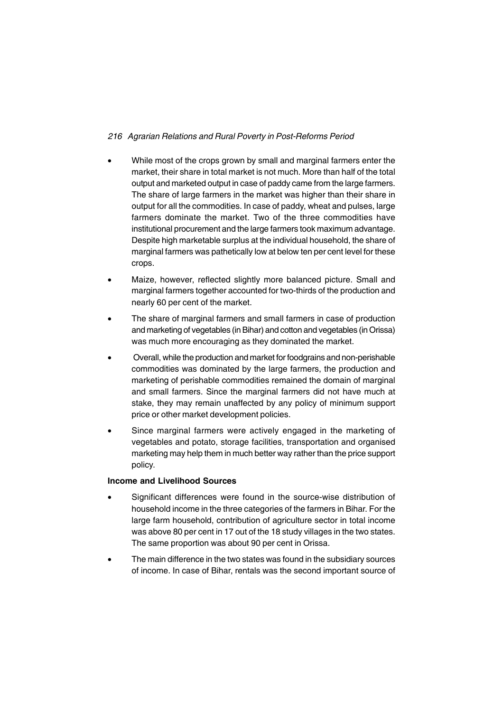- While most of the crops grown by small and marginal farmers enter the market, their share in total market is not much. More than half of the total output and marketed output in case of paddy came from the large farmers. The share of large farmers in the market was higher than their share in output for all the commodities. In case of paddy, wheat and pulses, large farmers dominate the market. Two of the three commodities have institutional procurement and the large farmers took maximum advantage. Despite high marketable surplus at the individual household, the share of marginal farmers was pathetically low at below ten per cent level for these crops.
- Maize, however, reflected slightly more balanced picture. Small and marginal farmers together accounted for two-thirds of the production and nearly 60 per cent of the market.
- The share of marginal farmers and small farmers in case of production and marketing of vegetables (in Bihar) and cotton and vegetables (in Orissa) was much more encouraging as they dominated the market.
- Overall, while the production and market for foodgrains and non-perishable commodities was dominated by the large farmers, the production and marketing of perishable commodities remained the domain of marginal and small farmers. Since the marginal farmers did not have much at stake, they may remain unaffected by any policy of minimum support price or other market development policies.
- Since marginal farmers were actively engaged in the marketing of vegetables and potato, storage facilities, transportation and organised marketing may help them in much better way rather than the price support policy.

# **Income and Livelihood Sources**

- Significant differences were found in the source-wise distribution of household income in the three categories of the farmers in Bihar. For the large farm household, contribution of agriculture sector in total income was above 80 per cent in 17 out of the 18 study villages in the two states. The same proportion was about 90 per cent in Orissa.
- The main difference in the two states was found in the subsidiary sources of income. In case of Bihar, rentals was the second important source of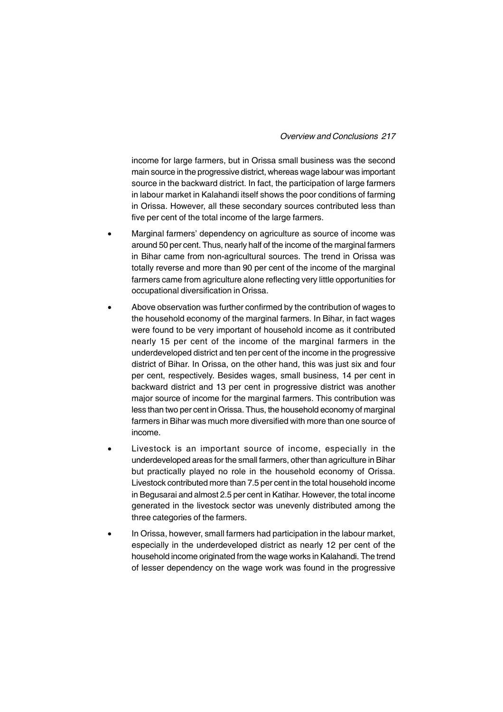# *Overview and Conclusions 217*

income for large farmers, but in Orissa small business was the second main source in the progressive district, whereas wage labour was important source in the backward district. In fact, the participation of large farmers in labour market in Kalahandi itself shows the poor conditions of farming in Orissa. However, all these secondary sources contributed less than five per cent of the total income of the large farmers.

- Marginal farmers' dependency on agriculture as source of income was around 50 per cent. Thus, nearly half of the income of the marginal farmers in Bihar came from non-agricultural sources. The trend in Orissa was totally reverse and more than 90 per cent of the income of the marginal farmers came from agriculture alone reflecting very little opportunities for occupational diversification in Orissa.
- Above observation was further confirmed by the contribution of wages to the household economy of the marginal farmers. In Bihar, in fact wages were found to be very important of household income as it contributed nearly 15 per cent of the income of the marginal farmers in the underdeveloped district and ten per cent of the income in the progressive district of Bihar. In Orissa, on the other hand, this was just six and four per cent, respectively. Besides wages, small business, 14 per cent in backward district and 13 per cent in progressive district was another major source of income for the marginal farmers. This contribution was less than two per cent in Orissa. Thus, the household economy of marginal farmers in Bihar was much more diversified with more than one source of income.
- Livestock is an important source of income, especially in the underdeveloped areas for the small farmers, other than agriculture in Bihar but practically played no role in the household economy of Orissa. Livestock contributed more than 7.5 per cent in the total household income in Begusarai and almost 2.5 per cent in Katihar. However, the total income generated in the livestock sector was unevenly distributed among the three categories of the farmers.
- In Orissa, however, small farmers had participation in the labour market, especially in the underdeveloped district as nearly 12 per cent of the household income originated from the wage works in Kalahandi. The trend of lesser dependency on the wage work was found in the progressive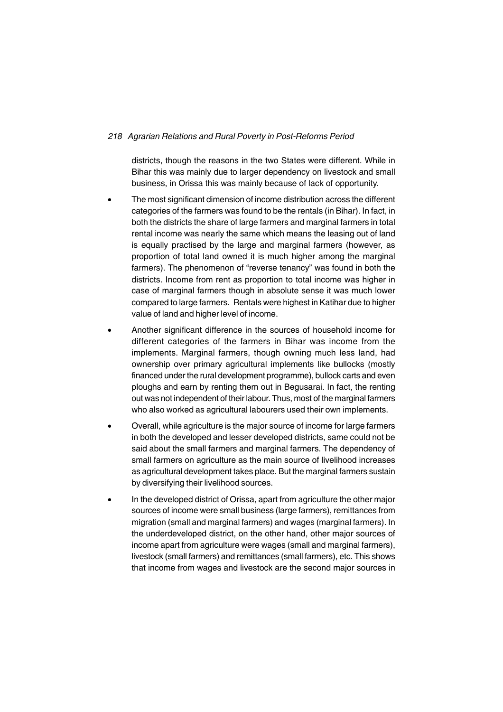districts, though the reasons in the two States were different. While in Bihar this was mainly due to larger dependency on livestock and small business, in Orissa this was mainly because of lack of opportunity.

- The most significant dimension of income distribution across the different categories of the farmers was found to be the rentals (in Bihar). In fact, in both the districts the share of large farmers and marginal farmers in total rental income was nearly the same which means the leasing out of land is equally practised by the large and marginal farmers (however, as proportion of total land owned it is much higher among the marginal farmers). The phenomenon of "reverse tenancy" was found in both the districts. Income from rent as proportion to total income was higher in case of marginal farmers though in absolute sense it was much lower compared to large farmers. Rentals were highest in Katihar due to higher value of land and higher level of income.
- Another significant difference in the sources of household income for different categories of the farmers in Bihar was income from the implements. Marginal farmers, though owning much less land, had ownership over primary agricultural implements like bullocks (mostly financed under the rural development programme), bullock carts and even ploughs and earn by renting them out in Begusarai. In fact, the renting out was not independent of their labour. Thus, most of the marginal farmers who also worked as agricultural labourers used their own implements.
- Overall, while agriculture is the major source of income for large farmers in both the developed and lesser developed districts, same could not be said about the small farmers and marginal farmers. The dependency of small farmers on agriculture as the main source of livelihood increases as agricultural development takes place. But the marginal farmers sustain by diversifying their livelihood sources.
- In the developed district of Orissa, apart from agriculture the other major sources of income were small business (large farmers), remittances from migration (small and marginal farmers) and wages (marginal farmers). In the underdeveloped district, on the other hand, other major sources of income apart from agriculture were wages (small and marginal farmers), livestock (small farmers) and remittances (small farmers), etc. This shows that income from wages and livestock are the second major sources in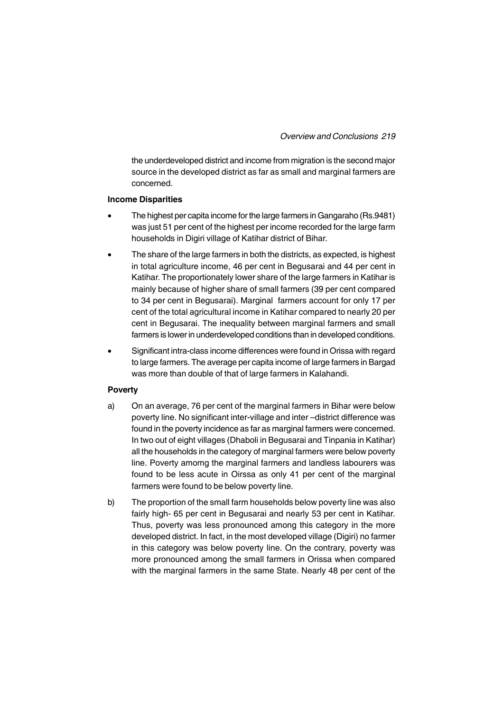the underdeveloped district and income from migration is the second major source in the developed district as far as small and marginal farmers are concerned.

#### **Income Disparities**

- The highest per capita income for the large farmers in Gangaraho (Rs.9481) was just 51 per cent of the highest per income recorded for the large farm households in Digiri village of Katihar district of Bihar.
- The share of the large farmers in both the districts, as expected, is highest in total agriculture income, 46 per cent in Begusarai and 44 per cent in Katihar. The proportionately lower share of the large farmers in Katihar is mainly because of higher share of small farmers (39 per cent compared to 34 per cent in Begusarai). Marginal farmers account for only 17 per cent of the total agricultural income in Katihar compared to nearly 20 per cent in Begusarai. The inequality between marginal farmers and small farmers is lower in underdeveloped conditions than in developed conditions.
- Significant intra-class income differences were found in Orissa with regard to large farmers. The average per capita income of large farmers in Bargad was more than double of that of large farmers in Kalahandi.

### **Poverty**

- a) On an average, 76 per cent of the marginal farmers in Bihar were below poverty line. No significant inter-village and inter –district difference was found in the poverty incidence as far as marginal farmers were concerned. In two out of eight villages (Dhaboli in Begusarai and Tinpania in Katihar) all the households in the category of marginal farmers were below poverty line. Poverty amomg the marginal farmers and landless labourers was found to be less acute in Oirssa as only 41 per cent of the marginal farmers were found to be below poverty line.
- b) The proportion of the small farm households below poverty line was also fairly high- 65 per cent in Begusarai and nearly 53 per cent in Katihar. Thus, poverty was less pronounced among this category in the more developed district. In fact, in the most developed village (Digiri) no farmer in this category was below poverty line. On the contrary, poverty was more pronounced among the small farmers in Orissa when compared with the marginal farmers in the same State. Nearly 48 per cent of the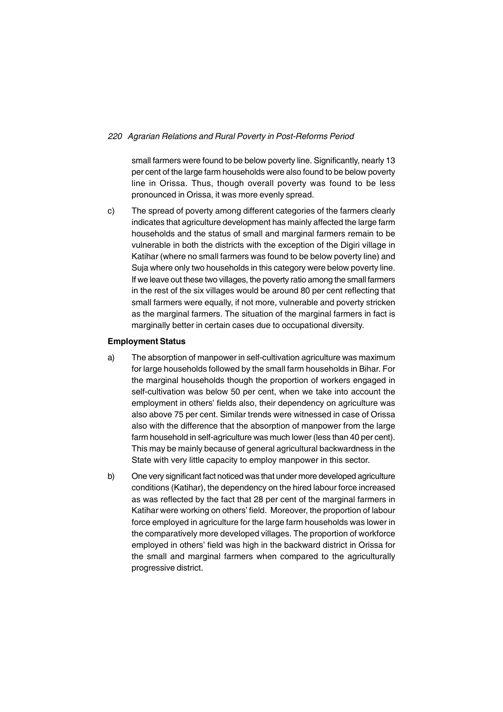small farmers were found to be below poverty line. Significantly, nearly 13 per cent of the large farm households were also found to be below poverty line in Orissa. Thus, though overall poverty was found to be less pronounced in Orissa, it was more evenly spread.

c) The spread of poverty among different categories of the farmers clearly indicates that agriculture development has mainly affected the large farm households and the status of small and marginal farmers remain to be vulnerable in both the districts with the exception of the Digiri village in Katihar (where no small farmers was found to be below poverty line) and Suja where only two households in this category were below poverty line. If we leave out these two villages, the poverty ratio among the small farmers in the rest of the six villages would be around 80 per cent reflecting that small farmers were equally, if not more, vulnerable and poverty stricken as the marginal farmers. The situation of the marginal farmers in fact is marginally better in certain cases due to occupational diversity.

#### **Employment Status**

- a) The absorption of manpower in self-cultivation agriculture was maximum for large households followed by the small farm households in Bihar. For the marginal households though the proportion of workers engaged in self-cultivation was below 50 per cent, when we take into account the employment in others' fields also, their dependency on agriculture was also above 75 per cent. Similar trends were witnessed in case of Orissa also with the difference that the absorption of manpower from the large farm household in self-agriculture was much lower (less than 40 per cent). This may be mainly because of general agricultural backwardness in the State with very little capacity to employ manpower in this sector.
- b) One very significant fact noticed was that under more developed agriculture conditions (Katihar), the dependency on the hired labour force increased as was reflected by the fact that 28 per cent of the marginal farmers in Katihar were working on others' field. Moreover, the proportion of labour force employed in agriculture for the large farm households was lower in the comparatively more developed villages. The proportion of workforce employed in others' field was high in the backward district in Orissa for the small and marginal farmers when compared to the agriculturally progressive district.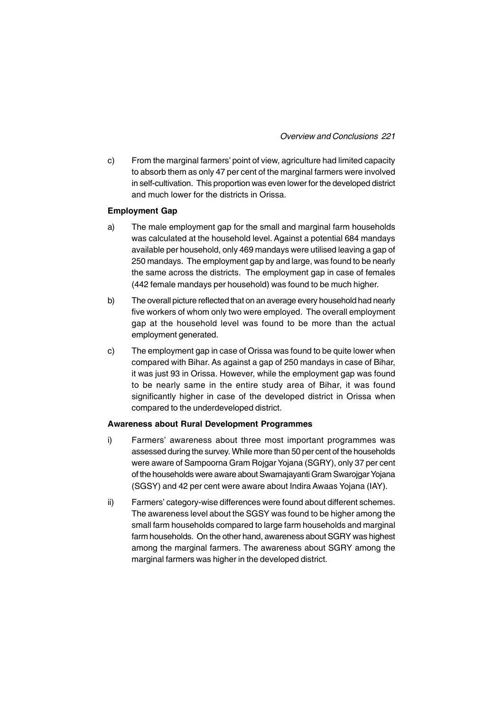c) From the marginal farmers' point of view, agriculture had limited capacity to absorb them as only 47 per cent of the marginal farmers were involved in self-cultivation. This proportion was even lower for the developed district and much lower for the districts in Orissa.

### **Employment Gap**

- a) The male employment gap for the small and marginal farm households was calculated at the household level. Against a potential 684 mandays available per household, only 469 mandays were utilised leaving a gap of 250 mandays. The employment gap by and large, was found to be nearly the same across the districts. The employment gap in case of females (442 female mandays per household) was found to be much higher.
- b) The overall picture reflected that on an average every household had nearly five workers of whom only two were employed. The overall employment gap at the household level was found to be more than the actual employment generated.
- c) The employment gap in case of Orissa was found to be quite lower when compared with Bihar. As against a gap of 250 mandays in case of Bihar, it was just 93 in Orissa. However, while the employment gap was found to be nearly same in the entire study area of Bihar, it was found significantly higher in case of the developed district in Orissa when compared to the underdeveloped district.

### **Awareness about Rural Development Programmes**

- i) Farmers' awareness about three most important programmes was assessed during the survey. While more than 50 per cent of the households were aware of Sampoorna Gram Rojgar Yojana (SGRY), only 37 per cent of the households were aware about Swarnajayanti Gram Swarojgar Yojana (SGSY) and 42 per cent were aware about Indira Awaas Yojana (IAY).
- ii) Farmers' category-wise differences were found about different schemes. The awareness level about the SGSY was found to be higher among the small farm households compared to large farm households and marginal farm households. On the other hand, awareness about SGRY was highest among the marginal farmers. The awareness about SGRY among the marginal farmers was higher in the developed district.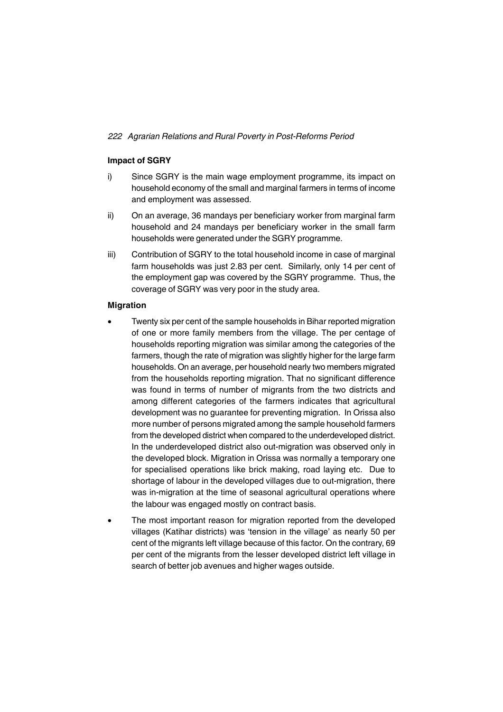## **Impact of SGRY**

- i) Since SGRY is the main wage employment programme, its impact on household economy of the small and marginal farmers in terms of income and employment was assessed.
- ii) On an average, 36 mandays per beneficiary worker from marginal farm household and 24 mandays per beneficiary worker in the small farm households were generated under the SGRY programme.
- iii) Contribution of SGRY to the total household income in case of marginal farm households was just 2.83 per cent. Similarly, only 14 per cent of the employment gap was covered by the SGRY programme. Thus, the coverage of SGRY was very poor in the study area.

### **Migration**

- Twenty six per cent of the sample households in Bihar reported migration of one or more family members from the village. The per centage of households reporting migration was similar among the categories of the farmers, though the rate of migration was slightly higher for the large farm households. On an average, per household nearly two members migrated from the households reporting migration. That no significant difference was found in terms of number of migrants from the two districts and among different categories of the farmers indicates that agricultural development was no guarantee for preventing migration. In Orissa also more number of persons migrated among the sample household farmers from the developed district when compared to the underdeveloped district. In the underdeveloped district also out-migration was observed only in the developed block. Migration in Orissa was normally a temporary one for specialised operations like brick making, road laying etc. Due to shortage of labour in the developed villages due to out-migration, there was in-migration at the time of seasonal agricultural operations where the labour was engaged mostly on contract basis.
- The most important reason for migration reported from the developed villages (Katihar districts) was 'tension in the village' as nearly 50 per cent of the migrants left village because of this factor. On the contrary, 69 per cent of the migrants from the lesser developed district left village in search of better job avenues and higher wages outside.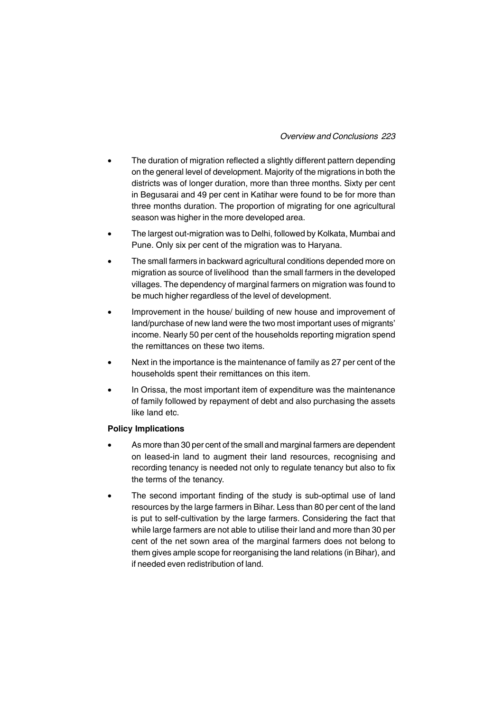## *Overview and Conclusions 223*

- The duration of migration reflected a slightly different pattern depending on the general level of development. Majority of the migrations in both the districts was of longer duration, more than three months. Sixty per cent in Begusarai and 49 per cent in Katihar were found to be for more than three months duration. The proportion of migrating for one agricultural season was higher in the more developed area.
- The largest out-migration was to Delhi, followed by Kolkata, Mumbai and Pune. Only six per cent of the migration was to Haryana.
- The small farmers in backward agricultural conditions depended more on migration as source of livelihood than the small farmers in the developed villages. The dependency of marginal farmers on migration was found to be much higher regardless of the level of development.
- Improvement in the house/ building of new house and improvement of land/purchase of new land were the two most important uses of migrants' income. Nearly 50 per cent of the households reporting migration spend the remittances on these two items.
- Next in the importance is the maintenance of family as 27 per cent of the households spent their remittances on this item.
- In Orissa, the most important item of expenditure was the maintenance of family followed by repayment of debt and also purchasing the assets like land etc.

### **Policy Implications**

- As more than 30 per cent of the small and marginal farmers are dependent on leased-in land to augment their land resources, recognising and recording tenancy is needed not only to regulate tenancy but also to fix the terms of the tenancy.
- The second important finding of the study is sub-optimal use of land resources by the large farmers in Bihar. Less than 80 per cent of the land is put to self-cultivation by the large farmers. Considering the fact that while large farmers are not able to utilise their land and more than 30 per cent of the net sown area of the marginal farmers does not belong to them gives ample scope for reorganising the land relations (in Bihar), and if needed even redistribution of land.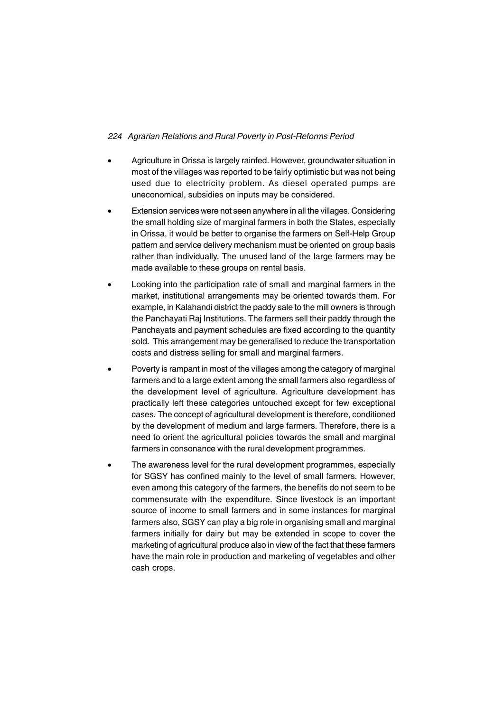- Agriculture in Orissa is largely rainfed. However, groundwater situation in most of the villages was reported to be fairly optimistic but was not being used due to electricity problem. As diesel operated pumps are uneconomical, subsidies on inputs may be considered.
- Extension services were not seen anywhere in all the villages. Considering the small holding size of marginal farmers in both the States, especially in Orissa, it would be better to organise the farmers on Self-Help Group pattern and service delivery mechanism must be oriented on group basis rather than individually. The unused land of the large farmers may be made available to these groups on rental basis.
- Looking into the participation rate of small and marginal farmers in the market, institutional arrangements may be oriented towards them. For example, in Kalahandi district the paddy sale to the mill owners is through the Panchayati Raj Institutions. The farmers sell their paddy through the Panchayats and payment schedules are fixed according to the quantity sold. This arrangement may be generalised to reduce the transportation costs and distress selling for small and marginal farmers.
- Poverty is rampant in most of the villages among the category of marginal farmers and to a large extent among the small farmers also regardless of the development level of agriculture. Agriculture development has practically left these categories untouched except for few exceptional cases. The concept of agricultural development is therefore, conditioned by the development of medium and large farmers. Therefore, there is a need to orient the agricultural policies towards the small and marginal farmers in consonance with the rural development programmes.
- The awareness level for the rural development programmes, especially for SGSY has confined mainly to the level of small farmers. However, even among this category of the farmers, the benefits do not seem to be commensurate with the expenditure. Since livestock is an important source of income to small farmers and in some instances for marginal farmers also, SGSY can play a big role in organising small and marginal farmers initially for dairy but may be extended in scope to cover the marketing of agricultural produce also in view of the fact that these farmers have the main role in production and marketing of vegetables and other cash crops.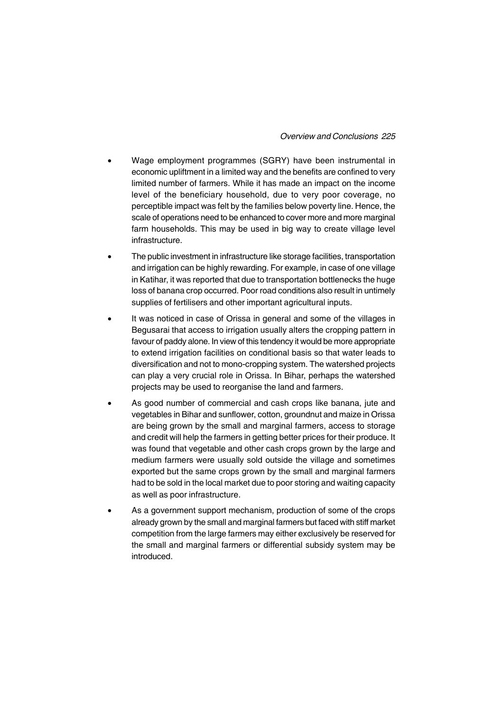### *Overview and Conclusions 225*

- Wage employment programmes (SGRY) have been instrumental in economic upliftment in a limited way and the benefits are confined to very limited number of farmers. While it has made an impact on the income level of the beneficiary household, due to very poor coverage, no perceptible impact was felt by the families below poverty line. Hence, the scale of operations need to be enhanced to cover more and more marginal farm households. This may be used in big way to create village level infrastructure.
- The public investment in infrastructure like storage facilities, transportation and irrigation can be highly rewarding. For example, in case of one village in Katihar, it was reported that due to transportation bottlenecks the huge loss of banana crop occurred. Poor road conditions also result in untimely supplies of fertilisers and other important agricultural inputs.
- It was noticed in case of Orissa in general and some of the villages in Begusarai that access to irrigation usually alters the cropping pattern in favour of paddy alone. In view of this tendency it would be more appropriate to extend irrigation facilities on conditional basis so that water leads to diversification and not to mono-cropping system. The watershed projects can play a very crucial role in Orissa. In Bihar, perhaps the watershed projects may be used to reorganise the land and farmers.
- As good number of commercial and cash crops like banana, jute and vegetables in Bihar and sunflower, cotton, groundnut and maize in Orissa are being grown by the small and marginal farmers, access to storage and credit will help the farmers in getting better prices for their produce. It was found that vegetable and other cash crops grown by the large and medium farmers were usually sold outside the village and sometimes exported but the same crops grown by the small and marginal farmers had to be sold in the local market due to poor storing and waiting capacity as well as poor infrastructure.
- As a government support mechanism, production of some of the crops already grown by the small and marginal farmers but faced with stiff market competition from the large farmers may either exclusively be reserved for the small and marginal farmers or differential subsidy system may be introduced.